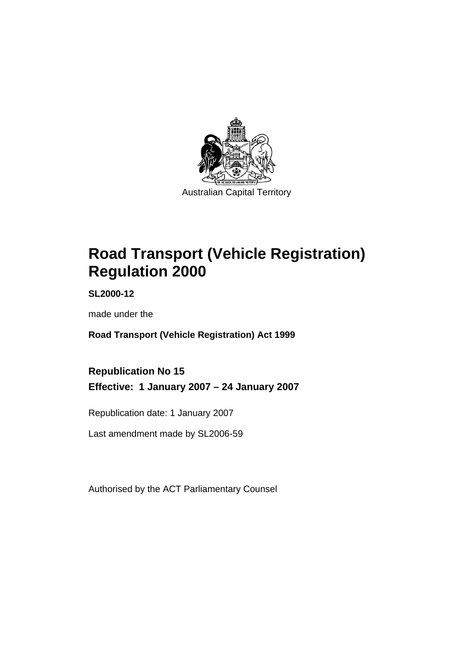

Australian Capital Territory

# **Road Transport (Vehicle Registration) Regulation 2000**

**SL2000-12** 

made under the

**Road Transport (Vehicle Registration) Act 1999** 

**Republication No 15 Effective: 1 January 2007 – 24 January 2007** 

Republication date: 1 January 2007

Last amendment made by SL2006-59

Authorised by the ACT Parliamentary Counsel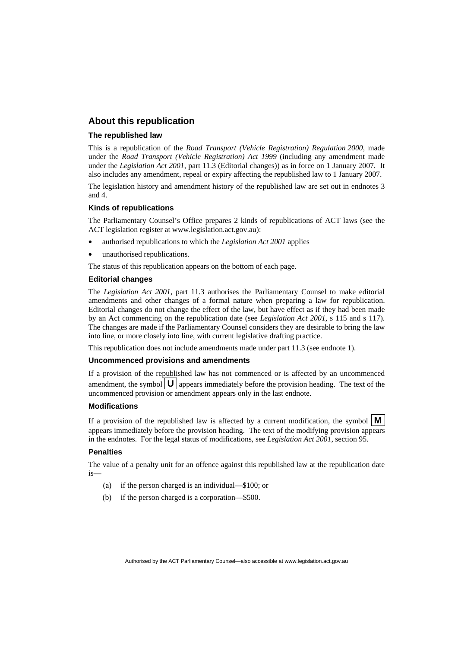#### **About this republication**

#### **The republished law**

This is a republication of the *Road Transport (Vehicle Registration) Regulation 2000*, made under the *Road Transport (Vehicle Registration) Act 1999* (including any amendment made under the *Legislation Act 2001*, part 11.3 (Editorial changes)) as in force on 1 January 2007*.* It also includes any amendment, repeal or expiry affecting the republished law to 1 January 2007.

The legislation history and amendment history of the republished law are set out in endnotes 3 and 4.

#### **Kinds of republications**

The Parliamentary Counsel's Office prepares 2 kinds of republications of ACT laws (see the ACT legislation register at www.legislation.act.gov.au):

- authorised republications to which the *Legislation Act 2001* applies
- unauthorised republications.

The status of this republication appears on the bottom of each page.

#### **Editorial changes**

The *Legislation Act 2001*, part 11.3 authorises the Parliamentary Counsel to make editorial amendments and other changes of a formal nature when preparing a law for republication. Editorial changes do not change the effect of the law, but have effect as if they had been made by an Act commencing on the republication date (see *Legislation Act 2001*, s 115 and s 117). The changes are made if the Parliamentary Counsel considers they are desirable to bring the law into line, or more closely into line, with current legislative drafting practice.

This republication does not include amendments made under part 11.3 (see endnote 1).

#### **Uncommenced provisions and amendments**

If a provision of the republished law has not commenced or is affected by an uncommenced amendment, the symbol  $\mathbf{U}$  appears immediately before the provision heading. The text of the uncommenced provision or amendment appears only in the last endnote.

#### **Modifications**

If a provision of the republished law is affected by a current modification, the symbol  $\mathbf{M}$ appears immediately before the provision heading. The text of the modifying provision appears in the endnotes. For the legal status of modifications, see *Legislation Act 2001*, section 95.

#### **Penalties**

The value of a penalty unit for an offence against this republished law at the republication date is—

- (a) if the person charged is an individual—\$100; or
- (b) if the person charged is a corporation—\$500.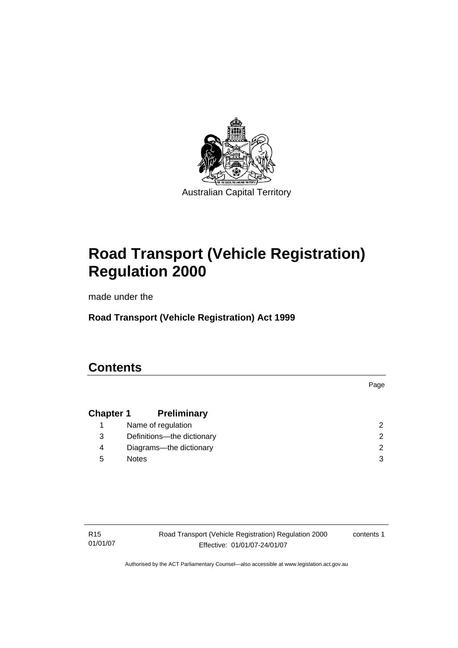

Australian Capital Territory

# **Road Transport (Vehicle Registration) Regulation 2000**

made under the

**Road Transport (Vehicle Registration) Act 1999** 

# **Contents**

**Chapter 1 Preliminary** 1 Name of regulation 2 3 Definitions—the dictionary 2 4 Diagrams—the dictionary 2 5 Notes 3

R15 01/01/07 Road Transport (Vehicle Registration) Regulation 2000 Effective: 01/01/07-24/01/07

contents 1

Page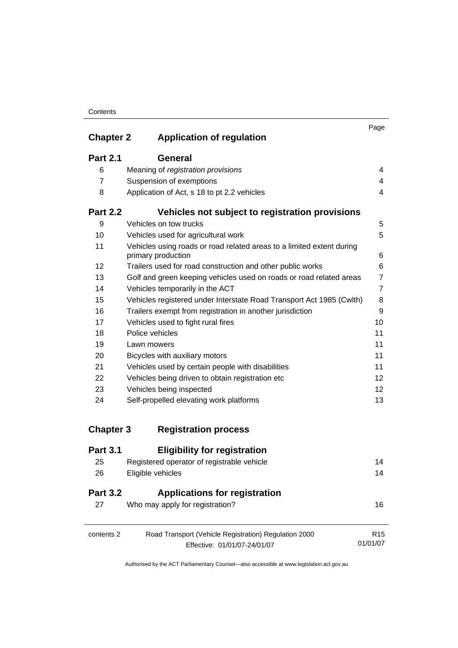| <b>Chapter 2</b> | <b>Application of regulation</b>                                                            | Page           |
|------------------|---------------------------------------------------------------------------------------------|----------------|
|                  |                                                                                             |                |
| <b>Part 2.1</b>  | General                                                                                     |                |
| 6                | Meaning of registration provisions                                                          | 4              |
| 7                | Suspension of exemptions                                                                    | $\overline{4}$ |
| 8                | Application of Act, s 18 to pt 2.2 vehicles                                                 | $\overline{4}$ |
| <b>Part 2.2</b>  | Vehicles not subject to registration provisions                                             |                |
| 9                | Vehicles on tow trucks                                                                      | 5              |
| 10               | Vehicles used for agricultural work                                                         | 5              |
| 11               | Vehicles using roads or road related areas to a limited extent during<br>primary production | 6              |
| 12               | Trailers used for road construction and other public works                                  | 6              |
| 13               | Golf and green keeping vehicles used on roads or road related areas                         | $\overline{7}$ |
| 14               | Vehicles temporarily in the ACT                                                             | $\overline{7}$ |
| 15               | Vehicles registered under Interstate Road Transport Act 1985 (Cwlth)                        | 8              |
| 16               | Trailers exempt from registration in another jurisdiction                                   | 9              |
| 17               | Vehicles used to fight rural fires                                                          | 10             |
| 18               | Police vehicles                                                                             | 11             |
| 19               | Lawn mowers                                                                                 | 11             |
| 20               | Bicycles with auxiliary motors                                                              | 11             |
| 21               | Vehicles used by certain people with disabilities                                           | 11             |
| 22               | Vehicles being driven to obtain registration etc                                            | 12             |
| 23               | Vehicles being inspected                                                                    | 12             |
| 24               | Self-propelled elevating work platforms                                                     | 13             |
| <b>Chapter 3</b> | <b>Registration process</b>                                                                 |                |
| <b>Deal O</b> 4  | Film : Lille, , family<br>.:                                                                |                |

| <b>Part 3.1</b>       | <b>Eligibility for registration</b>                                     |                 |
|-----------------------|-------------------------------------------------------------------------|-----------------|
| 25                    | Registered operator of registrable vehicle                              | 14              |
| 26                    | Eligible vehicles                                                       | 14              |
| <b>Part 3.2</b><br>27 | <b>Applications for registration</b><br>Who may apply for registration? | 16              |
|                       |                                                                         |                 |
| contents 2            | Road Transport (Vehicle Registration) Regulation 2000                   | R <sub>15</sub> |
|                       | Effective: 01/01/07-24/01/07                                            | 01/01/07        |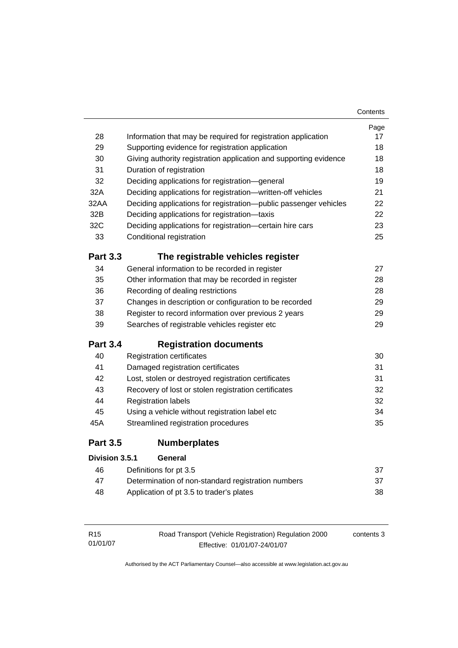|                 |                                                                   | Contents |
|-----------------|-------------------------------------------------------------------|----------|
|                 |                                                                   | Page     |
| 28              | Information that may be required for registration application     | 17       |
| 29              | Supporting evidence for registration application                  |          |
| 30              | Giving authority registration application and supporting evidence |          |
| 31              | Duration of registration                                          | 18       |
| 32              | Deciding applications for registration-general                    | 19       |
| 32A             | Deciding applications for registration-written-off vehicles       | 21       |
| 32AA            | Deciding applications for registration--public passenger vehicles | 22       |
| 32B             | Deciding applications for registration-taxis                      | 22       |
| 32C             | Deciding applications for registration-certain hire cars          | 23       |
| 33              | Conditional registration                                          | 25       |
| <b>Part 3.3</b> | The registrable vehicles register                                 |          |
| 34              | General information to be recorded in register                    | 27       |
| 35              | Other information that may be recorded in register                | 28       |
| 36              | Recording of dealing restrictions                                 | 28       |
| 37              | Changes in description or configuration to be recorded            |          |
| 38              | Register to record information over previous 2 years              |          |
| 39              | Searches of registrable vehicles register etc                     | 29       |
| <b>Part 3.4</b> | <b>Registration documents</b>                                     |          |
| 40              | <b>Registration certificates</b>                                  | 30       |
| 41              | Damaged registration certificates                                 | 31       |
| 42              | Lost, stolen or destroyed registration certificates               | 31       |
| 43              | Recovery of lost or stolen registration certificates              | 32       |
| 44              | <b>Registration labels</b>                                        | 32       |
| 45              | Using a vehicle without registration label etc                    | 34       |
| 45A             | Streamlined registration procedures                               | 35       |
| <b>Part 3.5</b> | <b>Numberplates</b>                                               |          |
| Division 3.5.1  | General                                                           |          |
| 46              | Definitions for pt 3.5                                            | 37       |
| 47              | Determination of non-standard registration numbers                | 37       |
| 48              | Application of pt 3.5 to trader's plates                          | 38       |
|                 |                                                                   |          |

| R15      | Road Transport (Vehicle Registration) Regulation 2000 | contents 3 |
|----------|-------------------------------------------------------|------------|
| 01/01/07 | Effective: 01/01/07-24/01/07                          |            |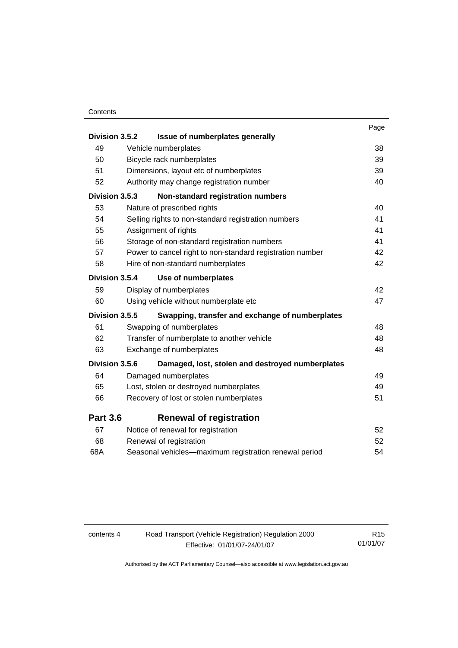| Division 3.5.2  | Issue of numberplates generally                                     | Page     |
|-----------------|---------------------------------------------------------------------|----------|
|                 |                                                                     |          |
| 49<br>50        | Vehicle numberplates                                                | 38       |
| 51              | Bicycle rack numberplates<br>Dimensions, layout etc of numberplates | 39<br>39 |
| 52              | Authority may change registration number                            | 40       |
|                 |                                                                     |          |
| Division 3.5.3  | Non-standard registration numbers                                   |          |
| 53              | Nature of prescribed rights                                         | 40       |
| 54              | Selling rights to non-standard registration numbers                 | 41       |
| 55              | Assignment of rights                                                | 41       |
| 56              | Storage of non-standard registration numbers                        | 41       |
| 57              | Power to cancel right to non-standard registration number           | 42       |
| 58              | Hire of non-standard numberplates                                   | 42       |
| Division 3.5.4  | Use of numberplates                                                 |          |
| 59              | Display of numberplates                                             | 42       |
| 60              | Using vehicle without numberplate etc                               | 47       |
| Division 3.5.5  | Swapping, transfer and exchange of numberplates                     |          |
| 61              | Swapping of numberplates                                            | 48       |
| 62              | Transfer of numberplate to another vehicle                          | 48       |
| 63              | Exchange of numberplates                                            | 48       |
| Division 3.5.6  | Damaged, lost, stolen and destroyed numberplates                    |          |
| 64              | Damaged numberplates                                                | 49       |
| 65              | Lost, stolen or destroyed numberplates                              | 49       |
| 66              | Recovery of lost or stolen numberplates                             | 51       |
| <b>Part 3.6</b> | <b>Renewal of registration</b>                                      |          |
| 67              | Notice of renewal for registration                                  | 52       |
| 68              | Renewal of registration                                             | 52       |
| 68A             | Seasonal vehicles-maximum registration renewal period               | 54       |

| contents 4 | Road Transport (Vehicle Registration) Regulation 2000 | R <sub>15</sub> |
|------------|-------------------------------------------------------|-----------------|
|            | Effective: 01/01/07-24/01/07                          | 01/01/07        |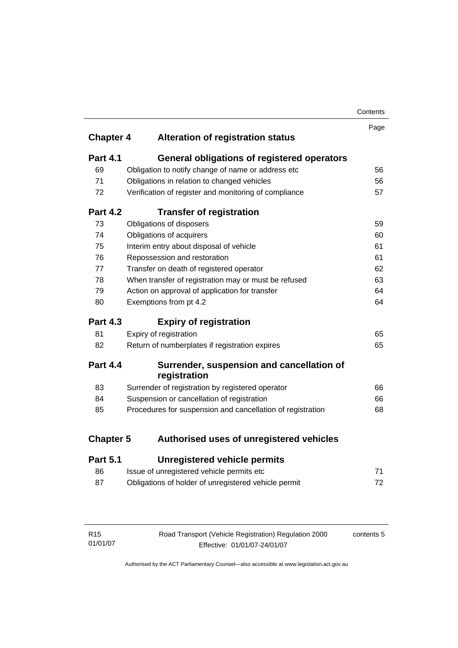| Contents |
|----------|
|----------|

| <b>Chapter 4</b> | <b>Alteration of registration status</b>                   | Page |
|------------------|------------------------------------------------------------|------|
|                  |                                                            |      |
| <b>Part 4.1</b>  | <b>General obligations of registered operators</b>         |      |
| 69               | Obligation to notify change of name or address etc         | 56   |
| 71               | Obligations in relation to changed vehicles                | 56   |
| 72               | Verification of register and monitoring of compliance      | 57   |
| <b>Part 4.2</b>  | <b>Transfer of registration</b>                            |      |
| 73               | Obligations of disposers                                   | 59   |
| 74               | Obligations of acquirers                                   | 60   |
| 75               | Interim entry about disposal of vehicle                    | 61   |
| 76               | Repossession and restoration                               | 61   |
| 77               | Transfer on death of registered operator                   | 62   |
| 78               | When transfer of registration may or must be refused       | 63   |
| 79               | Action on approval of application for transfer             | 64   |
| 80               | Exemptions from pt 4.2                                     | 64   |
| <b>Part 4.3</b>  | <b>Expiry of registration</b>                              |      |
| 81               | Expiry of registration                                     | 65   |
| 82               | Return of numberplates if registration expires             | 65   |
| <b>Part 4.4</b>  | Surrender, suspension and cancellation of<br>registration  |      |
| 83               | Surrender of registration by registered operator           | 66   |
| 84               | Suspension or cancellation of registration                 | 66   |
| 85               | Procedures for suspension and cancellation of registration | 68   |
| <b>Chapter 5</b> | Authorised uses of unregistered vehicles                   |      |
| <b>Part 5.1</b>  | <b>Unregistered vehicle permits</b>                        |      |
| 86               | Issue of unregistered vehicle permits etc                  | 71   |

| Obligations of holder of unregistered vehicle permit |  |
|------------------------------------------------------|--|

| R15      | Road Transport (Vehicle Registration) Regulation 2000 | contents 5 |
|----------|-------------------------------------------------------|------------|
| 01/01/07 | Effective: 01/01/07-24/01/07                          |            |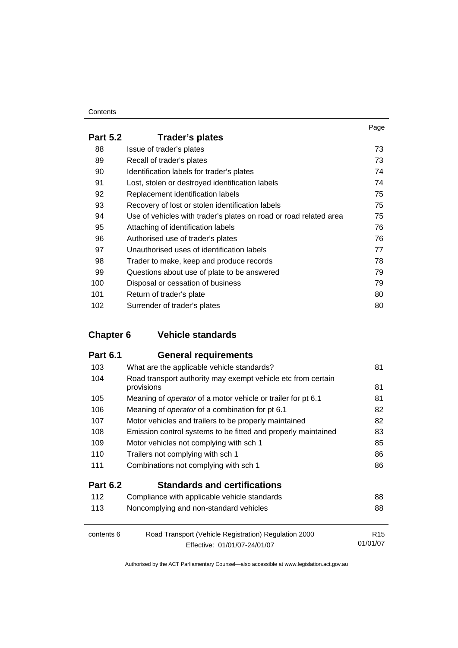| <b>Part 5.2</b> | Trader's plates                                                   |    |
|-----------------|-------------------------------------------------------------------|----|
| 88              | Issue of trader's plates                                          | 73 |
| 89              | Recall of trader's plates                                         | 73 |
| 90              | Identification labels for trader's plates                         | 74 |
| 91              | Lost, stolen or destroyed identification labels                   | 74 |
| 92              | Replacement identification labels                                 | 75 |
| 93              | Recovery of lost or stolen identification labels                  | 75 |
| 94              | Use of vehicles with trader's plates on road or road related area | 75 |
| 95              | Attaching of identification labels                                | 76 |
| 96              | Authorised use of trader's plates                                 | 76 |
| 97              | Unauthorised uses of identification labels                        | 77 |
| 98              | Trader to make, keep and produce records                          | 78 |
| 99              | Questions about use of plate to be answered                       | 79 |
| 100             | Disposal or cessation of business                                 | 79 |
| 101             | Return of trader's plate                                          | 80 |
| 102             | Surrender of trader's plates                                      | 80 |

# **Chapter 6 Vehicle standards**

| <b>Part 6.1</b> | <b>General requirements</b>                                                |                 |
|-----------------|----------------------------------------------------------------------------|-----------------|
| 103             | What are the applicable vehicle standards?                                 | 81              |
| 104             | Road transport authority may exempt vehicle etc from certain<br>provisions | 81              |
| 105             | Meaning of operator of a motor vehicle or trailer for pt 6.1               | 81              |
| 106             | Meaning of <i>operator</i> of a combination for pt 6.1                     | 82              |
| 107             | Motor vehicles and trailers to be properly maintained                      | 82              |
| 108             | Emission control systems to be fitted and properly maintained              | 83              |
| 109             | Motor vehicles not complying with sch 1                                    | 85              |
| 110             | Trailers not complying with sch 1                                          | 86              |
| 111             | Combinations not complying with sch 1                                      | 86              |
| <b>Part 6.2</b> | <b>Standards and certifications</b>                                        |                 |
| 112             | Compliance with applicable vehicle standards                               | 88              |
| 113             | Noncomplying and non-standard vehicles                                     | 88              |
| contents 6      | Road Transport (Vehicle Registration) Regulation 2000                      | R <sub>15</sub> |
|                 | Effective: 01/01/07-24/01/07                                               | 01/01/07        |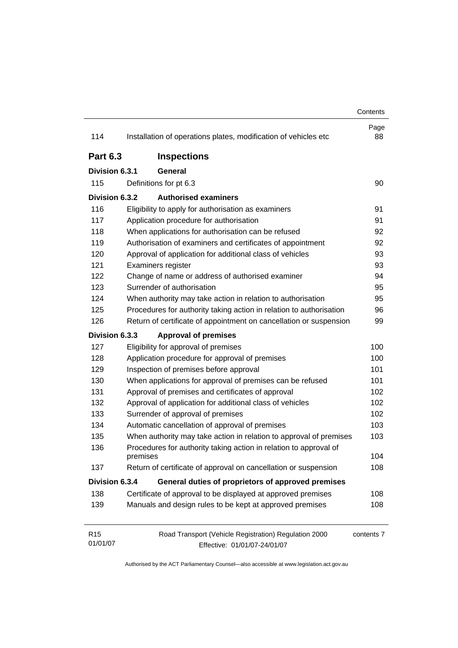|                             |                                                                                       | Contents   |
|-----------------------------|---------------------------------------------------------------------------------------|------------|
| 114                         | Installation of operations plates, modification of vehicles etc                       | Page<br>88 |
| <b>Part 6.3</b>             | <b>Inspections</b>                                                                    |            |
| Division 6.3.1              | General                                                                               |            |
| 115                         | Definitions for pt 6.3                                                                | 90         |
| Division 6.3.2              | <b>Authorised examiners</b>                                                           |            |
| 116                         | Eligibility to apply for authorisation as examiners                                   | 91         |
| 117                         | Application procedure for authorisation                                               | 91         |
| 118                         | When applications for authorisation can be refused                                    | 92         |
| 119                         | Authorisation of examiners and certificates of appointment                            | 92         |
| 120                         | Approval of application for additional class of vehicles                              | 93         |
| 121                         | Examiners register                                                                    | 93         |
| 122                         | Change of name or address of authorised examiner                                      | 94         |
| 123                         | Surrender of authorisation                                                            | 95         |
| 124                         | When authority may take action in relation to authorisation                           | 95         |
| 125                         | Procedures for authority taking action in relation to authorisation                   | 96         |
| 126                         | Return of certificate of appointment on cancellation or suspension                    | 99         |
| Division 6.3.3              | <b>Approval of premises</b>                                                           |            |
| 127                         | Eligibility for approval of premises                                                  | 100        |
| 128                         | Application procedure for approval of premises                                        | 100        |
| 129                         | Inspection of premises before approval                                                | 101        |
| 130                         | When applications for approval of premises can be refused                             | 101        |
| 131                         | Approval of premises and certificates of approval                                     | 102        |
| 132                         | Approval of application for additional class of vehicles                              | 102        |
| 133                         | Surrender of approval of premises                                                     | 102        |
| 134                         | Automatic cancellation of approval of premises                                        | 103        |
| 135                         | When authority may take action in relation to approval of premises                    | 103        |
| 136                         | Procedures for authority taking action in relation to approval of<br>premises         | 104        |
| 137                         | Return of certificate of approval on cancellation or suspension                       | 108        |
| Division 6.3.4              | General duties of proprietors of approved premises                                    |            |
| 138                         | Certificate of approval to be displayed at approved premises                          | 108        |
| 139                         | Manuals and design rules to be kept at approved premises                              | 108        |
| R <sub>15</sub><br>01/01/07 | Road Transport (Vehicle Registration) Regulation 2000<br>Effective: 01/01/07-24/01/07 | contents 7 |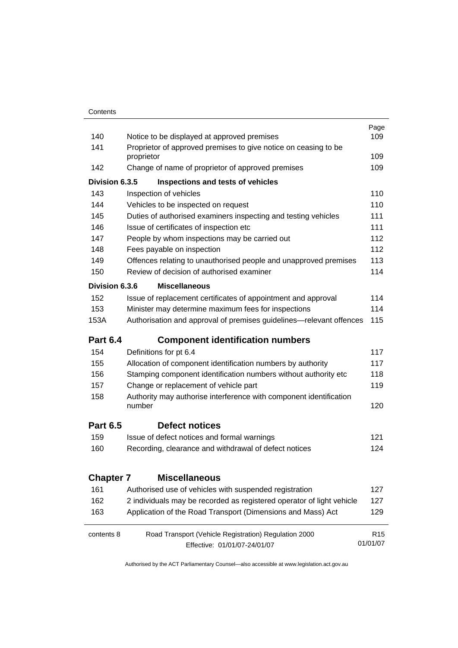|                  |                                                                              | Page            |  |
|------------------|------------------------------------------------------------------------------|-----------------|--|
| 140              | Notice to be displayed at approved premises                                  |                 |  |
| 141              | Proprietor of approved premises to give notice on ceasing to be              |                 |  |
|                  | proprietor                                                                   | 109             |  |
| 142              | Change of name of proprietor of approved premises                            | 109             |  |
| Division 6.3.5   | Inspections and tests of vehicles                                            |                 |  |
| 143              | Inspection of vehicles                                                       | 110             |  |
| 144              | Vehicles to be inspected on request                                          | 110             |  |
| 145              | Duties of authorised examiners inspecting and testing vehicles               | 111             |  |
| 146              | Issue of certificates of inspection etc                                      | 111             |  |
| 147              | People by whom inspections may be carried out                                | 112             |  |
| 148              | Fees payable on inspection                                                   | 112             |  |
| 149              | Offences relating to unauthorised people and unapproved premises             | 113             |  |
| 150              | Review of decision of authorised examiner                                    | 114             |  |
| Division 6.3.6   | <b>Miscellaneous</b>                                                         |                 |  |
| 152              | Issue of replacement certificates of appointment and approval                | 114             |  |
| 153              | Minister may determine maximum fees for inspections                          | 114             |  |
| 153A             | Authorisation and approval of premises guidelines—relevant offences          | 115             |  |
| <b>Part 6.4</b>  | <b>Component identification numbers</b>                                      |                 |  |
| 154              | Definitions for pt 6.4                                                       | 117             |  |
| 155              | Allocation of component identification numbers by authority                  | 117             |  |
| 156              | Stamping component identification numbers without authority etc              | 118             |  |
| 157              | Change or replacement of vehicle part                                        | 119             |  |
| 158              | Authority may authorise interference with component identification<br>number | 120             |  |
| <b>Part 6.5</b>  | Defect notices                                                               |                 |  |
| 159              | Issue of defect notices and formal warnings                                  | 121             |  |
| 160              | Recording, clearance and withdrawal of defect notices                        | 124             |  |
| <b>Chapter 7</b> | <b>Miscellaneous</b>                                                         |                 |  |
| 161              | Authorised use of vehicles with suspended registration                       | 127             |  |
| 162              | 2 individuals may be recorded as registered operator of light vehicle        | 127             |  |
| 163              | Application of the Road Transport (Dimensions and Mass) Act                  | 129             |  |
| contents 8       | Road Transport (Vehicle Registration) Regulation 2000                        | R <sub>15</sub> |  |
|                  | Effective: 01/01/07-24/01/07                                                 | 01/01/07        |  |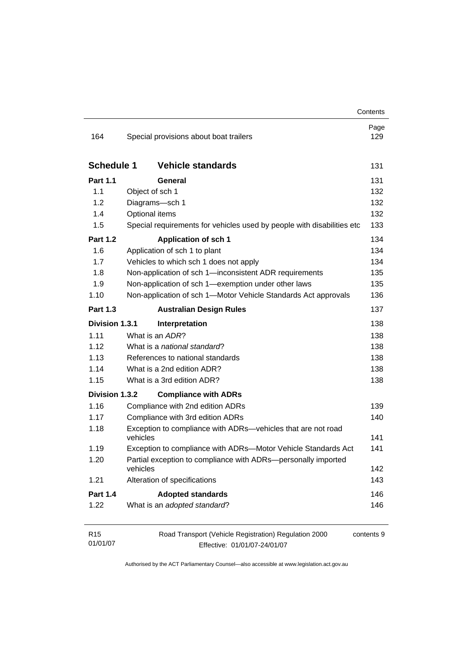| 164               | Special provisions about boat trailers                                 | Page<br>129 |
|-------------------|------------------------------------------------------------------------|-------------|
|                   |                                                                        |             |
| <b>Schedule 1</b> | <b>Vehicle standards</b>                                               | 131         |
| <b>Part 1.1</b>   | General                                                                | 131         |
| 1.1               | Object of sch 1                                                        | 132         |
| 1.2               | Diagrams-sch 1                                                         | 132         |
| 1.4               | Optional items                                                         | 132         |
| 1.5               | Special requirements for vehicles used by people with disabilities etc | 133         |
| <b>Part 1.2</b>   | <b>Application of sch 1</b>                                            | 134         |
| 1.6               | Application of sch 1 to plant                                          | 134         |
| 1.7               | Vehicles to which sch 1 does not apply                                 | 134         |
| 1.8               | Non-application of sch 1-inconsistent ADR requirements                 | 135         |
| 1.9               | Non-application of sch 1-exemption under other laws                    | 135         |
| 1.10              | Non-application of sch 1-Motor Vehicle Standards Act approvals         | 136         |
| <b>Part 1.3</b>   | <b>Australian Design Rules</b>                                         | 137         |
| Division 1.3.1    | Interpretation                                                         | 138         |
| 1.11              | What is an ADR?                                                        | 138         |
| 1.12              | What is a national standard?                                           | 138         |
| 1.13              | References to national standards                                       | 138         |
| 1.14              | What is a 2nd edition ADR?                                             | 138         |
| 1.15              | What is a 3rd edition ADR?                                             | 138         |
| Division 1.3.2    | <b>Compliance with ADRs</b>                                            |             |
| 1.16              | Compliance with 2nd edition ADRs                                       | 139         |
| 1.17              | Compliance with 3rd edition ADRs                                       | 140         |
| 1.18              | Exception to compliance with ADRs-vehicles that are not road           |             |
|                   | vehicles                                                               | 141         |
| 1.19              | Exception to compliance with ADRs-Motor Vehicle Standards Act          | 141         |
| 1.20              | Partial exception to compliance with ADRs-personally imported          |             |
|                   | vehicles                                                               | 142         |
| 1.21              | Alteration of specifications                                           | 143         |
| <b>Part 1.4</b>   | <b>Adopted standards</b>                                               | 146         |
| 1.22              | What is an adopted standard?                                           | 146         |
| R <sub>15</sub>   | Road Transport (Vehicle Registration) Regulation 2000                  | contents 9  |
| 01/01/07          | Effective: 01/01/07-24/01/07                                           |             |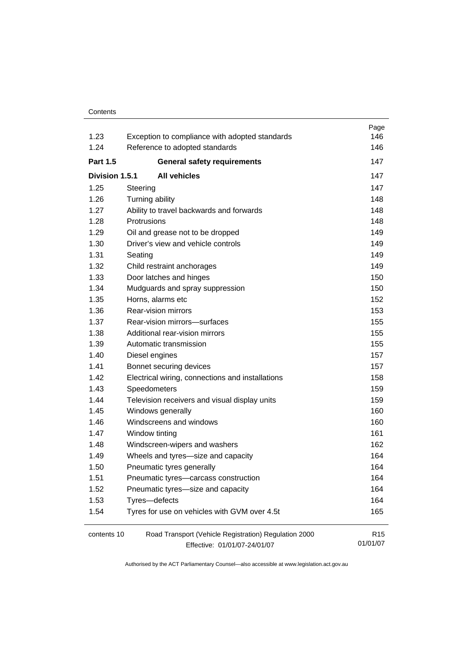| 1.23            | Exception to compliance with adopted standards        | Page<br>146                 |
|-----------------|-------------------------------------------------------|-----------------------------|
| 1.24            | Reference to adopted standards                        | 146                         |
| <b>Part 1.5</b> | <b>General safety requirements</b>                    | 147                         |
|                 |                                                       |                             |
| Division 1.5.1  | <b>All vehicles</b>                                   | 147                         |
| 1.25            | Steering                                              | 147                         |
| 1.26            | Turning ability                                       | 148                         |
| 1.27            | Ability to travel backwards and forwards              | 148                         |
| 1.28            | Protrusions                                           | 148                         |
| 1.29            | Oil and grease not to be dropped                      | 149                         |
| 1.30            | Driver's view and vehicle controls                    | 149                         |
| 1.31            | Seating                                               | 149                         |
| 1.32            | Child restraint anchorages                            | 149                         |
| 1.33            | Door latches and hinges                               | 150                         |
| 1.34            | Mudguards and spray suppression                       | 150                         |
| 1.35            | Horns, alarms etc                                     | 152                         |
| 1.36            | Rear-vision mirrors                                   | 153                         |
| 1.37            | Rear-vision mirrors-surfaces                          | 155                         |
| 1.38            | Additional rear-vision mirrors                        | 155                         |
| 1.39            | Automatic transmission                                | 155                         |
| 1.40            | Diesel engines                                        | 157                         |
| 1.41            | Bonnet securing devices                               | 157                         |
| 1.42            | Electrical wiring, connections and installations      | 158                         |
| 1.43            | Speedometers                                          | 159                         |
| 1.44            | Television receivers and visual display units         | 159                         |
| 1.45            | Windows generally                                     | 160                         |
| 1.46            | Windscreens and windows                               | 160                         |
| 1.47            | Window tinting                                        | 161                         |
| 1.48            | Windscreen-wipers and washers                         | 162                         |
| 1.49            | Wheels and tyres-size and capacity                    | 164                         |
| 1.50            | Pneumatic tyres generally                             | 164                         |
| 1.51            | Pneumatic tyres-carcass construction                  | 164                         |
| 1.52            | Pneumatic tyres-size and capacity                     | 164                         |
| 1.53            | Tyres-defects                                         | 164                         |
| 1.54            | Tyres for use on vehicles with GVM over 4.5t          | 165                         |
| contents 10     | Road Transport (Vehicle Registration) Regulation 2000 | R <sub>15</sub><br>01/01/07 |
|                 | Effective: 01/01/07-24/01/07                          |                             |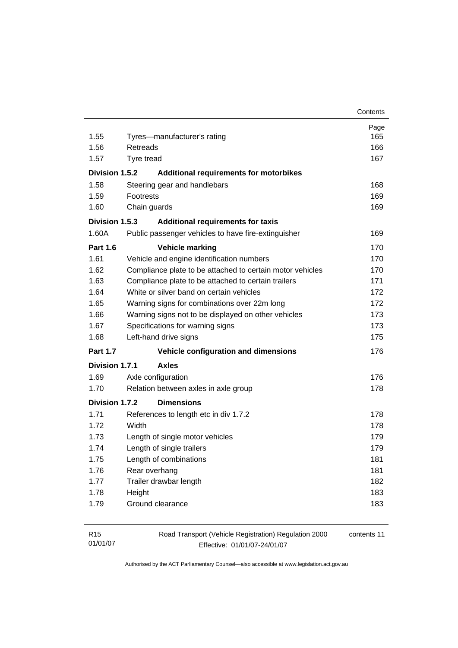| 1.55            | Tyres-manufacturer's rating                               | Page<br>165 |
|-----------------|-----------------------------------------------------------|-------------|
| 1.56            | Retreads                                                  | 166         |
| 1.57            | Tvre tread                                                | 167         |
|                 |                                                           |             |
| Division 1.5.2  | <b>Additional requirements for motorbikes</b>             |             |
| 1.58            | Steering gear and handlebars                              | 168         |
| 1.59            | <b>Footrests</b>                                          | 169         |
| 1.60            | Chain guards                                              | 169         |
| Division 1.5.3  | <b>Additional requirements for taxis</b>                  |             |
| 1.60A           | Public passenger vehicles to have fire-extinguisher       | 169         |
| <b>Part 1.6</b> | <b>Vehicle marking</b>                                    | 170         |
| 1.61            | Vehicle and engine identification numbers                 | 170         |
| 1.62            | Compliance plate to be attached to certain motor vehicles | 170         |
| 1.63            | Compliance plate to be attached to certain trailers       | 171         |
| 1.64            | White or silver band on certain vehicles                  | 172         |
| 1.65            | Warning signs for combinations over 22m long              | 172         |
| 1.66            | Warning signs not to be displayed on other vehicles       | 173         |
| 1.67            | Specifications for warning signs                          | 173         |
| 1.68            | Left-hand drive signs                                     | 175         |
| <b>Part 1.7</b> | Vehicle configuration and dimensions                      | 176         |
| Division 1.7.1  | <b>Axles</b>                                              |             |
| 1.69            | Axle configuration                                        | 176         |
| 1.70            | Relation between axles in axle group                      | 178         |
| Division 1.7.2  | <b>Dimensions</b>                                         |             |
| 1.71            | References to length etc in div 1.7.2                     | 178         |
| 1.72            | Width                                                     | 178         |
| 1.73            | Length of single motor vehicles                           | 179         |
| 1.74            | Length of single trailers                                 | 179         |
| 1.75            | Length of combinations                                    | 181         |
| 1.76            | Rear overhang                                             | 181         |
| 1.77            | Trailer drawbar length                                    | 182         |
| 1.78            | Height                                                    | 183         |
| 1.79            | Ground clearance                                          | 183         |
|                 |                                                           |             |

| R15      | Road Transport (Vehicle Registration) Regulation 2000 | contents 11 |
|----------|-------------------------------------------------------|-------------|
| 01/01/07 | Effective: 01/01/07-24/01/07                          |             |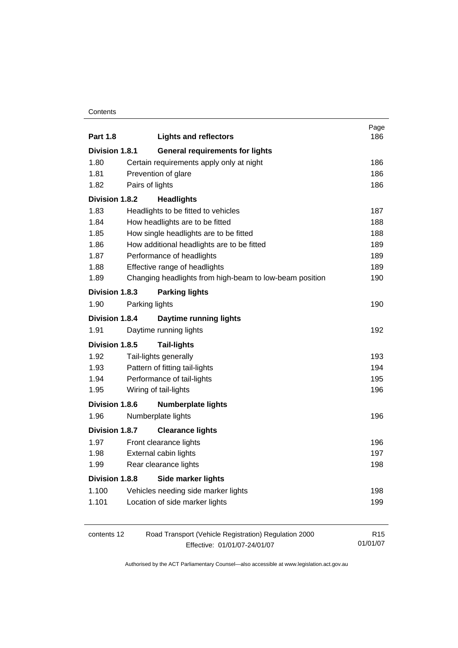| <b>Part 1.8</b>                                | <b>Lights and reflectors</b>                            | Page<br>186     |
|------------------------------------------------|---------------------------------------------------------|-----------------|
| Division 1.8.1                                 | <b>General requirements for lights</b>                  |                 |
| 1.80                                           | Certain requirements apply only at night                | 186             |
| 1.81                                           | Prevention of glare                                     | 186             |
| 1.82                                           | Pairs of lights                                         | 186             |
| Division 1.8.2                                 | <b>Headlights</b>                                       |                 |
| 1.83                                           | Headlights to be fitted to vehicles                     | 187             |
| 1.84                                           | How headlights are to be fitted                         | 188             |
| 1.85<br>How single headlights are to be fitted |                                                         |                 |
| 1.86                                           | How additional headlights are to be fitted              | 189             |
| 1.87                                           | Performance of headlights                               | 189             |
| 1.88                                           | Effective range of headlights                           | 189             |
| 1.89                                           | Changing headlights from high-beam to low-beam position | 190             |
| Division 1.8.3                                 | <b>Parking lights</b>                                   |                 |
| 1.90                                           | Parking lights                                          | 190             |
| <b>Division 1.8.4</b>                          | <b>Daytime running lights</b>                           |                 |
| 1.91                                           | Daytime running lights                                  | 192             |
| Division 1.8.5                                 | <b>Tail-lights</b>                                      |                 |
| 1.92                                           | Tail-lights generally                                   | 193             |
| 1.93                                           | Pattern of fitting tail-lights                          | 194             |
| 1.94                                           | Performance of tail-lights                              | 195             |
| 1.95                                           | Wiring of tail-lights                                   | 196             |
| <b>Division 1.8.6</b>                          | <b>Numberplate lights</b>                               |                 |
| 1.96                                           | Numberplate lights                                      | 196             |
| Division 1.8.7                                 | <b>Clearance lights</b>                                 |                 |
| 1.97                                           | Front clearance lights                                  | 196             |
| 1.98                                           | External cabin lights                                   | 197             |
| 1.99                                           | Rear clearance lights                                   | 198             |
| <b>Division 1.8.8</b>                          | <b>Side marker lights</b>                               |                 |
| 1.100                                          | Vehicles needing side marker lights                     | 198             |
| 1.101                                          | Location of side marker lights                          | 199             |
| contents 12                                    | Road Transport (Vehicle Registration) Regulation 2000   | R <sub>15</sub> |
|                                                | Effective: 01/01/07-24/01/07                            | 01/01/07        |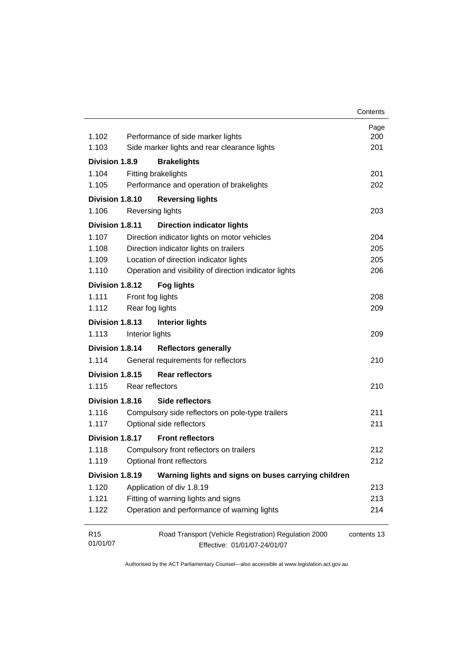|                 |                  |                                                        | Contents    |
|-----------------|------------------|--------------------------------------------------------|-------------|
| 1.102           |                  | Performance of side marker lights                      | Page<br>200 |
| 1.103           |                  | Side marker lights and rear clearance lights           | 201         |
| Division 1.8.9  |                  | <b>Brakelights</b>                                     |             |
| 1.104           |                  | Fitting brakelights                                    | 201         |
| 1.105           |                  | Performance and operation of brakelights               | 202         |
| Division 1.8.10 |                  | <b>Reversing lights</b>                                |             |
| 1.106           | Reversing lights |                                                        | 203         |
| Division 1.8.11 |                  | <b>Direction indicator lights</b>                      |             |
| 1.107           |                  | Direction indicator lights on motor vehicles           | 204         |
| 1.108           |                  | Direction indicator lights on trailers                 | 205         |
| 1.109           |                  | Location of direction indicator lights                 | 205         |
| 1.110           |                  | Operation and visibility of direction indicator lights | 206         |
| Division 1.8.12 |                  | <b>Fog lights</b>                                      |             |
| 1.111           | Front fog lights |                                                        | 208         |
| 1.112           | Rear fog lights  |                                                        | 209         |
| Division 1.8.13 |                  | <b>Interior lights</b>                                 |             |
| 1.113           | Interior lights  |                                                        | 209         |
| Division 1.8.14 |                  | <b>Reflectors generally</b>                            |             |
| 1.114           |                  | General requirements for reflectors                    | 210         |
| Division 1.8.15 |                  | <b>Rear reflectors</b>                                 |             |
| 1.115           | Rear reflectors  |                                                        | 210         |
| Division 1.8.16 |                  | Side reflectors                                        |             |
| 1.116           |                  | Compulsory side reflectors on pole-type trailers       | 211         |
| 1.117           |                  | Optional side reflectors                               | 211         |
| Division 1.8.17 |                  | <b>Front reflectors</b>                                |             |
| 1.118           |                  | Compulsory front reflectors on trailers                | 212         |
| 1.119           |                  | Optional front reflectors                              | 212         |
| Division 1.8.19 |                  | Warning lights and signs on buses carrying children    |             |
| 1.120           |                  | Application of div 1.8.19                              | 213         |
| 1.121           |                  | Fitting of warning lights and signs                    | 213         |
| 1.122           |                  | Operation and performance of warning lights            | 214         |
| R <sub>15</sub> |                  | Road Transport (Vehicle Registration) Regulation 2000  | contents 13 |
| 01/01/07        |                  | Effective: 01/01/07-24/01/07                           |             |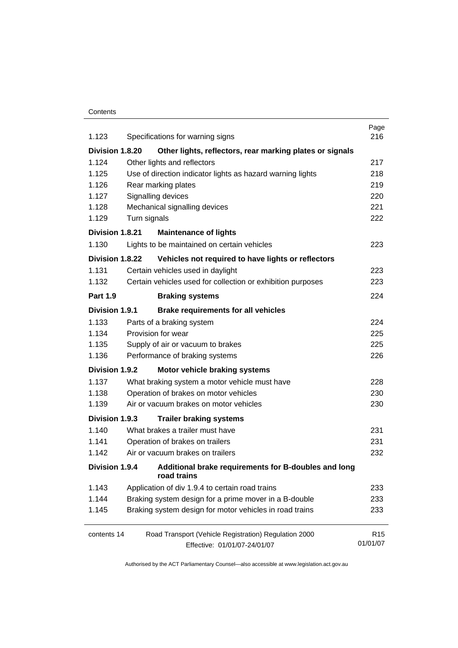| 1.123                                                                                      |              | Specifications for warning signs                                    | Page<br>216     |  |  |
|--------------------------------------------------------------------------------------------|--------------|---------------------------------------------------------------------|-----------------|--|--|
| Division 1.8.20                                                                            |              | Other lights, reflectors, rear marking plates or signals            |                 |  |  |
| 1.124                                                                                      |              | Other lights and reflectors                                         | 217             |  |  |
| 1.125                                                                                      | 218          |                                                                     |                 |  |  |
| Use of direction indicator lights as hazard warning lights<br>1.126<br>Rear marking plates |              |                                                                     |                 |  |  |
| 1.127                                                                                      |              | Signalling devices                                                  | 220             |  |  |
| 1.128                                                                                      |              | Mechanical signalling devices                                       | 221             |  |  |
| 1.129                                                                                      | Turn signals |                                                                     | 222             |  |  |
| Division 1.8.21                                                                            |              | <b>Maintenance of lights</b>                                        |                 |  |  |
| 1.130                                                                                      |              | Lights to be maintained on certain vehicles                         | 223             |  |  |
| Division 1.8.22                                                                            |              | Vehicles not required to have lights or reflectors                  |                 |  |  |
| 1.131                                                                                      |              | Certain vehicles used in daylight                                   | 223             |  |  |
| 1.132                                                                                      |              | Certain vehicles used for collection or exhibition purposes         | 223             |  |  |
| <b>Part 1.9</b>                                                                            |              | <b>Braking systems</b>                                              | 224             |  |  |
| Division 1.9.1                                                                             |              | <b>Brake requirements for all vehicles</b>                          |                 |  |  |
| 1.133                                                                                      |              | Parts of a braking system                                           | 224             |  |  |
| 1.134                                                                                      |              | Provision for wear                                                  | 225             |  |  |
| 1.135                                                                                      |              | Supply of air or vacuum to brakes                                   | 225             |  |  |
| 1.136                                                                                      |              | Performance of braking systems                                      | 226             |  |  |
| Division 1.9.2                                                                             |              | Motor vehicle braking systems                                       |                 |  |  |
| 1.137                                                                                      |              | What braking system a motor vehicle must have                       | 228             |  |  |
| 1.138                                                                                      |              | Operation of brakes on motor vehicles                               | 230             |  |  |
| 1.139                                                                                      |              | Air or vacuum brakes on motor vehicles                              | 230             |  |  |
| Division 1.9.3                                                                             |              | <b>Trailer braking systems</b>                                      |                 |  |  |
| 1.140                                                                                      |              | What brakes a trailer must have                                     | 231             |  |  |
| 1.141                                                                                      |              | Operation of brakes on trailers                                     | 231             |  |  |
| 1.142                                                                                      |              | Air or vacuum brakes on trailers                                    | 232             |  |  |
| Division 1.9.4                                                                             |              | Additional brake requirements for B-doubles and long<br>road trains |                 |  |  |
| 1.143                                                                                      |              | Application of div 1.9.4 to certain road trains                     | 233             |  |  |
| 1.144                                                                                      |              | Braking system design for a prime mover in a B-double               | 233             |  |  |
| 1.145                                                                                      |              | Braking system design for motor vehicles in road trains             | 233             |  |  |
| contents 14                                                                                |              | Road Transport (Vehicle Registration) Regulation 2000               | R <sub>15</sub> |  |  |
|                                                                                            |              | Effective: 01/01/07-24/01/07                                        | 01/01/07        |  |  |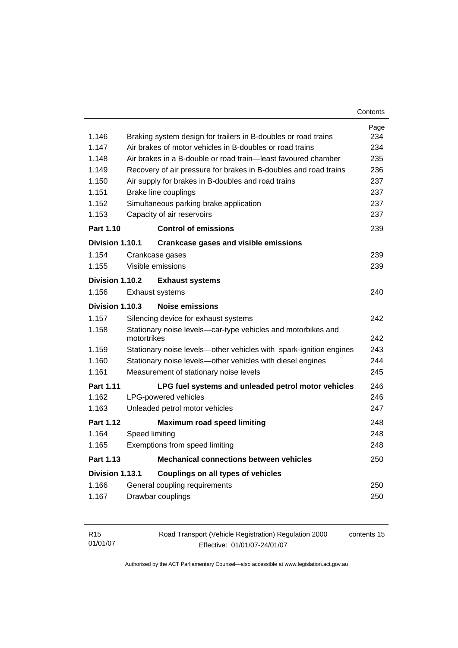| Contents |
|----------|
|----------|

| 1.146            | Braking system design for trailers in B-doubles or road trains              | Page<br>234 |  |
|------------------|-----------------------------------------------------------------------------|-------------|--|
| 1.147            | Air brakes of motor vehicles in B-doubles or road trains                    |             |  |
| 1.148            | Air brakes in a B-double or road train—least favoured chamber               |             |  |
| 1.149            | Recovery of air pressure for brakes in B-doubles and road trains            |             |  |
| 1.150            | Air supply for brakes in B-doubles and road trains                          | 237         |  |
| 1.151            | Brake line couplings                                                        | 237         |  |
| 1.152            | Simultaneous parking brake application                                      | 237         |  |
| 1.153            | Capacity of air reservoirs                                                  | 237         |  |
| Part 1.10        | <b>Control of emissions</b>                                                 | 239         |  |
| Division 1.10.1  | <b>Crankcase gases and visible emissions</b>                                |             |  |
| 1.154            | Crankcase gases                                                             | 239         |  |
| 1.155            | Visible emissions                                                           | 239         |  |
| Division 1.10.2  | <b>Exhaust systems</b>                                                      |             |  |
| 1.156            | Exhaust systems                                                             | 240         |  |
| Division 1.10.3  | Noise emissions                                                             |             |  |
| 1.157            | Silencing device for exhaust systems                                        | 242         |  |
| 1.158            | Stationary noise levels-car-type vehicles and motorbikes and<br>motortrikes | 242         |  |
| 1.159            | Stationary noise levels—other vehicles with spark-ignition engines          | 243         |  |
| 1.160            | Stationary noise levels-other vehicles with diesel engines                  |             |  |
| 1.161            | Measurement of stationary noise levels                                      |             |  |
| <b>Part 1.11</b> | LPG fuel systems and unleaded petrol motor vehicles                         | 246         |  |
| 1.162            | LPG-powered vehicles                                                        |             |  |
| 1.163            | Unleaded petrol motor vehicles                                              | 247         |  |
| Part 1.12        | <b>Maximum road speed limiting</b>                                          | 248         |  |
| 1.164            | Speed limiting                                                              | 248         |  |
| 1.165            | Exemptions from speed limiting                                              | 248         |  |
| Part 1.13        | <b>Mechanical connections between vehicles</b>                              | 250         |  |
| Division 1.13.1  | Couplings on all types of vehicles                                          |             |  |
| 1.166            | General coupling requirements                                               | 250         |  |
| 1.167            | Drawbar couplings                                                           | 250         |  |
|                  |                                                                             |             |  |

| R <sub>15</sub> | Road Transport (Vehicle Registration) Regulation 2000 | contents 15 |
|-----------------|-------------------------------------------------------|-------------|
| 01/01/07        | Effective: 01/01/07-24/01/07                          |             |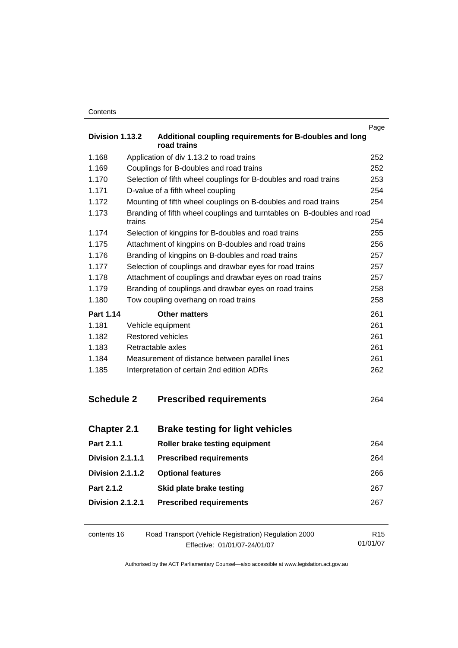|                    |                                                   |                                                                        | Page            |  |
|--------------------|---------------------------------------------------|------------------------------------------------------------------------|-----------------|--|
| Division 1.13.2    |                                                   | Additional coupling requirements for B-doubles and long<br>road trains |                 |  |
| 1.168              |                                                   | Application of div 1.13.2 to road trains                               | 252             |  |
| 1.169              | Couplings for B-doubles and road trains           |                                                                        | 252             |  |
| 1.170              |                                                   | Selection of fifth wheel couplings for B-doubles and road trains       | 253             |  |
| 1.171              |                                                   | D-value of a fifth wheel coupling                                      | 254             |  |
| 1.172              |                                                   | Mounting of fifth wheel couplings on B-doubles and road trains         | 254             |  |
| 1.173              | trains                                            | Branding of fifth wheel couplings and turntables on B-doubles and road | 254             |  |
| 1.174              |                                                   | Selection of kingpins for B-doubles and road trains                    | 255             |  |
| 1.175              |                                                   | Attachment of kingpins on B-doubles and road trains                    | 256             |  |
| 1.176              |                                                   | Branding of kingpins on B-doubles and road trains                      | 257             |  |
| 1.177              |                                                   | Selection of couplings and drawbar eyes for road trains                | 257             |  |
| 1.178              |                                                   | Attachment of couplings and drawbar eyes on road trains                | 257             |  |
| 1.179              |                                                   | Branding of couplings and drawbar eyes on road trains                  | 258             |  |
| 1.180              |                                                   | Tow coupling overhang on road trains                                   | 258             |  |
| Part 1.14          |                                                   | <b>Other matters</b>                                                   | 261             |  |
| 1.181              |                                                   | Vehicle equipment                                                      | 261             |  |
| 1.182              |                                                   | Restored vehicles                                                      | 261             |  |
| 1.183              | Retractable axles                                 |                                                                        | 261             |  |
| 1.184              |                                                   | Measurement of distance between parallel lines                         | 261             |  |
| 1.185              | Interpretation of certain 2nd edition ADRs<br>262 |                                                                        |                 |  |
| <b>Schedule 2</b>  |                                                   | <b>Prescribed requirements</b>                                         | 264             |  |
| <b>Chapter 2.1</b> |                                                   | <b>Brake testing for light vehicles</b>                                |                 |  |
| Part 2.1.1         |                                                   | Roller brake testing equipment                                         | 264             |  |
| Division 2.1.1.1   |                                                   | <b>Prescribed requirements</b>                                         | 264             |  |
| Division 2.1.1.2   |                                                   | <b>Optional features</b>                                               | 266             |  |
| Part 2.1.2         |                                                   | Skid plate brake testing                                               | 267             |  |
| Division 2.1.2.1   |                                                   | <b>Prescribed requirements</b>                                         | 267             |  |
| contents 16        |                                                   | Road Transport (Vehicle Registration) Regulation 2000                  | R <sub>15</sub> |  |

Effective: 01/01/07-24/01/07 01/01/07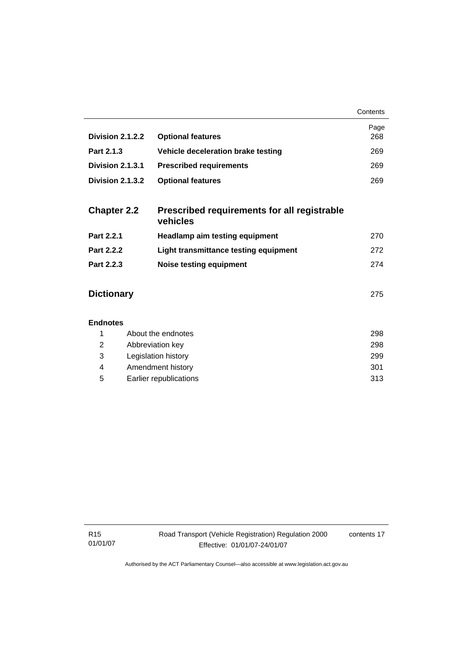|                    |                                                         | Contents    |
|--------------------|---------------------------------------------------------|-------------|
| Division 2.1.2.2   | <b>Optional features</b>                                | Page<br>268 |
| Part 2.1.3         | Vehicle deceleration brake testing                      | 269         |
| Division 2.1.3.1   | <b>Prescribed requirements</b>                          | 269         |
| Division 2.1.3.2   | <b>Optional features</b>                                | 269         |
|                    |                                                         |             |
| <b>Chapter 2.2</b> | Prescribed requirements for all registrable<br>vehicles |             |
| Part 2.2.1         | <b>Headlamp aim testing equipment</b>                   | 270         |
| Part 2.2.2         | Light transmittance testing equipment                   | 272         |
| Part 2.2.3         | <b>Noise testing equipment</b>                          | 274         |
|                    |                                                         |             |
| <b>Dictionary</b>  |                                                         |             |
|                    |                                                         |             |
| <b>Endnotes</b>    |                                                         |             |
| 1                  | About the endnotes                                      | 298         |
| 2                  | Abbreviation key                                        | 298         |

 3 Legislation history 299 4 Amendment history 301 5 Earlier republications 313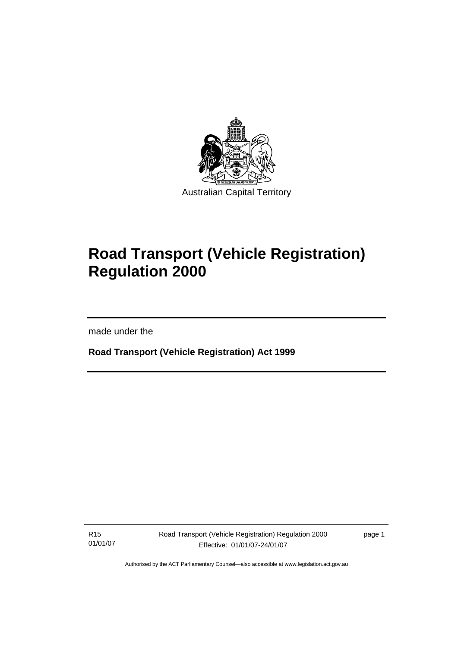

# **Road Transport (Vehicle Registration) Regulation 2000**

made under the

I

**Road Transport (Vehicle Registration) Act 1999** 

R15 01/01/07 Road Transport (Vehicle Registration) Regulation 2000 Effective: 01/01/07-24/01/07

page 1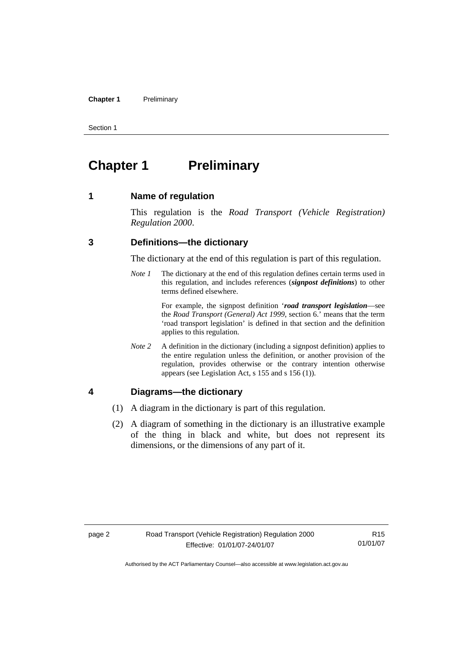#### **Chapter 1** Preliminary

Section 1

# **Chapter 1** Preliminary

#### **1 Name of regulation**

This regulation is the *Road Transport (Vehicle Registration) Regulation 2000*.

#### **3 Definitions—the dictionary**

The dictionary at the end of this regulation is part of this regulation.

*Note 1* The dictionary at the end of this regulation defines certain terms used in this regulation, and includes references (*signpost definitions*) to other terms defined elsewhere.

> For example, the signpost definition '*road transport legislation*—see the *Road Transport (General) Act 1999*, section 6.' means that the term 'road transport legislation' is defined in that section and the definition applies to this regulation.

*Note 2* A definition in the dictionary (including a signpost definition) applies to the entire regulation unless the definition, or another provision of the regulation, provides otherwise or the contrary intention otherwise appears (see Legislation Act, s 155 and s 156 (1)).

## **4 Diagrams—the dictionary**

- (1) A diagram in the dictionary is part of this regulation.
- (2) A diagram of something in the dictionary is an illustrative example of the thing in black and white, but does not represent its dimensions, or the dimensions of any part of it.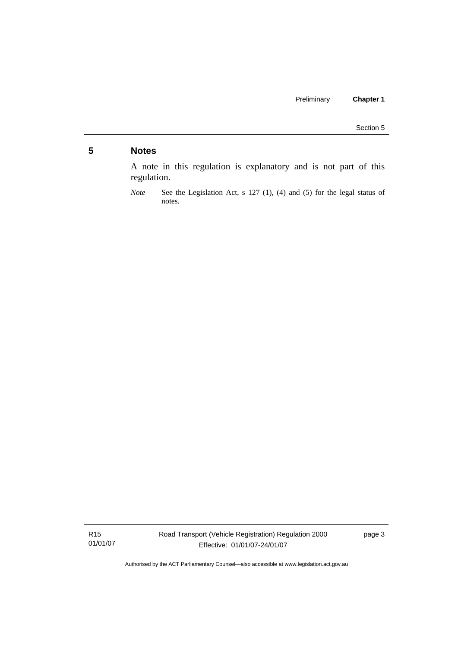# **5 Notes**

A note in this regulation is explanatory and is not part of this regulation.

R15 01/01/07 Road Transport (Vehicle Registration) Regulation 2000 Effective: 01/01/07-24/01/07

page 3

*Note* See the Legislation Act, s 127 (1), (4) and (5) for the legal status of notes.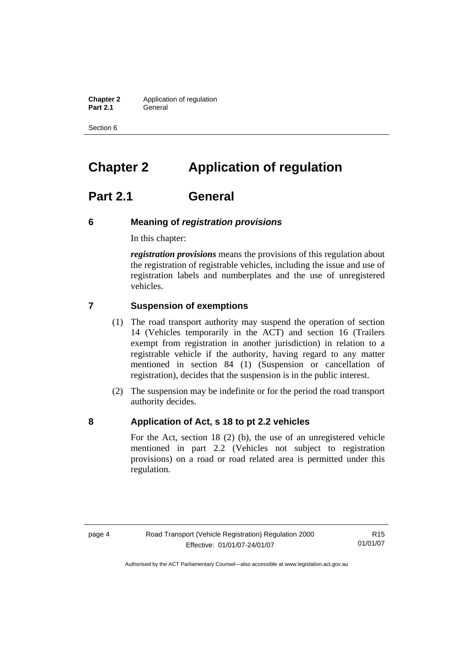**Chapter 2** Application of regulation **Part 2.1** General

Section 6

# **Chapter 2 Application of regulation**

# **Part 2.1 General**

#### **6 Meaning of** *registration provisions*

In this chapter:

*registration provisions* means the provisions of this regulation about the registration of registrable vehicles, including the issue and use of registration labels and numberplates and the use of unregistered vehicles.

#### **7 Suspension of exemptions**

- (1) The road transport authority may suspend the operation of section 14 (Vehicles temporarily in the ACT) and section 16 (Trailers exempt from registration in another jurisdiction) in relation to a registrable vehicle if the authority, having regard to any matter mentioned in section 84 (1) (Suspension or cancellation of registration), decides that the suspension is in the public interest.
- (2) The suspension may be indefinite or for the period the road transport authority decides.

#### **8 Application of Act, s 18 to pt 2.2 vehicles**

For the Act, section 18 (2) (b), the use of an unregistered vehicle mentioned in part 2.2 (Vehicles not subject to registration provisions) on a road or road related area is permitted under this regulation.

R15 01/01/07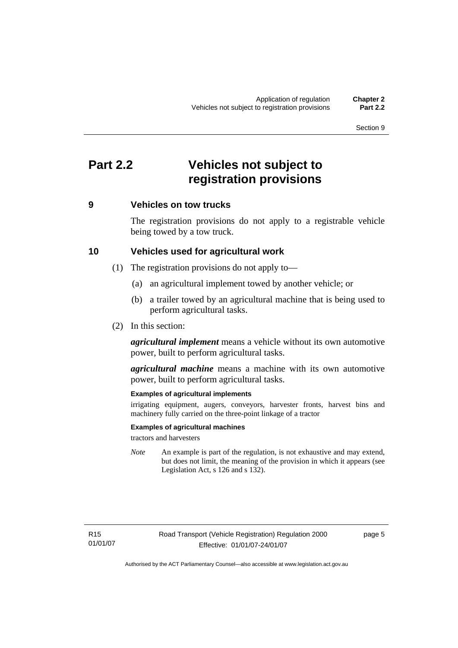# **Part 2.2 Vehicles not subject to registration provisions**

### **9 Vehicles on tow trucks**

The registration provisions do not apply to a registrable vehicle being towed by a tow truck.

#### **10 Vehicles used for agricultural work**

- (1) The registration provisions do not apply to—
	- (a) an agricultural implement towed by another vehicle; or
	- (b) a trailer towed by an agricultural machine that is being used to perform agricultural tasks.
- (2) In this section:

*agricultural implement* means a vehicle without its own automotive power, built to perform agricultural tasks.

*agricultural machine* means a machine with its own automotive power, built to perform agricultural tasks.

#### **Examples of agricultural implements**

irrigating equipment, augers, conveyors, harvester fronts, harvest bins and machinery fully carried on the three-point linkage of a tractor

#### **Examples of agricultural machines**

tractors and harvesters

*Note* An example is part of the regulation, is not exhaustive and may extend, but does not limit, the meaning of the provision in which it appears (see Legislation Act, s 126 and s 132).

page 5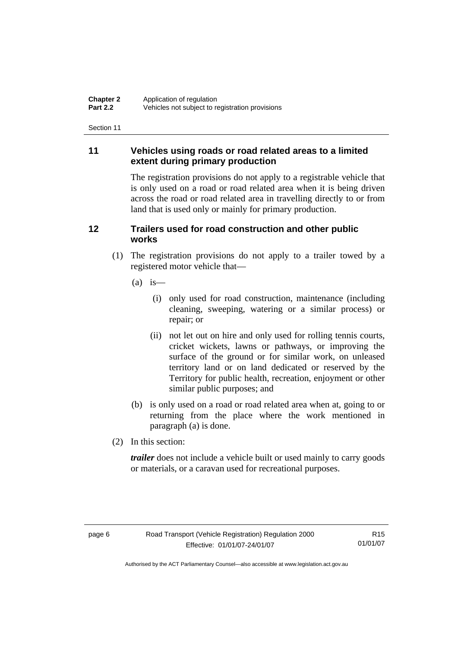# **11 Vehicles using roads or road related areas to a limited extent during primary production**

The registration provisions do not apply to a registrable vehicle that is only used on a road or road related area when it is being driven across the road or road related area in travelling directly to or from land that is used only or mainly for primary production.

# **12 Trailers used for road construction and other public works**

- (1) The registration provisions do not apply to a trailer towed by a registered motor vehicle that—
	- $(a)$  is
		- (i) only used for road construction, maintenance (including cleaning, sweeping, watering or a similar process) or repair; or
		- (ii) not let out on hire and only used for rolling tennis courts, cricket wickets, lawns or pathways, or improving the surface of the ground or for similar work, on unleased territory land or on land dedicated or reserved by the Territory for public health, recreation, enjoyment or other similar public purposes; and
	- (b) is only used on a road or road related area when at, going to or returning from the place where the work mentioned in paragraph (a) is done.
- (2) In this section:

*trailer* does not include a vehicle built or used mainly to carry goods or materials, or a caravan used for recreational purposes.

R15 01/01/07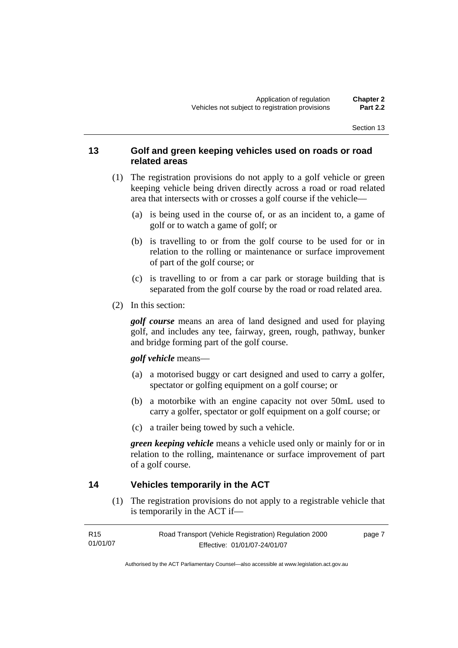### **13 Golf and green keeping vehicles used on roads or road related areas**

- (1) The registration provisions do not apply to a golf vehicle or green keeping vehicle being driven directly across a road or road related area that intersects with or crosses a golf course if the vehicle—
	- (a) is being used in the course of, or as an incident to, a game of golf or to watch a game of golf; or
	- (b) is travelling to or from the golf course to be used for or in relation to the rolling or maintenance or surface improvement of part of the golf course; or
	- (c) is travelling to or from a car park or storage building that is separated from the golf course by the road or road related area.
- (2) In this section:

*golf course* means an area of land designed and used for playing golf, and includes any tee, fairway, green, rough, pathway, bunker and bridge forming part of the golf course.

#### *golf vehicle* means—

- (a) a motorised buggy or cart designed and used to carry a golfer, spectator or golfing equipment on a golf course; or
- (b) a motorbike with an engine capacity not over 50mL used to carry a golfer, spectator or golf equipment on a golf course; or
- (c) a trailer being towed by such a vehicle.

*green keeping vehicle* means a vehicle used only or mainly for or in relation to the rolling, maintenance or surface improvement of part of a golf course.

## **14 Vehicles temporarily in the ACT**

 (1) The registration provisions do not apply to a registrable vehicle that is temporarily in the ACT if—

| R <sub>15</sub> | Road Transport (Vehicle Registration) Regulation 2000 | page 7 |
|-----------------|-------------------------------------------------------|--------|
| 01/01/07        | Effective: 01/01/07-24/01/07                          |        |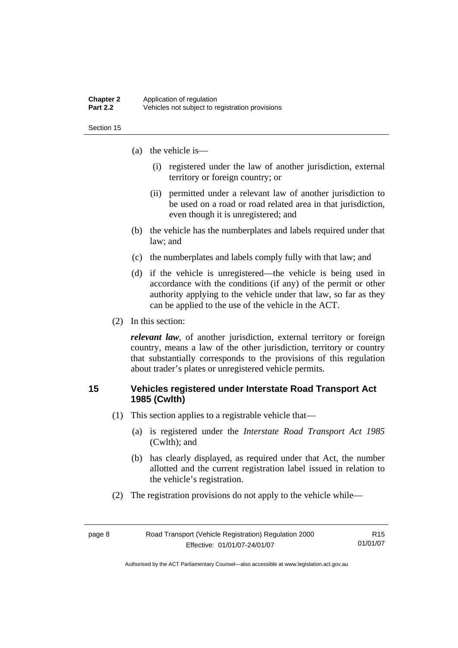#### **Chapter 2** Application of regulation<br>**Part 2.2** Vehicles not subject to re **Part 2.2** Vehicles not subject to registration provisions

Section 15

- (a) the vehicle is—
	- (i) registered under the law of another jurisdiction, external territory or foreign country; or
	- (ii) permitted under a relevant law of another jurisdiction to be used on a road or road related area in that jurisdiction, even though it is unregistered; and
- (b) the vehicle has the numberplates and labels required under that law; and
- (c) the numberplates and labels comply fully with that law; and
- (d) if the vehicle is unregistered—the vehicle is being used in accordance with the conditions (if any) of the permit or other authority applying to the vehicle under that law, so far as they can be applied to the use of the vehicle in the ACT.
- (2) In this section:

*relevant law*, of another jurisdiction, external territory or foreign country, means a law of the other jurisdiction, territory or country that substantially corresponds to the provisions of this regulation about trader's plates or unregistered vehicle permits.

### **15 Vehicles registered under Interstate Road Transport Act 1985 (Cwlth)**

- (1) This section applies to a registrable vehicle that—
	- (a) is registered under the *Interstate Road Transport Act 1985* (Cwlth); and
	- (b) has clearly displayed, as required under that Act, the number allotted and the current registration label issued in relation to the vehicle's registration.
- (2) The registration provisions do not apply to the vehicle while—

| page 8 | Road Transport (Vehicle Registration) Regulation 2000 | R15      |
|--------|-------------------------------------------------------|----------|
|        | Effective: 01/01/07-24/01/07                          | 01/01/07 |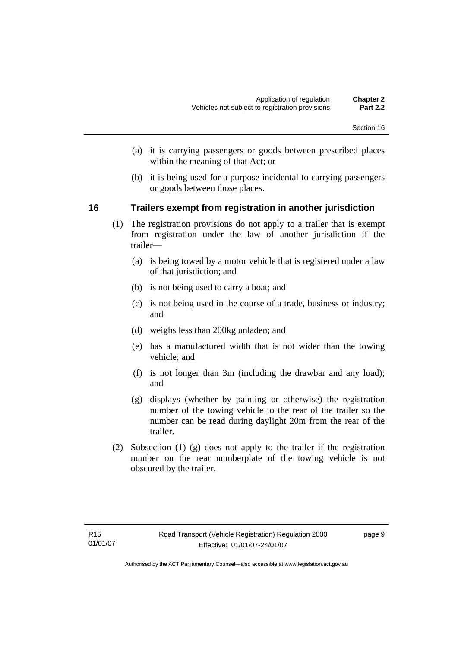- (a) it is carrying passengers or goods between prescribed places within the meaning of that Act; or
- (b) it is being used for a purpose incidental to carrying passengers or goods between those places.

### **16 Trailers exempt from registration in another jurisdiction**

- (1) The registration provisions do not apply to a trailer that is exempt from registration under the law of another jurisdiction if the trailer—
	- (a) is being towed by a motor vehicle that is registered under a law of that jurisdiction; and
	- (b) is not being used to carry a boat; and
	- (c) is not being used in the course of a trade, business or industry; and
	- (d) weighs less than 200kg unladen; and
	- (e) has a manufactured width that is not wider than the towing vehicle; and
	- (f) is not longer than 3m (including the drawbar and any load); and
	- (g) displays (whether by painting or otherwise) the registration number of the towing vehicle to the rear of the trailer so the number can be read during daylight 20m from the rear of the trailer.
- (2) Subsection (1) (g) does not apply to the trailer if the registration number on the rear numberplate of the towing vehicle is not obscured by the trailer.

page 9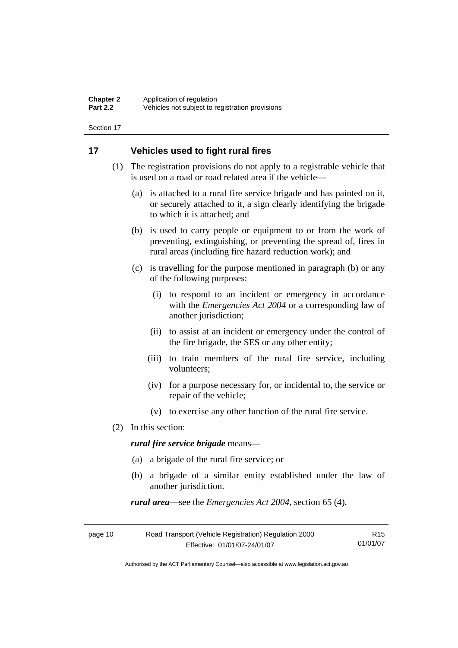## **17 Vehicles used to fight rural fires**

- (1) The registration provisions do not apply to a registrable vehicle that is used on a road or road related area if the vehicle—
	- (a) is attached to a rural fire service brigade and has painted on it, or securely attached to it, a sign clearly identifying the brigade to which it is attached; and
	- (b) is used to carry people or equipment to or from the work of preventing, extinguishing, or preventing the spread of, fires in rural areas (including fire hazard reduction work); and
	- (c) is travelling for the purpose mentioned in paragraph (b) or any of the following purposes:
		- (i) to respond to an incident or emergency in accordance with the *Emergencies Act 2004* or a corresponding law of another jurisdiction;
		- (ii) to assist at an incident or emergency under the control of the fire brigade, the SES or any other entity;
		- (iii) to train members of the rural fire service, including volunteers;
		- (iv) for a purpose necessary for, or incidental to, the service or repair of the vehicle;
		- (v) to exercise any other function of the rural fire service.
- (2) In this section:

*rural fire service brigade* means—

- (a) a brigade of the rural fire service; or
- (b) a brigade of a similar entity established under the law of another jurisdiction.

*rural area*—see the *Emergencies Act 2004*, section 65 (4).

| page 10 | Road Transport (Vehicle Registration) Regulation 2000 | R15      |
|---------|-------------------------------------------------------|----------|
|         | Effective: 01/01/07-24/01/07                          | 01/01/07 |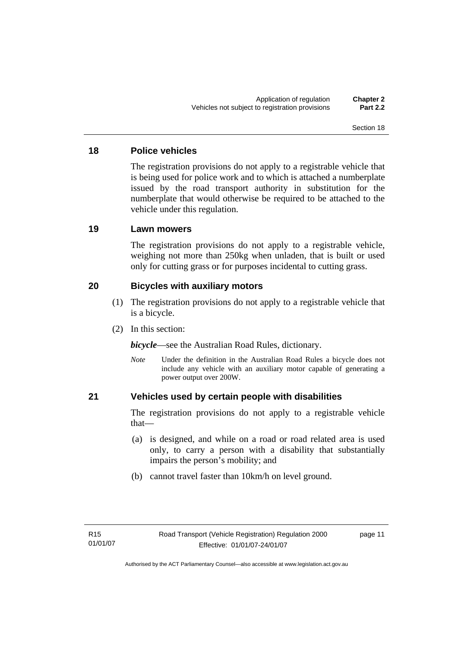## **18 Police vehicles**

The registration provisions do not apply to a registrable vehicle that is being used for police work and to which is attached a numberplate issued by the road transport authority in substitution for the numberplate that would otherwise be required to be attached to the vehicle under this regulation.

# **19 Lawn mowers**

The registration provisions do not apply to a registrable vehicle, weighing not more than 250kg when unladen, that is built or used only for cutting grass or for purposes incidental to cutting grass.

# **20 Bicycles with auxiliary motors**

- (1) The registration provisions do not apply to a registrable vehicle that is a bicycle.
- (2) In this section:

*bicycle*—see the Australian Road Rules, dictionary.

*Note* Under the definition in the Australian Road Rules a bicycle does not include any vehicle with an auxiliary motor capable of generating a power output over 200W.

# **21 Vehicles used by certain people with disabilities**

The registration provisions do not apply to a registrable vehicle that—

- (a) is designed, and while on a road or road related area is used only, to carry a person with a disability that substantially impairs the person's mobility; and
- (b) cannot travel faster than 10km/h on level ground.

page 11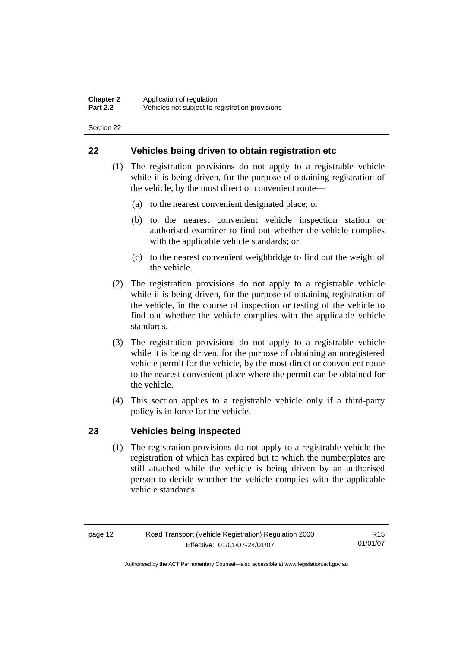### **22 Vehicles being driven to obtain registration etc**

- (1) The registration provisions do not apply to a registrable vehicle while it is being driven, for the purpose of obtaining registration of the vehicle, by the most direct or convenient route—
	- (a) to the nearest convenient designated place; or
	- (b) to the nearest convenient vehicle inspection station or authorised examiner to find out whether the vehicle complies with the applicable vehicle standards; or
	- (c) to the nearest convenient weighbridge to find out the weight of the vehicle.
- (2) The registration provisions do not apply to a registrable vehicle while it is being driven, for the purpose of obtaining registration of the vehicle, in the course of inspection or testing of the vehicle to find out whether the vehicle complies with the applicable vehicle standards.
- (3) The registration provisions do not apply to a registrable vehicle while it is being driven, for the purpose of obtaining an unregistered vehicle permit for the vehicle, by the most direct or convenient route to the nearest convenient place where the permit can be obtained for the vehicle.
- (4) This section applies to a registrable vehicle only if a third-party policy is in force for the vehicle.

#### **23 Vehicles being inspected**

 (1) The registration provisions do not apply to a registrable vehicle the registration of which has expired but to which the numberplates are still attached while the vehicle is being driven by an authorised person to decide whether the vehicle complies with the applicable vehicle standards.

R15 01/01/07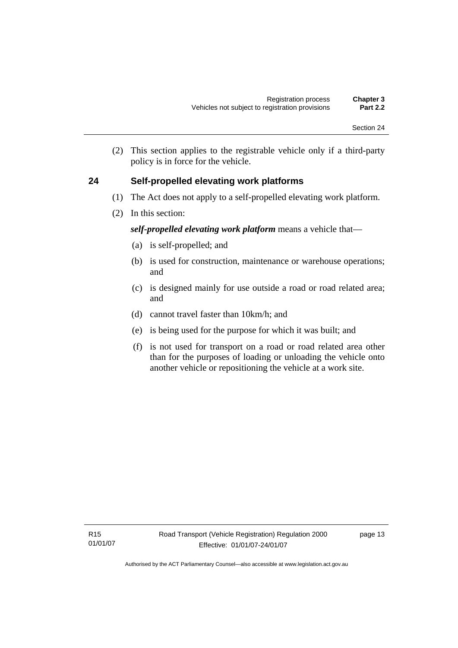(2) This section applies to the registrable vehicle only if a third-party policy is in force for the vehicle.

# **24 Self-propelled elevating work platforms**

- (1) The Act does not apply to a self-propelled elevating work platform.
- (2) In this section:

# *self-propelled elevating work platform* means a vehicle that—

- (a) is self-propelled; and
- (b) is used for construction, maintenance or warehouse operations; and
- (c) is designed mainly for use outside a road or road related area; and
- (d) cannot travel faster than 10km/h; and
- (e) is being used for the purpose for which it was built; and
- (f) is not used for transport on a road or road related area other than for the purposes of loading or unloading the vehicle onto another vehicle or repositioning the vehicle at a work site.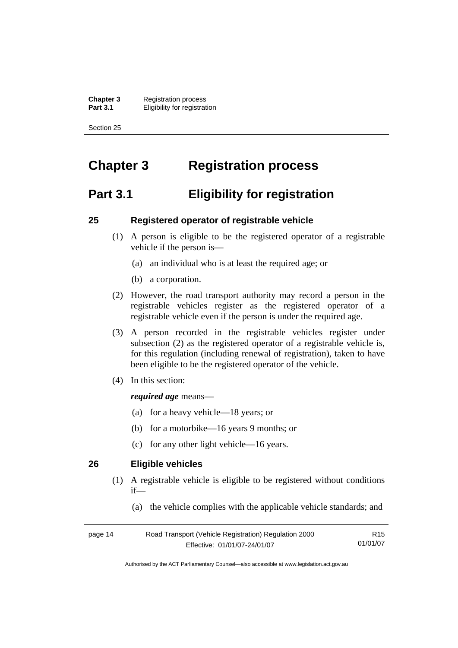**Chapter 3** Registration process<br>**Part 3.1** Fligibility for registrat *<u>Eligibility</u>* for registration

Section 25

# **Chapter 3 Registration process**

# **Part 3.1 Eligibility for registration**

#### **25 Registered operator of registrable vehicle**

- (1) A person is eligible to be the registered operator of a registrable vehicle if the person is—
	- (a) an individual who is at least the required age; or
	- (b) a corporation.
- (2) However, the road transport authority may record a person in the registrable vehicles register as the registered operator of a registrable vehicle even if the person is under the required age.
- (3) A person recorded in the registrable vehicles register under subsection (2) as the registered operator of a registrable vehicle is, for this regulation (including renewal of registration), taken to have been eligible to be the registered operator of the vehicle.
- (4) In this section:

#### *required age* means—

- (a) for a heavy vehicle—18 years; or
- (b) for a motorbike—16 years 9 months; or
- (c) for any other light vehicle—16 years.

## **26 Eligible vehicles**

- (1) A registrable vehicle is eligible to be registered without conditions if—
	- (a) the vehicle complies with the applicable vehicle standards; and

| page 14 | Road Transport (Vehicle Registration) Regulation 2000 | R15      |
|---------|-------------------------------------------------------|----------|
|         | Effective: 01/01/07-24/01/07                          | 01/01/07 |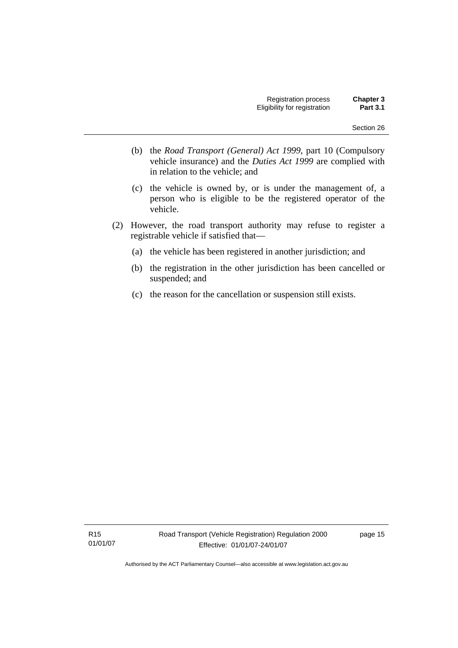- (b) the *Road Transport (General) Act 1999*, part 10 (Compulsory vehicle insurance) and the *Duties Act 1999* are complied with in relation to the vehicle; and
- (c) the vehicle is owned by, or is under the management of, a person who is eligible to be the registered operator of the vehicle.
- (2) However, the road transport authority may refuse to register a registrable vehicle if satisfied that—
	- (a) the vehicle has been registered in another jurisdiction; and
	- (b) the registration in the other jurisdiction has been cancelled or suspended; and
	- (c) the reason for the cancellation or suspension still exists.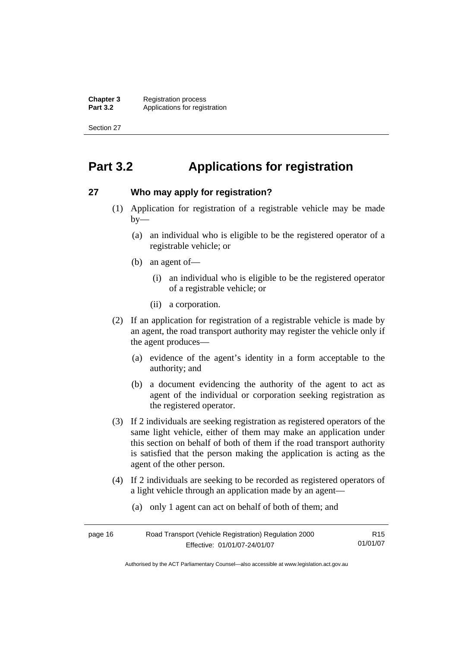**Chapter 3** Registration process<br>**Part 3.2** Applications for regis Applications for registration

Section 27

# **Part 3.2 Applications for registration**

### **27 Who may apply for registration?**

- (1) Application for registration of a registrable vehicle may be made  $by-$ 
	- (a) an individual who is eligible to be the registered operator of a registrable vehicle; or
	- (b) an agent of—
		- (i) an individual who is eligible to be the registered operator of a registrable vehicle; or
		- (ii) a corporation.
- (2) If an application for registration of a registrable vehicle is made by an agent, the road transport authority may register the vehicle only if the agent produces—
	- (a) evidence of the agent's identity in a form acceptable to the authority; and
	- (b) a document evidencing the authority of the agent to act as agent of the individual or corporation seeking registration as the registered operator.
- (3) If 2 individuals are seeking registration as registered operators of the same light vehicle, either of them may make an application under this section on behalf of both of them if the road transport authority is satisfied that the person making the application is acting as the agent of the other person.
- (4) If 2 individuals are seeking to be recorded as registered operators of a light vehicle through an application made by an agent—
	- (a) only 1 agent can act on behalf of both of them; and

| page 16 | Road Transport (Vehicle Registration) Regulation 2000 | R15      |
|---------|-------------------------------------------------------|----------|
|         | Effective: 01/01/07-24/01/07                          | 01/01/07 |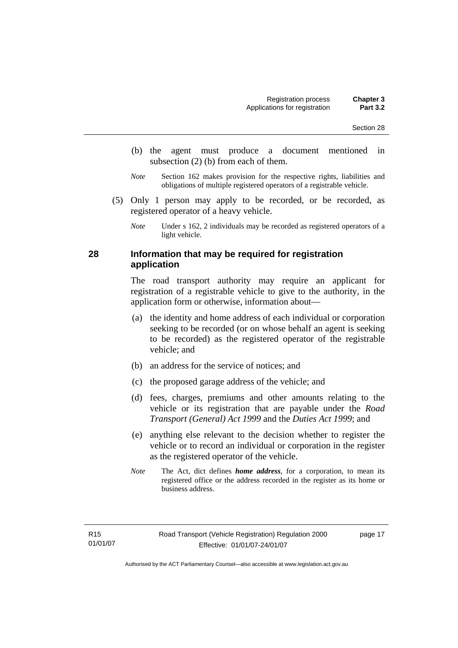- (b) the agent must produce a document mentioned in subsection (2) (b) from each of them.
- *Note* Section 162 makes provision for the respective rights, liabilities and obligations of multiple registered operators of a registrable vehicle.
- (5) Only 1 person may apply to be recorded, or be recorded, as registered operator of a heavy vehicle.

*Note* Under s 162, 2 individuals may be recorded as registered operators of a light vehicle.

# **28 Information that may be required for registration application**

The road transport authority may require an applicant for registration of a registrable vehicle to give to the authority, in the application form or otherwise, information about—

- (a) the identity and home address of each individual or corporation seeking to be recorded (or on whose behalf an agent is seeking to be recorded) as the registered operator of the registrable vehicle; and
- (b) an address for the service of notices; and
- (c) the proposed garage address of the vehicle; and
- (d) fees, charges, premiums and other amounts relating to the vehicle or its registration that are payable under the *Road Transport (General) Act 1999* and the *Duties Act 1999*; and
- (e) anything else relevant to the decision whether to register the vehicle or to record an individual or corporation in the register as the registered operator of the vehicle.
- *Note* The Act, dict defines *home address*, for a corporation, to mean its registered office or the address recorded in the register as its home or business address.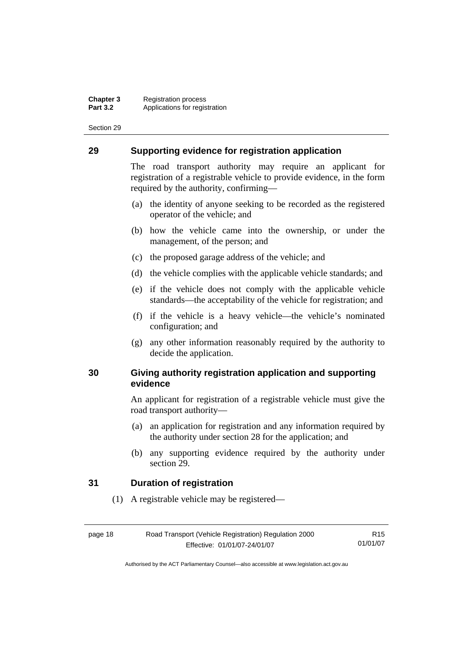## **29 Supporting evidence for registration application**

The road transport authority may require an applicant for registration of a registrable vehicle to provide evidence, in the form required by the authority, confirming—

- (a) the identity of anyone seeking to be recorded as the registered operator of the vehicle; and
- (b) how the vehicle came into the ownership, or under the management, of the person; and
- (c) the proposed garage address of the vehicle; and
- (d) the vehicle complies with the applicable vehicle standards; and
- (e) if the vehicle does not comply with the applicable vehicle standards—the acceptability of the vehicle for registration; and
- (f) if the vehicle is a heavy vehicle—the vehicle's nominated configuration; and
- (g) any other information reasonably required by the authority to decide the application.

# **30 Giving authority registration application and supporting evidence**

An applicant for registration of a registrable vehicle must give the road transport authority—

- (a) an application for registration and any information required by the authority under section 28 for the application; and
- (b) any supporting evidence required by the authority under section 29.

## **31 Duration of registration**

(1) A registrable vehicle may be registered—

| page 18 | Road Transport (Vehicle Registration) Regulation 2000 | R <sub>15</sub> |
|---------|-------------------------------------------------------|-----------------|
|         | Effective: 01/01/07-24/01/07                          | 01/01/07        |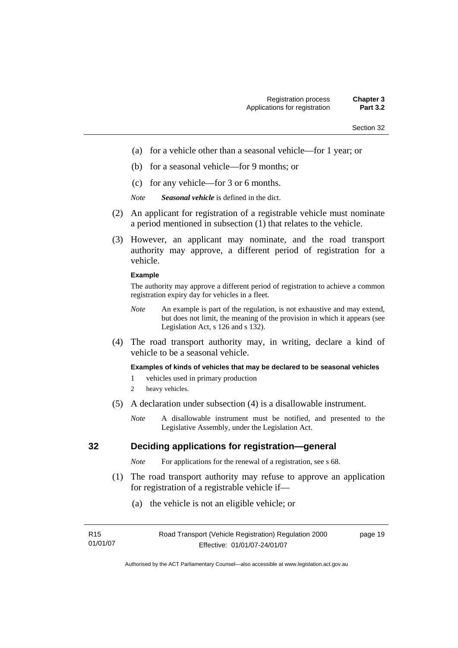- (a) for a vehicle other than a seasonal vehicle—for 1 year; or
- (b) for a seasonal vehicle—for 9 months; or
- (c) for any vehicle—for 3 or 6 months.
- *Note Seasonal vehicle* is defined in the dict.
- (2) An applicant for registration of a registrable vehicle must nominate a period mentioned in subsection (1) that relates to the vehicle.
- (3) However, an applicant may nominate, and the road transport authority may approve, a different period of registration for a vehicle.

### **Example**

The authority may approve a different period of registration to achieve a common registration expiry day for vehicles in a fleet.

- *Note* An example is part of the regulation, is not exhaustive and may extend, but does not limit, the meaning of the provision in which it appears (see Legislation Act, s 126 and s 132).
- (4) The road transport authority may, in writing, declare a kind of vehicle to be a seasonal vehicle.

### **Examples of kinds of vehicles that may be declared to be seasonal vehicles**

- 1 vehicles used in primary production
- 2 heavy vehicles.
- (5) A declaration under subsection (4) is a disallowable instrument.
	- *Note* A disallowable instrument must be notified, and presented to the Legislative Assembly, under the Legislation Act.

# **32 Deciding applications for registration—general**

*Note* For applications for the renewal of a registration, see s 68.

- (1) The road transport authority may refuse to approve an application for registration of a registrable vehicle if—
	- (a) the vehicle is not an eligible vehicle; or

| R <sub>15</sub> | Road Transport (Vehicle Registration) Regulation 2000 | page 19 |
|-----------------|-------------------------------------------------------|---------|
| 01/01/07        | Effective: 01/01/07-24/01/07                          |         |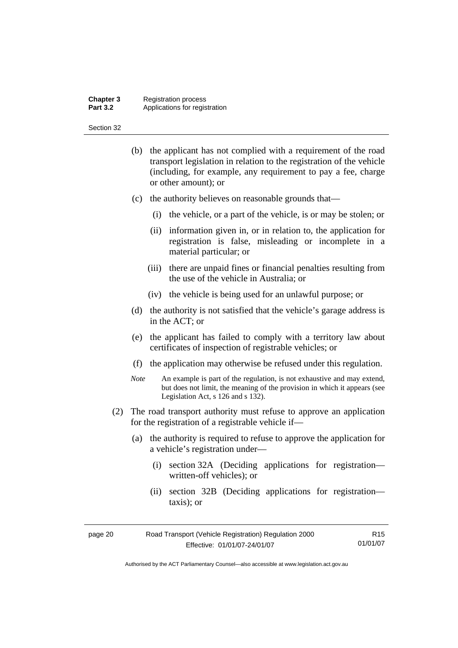### **Chapter 3** Registration process **Part 3.2 Applications for registration**

#### Section 32

- (b) the applicant has not complied with a requirement of the road transport legislation in relation to the registration of the vehicle (including, for example, any requirement to pay a fee, charge or other amount); or
- (c) the authority believes on reasonable grounds that—
	- (i) the vehicle, or a part of the vehicle, is or may be stolen; or
	- (ii) information given in, or in relation to, the application for registration is false, misleading or incomplete in a material particular; or
	- (iii) there are unpaid fines or financial penalties resulting from the use of the vehicle in Australia; or
	- (iv) the vehicle is being used for an unlawful purpose; or
- (d) the authority is not satisfied that the vehicle's garage address is in the ACT; or
- (e) the applicant has failed to comply with a territory law about certificates of inspection of registrable vehicles; or
- (f) the application may otherwise be refused under this regulation.
- *Note* An example is part of the regulation, is not exhaustive and may extend, but does not limit, the meaning of the provision in which it appears (see Legislation Act, s 126 and s 132).
- (2) The road transport authority must refuse to approve an application for the registration of a registrable vehicle if—
	- (a) the authority is required to refuse to approve the application for a vehicle's registration under—
		- (i) section 32A (Deciding applications for registration written-off vehicles); or
		- (ii) section 32B (Deciding applications for registration taxis); or

| page 20 | Road Transport (Vehicle Registration) Regulation 2000 | R15      |
|---------|-------------------------------------------------------|----------|
|         | Effective: 01/01/07-24/01/07                          | 01/01/07 |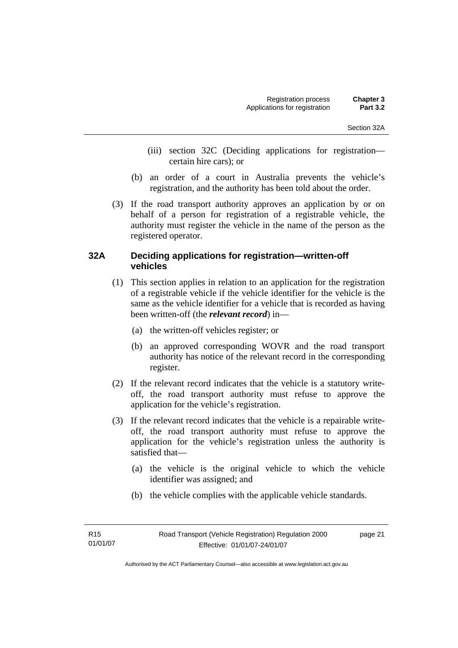- (iii) section 32C (Deciding applications for registration certain hire cars); or
- (b) an order of a court in Australia prevents the vehicle's registration, and the authority has been told about the order.
- (3) If the road transport authority approves an application by or on behalf of a person for registration of a registrable vehicle, the authority must register the vehicle in the name of the person as the registered operator.

# **32A Deciding applications for registration—written-off vehicles**

- (1) This section applies in relation to an application for the registration of a registrable vehicle if the vehicle identifier for the vehicle is the same as the vehicle identifier for a vehicle that is recorded as having been written-off (the *relevant record*) in—
	- (a) the written-off vehicles register; or
	- (b) an approved corresponding WOVR and the road transport authority has notice of the relevant record in the corresponding register.
- (2) If the relevant record indicates that the vehicle is a statutory writeoff, the road transport authority must refuse to approve the application for the vehicle's registration.
- (3) If the relevant record indicates that the vehicle is a repairable writeoff, the road transport authority must refuse to approve the application for the vehicle's registration unless the authority is satisfied that—
	- (a) the vehicle is the original vehicle to which the vehicle identifier was assigned; and
	- (b) the vehicle complies with the applicable vehicle standards.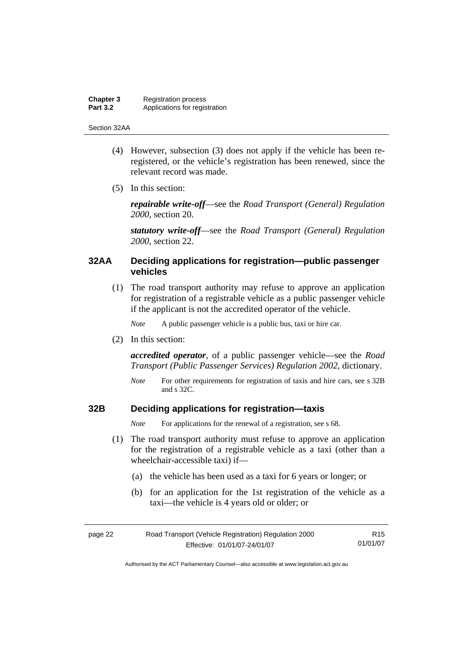### **Chapter 3** Registration process<br>**Part 3.2** Applications for regis Applications for registration

#### Section 32AA

- (4) However, subsection (3) does not apply if the vehicle has been reregistered, or the vehicle's registration has been renewed, since the relevant record was made.
- (5) In this section:

*repairable write-off*—see the *Road Transport (General) Regulation 2000*, section 20.

*statutory write-off*—see the *Road Transport (General) Regulation 2000*, section 22.

# **32AA Deciding applications for registration—public passenger vehicles**

 (1) The road transport authority may refuse to approve an application for registration of a registrable vehicle as a public passenger vehicle if the applicant is not the accredited operator of the vehicle.

*Note* A public passenger vehicle is a public bus, taxi or hire car.

(2) In this section:

*accredited operator*, of a public passenger vehicle—see the *Road Transport (Public Passenger Services) Regulation 2002*, dictionary.

*Note* For other requirements for registration of taxis and hire cars, see s 32B and s 32C.

# **32B Deciding applications for registration—taxis**

*Note* For applications for the renewal of a registration, see s 68.

- (1) The road transport authority must refuse to approve an application for the registration of a registrable vehicle as a taxi (other than a wheelchair-accessible taxi) if—
	- (a) the vehicle has been used as a taxi for 6 years or longer; or
	- (b) for an application for the 1st registration of the vehicle as a taxi—the vehicle is 4 years old or older; or

| page 22 | Road Transport (Vehicle Registration) Regulation 2000 | R15      |
|---------|-------------------------------------------------------|----------|
|         | Effective: 01/01/07-24/01/07                          | 01/01/07 |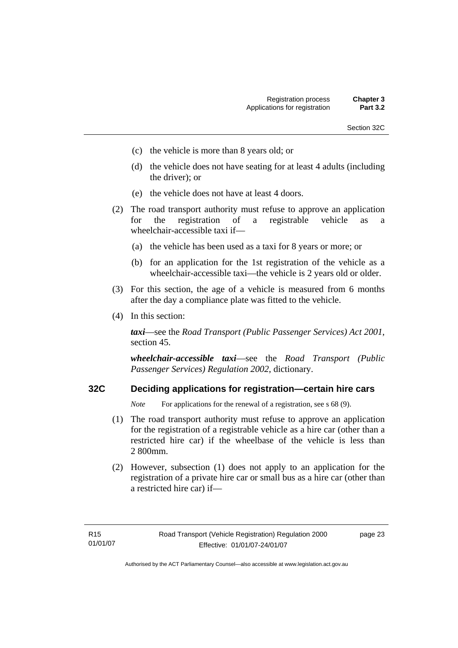- Section 32C
- (c) the vehicle is more than 8 years old; or
- (d) the vehicle does not have seating for at least 4 adults (including the driver); or
- (e) the vehicle does not have at least 4 doors.
- (2) The road transport authority must refuse to approve an application for the registration of a registrable vehicle as a wheelchair-accessible taxi if—
	- (a) the vehicle has been used as a taxi for 8 years or more; or
	- (b) for an application for the 1st registration of the vehicle as a wheelchair-accessible taxi—the vehicle is 2 years old or older.
- (3) For this section, the age of a vehicle is measured from 6 months after the day a compliance plate was fitted to the vehicle.
- (4) In this section:

*taxi*—see the *Road Transport (Public Passenger Services) Act 2001*, section 45.

*wheelchair-accessible taxi*—see the *Road Transport (Public Passenger Services) Regulation 2002*, dictionary.

# **32C Deciding applications for registration—certain hire cars**

*Note* For applications for the renewal of a registration, see s 68 (9).

- (1) The road transport authority must refuse to approve an application for the registration of a registrable vehicle as a hire car (other than a restricted hire car) if the wheelbase of the vehicle is less than 2 800mm.
- (2) However, subsection (1) does not apply to an application for the registration of a private hire car or small bus as a hire car (other than a restricted hire car) if—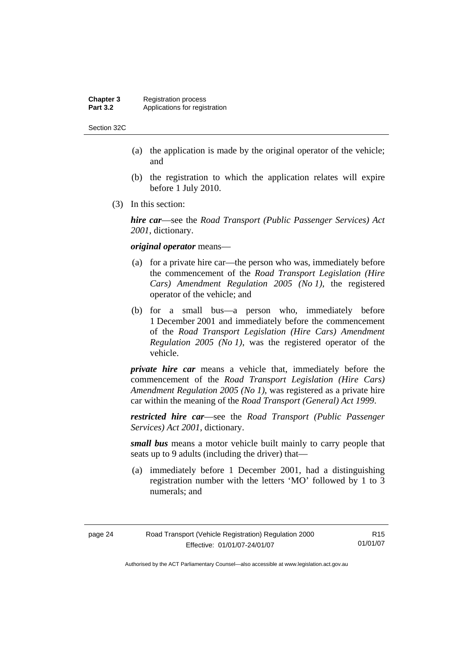### **Chapter 3** Registration process<br>**Part 3.2** Applications for regis Applications for registration

Section 32C

- (a) the application is made by the original operator of the vehicle; and
- (b) the registration to which the application relates will expire before 1 July 2010.
- (3) In this section:

*hire car*—see the *Road Transport (Public Passenger Services) Act 2001*, dictionary.

### *original operator* means—

- (a) for a private hire car—the person who was, immediately before the commencement of the *Road Transport Legislation (Hire Cars) Amendment Regulation 2005 (No 1)*, the registered operator of the vehicle; and
- (b) for a small bus—a person who, immediately before 1 December 2001 and immediately before the commencement of the *Road Transport Legislation (Hire Cars) Amendment Regulation 2005 (No 1)*, was the registered operator of the vehicle.

*private hire car* means a vehicle that, immediately before the commencement of the *Road Transport Legislation (Hire Cars) Amendment Regulation 2005 (No 1)*, was registered as a private hire car within the meaning of the *Road Transport (General) Act 1999*.

*restricted hire car*—see the *Road Transport (Public Passenger Services) Act 2001*, dictionary.

*small bus* means a motor vehicle built mainly to carry people that seats up to 9 adults (including the driver) that—

 (a) immediately before 1 December 2001, had a distinguishing registration number with the letters 'MO' followed by 1 to 3 numerals; and

| page 24 | Road Transport (Vehicle Registration) Regulation 2000 | R <sub>15</sub> |
|---------|-------------------------------------------------------|-----------------|
|         | Effective: 01/01/07-24/01/07                          | 01/01/07        |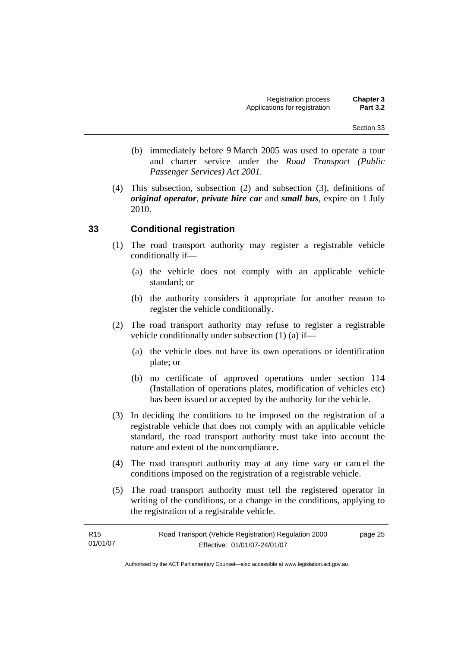- (b) immediately before 9 March 2005 was used to operate a tour and charter service under the *Road Transport (Public Passenger Services) Act 2001*.
- (4) This subsection, subsection (2) and subsection (3), definitions of *original operator*, *private hire car* and *small bus*, expire on 1 July 2010.

# **33 Conditional registration**

- (1) The road transport authority may register a registrable vehicle conditionally if—
	- (a) the vehicle does not comply with an applicable vehicle standard; or
	- (b) the authority considers it appropriate for another reason to register the vehicle conditionally.
- (2) The road transport authority may refuse to register a registrable vehicle conditionally under subsection (1) (a) if—
	- (a) the vehicle does not have its own operations or identification plate; or
	- (b) no certificate of approved operations under section 114 (Installation of operations plates, modification of vehicles etc) has been issued or accepted by the authority for the vehicle.
- (3) In deciding the conditions to be imposed on the registration of a registrable vehicle that does not comply with an applicable vehicle standard, the road transport authority must take into account the nature and extent of the noncompliance.
- (4) The road transport authority may at any time vary or cancel the conditions imposed on the registration of a registrable vehicle.
- (5) The road transport authority must tell the registered operator in writing of the conditions, or a change in the conditions, applying to the registration of a registrable vehicle.

| R15      | Road Transport (Vehicle Registration) Regulation 2000 | page 25 |
|----------|-------------------------------------------------------|---------|
| 01/01/07 | Effective: 01/01/07-24/01/07                          |         |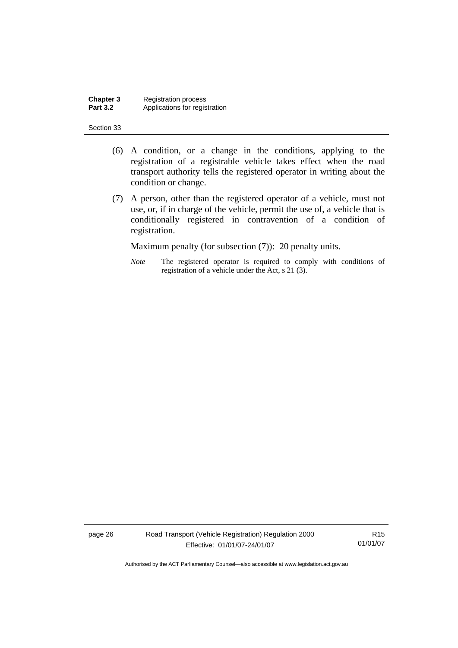**Chapter 3** Registration process<br>**Part 3.2** Applications for regis Applications for registration

#### Section 33

- (6) A condition, or a change in the conditions, applying to the registration of a registrable vehicle takes effect when the road transport authority tells the registered operator in writing about the condition or change.
- (7) A person, other than the registered operator of a vehicle, must not use, or, if in charge of the vehicle, permit the use of, a vehicle that is conditionally registered in contravention of a condition of registration.

Maximum penalty (for subsection (7)): 20 penalty units.

*Note* The registered operator is required to comply with conditions of registration of a vehicle under the Act, s 21 (3).

page 26 Road Transport (Vehicle Registration) Regulation 2000 Effective: 01/01/07-24/01/07

R15 01/01/07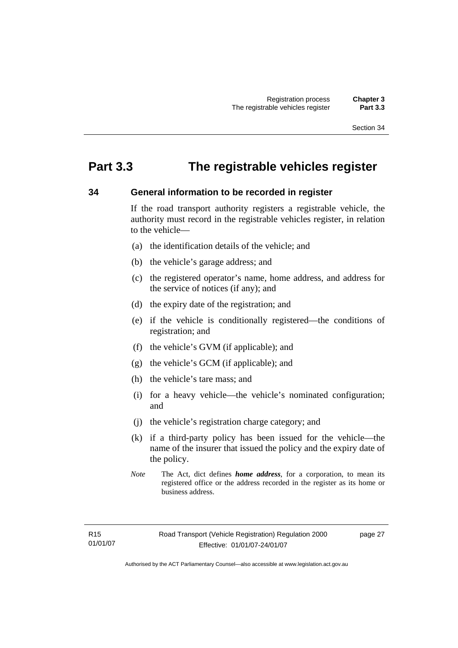# **Part 3.3 The registrable vehicles register**

# **34 General information to be recorded in register**

If the road transport authority registers a registrable vehicle, the authority must record in the registrable vehicles register, in relation to the vehicle—

- (a) the identification details of the vehicle; and
- (b) the vehicle's garage address; and
- (c) the registered operator's name, home address, and address for the service of notices (if any); and
- (d) the expiry date of the registration; and
- (e) if the vehicle is conditionally registered—the conditions of registration; and
- (f) the vehicle's GVM (if applicable); and
- (g) the vehicle's GCM (if applicable); and
- (h) the vehicle's tare mass; and
- (i) for a heavy vehicle—the vehicle's nominated configuration; and
- (j) the vehicle's registration charge category; and
- (k) if a third-party policy has been issued for the vehicle—the name of the insurer that issued the policy and the expiry date of the policy.
- *Note* The Act, dict defines *home address*, for a corporation, to mean its registered office or the address recorded in the register as its home or business address.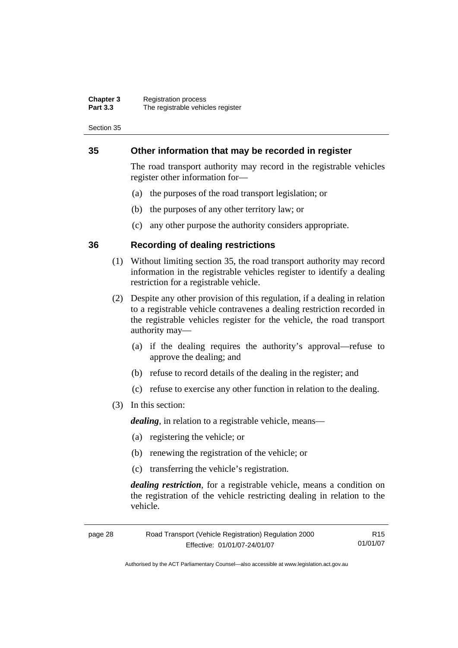### **Chapter 3** Registration process **Part 3.3** The registrable vehicles register

Section 35

# **35 Other information that may be recorded in register**

The road transport authority may record in the registrable vehicles register other information for—

- (a) the purposes of the road transport legislation; or
- (b) the purposes of any other territory law; or
- (c) any other purpose the authority considers appropriate.

### **36 Recording of dealing restrictions**

- (1) Without limiting section 35, the road transport authority may record information in the registrable vehicles register to identify a dealing restriction for a registrable vehicle.
- (2) Despite any other provision of this regulation, if a dealing in relation to a registrable vehicle contravenes a dealing restriction recorded in the registrable vehicles register for the vehicle, the road transport authority may—
	- (a) if the dealing requires the authority's approval—refuse to approve the dealing; and
	- (b) refuse to record details of the dealing in the register; and
	- (c) refuse to exercise any other function in relation to the dealing.
- (3) In this section:

*dealing*, in relation to a registrable vehicle, means—

- (a) registering the vehicle; or
- (b) renewing the registration of the vehicle; or
- (c) transferring the vehicle's registration.

*dealing restriction*, for a registrable vehicle, means a condition on the registration of the vehicle restricting dealing in relation to the vehicle.

| page 28 | Road Transport (Vehicle Registration) Regulation 2000 | R15      |
|---------|-------------------------------------------------------|----------|
|         | Effective: 01/01/07-24/01/07                          | 01/01/07 |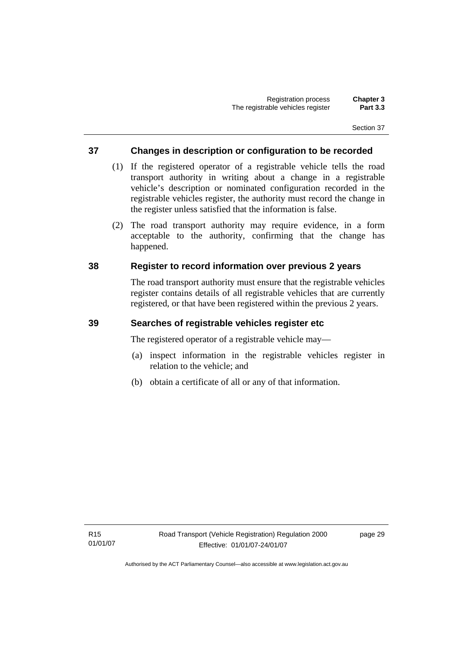# **37 Changes in description or configuration to be recorded**

- (1) If the registered operator of a registrable vehicle tells the road transport authority in writing about a change in a registrable vehicle's description or nominated configuration recorded in the registrable vehicles register, the authority must record the change in the register unless satisfied that the information is false.
- (2) The road transport authority may require evidence, in a form acceptable to the authority, confirming that the change has happened.

# **38 Register to record information over previous 2 years**

The road transport authority must ensure that the registrable vehicles register contains details of all registrable vehicles that are currently registered, or that have been registered within the previous 2 years.

# **39 Searches of registrable vehicles register etc**

The registered operator of a registrable vehicle may—

- (a) inspect information in the registrable vehicles register in relation to the vehicle; and
- (b) obtain a certificate of all or any of that information.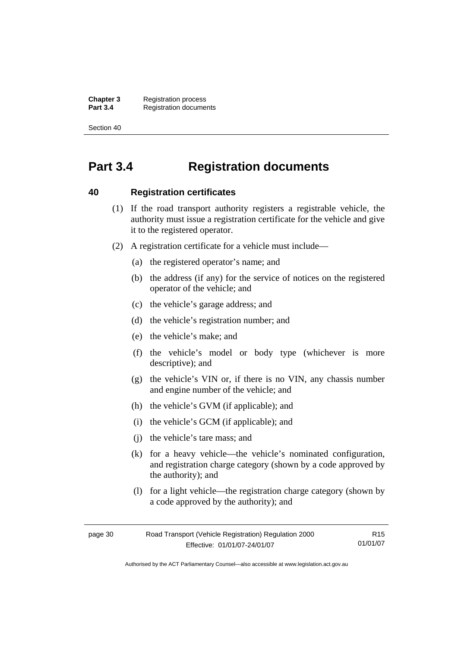**Chapter 3** Registration process<br>**Part 3.4** Registration docume **Registration documents** 

Section 40

# **Part 3.4 Registration documents**

### **40 Registration certificates**

- (1) If the road transport authority registers a registrable vehicle, the authority must issue a registration certificate for the vehicle and give it to the registered operator.
- (2) A registration certificate for a vehicle must include—
	- (a) the registered operator's name; and
	- (b) the address (if any) for the service of notices on the registered operator of the vehicle; and
	- (c) the vehicle's garage address; and
	- (d) the vehicle's registration number; and
	- (e) the vehicle's make; and
	- (f) the vehicle's model or body type (whichever is more descriptive); and
	- (g) the vehicle's VIN or, if there is no VIN, any chassis number and engine number of the vehicle; and
	- (h) the vehicle's GVM (if applicable); and
	- (i) the vehicle's GCM (if applicable); and
	- (j) the vehicle's tare mass; and
	- (k) for a heavy vehicle—the vehicle's nominated configuration, and registration charge category (shown by a code approved by the authority); and
	- (l) for a light vehicle—the registration charge category (shown by a code approved by the authority); and

| page 30 | Road Transport (Vehicle Registration) Regulation 2000 | R15.     |
|---------|-------------------------------------------------------|----------|
|         | Effective: 01/01/07-24/01/07                          | 01/01/07 |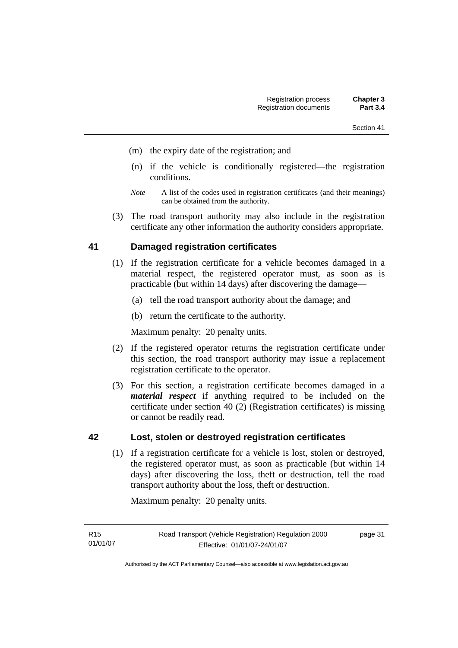- Section 41
- (m) the expiry date of the registration; and
- (n) if the vehicle is conditionally registered—the registration conditions.
- *Note* A list of the codes used in registration certificates (and their meanings) can be obtained from the authority.
- (3) The road transport authority may also include in the registration certificate any other information the authority considers appropriate.

# **41 Damaged registration certificates**

- (1) If the registration certificate for a vehicle becomes damaged in a material respect, the registered operator must, as soon as is practicable (but within 14 days) after discovering the damage—
	- (a) tell the road transport authority about the damage; and
	- (b) return the certificate to the authority.

Maximum penalty: 20 penalty units.

- (2) If the registered operator returns the registration certificate under this section, the road transport authority may issue a replacement registration certificate to the operator.
- (3) For this section, a registration certificate becomes damaged in a *material respect* if anything required to be included on the certificate under section 40 (2) (Registration certificates) is missing or cannot be readily read.

## **42 Lost, stolen or destroyed registration certificates**

 (1) If a registration certificate for a vehicle is lost, stolen or destroyed, the registered operator must, as soon as practicable (but within 14 days) after discovering the loss, theft or destruction, tell the road transport authority about the loss, theft or destruction.

Maximum penalty: 20 penalty units.

page 31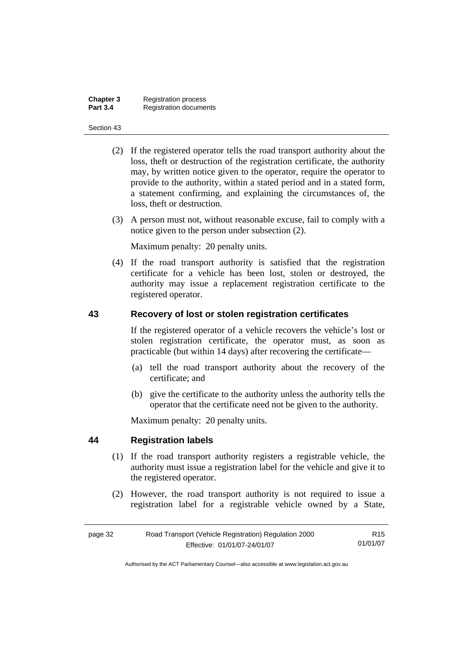| Chapter 3       | <b>Registration process</b>   |
|-----------------|-------------------------------|
| <b>Part 3.4</b> | <b>Registration documents</b> |

- (2) If the registered operator tells the road transport authority about the loss, theft or destruction of the registration certificate, the authority may, by written notice given to the operator, require the operator to provide to the authority, within a stated period and in a stated form, a statement confirming, and explaining the circumstances of, the loss, theft or destruction.
- (3) A person must not, without reasonable excuse, fail to comply with a notice given to the person under subsection (2).

Maximum penalty: 20 penalty units.

 (4) If the road transport authority is satisfied that the registration certificate for a vehicle has been lost, stolen or destroyed, the authority may issue a replacement registration certificate to the registered operator.

## **43 Recovery of lost or stolen registration certificates**

If the registered operator of a vehicle recovers the vehicle's lost or stolen registration certificate, the operator must, as soon as practicable (but within 14 days) after recovering the certificate—

- (a) tell the road transport authority about the recovery of the certificate; and
- (b) give the certificate to the authority unless the authority tells the operator that the certificate need not be given to the authority.

Maximum penalty: 20 penalty units.

## **44 Registration labels**

- (1) If the road transport authority registers a registrable vehicle, the authority must issue a registration label for the vehicle and give it to the registered operator.
- (2) However, the road transport authority is not required to issue a registration label for a registrable vehicle owned by a State,

| page 32 | Road Transport (Vehicle Registration) Regulation 2000 | R <sub>15</sub> |
|---------|-------------------------------------------------------|-----------------|
|         | Effective: 01/01/07-24/01/07                          | 01/01/07        |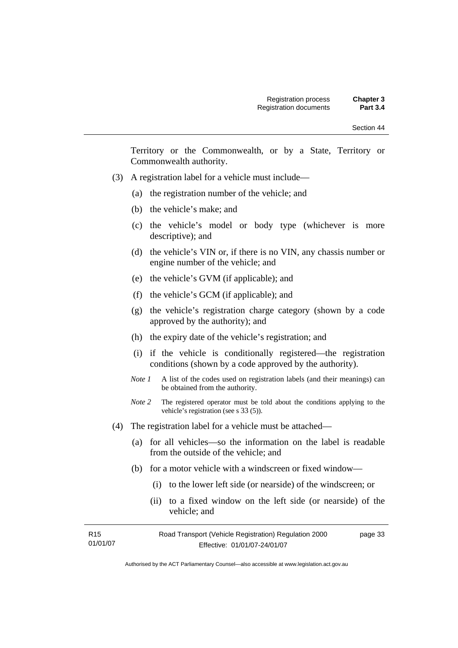| Section 44 |  |
|------------|--|
|------------|--|

Territory or the Commonwealth, or by a State, Territory or Commonwealth authority.

- (3) A registration label for a vehicle must include—
	- (a) the registration number of the vehicle; and
	- (b) the vehicle's make; and
	- (c) the vehicle's model or body type (whichever is more descriptive); and
	- (d) the vehicle's VIN or, if there is no VIN, any chassis number or engine number of the vehicle; and
	- (e) the vehicle's GVM (if applicable); and
	- (f) the vehicle's GCM (if applicable); and
	- (g) the vehicle's registration charge category (shown by a code approved by the authority); and
	- (h) the expiry date of the vehicle's registration; and
	- (i) if the vehicle is conditionally registered—the registration conditions (shown by a code approved by the authority).
	- *Note 1* A list of the codes used on registration labels (and their meanings) can be obtained from the authority.
	- *Note* 2 The registered operator must be told about the conditions applying to the vehicle's registration (see s 33 (5)).
- (4) The registration label for a vehicle must be attached—
	- (a) for all vehicles—so the information on the label is readable from the outside of the vehicle; and
	- (b) for a motor vehicle with a windscreen or fixed window—
		- (i) to the lower left side (or nearside) of the windscreen; or
		- (ii) to a fixed window on the left side (or nearside) of the vehicle; and

| R15      | Road Transport (Vehicle Registration) Regulation 2000 | page 33 |
|----------|-------------------------------------------------------|---------|
| 01/01/07 | Effective: 01/01/07-24/01/07                          |         |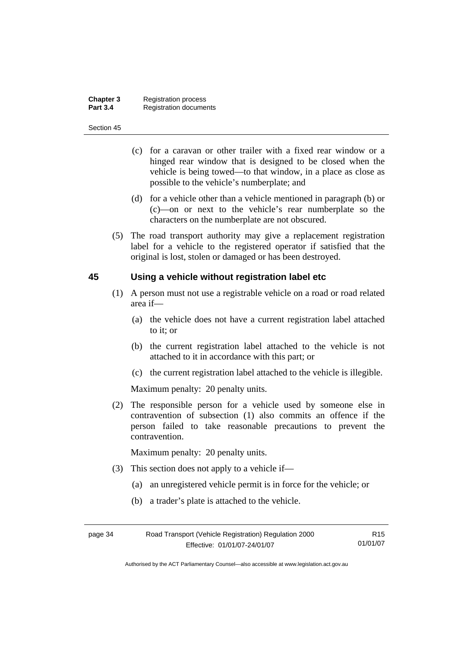| Chapter 3       | <b>Registration process</b>   |
|-----------------|-------------------------------|
| <b>Part 3.4</b> | <b>Registration documents</b> |

- (c) for a caravan or other trailer with a fixed rear window or a hinged rear window that is designed to be closed when the vehicle is being towed—to that window, in a place as close as possible to the vehicle's numberplate; and
- (d) for a vehicle other than a vehicle mentioned in paragraph (b) or (c)—on or next to the vehicle's rear numberplate so the characters on the numberplate are not obscured.
- (5) The road transport authority may give a replacement registration label for a vehicle to the registered operator if satisfied that the original is lost, stolen or damaged or has been destroyed.

### **45 Using a vehicle without registration label etc**

- (1) A person must not use a registrable vehicle on a road or road related area if—
	- (a) the vehicle does not have a current registration label attached to it; or
	- (b) the current registration label attached to the vehicle is not attached to it in accordance with this part; or
	- (c) the current registration label attached to the vehicle is illegible.

Maximum penalty: 20 penalty units.

 (2) The responsible person for a vehicle used by someone else in contravention of subsection (1) also commits an offence if the person failed to take reasonable precautions to prevent the contravention.

Maximum penalty: 20 penalty units.

- (3) This section does not apply to a vehicle if—
	- (a) an unregistered vehicle permit is in force for the vehicle; or
	- (b) a trader's plate is attached to the vehicle.

| page 34 | Road Transport (Vehicle Registration) Regulation 2000 |          |
|---------|-------------------------------------------------------|----------|
|         | Effective: 01/01/07-24/01/07                          | 01/01/07 |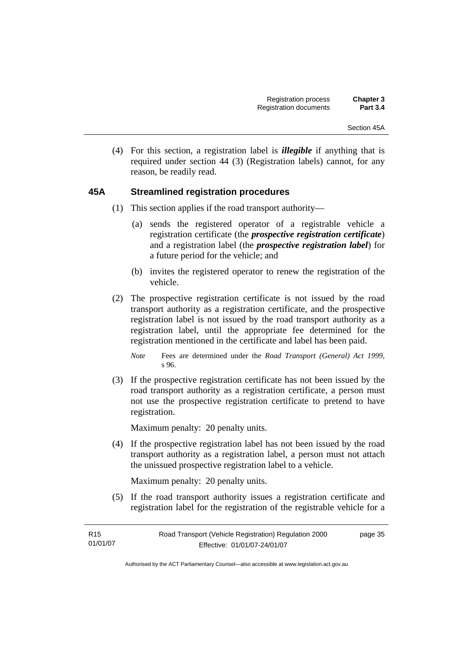(4) For this section, a registration label is *illegible* if anything that is required under section 44 (3) (Registration labels) cannot, for any reason, be readily read.

# **45A Streamlined registration procedures**

- (1) This section applies if the road transport authority—
	- (a) sends the registered operator of a registrable vehicle a registration certificate (the *prospective registration certificate*) and a registration label (the *prospective registration label*) for a future period for the vehicle; and
	- (b) invites the registered operator to renew the registration of the vehicle.
- (2) The prospective registration certificate is not issued by the road transport authority as a registration certificate, and the prospective registration label is not issued by the road transport authority as a registration label, until the appropriate fee determined for the registration mentioned in the certificate and label has been paid.

 (3) If the prospective registration certificate has not been issued by the road transport authority as a registration certificate, a person must not use the prospective registration certificate to pretend to have registration.

Maximum penalty: 20 penalty units.

 (4) If the prospective registration label has not been issued by the road transport authority as a registration label, a person must not attach the unissued prospective registration label to a vehicle.

Maximum penalty: 20 penalty units.

 (5) If the road transport authority issues a registration certificate and registration label for the registration of the registrable vehicle for a

| R <sub>15</sub> | Road Transport (Vehicle Registration) Regulation 2000 | page 35 |
|-----------------|-------------------------------------------------------|---------|
| 01/01/07        | Effective: 01/01/07-24/01/07                          |         |

*Note* Fees are determined under the *Road Transport (General) Act 1999*, s 96.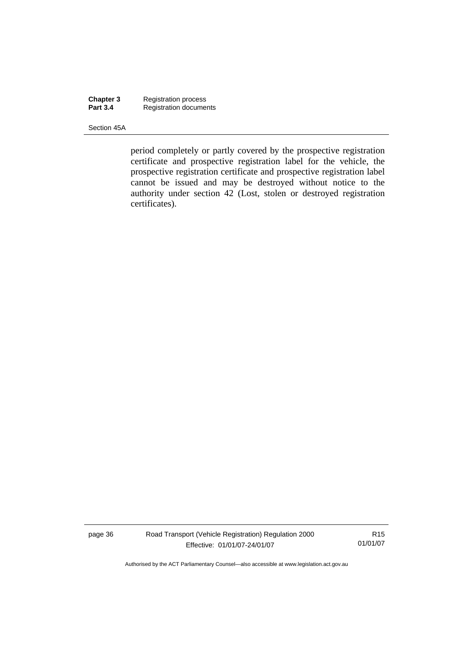**Chapter 3** Registration process **Part 3.4 Registration documents** 

Section 45A

period completely or partly covered by the prospective registration certificate and prospective registration label for the vehicle, the prospective registration certificate and prospective registration label cannot be issued and may be destroyed without notice to the authority under section 42 (Lost, stolen or destroyed registration certificates).

page 36 Road Transport (Vehicle Registration) Regulation 2000 Effective: 01/01/07-24/01/07

R15 01/01/07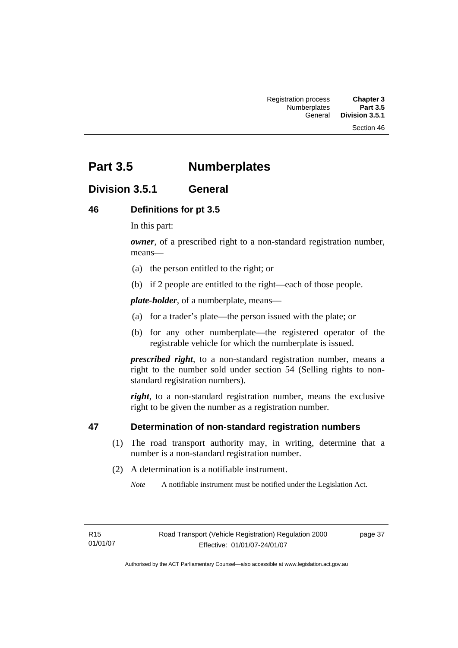# **Part 3.5 Numberplates**

# **Division 3.5.1 General**

# **46 Definitions for pt 3.5**

In this part:

*owner*, of a prescribed right to a non-standard registration number. means—

- (a) the person entitled to the right; or
- (b) if 2 people are entitled to the right—each of those people.

*plate-holder*, of a numberplate, means—

- (a) for a trader's plate—the person issued with the plate; or
- (b) for any other numberplate—the registered operator of the registrable vehicle for which the numberplate is issued.

*prescribed right*, to a non-standard registration number, means a right to the number sold under section 54 (Selling rights to nonstandard registration numbers).

*right*, to a non-standard registration number, means the exclusive right to be given the number as a registration number.

# **47 Determination of non-standard registration numbers**

- (1) The road transport authority may, in writing, determine that a number is a non-standard registration number.
- (2) A determination is a notifiable instrument.

*Note* A notifiable instrument must be notified under the Legislation Act.

R15 01/01/07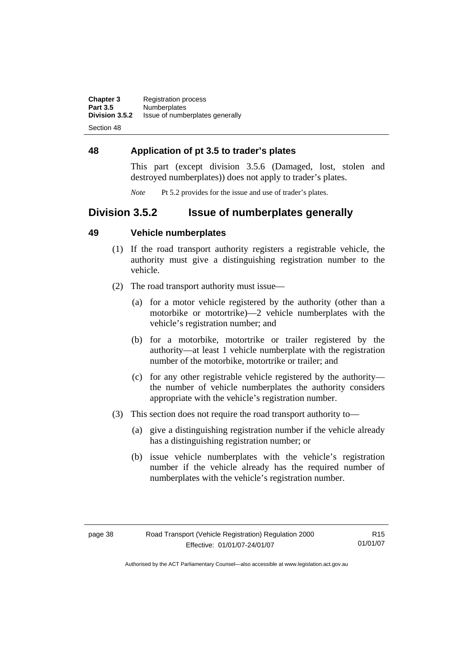**Chapter 3** Registration process<br>**Part 3.5** Numberplates **Part 3.5 Numberplates**<br>**Division 3.5.2** Issue of number **Division 3.5.2** Issue of numberplates generally

Section 48

# **48 Application of pt 3.5 to trader's plates**

This part (except division 3.5.6 (Damaged, lost, stolen and destroyed numberplates)) does not apply to trader's plates.

*Note* Pt 5.2 provides for the issue and use of trader's plates.

# **Division 3.5.2 Issue of numberplates generally**

# **49 Vehicle numberplates**

- (1) If the road transport authority registers a registrable vehicle, the authority must give a distinguishing registration number to the vehicle.
- (2) The road transport authority must issue—
	- (a) for a motor vehicle registered by the authority (other than a motorbike or motortrike)—2 vehicle numberplates with the vehicle's registration number; and
	- (b) for a motorbike, motortrike or trailer registered by the authority—at least 1 vehicle numberplate with the registration number of the motorbike, motortrike or trailer; and
	- (c) for any other registrable vehicle registered by the authority the number of vehicle numberplates the authority considers appropriate with the vehicle's registration number.
- (3) This section does not require the road transport authority to—
	- (a) give a distinguishing registration number if the vehicle already has a distinguishing registration number; or
	- (b) issue vehicle numberplates with the vehicle's registration number if the vehicle already has the required number of numberplates with the vehicle's registration number.

R15 01/01/07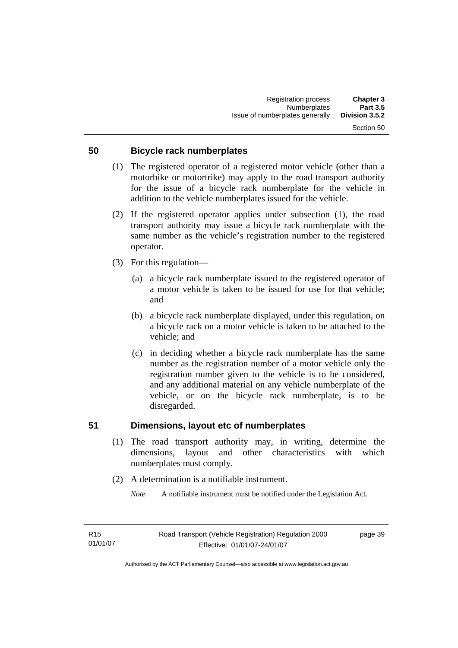# **50 Bicycle rack numberplates**

- (1) The registered operator of a registered motor vehicle (other than a motorbike or motortrike) may apply to the road transport authority for the issue of a bicycle rack numberplate for the vehicle in addition to the vehicle numberplates issued for the vehicle.
- (2) If the registered operator applies under subsection (1), the road transport authority may issue a bicycle rack numberplate with the same number as the vehicle's registration number to the registered operator.
- (3) For this regulation—
	- (a) a bicycle rack numberplate issued to the registered operator of a motor vehicle is taken to be issued for use for that vehicle; and
	- (b) a bicycle rack numberplate displayed, under this regulation, on a bicycle rack on a motor vehicle is taken to be attached to the vehicle; and
	- (c) in deciding whether a bicycle rack numberplate has the same number as the registration number of a motor vehicle only the registration number given to the vehicle is to be considered, and any additional material on any vehicle numberplate of the vehicle, or on the bicycle rack numberplate, is to be disregarded.

### **51 Dimensions, layout etc of numberplates**

- (1) The road transport authority may, in writing, determine the dimensions, layout and other characteristics with which numberplates must comply.
- (2) A determination is a notifiable instrument.

*Note* A notifiable instrument must be notified under the Legislation Act.

page 39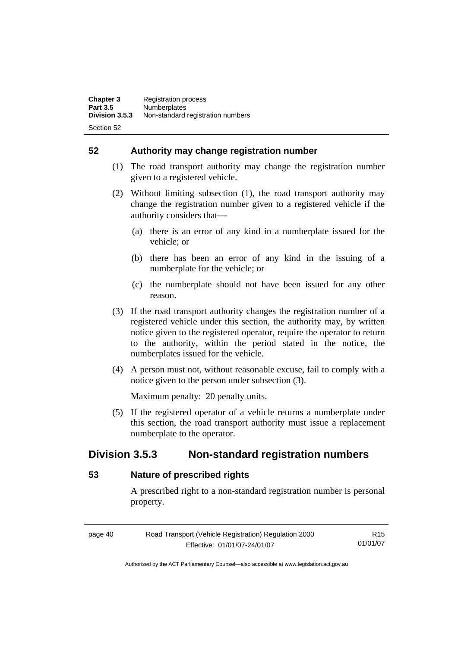**52 Authority may change registration number** 

- (1) The road transport authority may change the registration number given to a registered vehicle.
- (2) Without limiting subsection (1), the road transport authority may change the registration number given to a registered vehicle if the authority considers that-
	- (a) there is an error of any kind in a numberplate issued for the vehicle; or
	- (b) there has been an error of any kind in the issuing of a numberplate for the vehicle; or
	- (c) the numberplate should not have been issued for any other reason.
- (3) If the road transport authority changes the registration number of a registered vehicle under this section, the authority may, by written notice given to the registered operator, require the operator to return to the authority, within the period stated in the notice, the numberplates issued for the vehicle.
- (4) A person must not, without reasonable excuse, fail to comply with a notice given to the person under subsection (3).

Maximum penalty: 20 penalty units.

 (5) If the registered operator of a vehicle returns a numberplate under this section, the road transport authority must issue a replacement numberplate to the operator.

# **Division 3.5.3 Non-standard registration numbers**

# **53 Nature of prescribed rights**

A prescribed right to a non-standard registration number is personal property.

page 40 Road Transport (Vehicle Registration) Regulation 2000 Effective: 01/01/07-24/01/07 R15 01/01/07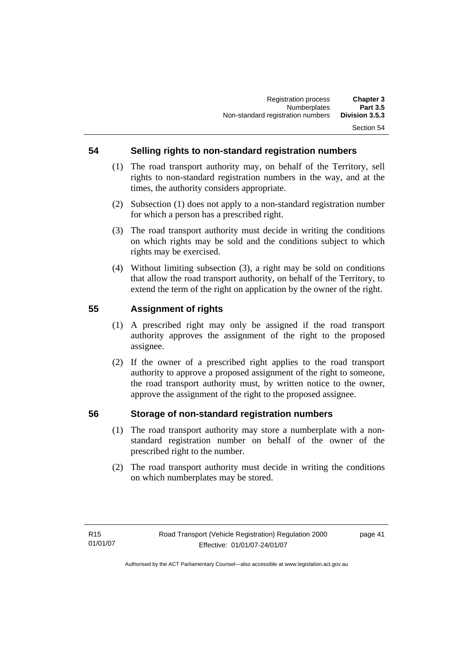# **54 Selling rights to non-standard registration numbers**

- (1) The road transport authority may, on behalf of the Territory, sell rights to non-standard registration numbers in the way, and at the times, the authority considers appropriate.
- (2) Subsection (1) does not apply to a non-standard registration number for which a person has a prescribed right.
- (3) The road transport authority must decide in writing the conditions on which rights may be sold and the conditions subject to which rights may be exercised.
- (4) Without limiting subsection (3), a right may be sold on conditions that allow the road transport authority, on behalf of the Territory, to extend the term of the right on application by the owner of the right.

# **55 Assignment of rights**

- (1) A prescribed right may only be assigned if the road transport authority approves the assignment of the right to the proposed assignee.
- (2) If the owner of a prescribed right applies to the road transport authority to approve a proposed assignment of the right to someone, the road transport authority must, by written notice to the owner, approve the assignment of the right to the proposed assignee.

# **56 Storage of non-standard registration numbers**

- (1) The road transport authority may store a numberplate with a nonstandard registration number on behalf of the owner of the prescribed right to the number.
- (2) The road transport authority must decide in writing the conditions on which numberplates may be stored.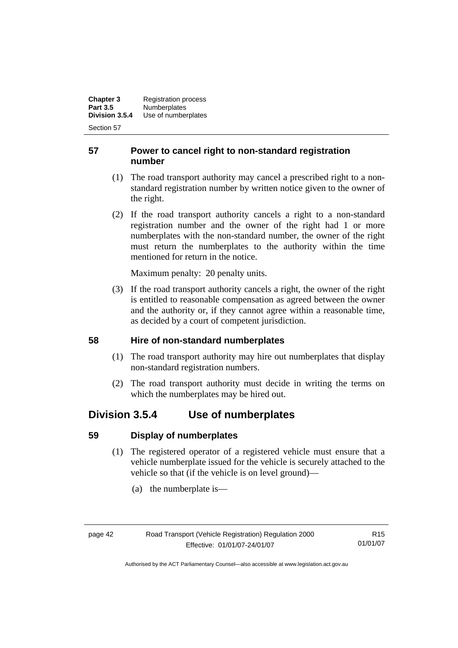**Chapter 3** Registration process<br>**Part 3.5** Numberplates **Part 3.5 Numberplates**<br>**Division 3.5.4 Use of number Division 3.5.4** Use of numberplates

Section 57

# **57 Power to cancel right to non-standard registration number**

- (1) The road transport authority may cancel a prescribed right to a nonstandard registration number by written notice given to the owner of the right.
- (2) If the road transport authority cancels a right to a non-standard registration number and the owner of the right had 1 or more numberplates with the non-standard number, the owner of the right must return the numberplates to the authority within the time mentioned for return in the notice.

Maximum penalty: 20 penalty units.

 (3) If the road transport authority cancels a right, the owner of the right is entitled to reasonable compensation as agreed between the owner and the authority or, if they cannot agree within a reasonable time, as decided by a court of competent jurisdiction.

# **58 Hire of non-standard numberplates**

- (1) The road transport authority may hire out numberplates that display non-standard registration numbers.
- (2) The road transport authority must decide in writing the terms on which the numberplates may be hired out.

# **Division 3.5.4 Use of numberplates**

# **59 Display of numberplates**

- (1) The registered operator of a registered vehicle must ensure that a vehicle numberplate issued for the vehicle is securely attached to the vehicle so that (if the vehicle is on level ground)—
	- (a) the numberplate is—

R15 01/01/07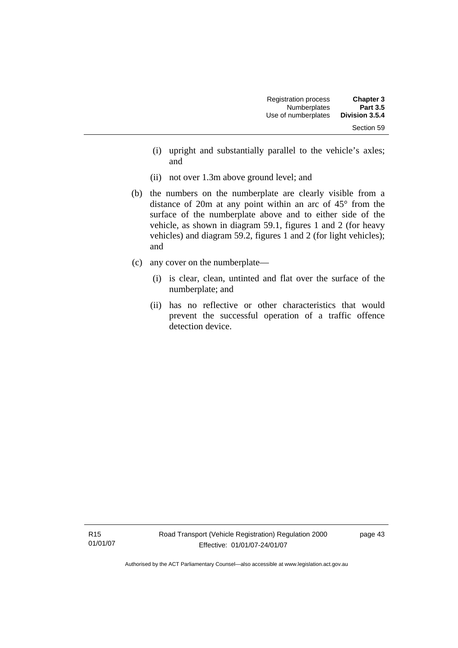| <b>Registration process</b> | <b>Chapter 3</b> |
|-----------------------------|------------------|
| <b>Numberplates</b>         | <b>Part 3.5</b>  |
| Use of numberplates         | Division 3.5.4   |
|                             | Section 59       |

- (i) upright and substantially parallel to the vehicle's axles; and
- (ii) not over 1.3m above ground level; and
- (b) the numbers on the numberplate are clearly visible from a distance of 20m at any point within an arc of 45° from the surface of the numberplate above and to either side of the vehicle, as shown in diagram 59.1, figures 1 and 2 (for heavy vehicles) and diagram 59.2, figures 1 and 2 (for light vehicles); and
- (c) any cover on the numberplate—
	- (i) is clear, clean, untinted and flat over the surface of the numberplate; and
	- (ii) has no reflective or other characteristics that would prevent the successful operation of a traffic offence detection device.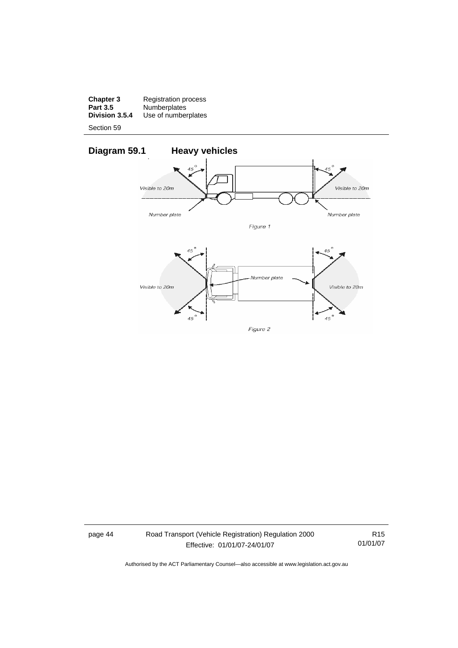**Chapter 3** Registration process **Part 3.5** Numberplates **Division 3.5.4** Use of numberplates

Section 59



page 44 Road Transport (Vehicle Registration) Regulation 2000 Effective: 01/01/07-24/01/07

R15 01/01/07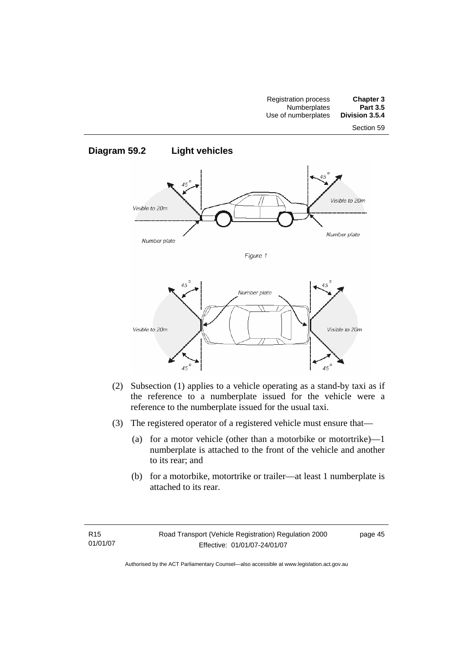



- (2) Subsection (1) applies to a vehicle operating as a stand-by taxi as if the reference to a numberplate issued for the vehicle were a reference to the numberplate issued for the usual taxi.
- (3) The registered operator of a registered vehicle must ensure that—
	- (a) for a motor vehicle (other than a motorbike or motortrike)—1 numberplate is attached to the front of the vehicle and another to its rear; and
	- (b) for a motorbike, motortrike or trailer—at least 1 numberplate is attached to its rear.

Visible to 20m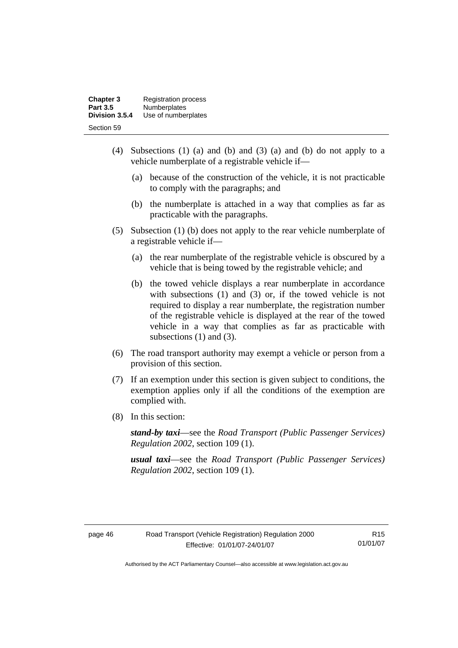| <b>Chapter 3</b> | <b>Registration process</b> |
|------------------|-----------------------------|
| <b>Part 3.5</b>  | <b>Numberplates</b>         |
| Division 3.5.4   | Use of numberplates         |
| Section 59       |                             |

- (4) Subsections (1) (a) and (b) and (3) (a) and (b) do not apply to a vehicle numberplate of a registrable vehicle if—
	- (a) because of the construction of the vehicle, it is not practicable to comply with the paragraphs; and
	- (b) the numberplate is attached in a way that complies as far as practicable with the paragraphs.
- (5) Subsection (1) (b) does not apply to the rear vehicle numberplate of a registrable vehicle if—
	- (a) the rear numberplate of the registrable vehicle is obscured by a vehicle that is being towed by the registrable vehicle; and
	- (b) the towed vehicle displays a rear numberplate in accordance with subsections (1) and (3) or, if the towed vehicle is not required to display a rear numberplate, the registration number of the registrable vehicle is displayed at the rear of the towed vehicle in a way that complies as far as practicable with subsections (1) and (3).
- (6) The road transport authority may exempt a vehicle or person from a provision of this section.
- (7) If an exemption under this section is given subject to conditions, the exemption applies only if all the conditions of the exemption are complied with.
- (8) In this section:

*stand-by taxi*—see the *Road Transport (Public Passenger Services) Regulation 2002*, section 109 (1).

*usual taxi*—see the *Road Transport (Public Passenger Services) Regulation 2002*, section 109 (1).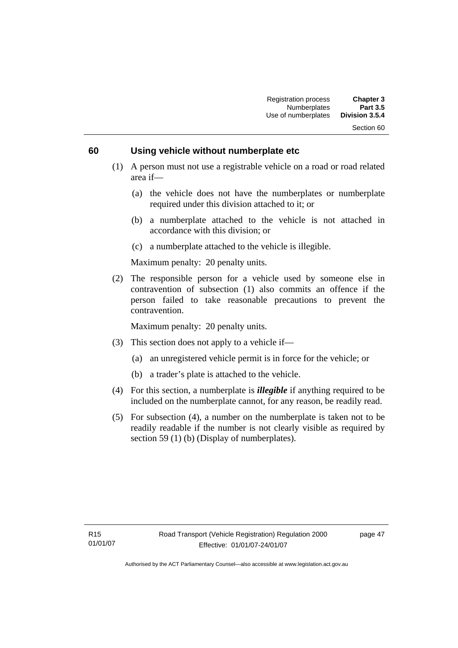### **60 Using vehicle without numberplate etc**

- (1) A person must not use a registrable vehicle on a road or road related area if—
	- (a) the vehicle does not have the numberplates or numberplate required under this division attached to it; or
	- (b) a numberplate attached to the vehicle is not attached in accordance with this division; or
	- (c) a numberplate attached to the vehicle is illegible.

Maximum penalty: 20 penalty units.

 (2) The responsible person for a vehicle used by someone else in contravention of subsection (1) also commits an offence if the person failed to take reasonable precautions to prevent the contravention.

Maximum penalty: 20 penalty units.

- (3) This section does not apply to a vehicle if—
	- (a) an unregistered vehicle permit is in force for the vehicle; or
	- (b) a trader's plate is attached to the vehicle.
- (4) For this section, a numberplate is *illegible* if anything required to be included on the numberplate cannot, for any reason, be readily read.
- (5) For subsection (4), a number on the numberplate is taken not to be readily readable if the number is not clearly visible as required by section 59 (1) (b) (Display of numberplates).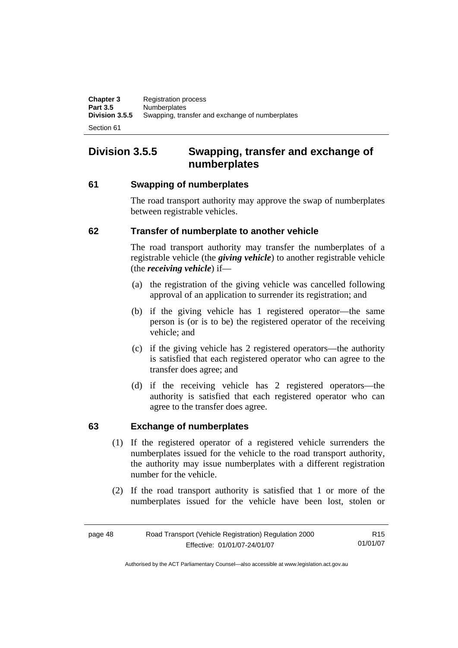# **Division 3.5.5 Swapping, transfer and exchange of numberplates**

# **61 Swapping of numberplates**

The road transport authority may approve the swap of numberplates between registrable vehicles.

# **62 Transfer of numberplate to another vehicle**

The road transport authority may transfer the numberplates of a registrable vehicle (the *giving vehicle*) to another registrable vehicle (the *receiving vehicle*) if—

- (a) the registration of the giving vehicle was cancelled following approval of an application to surrender its registration; and
- (b) if the giving vehicle has 1 registered operator—the same person is (or is to be) the registered operator of the receiving vehicle; and
- (c) if the giving vehicle has 2 registered operators—the authority is satisfied that each registered operator who can agree to the transfer does agree; and
- (d) if the receiving vehicle has 2 registered operators—the authority is satisfied that each registered operator who can agree to the transfer does agree.

# **63 Exchange of numberplates**

- (1) If the registered operator of a registered vehicle surrenders the numberplates issued for the vehicle to the road transport authority, the authority may issue numberplates with a different registration number for the vehicle.
- (2) If the road transport authority is satisfied that 1 or more of the numberplates issued for the vehicle have been lost, stolen or

| page 48 | Road Transport (Vehicle Registration) Regulation 2000 | R <sub>15</sub> |
|---------|-------------------------------------------------------|-----------------|
|         | Effective: 01/01/07-24/01/07                          | 01/01/07        |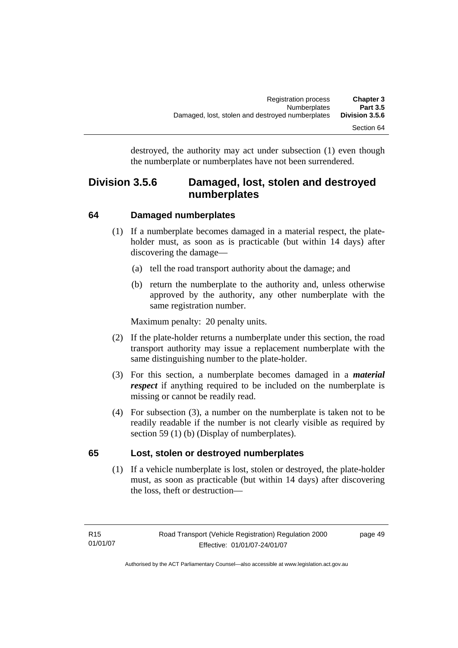destroyed, the authority may act under subsection (1) even though the numberplate or numberplates have not been surrendered.

# **Division 3.5.6 Damaged, lost, stolen and destroyed numberplates**

# **64 Damaged numberplates**

- (1) If a numberplate becomes damaged in a material respect, the plateholder must, as soon as is practicable (but within 14 days) after discovering the damage—
	- (a) tell the road transport authority about the damage; and
	- (b) return the numberplate to the authority and, unless otherwise approved by the authority, any other numberplate with the same registration number.

Maximum penalty: 20 penalty units.

- (2) If the plate-holder returns a numberplate under this section, the road transport authority may issue a replacement numberplate with the same distinguishing number to the plate-holder.
- (3) For this section, a numberplate becomes damaged in a *material respect* if anything required to be included on the numberplate is missing or cannot be readily read.
- (4) For subsection (3), a number on the numberplate is taken not to be readily readable if the number is not clearly visible as required by section 59 (1) (b) (Display of numberplates).

# **65 Lost, stolen or destroyed numberplates**

 (1) If a vehicle numberplate is lost, stolen or destroyed, the plate-holder must, as soon as practicable (but within 14 days) after discovering the loss, theft or destruction—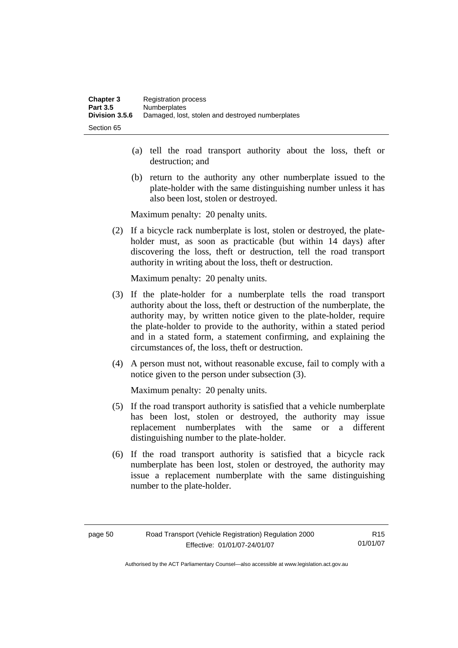- (a) tell the road transport authority about the loss, theft or destruction; and
- (b) return to the authority any other numberplate issued to the plate-holder with the same distinguishing number unless it has also been lost, stolen or destroyed.

Maximum penalty: 20 penalty units.

 (2) If a bicycle rack numberplate is lost, stolen or destroyed, the plateholder must, as soon as practicable (but within 14 days) after discovering the loss, theft or destruction, tell the road transport authority in writing about the loss, theft or destruction.

Maximum penalty: 20 penalty units.

- (3) If the plate-holder for a numberplate tells the road transport authority about the loss, theft or destruction of the numberplate, the authority may, by written notice given to the plate-holder, require the plate-holder to provide to the authority, within a stated period and in a stated form, a statement confirming, and explaining the circumstances of, the loss, theft or destruction.
- (4) A person must not, without reasonable excuse, fail to comply with a notice given to the person under subsection (3).

Maximum penalty: 20 penalty units.

- (5) If the road transport authority is satisfied that a vehicle numberplate has been lost, stolen or destroyed, the authority may issue replacement numberplates with the same or a different distinguishing number to the plate-holder.
- (6) If the road transport authority is satisfied that a bicycle rack numberplate has been lost, stolen or destroyed, the authority may issue a replacement numberplate with the same distinguishing number to the plate-holder.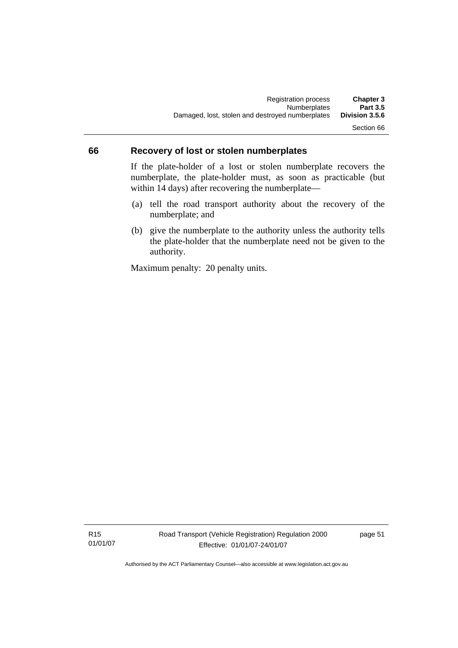### **66 Recovery of lost or stolen numberplates**

If the plate-holder of a lost or stolen numberplate recovers the numberplate, the plate-holder must, as soon as practicable (but within 14 days) after recovering the numberplate—

- (a) tell the road transport authority about the recovery of the numberplate; and
- (b) give the numberplate to the authority unless the authority tells the plate-holder that the numberplate need not be given to the authority.

Maximum penalty: 20 penalty units.

R15 01/01/07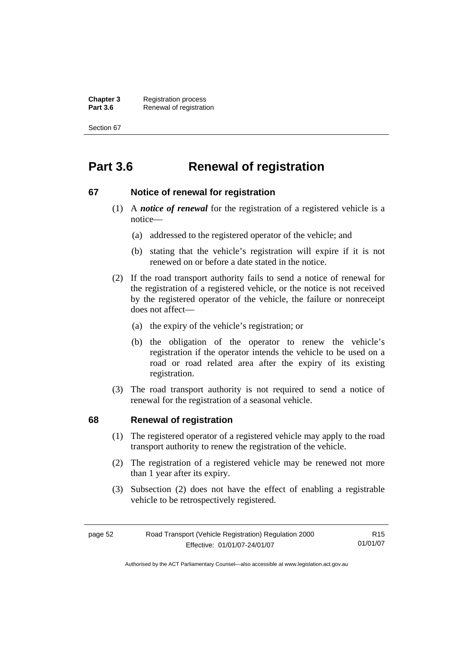**Chapter 3** Registration process<br>**Part 3.6** Renewal of registration **Renewal of registration** 

Section 67

# **Part 3.6 Renewal of registration**

### **67 Notice of renewal for registration**

- (1) A *notice of renewal* for the registration of a registered vehicle is a notice—
	- (a) addressed to the registered operator of the vehicle; and
	- (b) stating that the vehicle's registration will expire if it is not renewed on or before a date stated in the notice.
- (2) If the road transport authority fails to send a notice of renewal for the registration of a registered vehicle, or the notice is not received by the registered operator of the vehicle, the failure or nonreceipt does not affect—
	- (a) the expiry of the vehicle's registration; or
	- (b) the obligation of the operator to renew the vehicle's registration if the operator intends the vehicle to be used on a road or road related area after the expiry of its existing registration.
- (3) The road transport authority is not required to send a notice of renewal for the registration of a seasonal vehicle.

### **68 Renewal of registration**

- (1) The registered operator of a registered vehicle may apply to the road transport authority to renew the registration of the vehicle.
- (2) The registration of a registered vehicle may be renewed not more than 1 year after its expiry.
- (3) Subsection (2) does not have the effect of enabling a registrable vehicle to be retrospectively registered.

| page 52 | Road Transport (Vehicle Registration) Regulation 2000 | R <sub>15</sub> |
|---------|-------------------------------------------------------|-----------------|
|         | Effective: 01/01/07-24/01/07                          | 01/01/07        |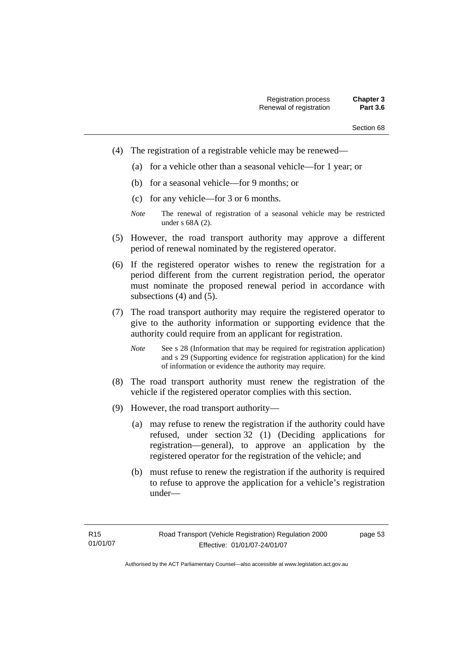- (4) The registration of a registrable vehicle may be renewed—
	- (a) for a vehicle other than a seasonal vehicle—for 1 year; or
	- (b) for a seasonal vehicle—for 9 months; or
	- (c) for any vehicle—for 3 or 6 months.
	- *Note* The renewal of registration of a seasonal vehicle may be restricted under s 68A (2).
- (5) However, the road transport authority may approve a different period of renewal nominated by the registered operator.
- (6) If the registered operator wishes to renew the registration for a period different from the current registration period, the operator must nominate the proposed renewal period in accordance with subsections (4) and (5).
- (7) The road transport authority may require the registered operator to give to the authority information or supporting evidence that the authority could require from an applicant for registration.
	- *Note* See s 28 (Information that may be required for registration application) and s 29 (Supporting evidence for registration application) for the kind of information or evidence the authority may require.
- (8) The road transport authority must renew the registration of the vehicle if the registered operator complies with this section.
- (9) However, the road transport authority—
	- (a) may refuse to renew the registration if the authority could have refused, under section 32 (1) (Deciding applications for registration—general), to approve an application by the registered operator for the registration of the vehicle; and
	- (b) must refuse to renew the registration if the authority is required to refuse to approve the application for a vehicle's registration under—

page 53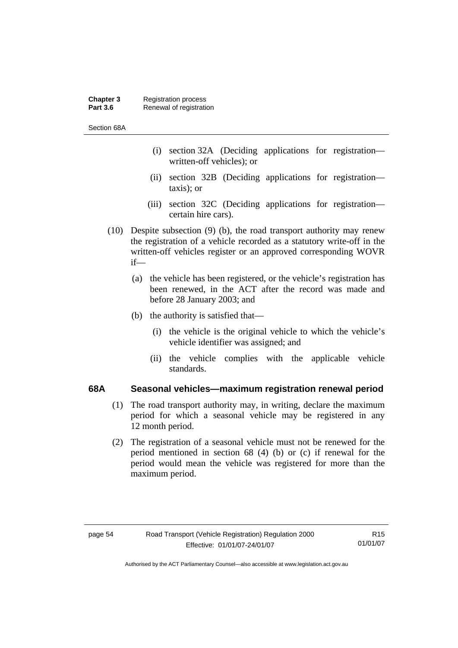#### **Chapter 3** Registration process<br>**Part 3.6** Renewal of registration **Renewal of registration**

Section 68A

- (i) section 32A (Deciding applications for registration written-off vehicles); or
- (ii) section 32B (Deciding applications for registration taxis); or
- (iii) section 32C (Deciding applications for registration certain hire cars).
- (10) Despite subsection (9) (b), the road transport authority may renew the registration of a vehicle recorded as a statutory write-off in the written-off vehicles register or an approved corresponding WOVR if—
	- (a) the vehicle has been registered, or the vehicle's registration has been renewed, in the ACT after the record was made and before 28 January 2003; and
	- (b) the authority is satisfied that—
		- (i) the vehicle is the original vehicle to which the vehicle's vehicle identifier was assigned; and
		- (ii) the vehicle complies with the applicable vehicle standards.

#### **68A Seasonal vehicles—maximum registration renewal period**

- (1) The road transport authority may, in writing, declare the maximum period for which a seasonal vehicle may be registered in any 12 month period.
- (2) The registration of a seasonal vehicle must not be renewed for the period mentioned in section 68 (4) (b) or (c) if renewal for the period would mean the vehicle was registered for more than the maximum period.

R15 01/01/07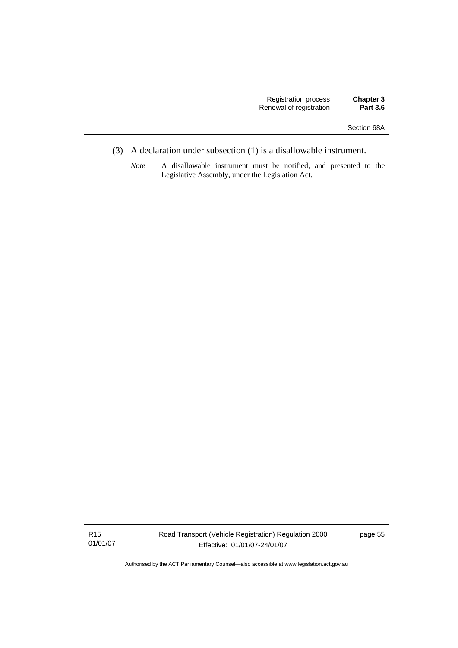- (3) A declaration under subsection (1) is a disallowable instrument.
	- *Note* A disallowable instrument must be notified, and presented to the Legislative Assembly, under the Legislation Act.

R15 01/01/07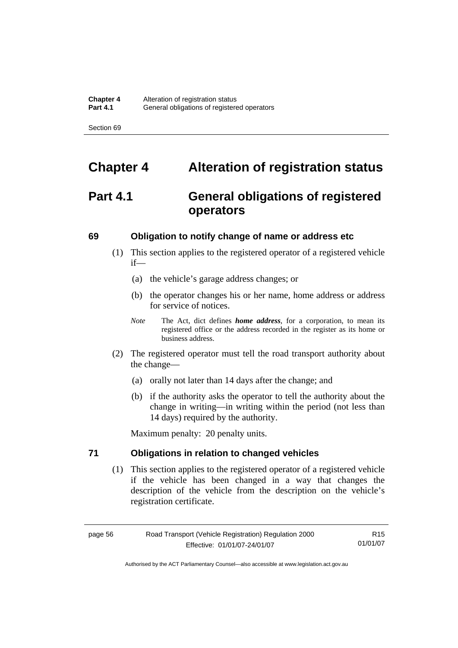# **Chapter 4 Alteration of registration status**

# **Part 4.1 General obligations of registered operators**

#### **69 Obligation to notify change of name or address etc**

- (1) This section applies to the registered operator of a registered vehicle if—
	- (a) the vehicle's garage address changes; or
	- (b) the operator changes his or her name, home address or address for service of notices.
	- *Note* The Act, dict defines *home address*, for a corporation, to mean its registered office or the address recorded in the register as its home or business address.
- (2) The registered operator must tell the road transport authority about the change—
	- (a) orally not later than 14 days after the change; and
	- (b) if the authority asks the operator to tell the authority about the change in writing—in writing within the period (not less than 14 days) required by the authority.

Maximum penalty: 20 penalty units.

### **71 Obligations in relation to changed vehicles**

 (1) This section applies to the registered operator of a registered vehicle if the vehicle has been changed in a way that changes the description of the vehicle from the description on the vehicle's registration certificate.

page 56 Road Transport (Vehicle Registration) Regulation 2000 Effective: 01/01/07-24/01/07

R15 01/01/07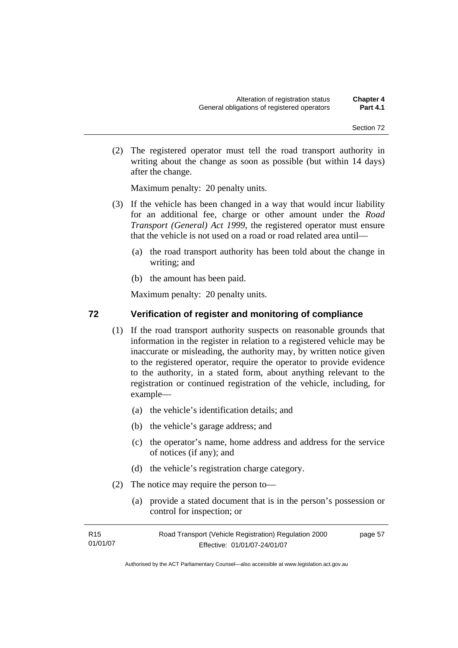(2) The registered operator must tell the road transport authority in writing about the change as soon as possible (but within 14 days) after the change.

Maximum penalty: 20 penalty units.

- (3) If the vehicle has been changed in a way that would incur liability for an additional fee, charge or other amount under the *Road Transport (General) Act 1999*, the registered operator must ensure that the vehicle is not used on a road or road related area until—
	- (a) the road transport authority has been told about the change in writing; and
	- (b) the amount has been paid.

Maximum penalty: 20 penalty units.

#### **72 Verification of register and monitoring of compliance**

- (1) If the road transport authority suspects on reasonable grounds that information in the register in relation to a registered vehicle may be inaccurate or misleading, the authority may, by written notice given to the registered operator, require the operator to provide evidence to the authority, in a stated form, about anything relevant to the registration or continued registration of the vehicle, including, for example—
	- (a) the vehicle's identification details; and
	- (b) the vehicle's garage address; and
	- (c) the operator's name, home address and address for the service of notices (if any); and
	- (d) the vehicle's registration charge category.
- (2) The notice may require the person to—
	- (a) provide a stated document that is in the person's possession or control for inspection; or

| R15      | Road Transport (Vehicle Registration) Regulation 2000 | page 57 |
|----------|-------------------------------------------------------|---------|
| 01/01/07 | Effective: 01/01/07-24/01/07                          |         |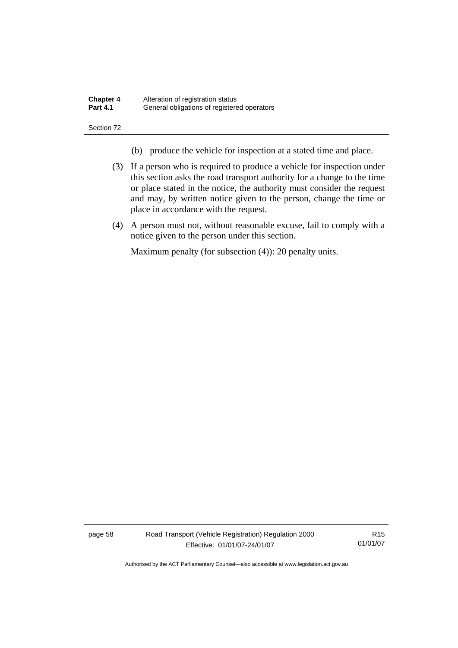| <b>Chapter 4</b> | Alteration of registration status           |
|------------------|---------------------------------------------|
| <b>Part 4.1</b>  | General obligations of registered operators |

- (b) produce the vehicle for inspection at a stated time and place.
- (3) If a person who is required to produce a vehicle for inspection under this section asks the road transport authority for a change to the time or place stated in the notice, the authority must consider the request and may, by written notice given to the person, change the time or place in accordance with the request.
- (4) A person must not, without reasonable excuse, fail to comply with a notice given to the person under this section.

Maximum penalty (for subsection (4)): 20 penalty units.

page 58 Road Transport (Vehicle Registration) Regulation 2000 Effective: 01/01/07-24/01/07

R15 01/01/07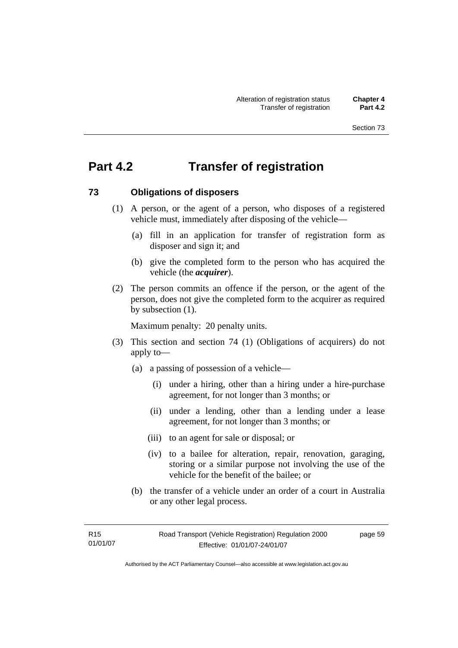# **Part 4.2 Transfer of registration**

#### **73 Obligations of disposers**

- (1) A person, or the agent of a person, who disposes of a registered vehicle must, immediately after disposing of the vehicle—
	- (a) fill in an application for transfer of registration form as disposer and sign it; and
	- (b) give the completed form to the person who has acquired the vehicle (the *acquirer*).
- (2) The person commits an offence if the person, or the agent of the person, does not give the completed form to the acquirer as required by subsection (1).

Maximum penalty: 20 penalty units.

- (3) This section and section 74 (1) (Obligations of acquirers) do not apply to—
	- (a) a passing of possession of a vehicle—
		- (i) under a hiring, other than a hiring under a hire-purchase agreement, for not longer than 3 months; or
		- (ii) under a lending, other than a lending under a lease agreement, for not longer than 3 months; or
		- (iii) to an agent for sale or disposal; or
		- (iv) to a bailee for alteration, repair, renovation, garaging, storing or a similar purpose not involving the use of the vehicle for the benefit of the bailee; or
	- (b) the transfer of a vehicle under an order of a court in Australia or any other legal process.

page 59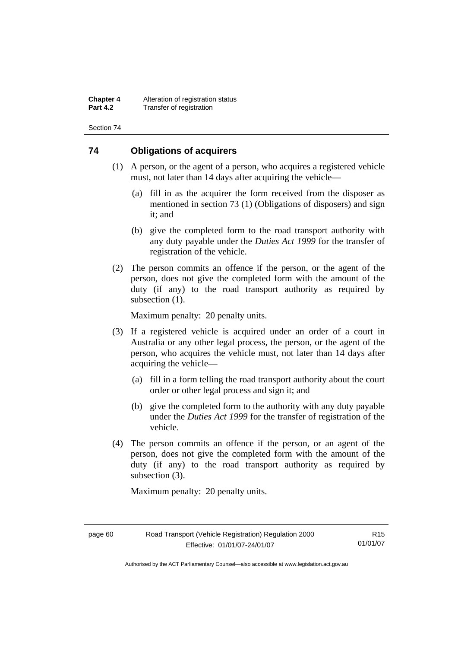**Chapter 4** Alteration of registration status<br>**Part 4.2** Transfer of registration **Transfer of registration** 

Section 74

### **74 Obligations of acquirers**

- (1) A person, or the agent of a person, who acquires a registered vehicle must, not later than 14 days after acquiring the vehicle—
	- (a) fill in as the acquirer the form received from the disposer as mentioned in section 73 (1) (Obligations of disposers) and sign it; and
	- (b) give the completed form to the road transport authority with any duty payable under the *Duties Act 1999* for the transfer of registration of the vehicle.
- (2) The person commits an offence if the person, or the agent of the person, does not give the completed form with the amount of the duty (if any) to the road transport authority as required by subsection  $(1)$ .

Maximum penalty: 20 penalty units.

- (3) If a registered vehicle is acquired under an order of a court in Australia or any other legal process, the person, or the agent of the person, who acquires the vehicle must, not later than 14 days after acquiring the vehicle—
	- (a) fill in a form telling the road transport authority about the court order or other legal process and sign it; and
	- (b) give the completed form to the authority with any duty payable under the *Duties Act 1999* for the transfer of registration of the vehicle.
- (4) The person commits an offence if the person, or an agent of the person, does not give the completed form with the amount of the duty (if any) to the road transport authority as required by subsection (3).

Maximum penalty: 20 penalty units.

R15 01/01/07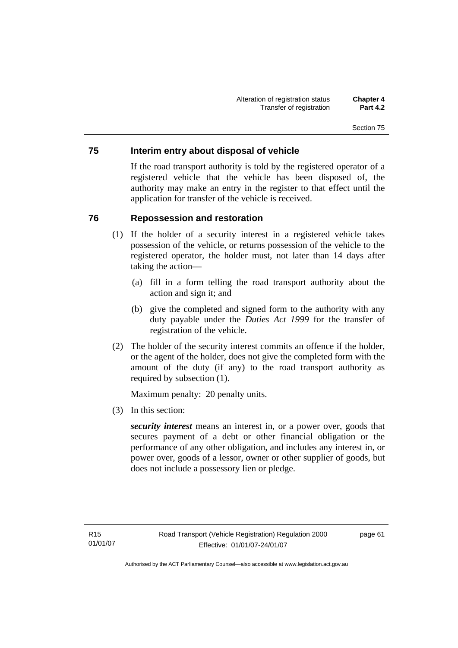### **75 Interim entry about disposal of vehicle**

If the road transport authority is told by the registered operator of a registered vehicle that the vehicle has been disposed of, the authority may make an entry in the register to that effect until the application for transfer of the vehicle is received.

### **76 Repossession and restoration**

- (1) If the holder of a security interest in a registered vehicle takes possession of the vehicle, or returns possession of the vehicle to the registered operator, the holder must, not later than 14 days after taking the action—
	- (a) fill in a form telling the road transport authority about the action and sign it; and
	- (b) give the completed and signed form to the authority with any duty payable under the *Duties Act 1999* for the transfer of registration of the vehicle.
- (2) The holder of the security interest commits an offence if the holder, or the agent of the holder, does not give the completed form with the amount of the duty (if any) to the road transport authority as required by subsection (1).

Maximum penalty: 20 penalty units.

(3) In this section:

*security interest* means an interest in, or a power over, goods that secures payment of a debt or other financial obligation or the performance of any other obligation, and includes any interest in, or power over, goods of a lessor, owner or other supplier of goods, but does not include a possessory lien or pledge.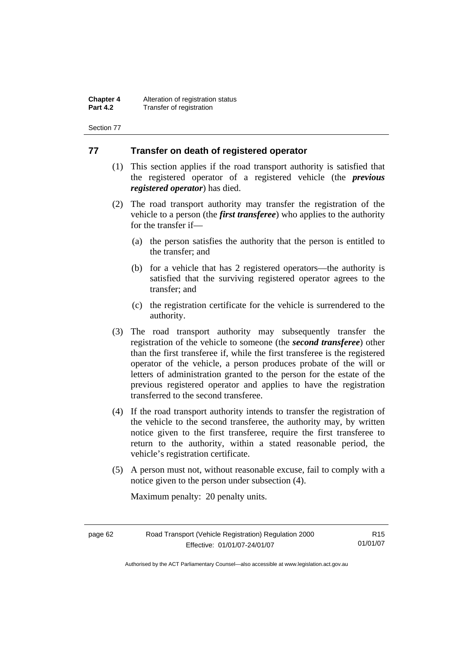**Chapter 4** Alteration of registration status<br>**Part 4.2** Transfer of registration **Transfer of registration** 

Section 77

#### **77 Transfer on death of registered operator**

- (1) This section applies if the road transport authority is satisfied that the registered operator of a registered vehicle (the *previous registered operator*) has died.
- (2) The road transport authority may transfer the registration of the vehicle to a person (the *first transferee*) who applies to the authority for the transfer if—
	- (a) the person satisfies the authority that the person is entitled to the transfer; and
	- (b) for a vehicle that has 2 registered operators—the authority is satisfied that the surviving registered operator agrees to the transfer; and
	- (c) the registration certificate for the vehicle is surrendered to the authority.
- (3) The road transport authority may subsequently transfer the registration of the vehicle to someone (the *second transferee*) other than the first transferee if, while the first transferee is the registered operator of the vehicle, a person produces probate of the will or letters of administration granted to the person for the estate of the previous registered operator and applies to have the registration transferred to the second transferee.
- (4) If the road transport authority intends to transfer the registration of the vehicle to the second transferee, the authority may, by written notice given to the first transferee, require the first transferee to return to the authority, within a stated reasonable period, the vehicle's registration certificate.
- (5) A person must not, without reasonable excuse, fail to comply with a notice given to the person under subsection (4).

Maximum penalty: 20 penalty units.

| page 62 | Road Transport (Vehicle Registration) Regulation 2000 | R <sub>15</sub> |
|---------|-------------------------------------------------------|-----------------|
|         | Effective: 01/01/07-24/01/07                          | 01/01/07        |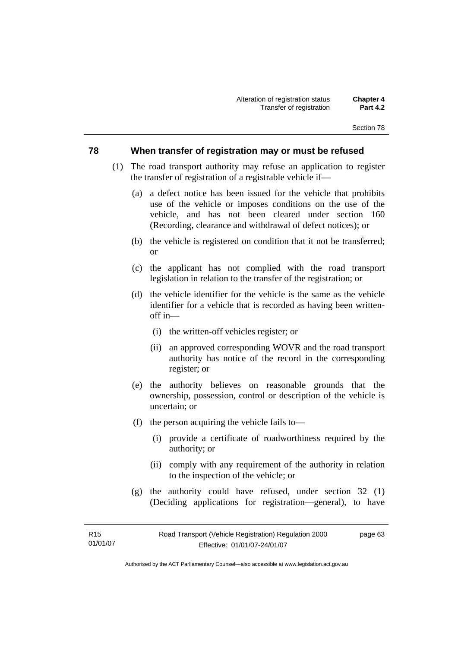#### **78 When transfer of registration may or must be refused**

- (1) The road transport authority may refuse an application to register the transfer of registration of a registrable vehicle if—
	- (a) a defect notice has been issued for the vehicle that prohibits use of the vehicle or imposes conditions on the use of the vehicle, and has not been cleared under section 160 (Recording, clearance and withdrawal of defect notices); or
	- (b) the vehicle is registered on condition that it not be transferred; or
	- (c) the applicant has not complied with the road transport legislation in relation to the transfer of the registration; or
	- (d) the vehicle identifier for the vehicle is the same as the vehicle identifier for a vehicle that is recorded as having been writtenoff in—
		- (i) the written-off vehicles register; or
		- (ii) an approved corresponding WOVR and the road transport authority has notice of the record in the corresponding register; or
	- (e) the authority believes on reasonable grounds that the ownership, possession, control or description of the vehicle is uncertain; or
	- (f) the person acquiring the vehicle fails to—
		- (i) provide a certificate of roadworthiness required by the authority; or
		- (ii) comply with any requirement of the authority in relation to the inspection of the vehicle; or
	- (g) the authority could have refused, under section 32 (1) (Deciding applications for registration—general), to have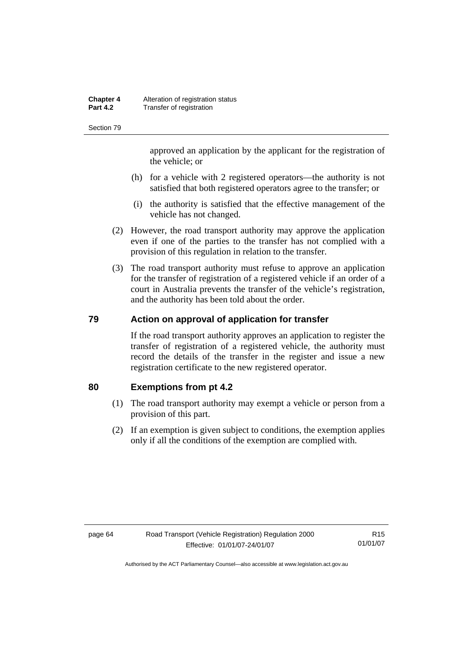#### **Chapter 4** Alteration of registration status<br>**Part 4.2** Transfer of registration **Transfer of registration**

Section 79

approved an application by the applicant for the registration of the vehicle; or

- (h) for a vehicle with 2 registered operators—the authority is not satisfied that both registered operators agree to the transfer; or
- (i) the authority is satisfied that the effective management of the vehicle has not changed.
- (2) However, the road transport authority may approve the application even if one of the parties to the transfer has not complied with a provision of this regulation in relation to the transfer.
- (3) The road transport authority must refuse to approve an application for the transfer of registration of a registered vehicle if an order of a court in Australia prevents the transfer of the vehicle's registration, and the authority has been told about the order.

### **79 Action on approval of application for transfer**

If the road transport authority approves an application to register the transfer of registration of a registered vehicle, the authority must record the details of the transfer in the register and issue a new registration certificate to the new registered operator.

#### **80 Exemptions from pt 4.2**

- (1) The road transport authority may exempt a vehicle or person from a provision of this part.
- (2) If an exemption is given subject to conditions, the exemption applies only if all the conditions of the exemption are complied with.

R15 01/01/07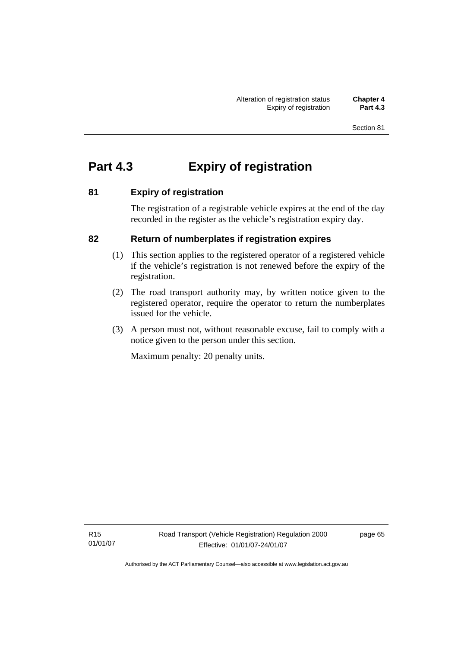# **Part 4.3 Expiry of registration**

# **81 Expiry of registration**

The registration of a registrable vehicle expires at the end of the day recorded in the register as the vehicle's registration expiry day.

# **82 Return of numberplates if registration expires**

- (1) This section applies to the registered operator of a registered vehicle if the vehicle's registration is not renewed before the expiry of the registration.
- (2) The road transport authority may, by written notice given to the registered operator, require the operator to return the numberplates issued for the vehicle.
- (3) A person must not, without reasonable excuse, fail to comply with a notice given to the person under this section.

Maximum penalty: 20 penalty units.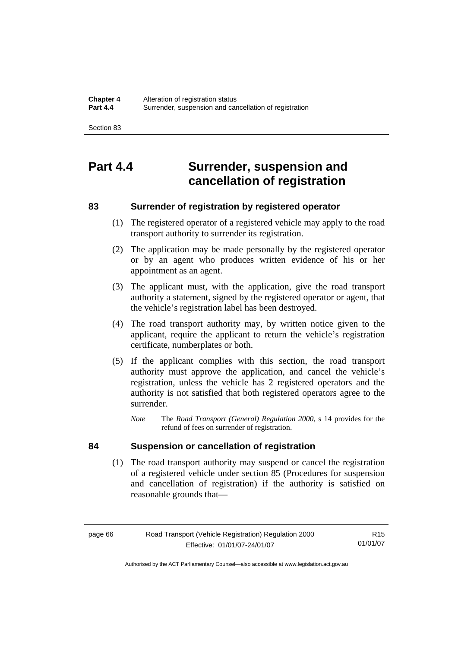# **Part 4.4 Surrender, suspension and cancellation of registration**

## **83 Surrender of registration by registered operator**

- (1) The registered operator of a registered vehicle may apply to the road transport authority to surrender its registration.
- (2) The application may be made personally by the registered operator or by an agent who produces written evidence of his or her appointment as an agent.
- (3) The applicant must, with the application, give the road transport authority a statement, signed by the registered operator or agent, that the vehicle's registration label has been destroyed.
- (4) The road transport authority may, by written notice given to the applicant, require the applicant to return the vehicle's registration certificate, numberplates or both.
- (5) If the applicant complies with this section, the road transport authority must approve the application, and cancel the vehicle's registration, unless the vehicle has 2 registered operators and the authority is not satisfied that both registered operators agree to the surrender.
	- *Note* The *Road Transport (General) Regulation 2000*, s 14 provides for the refund of fees on surrender of registration.

#### **84 Suspension or cancellation of registration**

 (1) The road transport authority may suspend or cancel the registration of a registered vehicle under section 85 (Procedures for suspension and cancellation of registration) if the authority is satisfied on reasonable grounds that—

R15 01/01/07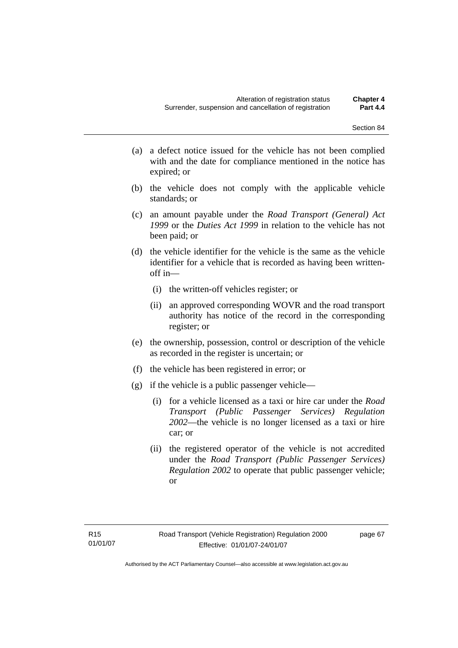- (a) a defect notice issued for the vehicle has not been complied with and the date for compliance mentioned in the notice has expired; or
- (b) the vehicle does not comply with the applicable vehicle standards; or
- (c) an amount payable under the *Road Transport (General) Act 1999* or the *Duties Act 1999* in relation to the vehicle has not been paid; or
- (d) the vehicle identifier for the vehicle is the same as the vehicle identifier for a vehicle that is recorded as having been writtenoff in—
	- (i) the written-off vehicles register; or
	- (ii) an approved corresponding WOVR and the road transport authority has notice of the record in the corresponding register; or
- (e) the ownership, possession, control or description of the vehicle as recorded in the register is uncertain; or
- (f) the vehicle has been registered in error; or
- (g) if the vehicle is a public passenger vehicle—
	- (i) for a vehicle licensed as a taxi or hire car under the *Road Transport (Public Passenger Services) Regulation 2002*—the vehicle is no longer licensed as a taxi or hire car; or
	- (ii) the registered operator of the vehicle is not accredited under the *Road Transport (Public Passenger Services) Regulation 2002* to operate that public passenger vehicle; or

page 67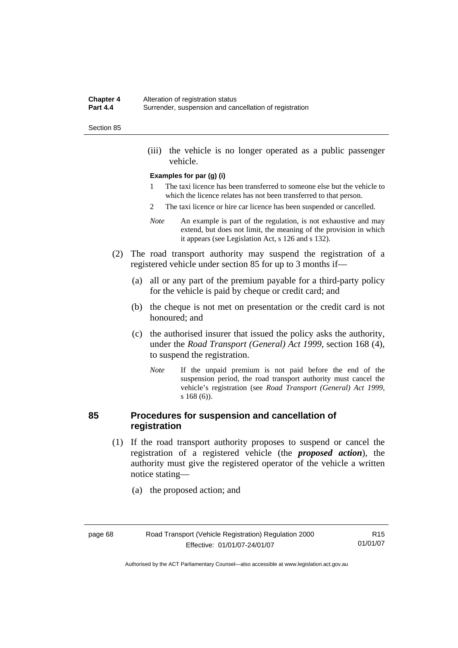#### **Chapter 4** Alteration of registration status<br>**Part 4.4** Surrender suspension and can **Part 4.4** Surrender, suspension and cancellation of registration

#### Section 85

 (iii) the vehicle is no longer operated as a public passenger vehicle.

#### **Examples for par (g) (i)**

- 1 The taxi licence has been transferred to someone else but the vehicle to which the licence relates has not been transferred to that person.
- 2 The taxi licence or hire car licence has been suspended or cancelled.
- *Note* An example is part of the regulation, is not exhaustive and may extend, but does not limit, the meaning of the provision in which it appears (see Legislation Act, s 126 and s 132).
- (2) The road transport authority may suspend the registration of a registered vehicle under section 85 for up to 3 months if—
	- (a) all or any part of the premium payable for a third-party policy for the vehicle is paid by cheque or credit card; and
	- (b) the cheque is not met on presentation or the credit card is not honoured; and
	- (c) the authorised insurer that issued the policy asks the authority, under the *Road Transport (General) Act 1999*, section 168 (4), to suspend the registration.
		- *Note* If the unpaid premium is not paid before the end of the suspension period, the road transport authority must cancel the vehicle's registration (see *Road Transport (General) Act 1999*, s 168 (6)).

#### **85 Procedures for suspension and cancellation of registration**

- (1) If the road transport authority proposes to suspend or cancel the registration of a registered vehicle (the *proposed action*), the authority must give the registered operator of the vehicle a written notice stating—
	- (a) the proposed action; and

| page 68 |
|---------|
|---------|

R15 01/01/07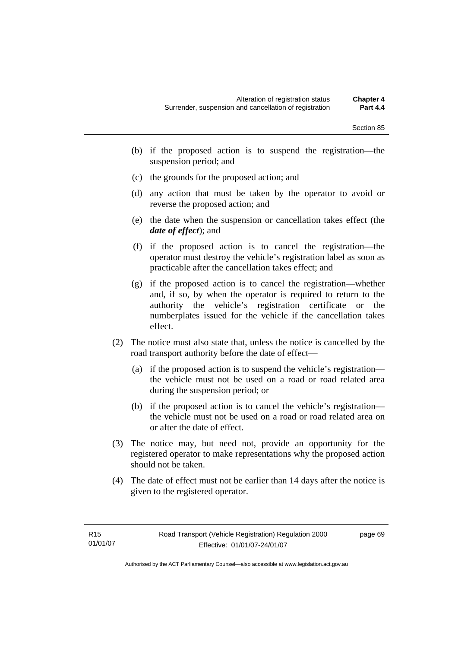- (b) if the proposed action is to suspend the registration—the suspension period; and
- (c) the grounds for the proposed action; and
- (d) any action that must be taken by the operator to avoid or reverse the proposed action; and
- (e) the date when the suspension or cancellation takes effect (the *date of effect*); and
- (f) if the proposed action is to cancel the registration—the operator must destroy the vehicle's registration label as soon as practicable after the cancellation takes effect; and
- (g) if the proposed action is to cancel the registration—whether and, if so, by when the operator is required to return to the authority the vehicle's registration certificate or the numberplates issued for the vehicle if the cancellation takes effect.
- (2) The notice must also state that, unless the notice is cancelled by the road transport authority before the date of effect—
	- (a) if the proposed action is to suspend the vehicle's registration the vehicle must not be used on a road or road related area during the suspension period; or
	- (b) if the proposed action is to cancel the vehicle's registration the vehicle must not be used on a road or road related area on or after the date of effect.
- (3) The notice may, but need not, provide an opportunity for the registered operator to make representations why the proposed action should not be taken.
- (4) The date of effect must not be earlier than 14 days after the notice is given to the registered operator.

page 69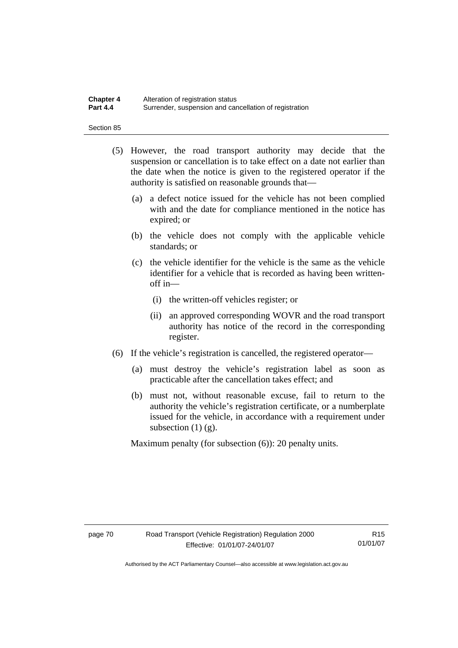#### **Chapter 4** Alteration of registration status<br>**Part 4.4** Surrender suspension and can **Part 4.4** Surrender, suspension and cancellation of registration

Section 85

- (5) However, the road transport authority may decide that the suspension or cancellation is to take effect on a date not earlier than the date when the notice is given to the registered operator if the authority is satisfied on reasonable grounds that—
	- (a) a defect notice issued for the vehicle has not been complied with and the date for compliance mentioned in the notice has expired; or
	- (b) the vehicle does not comply with the applicable vehicle standards; or
	- (c) the vehicle identifier for the vehicle is the same as the vehicle identifier for a vehicle that is recorded as having been writtenoff in—
		- (i) the written-off vehicles register; or
		- (ii) an approved corresponding WOVR and the road transport authority has notice of the record in the corresponding register.
- (6) If the vehicle's registration is cancelled, the registered operator—
	- (a) must destroy the vehicle's registration label as soon as practicable after the cancellation takes effect; and
	- (b) must not, without reasonable excuse, fail to return to the authority the vehicle's registration certificate, or a numberplate issued for the vehicle, in accordance with a requirement under subsection  $(1)$   $(g)$ .

Maximum penalty (for subsection (6)): 20 penalty units.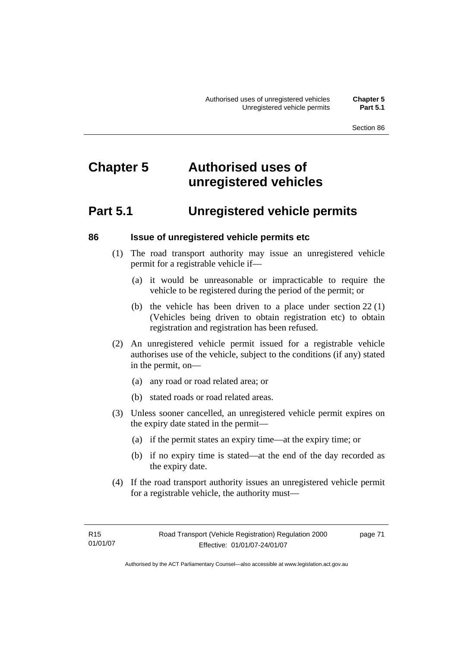# **Chapter 5 Authorised uses of unregistered vehicles**

# **Part 5.1 Unregistered vehicle permits**

#### **86 Issue of unregistered vehicle permits etc**

- (1) The road transport authority may issue an unregistered vehicle permit for a registrable vehicle if—
	- (a) it would be unreasonable or impracticable to require the vehicle to be registered during the period of the permit; or
	- (b) the vehicle has been driven to a place under section 22 (1) (Vehicles being driven to obtain registration etc) to obtain registration and registration has been refused.
- (2) An unregistered vehicle permit issued for a registrable vehicle authorises use of the vehicle, subject to the conditions (if any) stated in the permit, on—
	- (a) any road or road related area; or
	- (b) stated roads or road related areas.
- (3) Unless sooner cancelled, an unregistered vehicle permit expires on the expiry date stated in the permit—
	- (a) if the permit states an expiry time—at the expiry time; or
	- (b) if no expiry time is stated—at the end of the day recorded as the expiry date.
- (4) If the road transport authority issues an unregistered vehicle permit for a registrable vehicle, the authority must—

page 71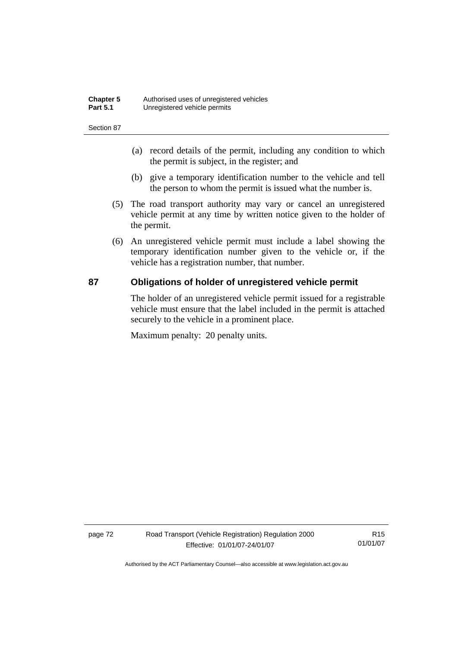| <b>Chapter 5</b> | Authorised uses of unregistered vehicles |
|------------------|------------------------------------------|
| <b>Part 5.1</b>  | Unregistered vehicle permits             |

- (a) record details of the permit, including any condition to which the permit is subject, in the register; and
- (b) give a temporary identification number to the vehicle and tell the person to whom the permit is issued what the number is.
- (5) The road transport authority may vary or cancel an unregistered vehicle permit at any time by written notice given to the holder of the permit.
- (6) An unregistered vehicle permit must include a label showing the temporary identification number given to the vehicle or, if the vehicle has a registration number, that number.

#### **87 Obligations of holder of unregistered vehicle permit**

The holder of an unregistered vehicle permit issued for a registrable vehicle must ensure that the label included in the permit is attached securely to the vehicle in a prominent place.

Maximum penalty: 20 penalty units.

page 72 Road Transport (Vehicle Registration) Regulation 2000 Effective: 01/01/07-24/01/07

R15 01/01/07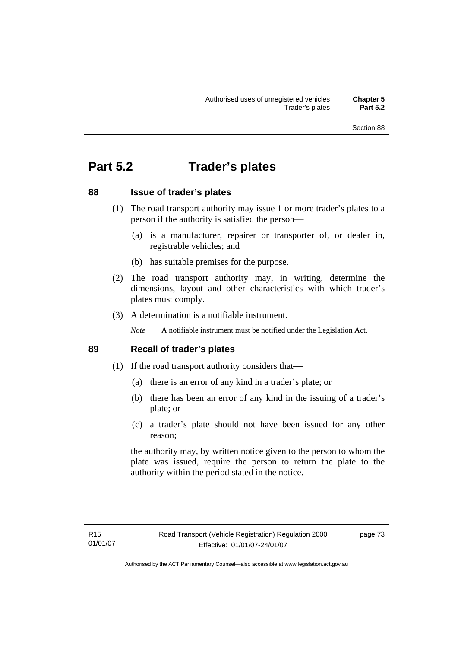# **Part 5.2 Trader's plates**

### **88 Issue of trader's plates**

- (1) The road transport authority may issue 1 or more trader's plates to a person if the authority is satisfied the person—
	- (a) is a manufacturer, repairer or transporter of, or dealer in, registrable vehicles; and
	- (b) has suitable premises for the purpose.
- (2) The road transport authority may, in writing, determine the dimensions, layout and other characteristics with which trader's plates must comply.
- (3) A determination is a notifiable instrument.

*Note* A notifiable instrument must be notified under the Legislation Act.

#### **89 Recall of trader's plates**

- (1) If the road transport authority considers that—
	- (a) there is an error of any kind in a trader's plate; or
	- (b) there has been an error of any kind in the issuing of a trader's plate; or
	- (c) a trader's plate should not have been issued for any other reason;

the authority may, by written notice given to the person to whom the plate was issued, require the person to return the plate to the authority within the period stated in the notice.

page 73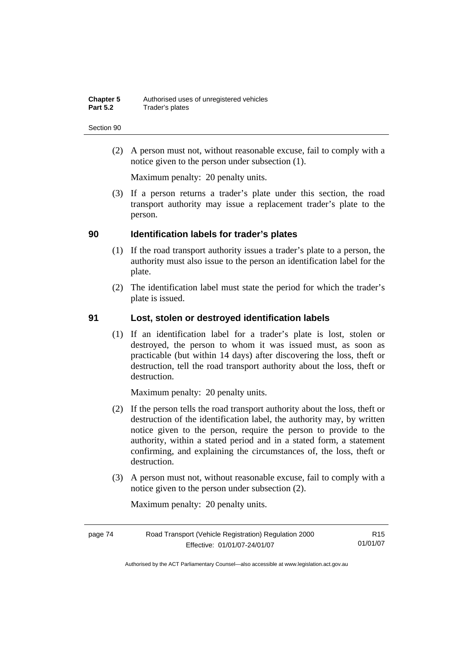(2) A person must not, without reasonable excuse, fail to comply with a notice given to the person under subsection (1).

Maximum penalty: 20 penalty units.

 (3) If a person returns a trader's plate under this section, the road transport authority may issue a replacement trader's plate to the person.

#### **90 Identification labels for trader's plates**

- (1) If the road transport authority issues a trader's plate to a person, the authority must also issue to the person an identification label for the plate.
- (2) The identification label must state the period for which the trader's plate is issued.

#### **91 Lost, stolen or destroyed identification labels**

 (1) If an identification label for a trader's plate is lost, stolen or destroyed, the person to whom it was issued must, as soon as practicable (but within 14 days) after discovering the loss, theft or destruction, tell the road transport authority about the loss, theft or destruction.

Maximum penalty: 20 penalty units.

- (2) If the person tells the road transport authority about the loss, theft or destruction of the identification label, the authority may, by written notice given to the person, require the person to provide to the authority, within a stated period and in a stated form, a statement confirming, and explaining the circumstances of, the loss, theft or destruction.
- (3) A person must not, without reasonable excuse, fail to comply with a notice given to the person under subsection (2).

Maximum penalty: 20 penalty units.

| page 74 | Road Transport (Vehicle Registration) Regulation 2000 | R <sub>15</sub> |
|---------|-------------------------------------------------------|-----------------|
|         | Effective: 01/01/07-24/01/07                          | 01/01/07        |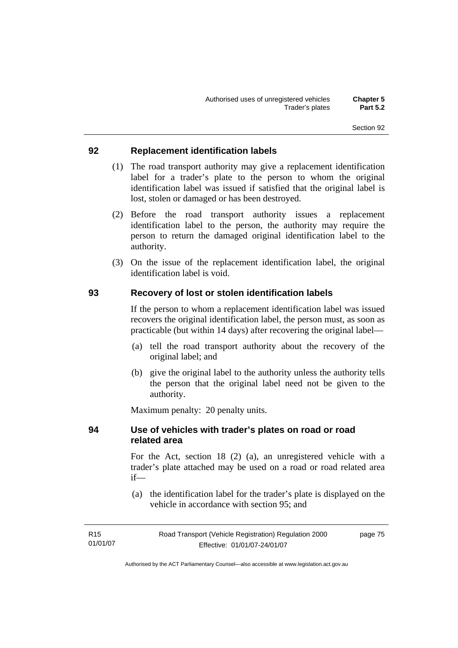#### **92 Replacement identification labels**

- (1) The road transport authority may give a replacement identification label for a trader's plate to the person to whom the original identification label was issued if satisfied that the original label is lost, stolen or damaged or has been destroyed.
- (2) Before the road transport authority issues a replacement identification label to the person, the authority may require the person to return the damaged original identification label to the authority.
- (3) On the issue of the replacement identification label, the original identification label is void.

#### **93 Recovery of lost or stolen identification labels**

If the person to whom a replacement identification label was issued recovers the original identification label, the person must, as soon as practicable (but within 14 days) after recovering the original label—

- (a) tell the road transport authority about the recovery of the original label; and
- (b) give the original label to the authority unless the authority tells the person that the original label need not be given to the authority.

Maximum penalty: 20 penalty units.

### **94 Use of vehicles with trader's plates on road or road related area**

For the Act, section 18 (2) (a), an unregistered vehicle with a trader's plate attached may be used on a road or road related area if—

 (a) the identification label for the trader's plate is displayed on the vehicle in accordance with section 95; and

| R15      | Road Transport (Vehicle Registration) Regulation 2000 | page 75 |
|----------|-------------------------------------------------------|---------|
| 01/01/07 | Effective: 01/01/07-24/01/07                          |         |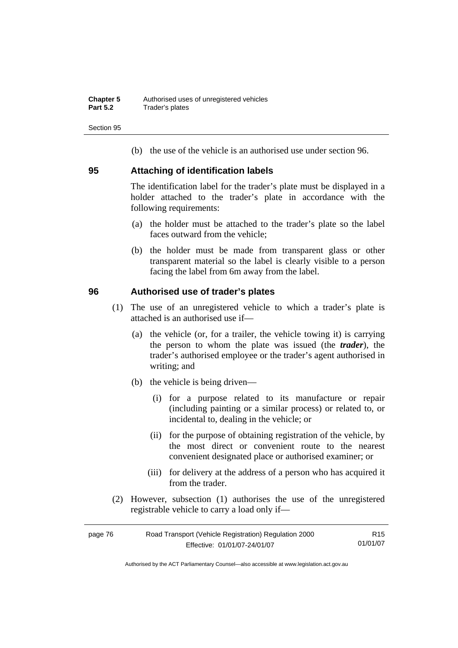(b) the use of the vehicle is an authorised use under section 96.

#### **95 Attaching of identification labels**

The identification label for the trader's plate must be displayed in a holder attached to the trader's plate in accordance with the following requirements:

- (a) the holder must be attached to the trader's plate so the label faces outward from the vehicle;
- (b) the holder must be made from transparent glass or other transparent material so the label is clearly visible to a person facing the label from 6m away from the label.

#### **96 Authorised use of trader's plates**

- (1) The use of an unregistered vehicle to which a trader's plate is attached is an authorised use if—
	- (a) the vehicle (or, for a trailer, the vehicle towing it) is carrying the person to whom the plate was issued (the *trader*), the trader's authorised employee or the trader's agent authorised in writing; and
	- (b) the vehicle is being driven—
		- (i) for a purpose related to its manufacture or repair (including painting or a similar process) or related to, or incidental to, dealing in the vehicle; or
		- (ii) for the purpose of obtaining registration of the vehicle, by the most direct or convenient route to the nearest convenient designated place or authorised examiner; or
		- (iii) for delivery at the address of a person who has acquired it from the trader.
- (2) However, subsection (1) authorises the use of the unregistered registrable vehicle to carry a load only if—

| page 76 | Road Transport (Vehicle Registration) Regulation 2000 | R15      |
|---------|-------------------------------------------------------|----------|
|         | Effective: 01/01/07-24/01/07                          | 01/01/07 |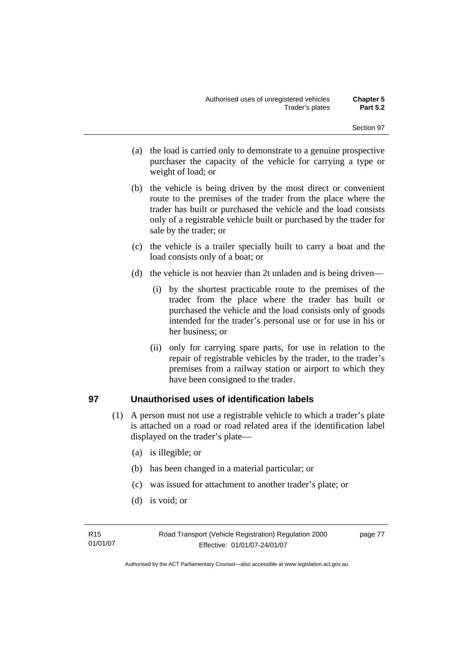- (a) the load is carried only to demonstrate to a genuine prospective purchaser the capacity of the vehicle for carrying a type or weight of load; or
- (b) the vehicle is being driven by the most direct or convenient route to the premises of the trader from the place where the trader has built or purchased the vehicle and the load consists only of a registrable vehicle built or purchased by the trader for sale by the trader; or
- (c) the vehicle is a trailer specially built to carry a boat and the load consists only of a boat; or
- (d) the vehicle is not heavier than 2t unladen and is being driven—
	- (i) by the shortest practicable route to the premises of the trader from the place where the trader has built or purchased the vehicle and the load consists only of goods intended for the trader's personal use or for use in his or her business; or
	- (ii) only for carrying spare parts, for use in relation to the repair of registrable vehicles by the trader, to the trader's premises from a railway station or airport to which they have been consigned to the trader.

## **97 Unauthorised uses of identification labels**

- (1) A person must not use a registrable vehicle to which a trader's plate is attached on a road or road related area if the identification label displayed on the trader's plate—
	- (a) is illegible; or
	- (b) has been changed in a material particular; or
	- (c) was issued for attachment to another trader's plate; or
	- (d) is void; or

page 77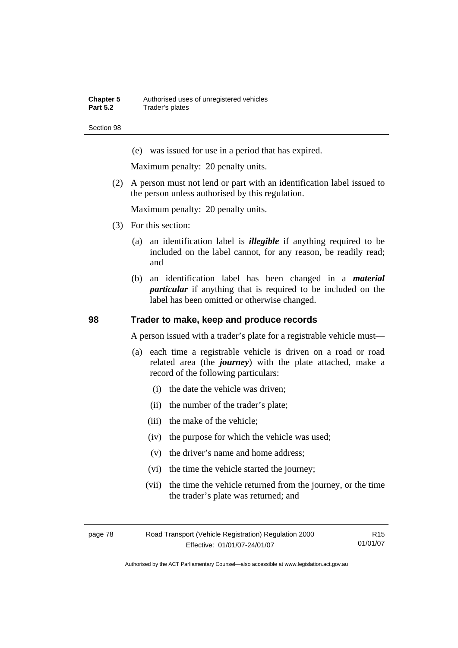(e) was issued for use in a period that has expired.

Maximum penalty: 20 penalty units.

 (2) A person must not lend or part with an identification label issued to the person unless authorised by this regulation.

Maximum penalty: 20 penalty units.

- (3) For this section:
	- (a) an identification label is *illegible* if anything required to be included on the label cannot, for any reason, be readily read; and
	- (b) an identification label has been changed in a *material particular* if anything that is required to be included on the label has been omitted or otherwise changed.

#### **98 Trader to make, keep and produce records**

A person issued with a trader's plate for a registrable vehicle must—

- (a) each time a registrable vehicle is driven on a road or road related area (the *journey*) with the plate attached, make a record of the following particulars:
	- (i) the date the vehicle was driven;
	- (ii) the number of the trader's plate;
	- (iii) the make of the vehicle;
	- (iv) the purpose for which the vehicle was used;
	- (v) the driver's name and home address;
	- (vi) the time the vehicle started the journey;
	- (vii) the time the vehicle returned from the journey, or the time the trader's plate was returned; and

| page 78 | Road Transport (Vehicle Registration) Regulation 2000 | R15      |
|---------|-------------------------------------------------------|----------|
|         | Effective: 01/01/07-24/01/07                          | 01/01/07 |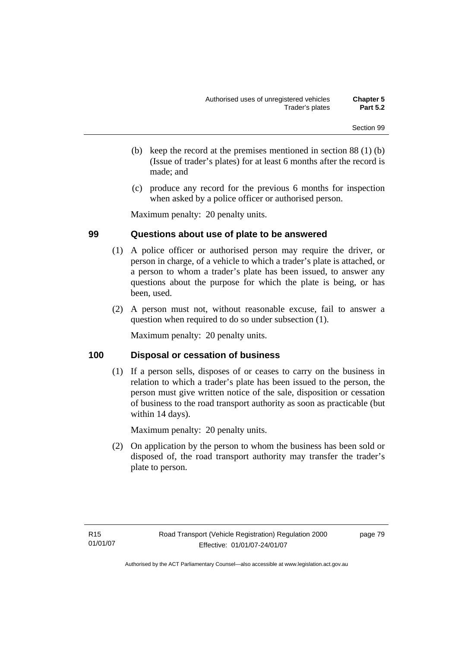- (b) keep the record at the premises mentioned in section 88 (1) (b) (Issue of trader's plates) for at least 6 months after the record is made; and
- (c) produce any record for the previous 6 months for inspection when asked by a police officer or authorised person.

Maximum penalty: 20 penalty units.

## **99 Questions about use of plate to be answered**

- (1) A police officer or authorised person may require the driver, or person in charge, of a vehicle to which a trader's plate is attached, or a person to whom a trader's plate has been issued, to answer any questions about the purpose for which the plate is being, or has been, used.
- (2) A person must not, without reasonable excuse, fail to answer a question when required to do so under subsection (1).

Maximum penalty: 20 penalty units.

## **100 Disposal or cessation of business**

 (1) If a person sells, disposes of or ceases to carry on the business in relation to which a trader's plate has been issued to the person, the person must give written notice of the sale, disposition or cessation of business to the road transport authority as soon as practicable (but within 14 days).

Maximum penalty: 20 penalty units.

 (2) On application by the person to whom the business has been sold or disposed of, the road transport authority may transfer the trader's plate to person.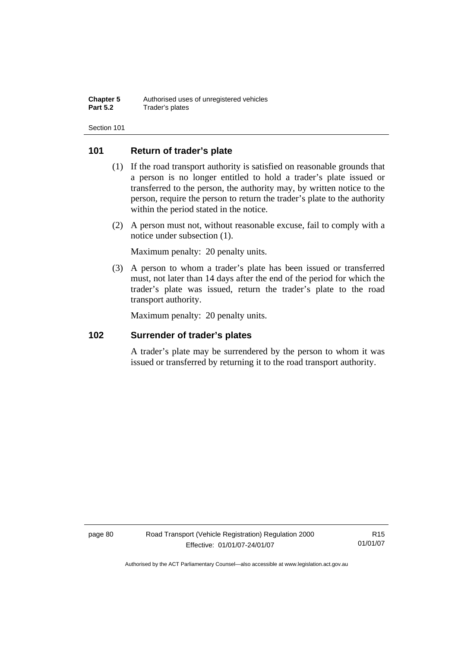#### **101 Return of trader's plate**

- (1) If the road transport authority is satisfied on reasonable grounds that a person is no longer entitled to hold a trader's plate issued or transferred to the person, the authority may, by written notice to the person, require the person to return the trader's plate to the authority within the period stated in the notice.
- (2) A person must not, without reasonable excuse, fail to comply with a notice under subsection (1).

Maximum penalty: 20 penalty units.

 (3) A person to whom a trader's plate has been issued or transferred must, not later than 14 days after the end of the period for which the trader's plate was issued, return the trader's plate to the road transport authority.

Maximum penalty: 20 penalty units.

#### **102 Surrender of trader's plates**

A trader's plate may be surrendered by the person to whom it was issued or transferred by returning it to the road transport authority.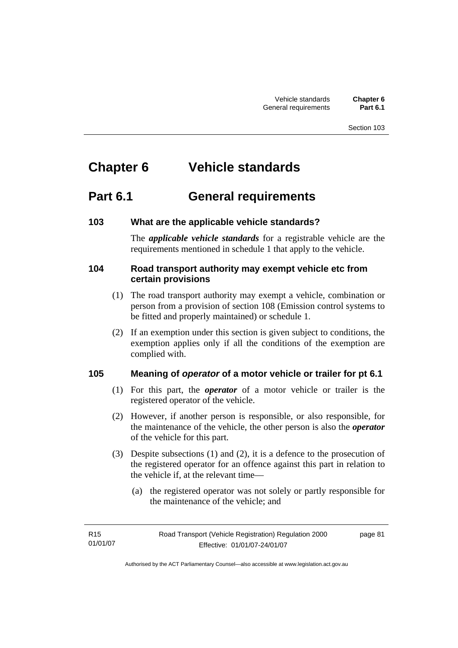# **Chapter 6 Vehicle standards**

# **Part 6.1 General requirements**

## **103 What are the applicable vehicle standards?**

The *applicable vehicle standards* for a registrable vehicle are the requirements mentioned in schedule 1 that apply to the vehicle.

### **104 Road transport authority may exempt vehicle etc from certain provisions**

- (1) The road transport authority may exempt a vehicle, combination or person from a provision of section 108 (Emission control systems to be fitted and properly maintained) or schedule 1.
- (2) If an exemption under this section is given subject to conditions, the exemption applies only if all the conditions of the exemption are complied with.

## **105 Meaning of** *operator* **of a motor vehicle or trailer for pt 6.1**

- (1) For this part, the *operator* of a motor vehicle or trailer is the registered operator of the vehicle.
- (2) However, if another person is responsible, or also responsible, for the maintenance of the vehicle, the other person is also the *operator* of the vehicle for this part.
- (3) Despite subsections (1) and (2), it is a defence to the prosecution of the registered operator for an offence against this part in relation to the vehicle if, at the relevant time—
	- (a) the registered operator was not solely or partly responsible for the maintenance of the vehicle; and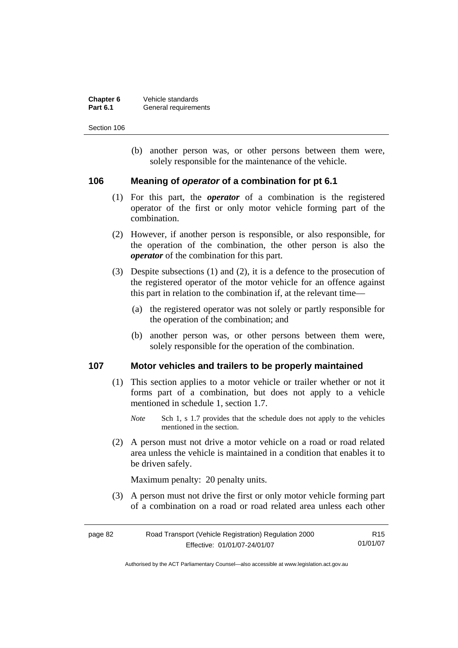| Chapter 6       | Vehicle standards    |
|-----------------|----------------------|
| <b>Part 6.1</b> | General requirements |

 (b) another person was, or other persons between them were, solely responsible for the maintenance of the vehicle.

#### **106 Meaning of** *operator* **of a combination for pt 6.1**

- (1) For this part, the *operator* of a combination is the registered operator of the first or only motor vehicle forming part of the combination.
- (2) However, if another person is responsible, or also responsible, for the operation of the combination, the other person is also the *operator* of the combination for this part.
- (3) Despite subsections (1) and (2), it is a defence to the prosecution of the registered operator of the motor vehicle for an offence against this part in relation to the combination if, at the relevant time—
	- (a) the registered operator was not solely or partly responsible for the operation of the combination; and
	- (b) another person was, or other persons between them were, solely responsible for the operation of the combination.

#### **107 Motor vehicles and trailers to be properly maintained**

- (1) This section applies to a motor vehicle or trailer whether or not it forms part of a combination, but does not apply to a vehicle mentioned in schedule 1, section 1.7.
	- *Note* Sch 1, s 1.7 provides that the schedule does not apply to the vehicles mentioned in the section.
- (2) A person must not drive a motor vehicle on a road or road related area unless the vehicle is maintained in a condition that enables it to be driven safely.

Maximum penalty: 20 penalty units.

 (3) A person must not drive the first or only motor vehicle forming part of a combination on a road or road related area unless each other

| page 82 | Road Transport (Vehicle Registration) Regulation 2000 | R15      |
|---------|-------------------------------------------------------|----------|
|         | Effective: 01/01/07-24/01/07                          | 01/01/07 |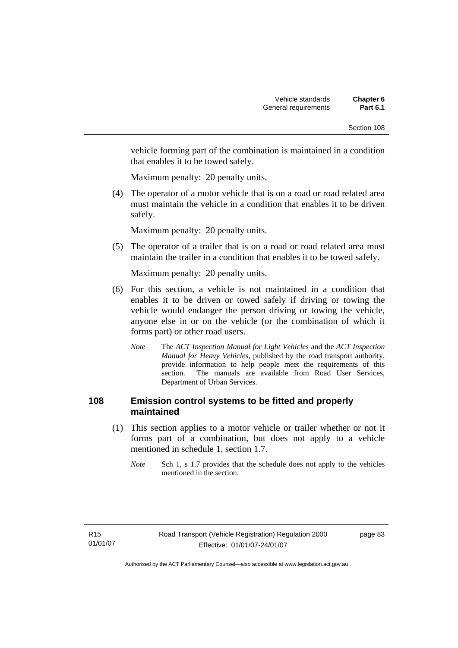vehicle forming part of the combination is maintained in a condition that enables it to be towed safely.

Maximum penalty: 20 penalty units.

 (4) The operator of a motor vehicle that is on a road or road related area must maintain the vehicle in a condition that enables it to be driven safely.

Maximum penalty: 20 penalty units.

 (5) The operator of a trailer that is on a road or road related area must maintain the trailer in a condition that enables it to be towed safely.

Maximum penalty: 20 penalty units.

- (6) For this section, a vehicle is not maintained in a condition that enables it to be driven or towed safely if driving or towing the vehicle would endanger the person driving or towing the vehicle, anyone else in or on the vehicle (or the combination of which it forms part) or other road users.
	- *Note* The *ACT Inspection Manual for Light Vehicles* and the *ACT Inspection Manual for Heavy Vehicles*, published by the road transport authority, provide information to help people meet the requirements of this section. The manuals are available from Road User Services, Department of Urban Services.

### **108 Emission control systems to be fitted and properly maintained**

- (1) This section applies to a motor vehicle or trailer whether or not it forms part of a combination, but does not apply to a vehicle mentioned in schedule 1, section 1.7.
	- *Note* Sch 1, s 1.7 provides that the schedule does not apply to the vehicles mentioned in the section.

page 83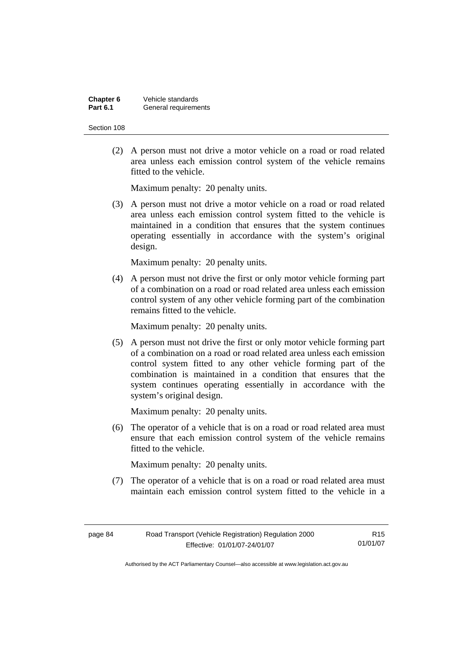| Chapter 6       | Vehicle standards    |
|-----------------|----------------------|
| <b>Part 6.1</b> | General requirements |

 (2) A person must not drive a motor vehicle on a road or road related area unless each emission control system of the vehicle remains fitted to the vehicle.

Maximum penalty: 20 penalty units.

 (3) A person must not drive a motor vehicle on a road or road related area unless each emission control system fitted to the vehicle is maintained in a condition that ensures that the system continues operating essentially in accordance with the system's original design.

Maximum penalty: 20 penalty units.

 (4) A person must not drive the first or only motor vehicle forming part of a combination on a road or road related area unless each emission control system of any other vehicle forming part of the combination remains fitted to the vehicle.

Maximum penalty: 20 penalty units.

 (5) A person must not drive the first or only motor vehicle forming part of a combination on a road or road related area unless each emission control system fitted to any other vehicle forming part of the combination is maintained in a condition that ensures that the system continues operating essentially in accordance with the system's original design.

Maximum penalty: 20 penalty units.

 (6) The operator of a vehicle that is on a road or road related area must ensure that each emission control system of the vehicle remains fitted to the vehicle.

Maximum penalty: 20 penalty units.

 (7) The operator of a vehicle that is on a road or road related area must maintain each emission control system fitted to the vehicle in a

R15 01/01/07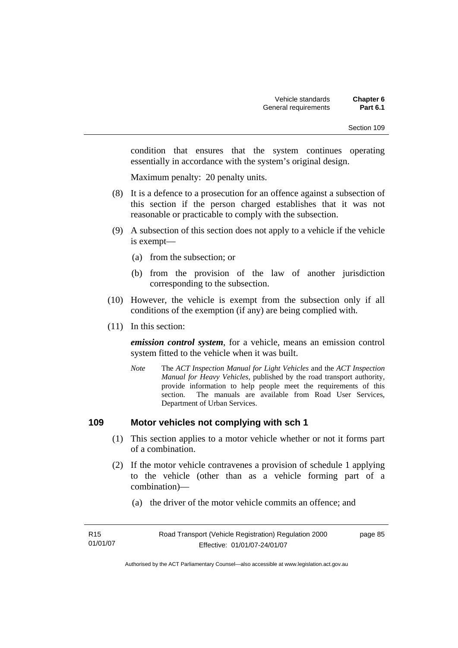condition that ensures that the system continues operating essentially in accordance with the system's original design.

Maximum penalty: 20 penalty units.

- (8) It is a defence to a prosecution for an offence against a subsection of this section if the person charged establishes that it was not reasonable or practicable to comply with the subsection.
- (9) A subsection of this section does not apply to a vehicle if the vehicle is exempt—
	- (a) from the subsection; or
	- (b) from the provision of the law of another jurisdiction corresponding to the subsection.
- (10) However, the vehicle is exempt from the subsection only if all conditions of the exemption (if any) are being complied with.
- (11) In this section:

*emission control system*, for a vehicle, means an emission control system fitted to the vehicle when it was built.

*Note* The *ACT Inspection Manual for Light Vehicles* and the *ACT Inspection Manual for Heavy Vehicles*, published by the road transport authority, provide information to help people meet the requirements of this section. The manuals are available from Road User Services, Department of Urban Services.

#### **109 Motor vehicles not complying with sch 1**

- (1) This section applies to a motor vehicle whether or not it forms part of a combination.
- (2) If the motor vehicle contravenes a provision of schedule 1 applying to the vehicle (other than as a vehicle forming part of a combination)—
	- (a) the driver of the motor vehicle commits an offence; and

| R <sub>15</sub> | Road Transport (Vehicle Registration) Regulation 2000 | page 85 |
|-----------------|-------------------------------------------------------|---------|
| 01/01/07        | Effective: 01/01/07-24/01/07                          |         |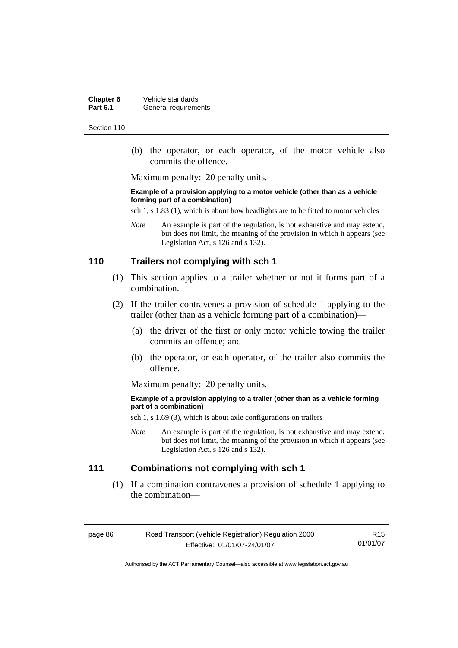**Chapter 6** Vehicle standards<br>**Part 6.1** General requirement **General requirements** 

Section 110

 (b) the operator, or each operator, of the motor vehicle also commits the offence.

Maximum penalty: 20 penalty units.

#### **Example of a provision applying to a motor vehicle (other than as a vehicle forming part of a combination)**

sch 1, s 1.83 (1), which is about how headlights are to be fitted to motor vehicles

*Note* An example is part of the regulation, is not exhaustive and may extend, but does not limit, the meaning of the provision in which it appears (see Legislation Act, s 126 and s 132).

#### **110 Trailers not complying with sch 1**

- (1) This section applies to a trailer whether or not it forms part of a combination.
- (2) If the trailer contravenes a provision of schedule 1 applying to the trailer (other than as a vehicle forming part of a combination)—
	- (a) the driver of the first or only motor vehicle towing the trailer commits an offence; and
	- (b) the operator, or each operator, of the trailer also commits the offence.

Maximum penalty: 20 penalty units.

#### **Example of a provision applying to a trailer (other than as a vehicle forming part of a combination)**

sch 1, s 1.69 (3), which is about axle configurations on trailers

*Note* An example is part of the regulation, is not exhaustive and may extend, but does not limit, the meaning of the provision in which it appears (see Legislation Act, s 126 and s 132).

# **111 Combinations not complying with sch 1**

 (1) If a combination contravenes a provision of schedule 1 applying to the combination—

page 86 Road Transport (Vehicle Registration) Regulation 2000 Effective: 01/01/07-24/01/07

R15 01/01/07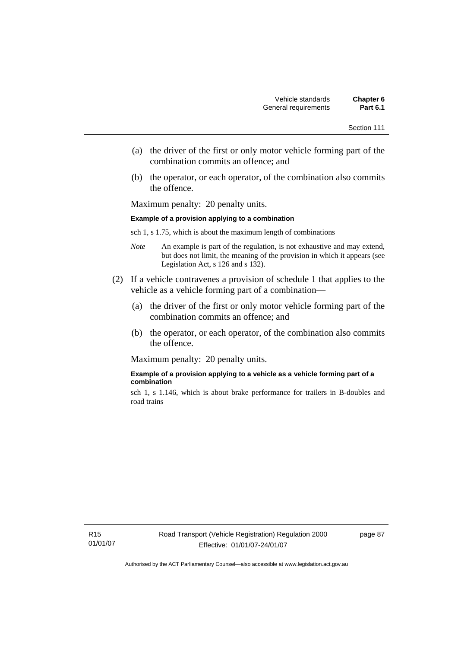- (a) the driver of the first or only motor vehicle forming part of the combination commits an offence; and
- (b) the operator, or each operator, of the combination also commits the offence.

Maximum penalty: 20 penalty units.

#### **Example of a provision applying to a combination**

sch 1, s 1.75, which is about the maximum length of combinations

- *Note* An example is part of the regulation, is not exhaustive and may extend, but does not limit, the meaning of the provision in which it appears (see Legislation Act, s 126 and s 132).
- (2) If a vehicle contravenes a provision of schedule 1 that applies to the vehicle as a vehicle forming part of a combination—
	- (a) the driver of the first or only motor vehicle forming part of the combination commits an offence; and
	- (b) the operator, or each operator, of the combination also commits the offence.

Maximum penalty: 20 penalty units.

#### **Example of a provision applying to a vehicle as a vehicle forming part of a combination**

sch 1, s 1.146, which is about brake performance for trailers in B-doubles and road trains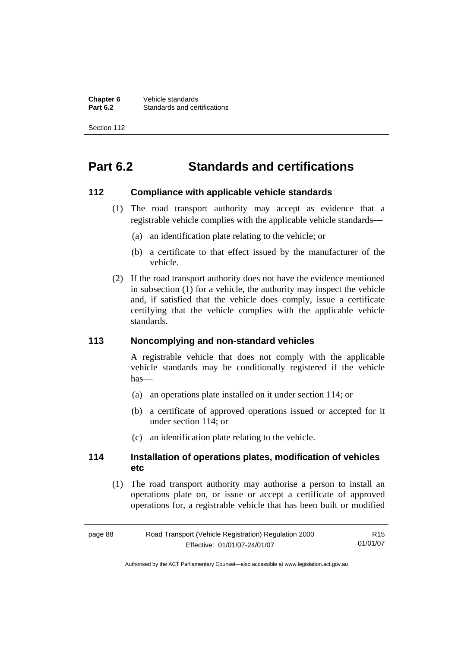**Chapter 6** Vehicle standards<br>**Part 6.2** Standards and cer-**Standards and certifications** 

Section 112

# **Part 6.2 Standards and certifications**

#### **112 Compliance with applicable vehicle standards**

- (1) The road transport authority may accept as evidence that a registrable vehicle complies with the applicable vehicle standards—
	- (a) an identification plate relating to the vehicle; or
	- (b) a certificate to that effect issued by the manufacturer of the vehicle.
- (2) If the road transport authority does not have the evidence mentioned in subsection (1) for a vehicle, the authority may inspect the vehicle and, if satisfied that the vehicle does comply, issue a certificate certifying that the vehicle complies with the applicable vehicle standards.

#### **113 Noncomplying and non-standard vehicles**

A registrable vehicle that does not comply with the applicable vehicle standards may be conditionally registered if the vehicle  $has$ —

- (a) an operations plate installed on it under section 114; or
- (b) a certificate of approved operations issued or accepted for it under section 114; or
- (c) an identification plate relating to the vehicle.

#### **114 Installation of operations plates, modification of vehicles etc**

 (1) The road transport authority may authorise a person to install an operations plate on, or issue or accept a certificate of approved operations for, a registrable vehicle that has been built or modified

| page 88 | Road Transport (Vehicle Registration) Regulation 2000 | R <sub>15</sub> |
|---------|-------------------------------------------------------|-----------------|
|         | Effective: 01/01/07-24/01/07                          | 01/01/07        |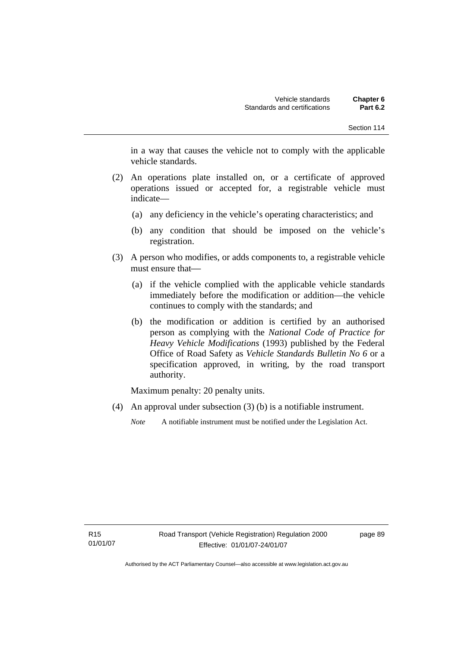in a way that causes the vehicle not to comply with the applicable vehicle standards.

- (2) An operations plate installed on, or a certificate of approved operations issued or accepted for, a registrable vehicle must indicate—
	- (a) any deficiency in the vehicle's operating characteristics; and
	- (b) any condition that should be imposed on the vehicle's registration.
- (3) A person who modifies, or adds components to, a registrable vehicle must ensure that—
	- (a) if the vehicle complied with the applicable vehicle standards immediately before the modification or addition—the vehicle continues to comply with the standards; and
	- (b) the modification or addition is certified by an authorised person as complying with the *National Code of Practice for Heavy Vehicle Modifications* (1993) published by the Federal Office of Road Safety as *Vehicle Standards Bulletin No 6* or a specification approved, in writing, by the road transport authority.

Maximum penalty: 20 penalty units.

(4) An approval under subsection (3) (b) is a notifiable instrument.

*Note* A notifiable instrument must be notified under the Legislation Act.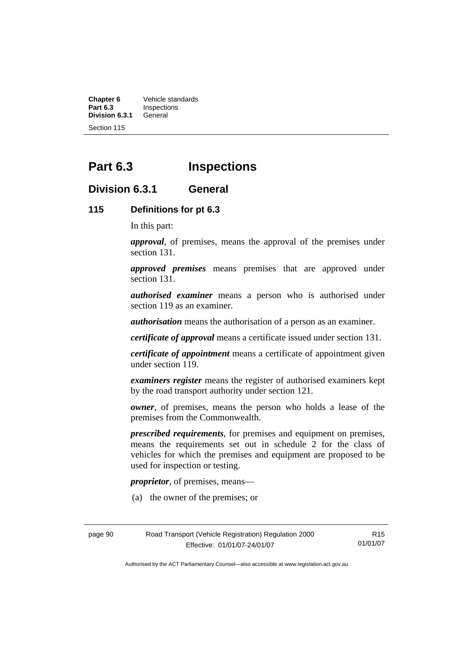**Chapter 6** Vehicle standards<br>**Part 6.3** Inspections **Inspections**<br>General **Division 6.3.1** 

Section 115

# **Part 6.3 Inspections**

# **Division 6.3.1 General**

#### **115 Definitions for pt 6.3**

In this part:

*approval*, of premises, means the approval of the premises under section 131.

*approved premises* means premises that are approved under section 131.

*authorised examiner* means a person who is authorised under section 119 as an examiner.

*authorisation* means the authorisation of a person as an examiner.

*certificate of approval* means a certificate issued under section 131.

*certificate of appointment* means a certificate of appointment given under section 119.

*examiners register* means the register of authorised examiners kept by the road transport authority under section 121.

*owner*, of premises, means the person who holds a lease of the premises from the Commonwealth.

*prescribed requirements*, for premises and equipment on premises, means the requirements set out in schedule 2 for the class of vehicles for which the premises and equipment are proposed to be used for inspection or testing.

*proprietor*, of premises, means—

(a) the owner of the premises; or

page 90 Road Transport (Vehicle Registration) Regulation 2000 Effective: 01/01/07-24/01/07

R15 01/01/07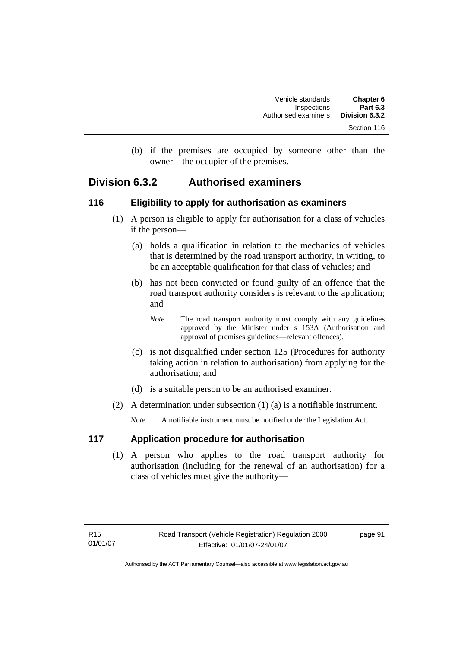(b) if the premises are occupied by someone other than the owner—the occupier of the premises.

# **Division 6.3.2 Authorised examiners**

# **116 Eligibility to apply for authorisation as examiners**

- (1) A person is eligible to apply for authorisation for a class of vehicles if the person—
	- (a) holds a qualification in relation to the mechanics of vehicles that is determined by the road transport authority, in writing, to be an acceptable qualification for that class of vehicles; and
	- (b) has not been convicted or found guilty of an offence that the road transport authority considers is relevant to the application; and
		- *Note* The road transport authority must comply with any guidelines approved by the Minister under s 153A (Authorisation and approval of premises guidelines—relevant offences).
	- (c) is not disqualified under section 125 (Procedures for authority taking action in relation to authorisation) from applying for the authorisation; and
	- (d) is a suitable person to be an authorised examiner.
- (2) A determination under subsection (1) (a) is a notifiable instrument.

*Note* A notifiable instrument must be notified under the Legislation Act.

# **117 Application procedure for authorisation**

 (1) A person who applies to the road transport authority for authorisation (including for the renewal of an authorisation) for a class of vehicles must give the authority—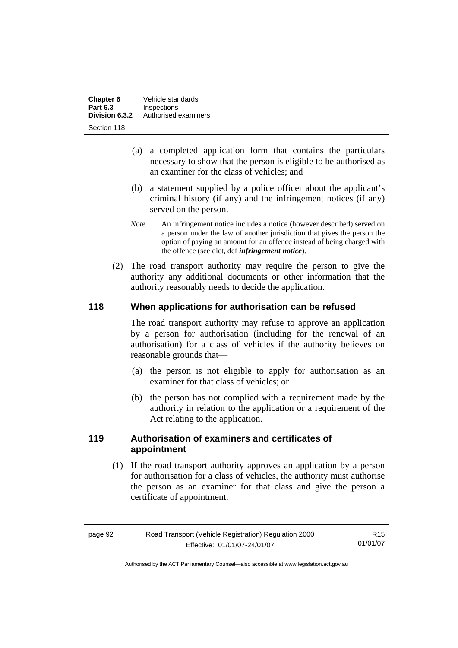| Chapter 6       | Vehicle standards    |
|-----------------|----------------------|
| <b>Part 6.3</b> | Inspections          |
| Division 6.3.2  | Authorised examiners |
| Section 118     |                      |

- (a) a completed application form that contains the particulars necessary to show that the person is eligible to be authorised as an examiner for the class of vehicles; and
- (b) a statement supplied by a police officer about the applicant's criminal history (if any) and the infringement notices (if any) served on the person.
- *Note* An infringement notice includes a notice (however described) served on a person under the law of another jurisdiction that gives the person the option of paying an amount for an offence instead of being charged with the offence (see dict, def *infringement notice*).
- (2) The road transport authority may require the person to give the authority any additional documents or other information that the authority reasonably needs to decide the application.

# **118 When applications for authorisation can be refused**

The road transport authority may refuse to approve an application by a person for authorisation (including for the renewal of an authorisation) for a class of vehicles if the authority believes on reasonable grounds that—

- (a) the person is not eligible to apply for authorisation as an examiner for that class of vehicles; or
- (b) the person has not complied with a requirement made by the authority in relation to the application or a requirement of the Act relating to the application.

# **119 Authorisation of examiners and certificates of appointment**

 (1) If the road transport authority approves an application by a person for authorisation for a class of vehicles, the authority must authorise the person as an examiner for that class and give the person a certificate of appointment.

R15 01/01/07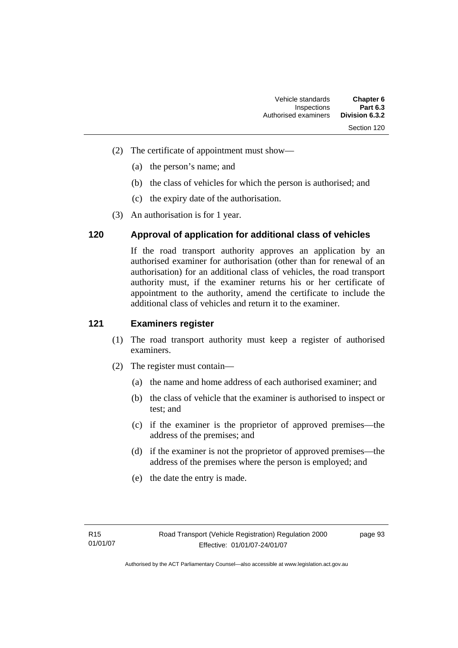- (2) The certificate of appointment must show—
	- (a) the person's name; and
	- (b) the class of vehicles for which the person is authorised; and
	- (c) the expiry date of the authorisation.
- (3) An authorisation is for 1 year.

# **120 Approval of application for additional class of vehicles**

If the road transport authority approves an application by an authorised examiner for authorisation (other than for renewal of an authorisation) for an additional class of vehicles, the road transport authority must, if the examiner returns his or her certificate of appointment to the authority, amend the certificate to include the additional class of vehicles and return it to the examiner.

### **121 Examiners register**

- (1) The road transport authority must keep a register of authorised examiners.
- (2) The register must contain—
	- (a) the name and home address of each authorised examiner; and
	- (b) the class of vehicle that the examiner is authorised to inspect or test; and
	- (c) if the examiner is the proprietor of approved premises—the address of the premises; and
	- (d) if the examiner is not the proprietor of approved premises—the address of the premises where the person is employed; and
	- (e) the date the entry is made.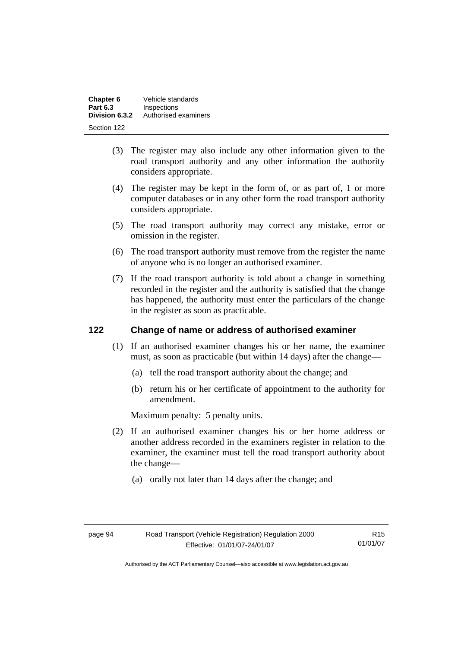| Chapter 6       | Vehicle standards    |
|-----------------|----------------------|
| <b>Part 6.3</b> | Inspections          |
| Division 6.3.2  | Authorised examiners |
| Section 122     |                      |

- (3) The register may also include any other information given to the road transport authority and any other information the authority considers appropriate.
- (4) The register may be kept in the form of, or as part of, 1 or more computer databases or in any other form the road transport authority considers appropriate.
- (5) The road transport authority may correct any mistake, error or omission in the register.
- (6) The road transport authority must remove from the register the name of anyone who is no longer an authorised examiner.
- (7) If the road transport authority is told about a change in something recorded in the register and the authority is satisfied that the change has happened, the authority must enter the particulars of the change in the register as soon as practicable.

# **122 Change of name or address of authorised examiner**

- (1) If an authorised examiner changes his or her name, the examiner must, as soon as practicable (but within 14 days) after the change—
	- (a) tell the road transport authority about the change; and
	- (b) return his or her certificate of appointment to the authority for amendment.

Maximum penalty: 5 penalty units.

- (2) If an authorised examiner changes his or her home address or another address recorded in the examiners register in relation to the examiner, the examiner must tell the road transport authority about the change—
	- (a) orally not later than 14 days after the change; and

R15 01/01/07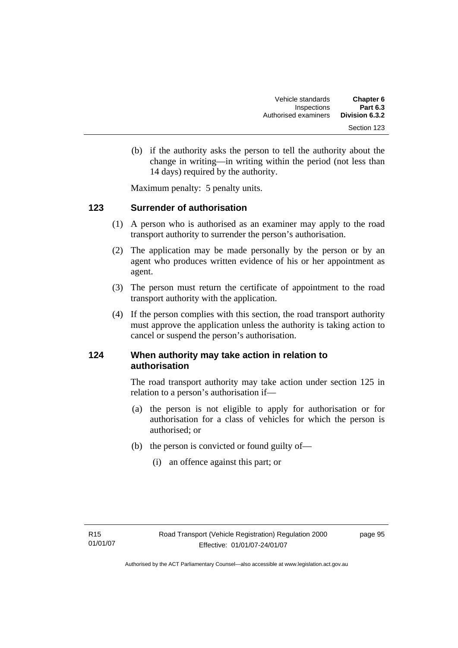(b) if the authority asks the person to tell the authority about the change in writing—in writing within the period (not less than 14 days) required by the authority.

Maximum penalty: 5 penalty units.

# **123 Surrender of authorisation**

- (1) A person who is authorised as an examiner may apply to the road transport authority to surrender the person's authorisation.
- (2) The application may be made personally by the person or by an agent who produces written evidence of his or her appointment as agent.
- (3) The person must return the certificate of appointment to the road transport authority with the application.
- (4) If the person complies with this section, the road transport authority must approve the application unless the authority is taking action to cancel or suspend the person's authorisation.

# **124 When authority may take action in relation to authorisation**

The road transport authority may take action under section 125 in relation to a person's authorisation if—

- (a) the person is not eligible to apply for authorisation or for authorisation for a class of vehicles for which the person is authorised; or
- (b) the person is convicted or found guilty of—
	- (i) an offence against this part; or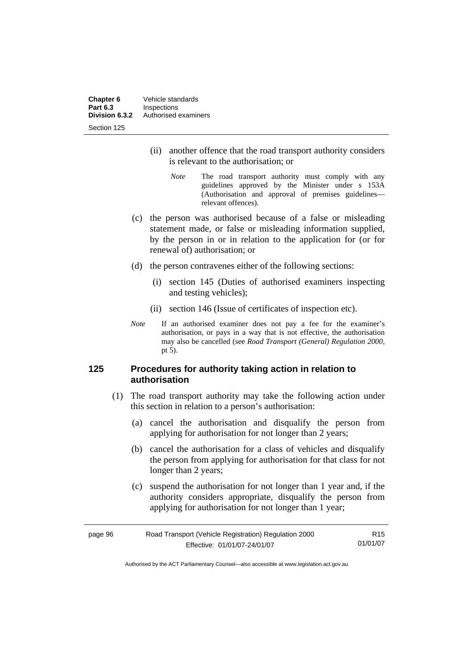**Chapter 6** Vehicle standards<br> **Part 6.3** Inspections **Part 6.3 Inspections**<br>**Division 6.3.2** Authorised **Division 6.3.2** Authorised examiners Section 125

- (ii) another offence that the road transport authority considers is relevant to the authorisation; or
	- *Note* The road transport authority must comply with any guidelines approved by the Minister under s 153A (Authorisation and approval of premises guidelines relevant offences).
- (c) the person was authorised because of a false or misleading statement made, or false or misleading information supplied, by the person in or in relation to the application for (or for renewal of) authorisation; or
- (d) the person contravenes either of the following sections:
	- (i) section 145 (Duties of authorised examiners inspecting and testing vehicles);
	- (ii) section 146 (Issue of certificates of inspection etc).
- *Note* If an authorised examiner does not pay a fee for the examiner's authorisation, or pays in a way that is not effective, the authorisation may also be cancelled (see *Road Transport (General) Regulation 2000*, pt 5).

# **125 Procedures for authority taking action in relation to authorisation**

- (1) The road transport authority may take the following action under this section in relation to a person's authorisation:
	- (a) cancel the authorisation and disqualify the person from applying for authorisation for not longer than 2 years;
	- (b) cancel the authorisation for a class of vehicles and disqualify the person from applying for authorisation for that class for not longer than 2 years:
	- (c) suspend the authorisation for not longer than 1 year and, if the authority considers appropriate, disqualify the person from applying for authorisation for not longer than 1 year;

| page 96 | Road Transport (Vehicle Registration) Regulation 2000 | R15      |
|---------|-------------------------------------------------------|----------|
|         | Effective: 01/01/07-24/01/07                          | 01/01/07 |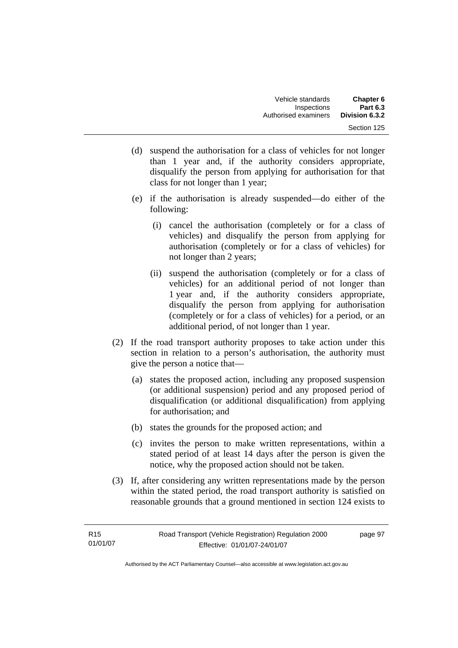- (d) suspend the authorisation for a class of vehicles for not longer than 1 year and, if the authority considers appropriate, disqualify the person from applying for authorisation for that class for not longer than 1 year;
- (e) if the authorisation is already suspended—do either of the following:
	- (i) cancel the authorisation (completely or for a class of vehicles) and disqualify the person from applying for authorisation (completely or for a class of vehicles) for not longer than 2 years;
	- (ii) suspend the authorisation (completely or for a class of vehicles) for an additional period of not longer than 1 year and, if the authority considers appropriate, disqualify the person from applying for authorisation (completely or for a class of vehicles) for a period, or an additional period, of not longer than 1 year.
- (2) If the road transport authority proposes to take action under this section in relation to a person's authorisation, the authority must give the person a notice that—
	- (a) states the proposed action, including any proposed suspension (or additional suspension) period and any proposed period of disqualification (or additional disqualification) from applying for authorisation; and
	- (b) states the grounds for the proposed action; and
	- (c) invites the person to make written representations, within a stated period of at least 14 days after the person is given the notice, why the proposed action should not be taken.
- (3) If, after considering any written representations made by the person within the stated period, the road transport authority is satisfied on reasonable grounds that a ground mentioned in section 124 exists to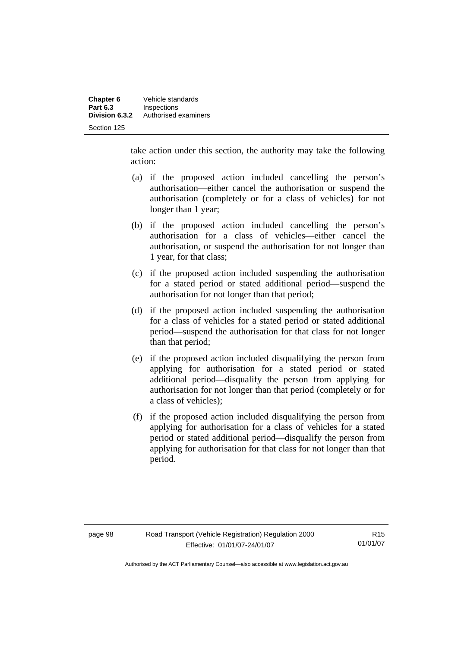take action under this section, the authority may take the following action:

- (a) if the proposed action included cancelling the person's authorisation—either cancel the authorisation or suspend the authorisation (completely or for a class of vehicles) for not longer than 1 year;
- (b) if the proposed action included cancelling the person's authorisation for a class of vehicles—either cancel the authorisation, or suspend the authorisation for not longer than 1 year, for that class;
- (c) if the proposed action included suspending the authorisation for a stated period or stated additional period—suspend the authorisation for not longer than that period;
- (d) if the proposed action included suspending the authorisation for a class of vehicles for a stated period or stated additional period—suspend the authorisation for that class for not longer than that period;
- (e) if the proposed action included disqualifying the person from applying for authorisation for a stated period or stated additional period—disqualify the person from applying for authorisation for not longer than that period (completely or for a class of vehicles);
- (f) if the proposed action included disqualifying the person from applying for authorisation for a class of vehicles for a stated period or stated additional period—disqualify the person from applying for authorisation for that class for not longer than that period.

R15 01/01/07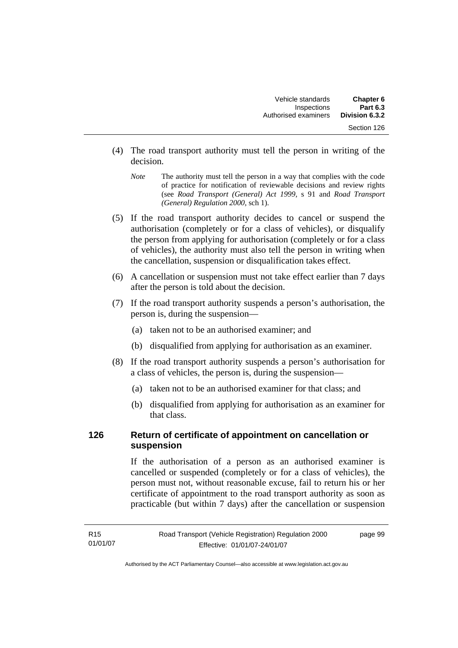- (4) The road transport authority must tell the person in writing of the decision.
	- *Note* The authority must tell the person in a way that complies with the code of practice for notification of reviewable decisions and review rights (see *Road Transport (General) Act 1999,* s 91 and *Road Transport (General) Regulation 2000*, sch 1).
- (5) If the road transport authority decides to cancel or suspend the authorisation (completely or for a class of vehicles), or disqualify the person from applying for authorisation (completely or for a class of vehicles), the authority must also tell the person in writing when the cancellation, suspension or disqualification takes effect.
- (6) A cancellation or suspension must not take effect earlier than 7 days after the person is told about the decision.
- (7) If the road transport authority suspends a person's authorisation, the person is, during the suspension—
	- (a) taken not to be an authorised examiner; and
	- (b) disqualified from applying for authorisation as an examiner.
- (8) If the road transport authority suspends a person's authorisation for a class of vehicles, the person is, during the suspension—
	- (a) taken not to be an authorised examiner for that class; and
	- (b) disqualified from applying for authorisation as an examiner for that class.

# **126 Return of certificate of appointment on cancellation or suspension**

If the authorisation of a person as an authorised examiner is cancelled or suspended (completely or for a class of vehicles), the person must not, without reasonable excuse, fail to return his or her certificate of appointment to the road transport authority as soon as practicable (but within 7 days) after the cancellation or suspension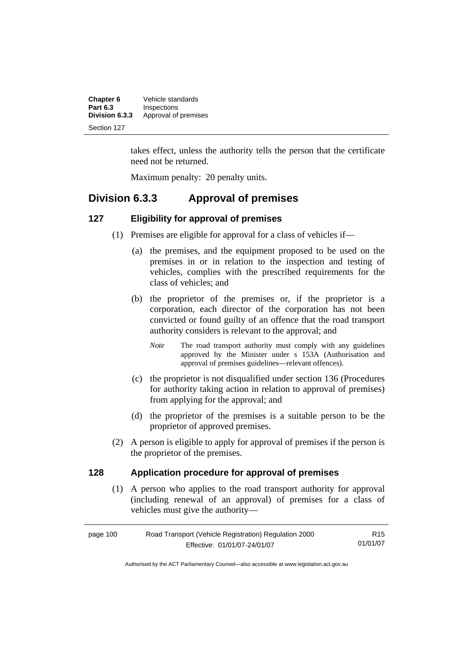| Chapter 6       | Vehicle standards    |
|-----------------|----------------------|
| <b>Part 6.3</b> | Inspections          |
| Division 6.3.3  | Approval of premises |
| Section 127     |                      |

takes effect, unless the authority tells the person that the certificate need not be returned.

Maximum penalty: 20 penalty units.

# **Division 6.3.3 Approval of premises**

# **127 Eligibility for approval of premises**

- (1) Premises are eligible for approval for a class of vehicles if—
	- (a) the premises, and the equipment proposed to be used on the premises in or in relation to the inspection and testing of vehicles, complies with the prescribed requirements for the class of vehicles; and
	- (b) the proprietor of the premises or, if the proprietor is a corporation, each director of the corporation has not been convicted or found guilty of an offence that the road transport authority considers is relevant to the approval; and
		- *Note* The road transport authority must comply with any guidelines approved by the Minister under s 153A (Authorisation and approval of premises guidelines—relevant offences).
	- (c) the proprietor is not disqualified under section 136 (Procedures for authority taking action in relation to approval of premises) from applying for the approval; and
	- (d) the proprietor of the premises is a suitable person to be the proprietor of approved premises.
- (2) A person is eligible to apply for approval of premises if the person is the proprietor of the premises.

# **128 Application procedure for approval of premises**

 (1) A person who applies to the road transport authority for approval (including renewal of an approval) of premises for a class of vehicles must give the authority—

| page 100 | Road Transport (Vehicle Registration) Regulation 2000 | R15      |
|----------|-------------------------------------------------------|----------|
|          | Effective: 01/01/07-24/01/07                          | 01/01/07 |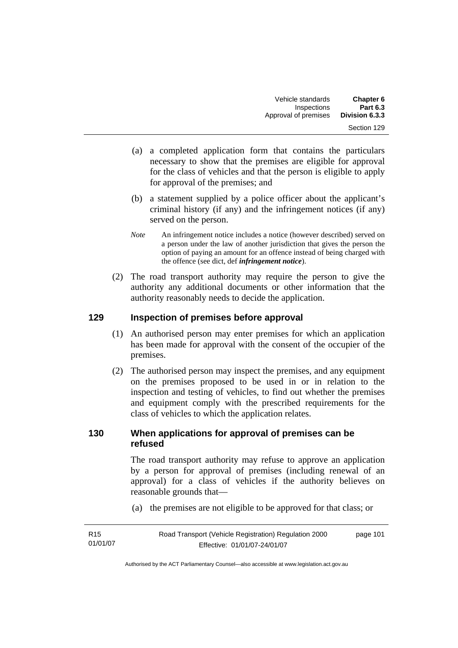- (a) a completed application form that contains the particulars necessary to show that the premises are eligible for approval for the class of vehicles and that the person is eligible to apply for approval of the premises; and
- (b) a statement supplied by a police officer about the applicant's criminal history (if any) and the infringement notices (if any) served on the person.
- *Note* An infringement notice includes a notice (however described) served on a person under the law of another jurisdiction that gives the person the option of paying an amount for an offence instead of being charged with the offence (see dict, def *infringement notice*).
- (2) The road transport authority may require the person to give the authority any additional documents or other information that the authority reasonably needs to decide the application.

# **129 Inspection of premises before approval**

- (1) An authorised person may enter premises for which an application has been made for approval with the consent of the occupier of the premises.
- (2) The authorised person may inspect the premises, and any equipment on the premises proposed to be used in or in relation to the inspection and testing of vehicles, to find out whether the premises and equipment comply with the prescribed requirements for the class of vehicles to which the application relates.

# **130 When applications for approval of premises can be refused**

The road transport authority may refuse to approve an application by a person for approval of premises (including renewal of an approval) for a class of vehicles if the authority believes on reasonable grounds that—

(a) the premises are not eligible to be approved for that class; or

| R15      | Road Transport (Vehicle Registration) Regulation 2000 | page 101 |
|----------|-------------------------------------------------------|----------|
| 01/01/07 | Effective: 01/01/07-24/01/07                          |          |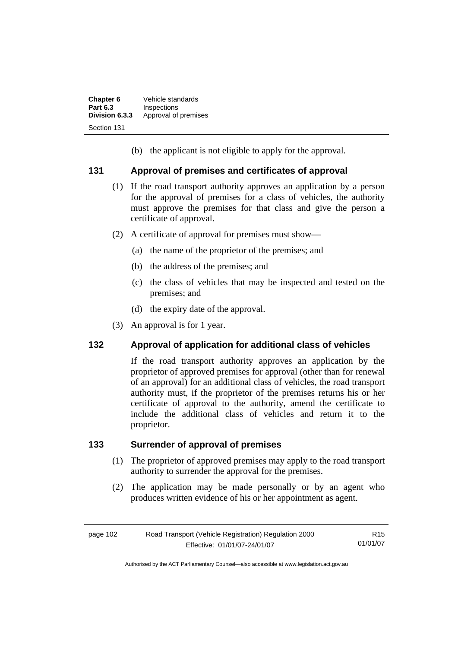| Chapter 6       | Vehicle standards    |
|-----------------|----------------------|
| <b>Part 6.3</b> | Inspections          |
| Division 6.3.3  | Approval of premises |
| Section 131     |                      |

(b) the applicant is not eligible to apply for the approval.

# **131 Approval of premises and certificates of approval**

- (1) If the road transport authority approves an application by a person for the approval of premises for a class of vehicles, the authority must approve the premises for that class and give the person a certificate of approval.
- (2) A certificate of approval for premises must show—
	- (a) the name of the proprietor of the premises; and
	- (b) the address of the premises; and
	- (c) the class of vehicles that may be inspected and tested on the premises; and
	- (d) the expiry date of the approval.
- (3) An approval is for 1 year.

# **132 Approval of application for additional class of vehicles**

If the road transport authority approves an application by the proprietor of approved premises for approval (other than for renewal of an approval) for an additional class of vehicles, the road transport authority must, if the proprietor of the premises returns his or her certificate of approval to the authority, amend the certificate to include the additional class of vehicles and return it to the proprietor.

# **133 Surrender of approval of premises**

- (1) The proprietor of approved premises may apply to the road transport authority to surrender the approval for the premises.
- (2) The application may be made personally or by an agent who produces written evidence of his or her appointment as agent.

| page 102 | Road Transport (Vehicle Registration) Regulation 2000 | R <sub>15</sub> |
|----------|-------------------------------------------------------|-----------------|
|          | Effective: 01/01/07-24/01/07                          | 01/01/07        |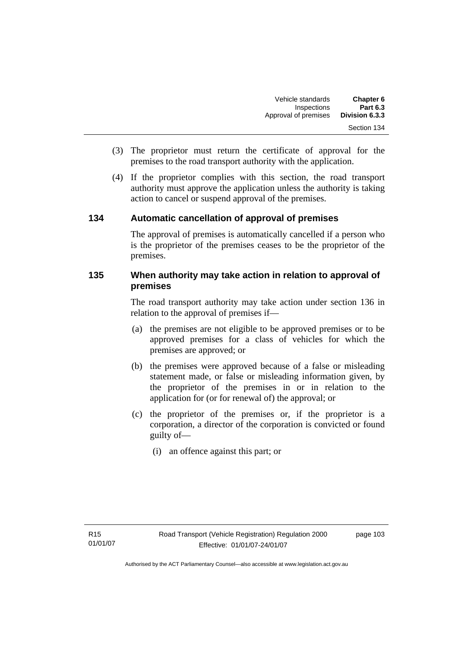- (3) The proprietor must return the certificate of approval for the premises to the road transport authority with the application.
- (4) If the proprietor complies with this section, the road transport authority must approve the application unless the authority is taking action to cancel or suspend approval of the premises.

# **134 Automatic cancellation of approval of premises**

The approval of premises is automatically cancelled if a person who is the proprietor of the premises ceases to be the proprietor of the premises.

# **135 When authority may take action in relation to approval of premises**

The road transport authority may take action under section 136 in relation to the approval of premises if—

- (a) the premises are not eligible to be approved premises or to be approved premises for a class of vehicles for which the premises are approved; or
- (b) the premises were approved because of a false or misleading statement made, or false or misleading information given, by the proprietor of the premises in or in relation to the application for (or for renewal of) the approval; or
- (c) the proprietor of the premises or, if the proprietor is a corporation, a director of the corporation is convicted or found guilty of—
	- (i) an offence against this part; or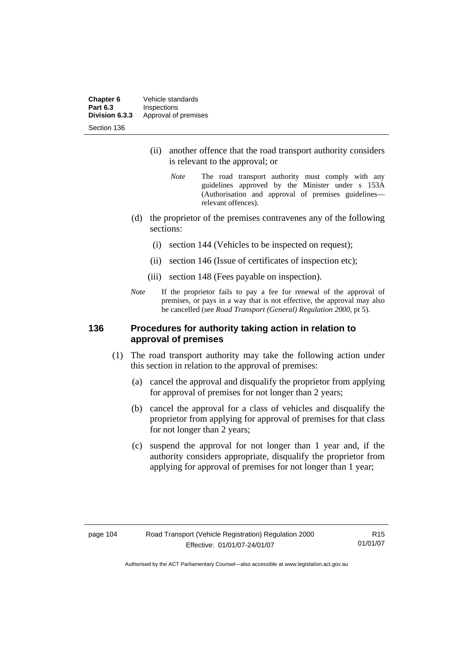**Chapter 6** Vehicle standards<br>**Part 6.3** Inspections **Part 6.3 Inspections**<br>**Division 6.3.3** Approval of Approval of premises Section 136

- (ii) another offence that the road transport authority considers is relevant to the approval; or
	- *Note* The road transport authority must comply with any guidelines approved by the Minister under s 153A (Authorisation and approval of premises guidelines relevant offences).
- (d) the proprietor of the premises contravenes any of the following sections:
	- (i) section 144 (Vehicles to be inspected on request);
	- (ii) section 146 (Issue of certificates of inspection etc);
	- (iii) section 148 (Fees payable on inspection).
- *Note* If the proprietor fails to pay a fee for renewal of the approval of premises, or pays in a way that is not effective, the approval may also be cancelled (see *Road Transport (General) Regulation 2000*, pt 5).

### **136 Procedures for authority taking action in relation to approval of premises**

- (1) The road transport authority may take the following action under this section in relation to the approval of premises:
	- (a) cancel the approval and disqualify the proprietor from applying for approval of premises for not longer than 2 years;
	- (b) cancel the approval for a class of vehicles and disqualify the proprietor from applying for approval of premises for that class for not longer than 2 years;
	- (c) suspend the approval for not longer than 1 year and, if the authority considers appropriate, disqualify the proprietor from applying for approval of premises for not longer than 1 year;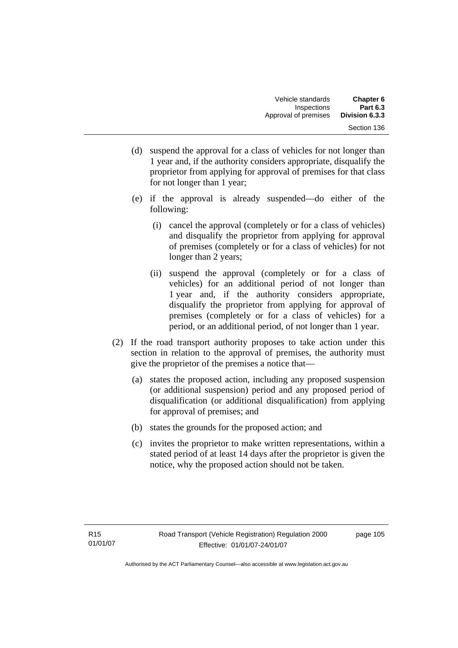- (d) suspend the approval for a class of vehicles for not longer than 1 year and, if the authority considers appropriate, disqualify the proprietor from applying for approval of premises for that class for not longer than 1 year;
- (e) if the approval is already suspended—do either of the following:
	- (i) cancel the approval (completely or for a class of vehicles) and disqualify the proprietor from applying for approval of premises (completely or for a class of vehicles) for not longer than 2 years;
	- (ii) suspend the approval (completely or for a class of vehicles) for an additional period of not longer than 1 year and, if the authority considers appropriate, disqualify the proprietor from applying for approval of premises (completely or for a class of vehicles) for a period, or an additional period, of not longer than 1 year.
- (2) If the road transport authority proposes to take action under this section in relation to the approval of premises, the authority must give the proprietor of the premises a notice that—
	- (a) states the proposed action, including any proposed suspension (or additional suspension) period and any proposed period of disqualification (or additional disqualification) from applying for approval of premises; and
	- (b) states the grounds for the proposed action; and
	- (c) invites the proprietor to make written representations, within a stated period of at least 14 days after the proprietor is given the notice, why the proposed action should not be taken.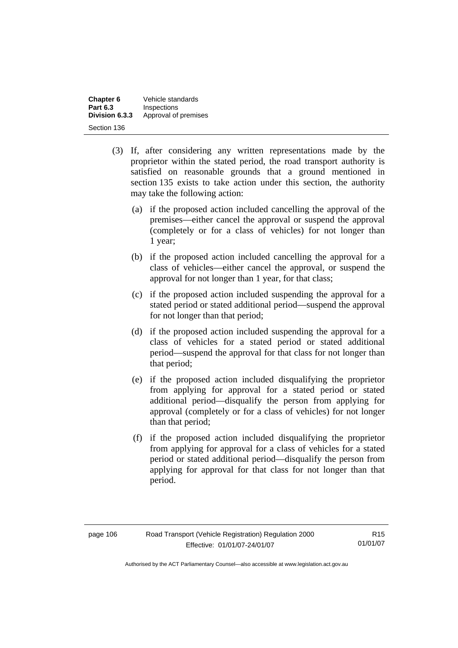| Chapter 6       | Vehicle standards    |
|-----------------|----------------------|
| <b>Part 6.3</b> | Inspections          |
| Division 6.3.3  | Approval of premises |
| Section 136     |                      |

- (3) If, after considering any written representations made by the proprietor within the stated period, the road transport authority is satisfied on reasonable grounds that a ground mentioned in section 135 exists to take action under this section, the authority may take the following action:
	- (a) if the proposed action included cancelling the approval of the premises—either cancel the approval or suspend the approval (completely or for a class of vehicles) for not longer than 1 year;
	- (b) if the proposed action included cancelling the approval for a class of vehicles—either cancel the approval, or suspend the approval for not longer than 1 year, for that class;
	- (c) if the proposed action included suspending the approval for a stated period or stated additional period—suspend the approval for not longer than that period;
	- (d) if the proposed action included suspending the approval for a class of vehicles for a stated period or stated additional period—suspend the approval for that class for not longer than that period;
	- (e) if the proposed action included disqualifying the proprietor from applying for approval for a stated period or stated additional period—disqualify the person from applying for approval (completely or for a class of vehicles) for not longer than that period;
	- (f) if the proposed action included disqualifying the proprietor from applying for approval for a class of vehicles for a stated period or stated additional period—disqualify the person from applying for approval for that class for not longer than that period.

| page 106 |  |
|----------|--|
|----------|--|

R15 01/01/07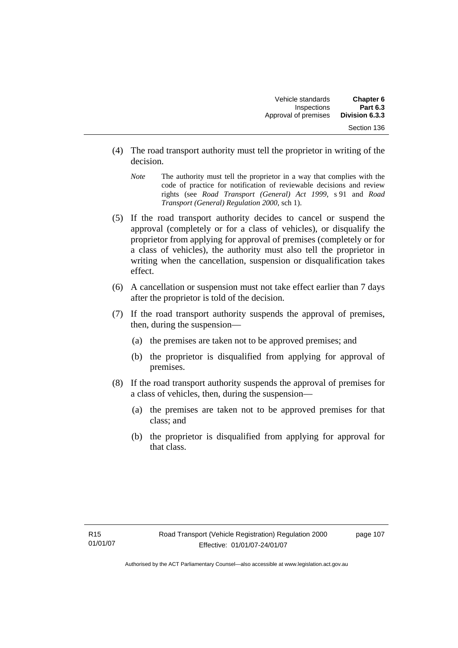- (4) The road transport authority must tell the proprietor in writing of the decision.
	- *Note* The authority must tell the proprietor in a way that complies with the code of practice for notification of reviewable decisions and review rights (see *Road Transport (General) Act 1999*, s 91 and *Road Transport (General) Regulation 2000*, sch 1).
- (5) If the road transport authority decides to cancel or suspend the approval (completely or for a class of vehicles), or disqualify the proprietor from applying for approval of premises (completely or for a class of vehicles), the authority must also tell the proprietor in writing when the cancellation, suspension or disqualification takes effect.
- (6) A cancellation or suspension must not take effect earlier than 7 days after the proprietor is told of the decision.
- (7) If the road transport authority suspends the approval of premises, then, during the suspension—
	- (a) the premises are taken not to be approved premises; and
	- (b) the proprietor is disqualified from applying for approval of premises.
- (8) If the road transport authority suspends the approval of premises for a class of vehicles, then, during the suspension—
	- (a) the premises are taken not to be approved premises for that class; and
	- (b) the proprietor is disqualified from applying for approval for that class.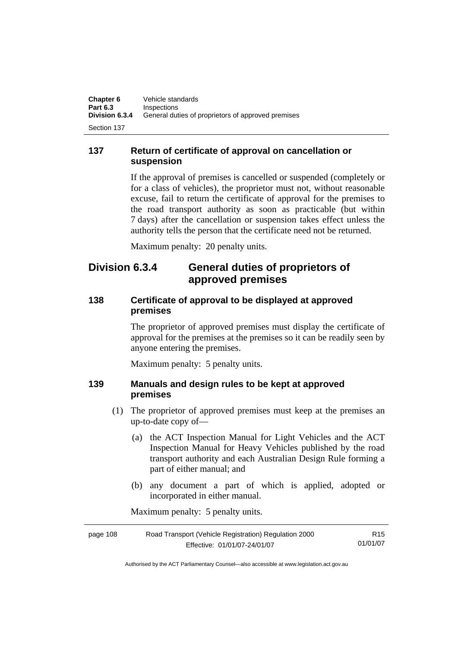**137 Return of certificate of approval on cancellation or suspension** 

> If the approval of premises is cancelled or suspended (completely or for a class of vehicles), the proprietor must not, without reasonable excuse, fail to return the certificate of approval for the premises to the road transport authority as soon as practicable (but within 7 days) after the cancellation or suspension takes effect unless the authority tells the person that the certificate need not be returned.

Maximum penalty: 20 penalty units.

# **Division 6.3.4 General duties of proprietors of approved premises**

# **138 Certificate of approval to be displayed at approved premises**

The proprietor of approved premises must display the certificate of approval for the premises at the premises so it can be readily seen by anyone entering the premises.

Maximum penalty: 5 penalty units.

# **139 Manuals and design rules to be kept at approved premises**

- (1) The proprietor of approved premises must keep at the premises an up-to-date copy of—
	- (a) the ACT Inspection Manual for Light Vehicles and the ACT Inspection Manual for Heavy Vehicles published by the road transport authority and each Australian Design Rule forming a part of either manual; and
	- (b) any document a part of which is applied, adopted or incorporated in either manual.

Maximum penalty: 5 penalty units.

| page 108 | Road Transport (Vehicle Registration) Regulation 2000 | R15      |
|----------|-------------------------------------------------------|----------|
|          | Effective: 01/01/07-24/01/07                          | 01/01/07 |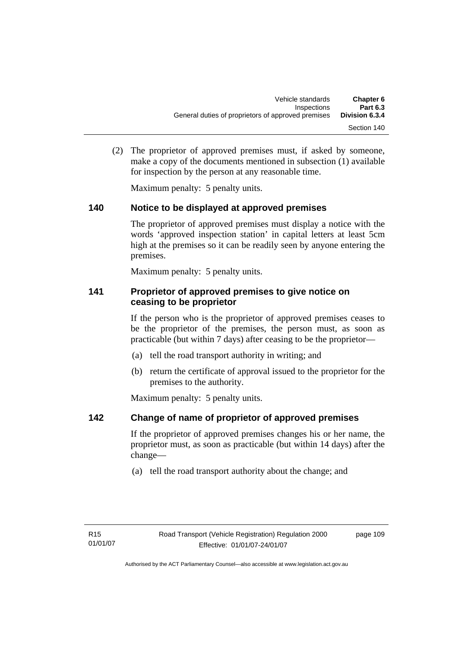(2) The proprietor of approved premises must, if asked by someone, make a copy of the documents mentioned in subsection (1) available for inspection by the person at any reasonable time.

Maximum penalty: 5 penalty units.

# **140 Notice to be displayed at approved premises**

The proprietor of approved premises must display a notice with the words 'approved inspection station' in capital letters at least 5cm high at the premises so it can be readily seen by anyone entering the premises.

Maximum penalty: 5 penalty units.

# **141 Proprietor of approved premises to give notice on ceasing to be proprietor**

If the person who is the proprietor of approved premises ceases to be the proprietor of the premises, the person must, as soon as practicable (but within 7 days) after ceasing to be the proprietor—

- (a) tell the road transport authority in writing; and
- (b) return the certificate of approval issued to the proprietor for the premises to the authority.

Maximum penalty: 5 penalty units.

# **142 Change of name of proprietor of approved premises**

If the proprietor of approved premises changes his or her name, the proprietor must, as soon as practicable (but within 14 days) after the change—

(a) tell the road transport authority about the change; and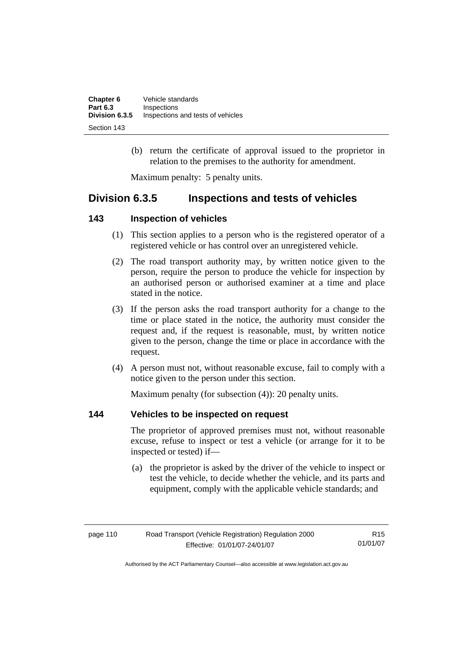| Chapter 6       | Vehicle standards                 |
|-----------------|-----------------------------------|
| <b>Part 6.3</b> | Inspections                       |
| Division 6.3.5  | Inspections and tests of vehicles |
| Section 143     |                                   |

 (b) return the certificate of approval issued to the proprietor in relation to the premises to the authority for amendment.

Maximum penalty: 5 penalty units.

# **Division 6.3.5 Inspections and tests of vehicles**

# **143 Inspection of vehicles**

- (1) This section applies to a person who is the registered operator of a registered vehicle or has control over an unregistered vehicle.
- (2) The road transport authority may, by written notice given to the person, require the person to produce the vehicle for inspection by an authorised person or authorised examiner at a time and place stated in the notice.
- (3) If the person asks the road transport authority for a change to the time or place stated in the notice, the authority must consider the request and, if the request is reasonable, must, by written notice given to the person, change the time or place in accordance with the request.
- (4) A person must not, without reasonable excuse, fail to comply with a notice given to the person under this section.

Maximum penalty (for subsection (4)): 20 penalty units.

# **144 Vehicles to be inspected on request**

The proprietor of approved premises must not, without reasonable excuse, refuse to inspect or test a vehicle (or arrange for it to be inspected or tested) if—

 (a) the proprietor is asked by the driver of the vehicle to inspect or test the vehicle, to decide whether the vehicle, and its parts and equipment, comply with the applicable vehicle standards; and

| Road Transport (Vehicle Registration) Regulation 2000<br>page 110 |                              | R15      |
|-------------------------------------------------------------------|------------------------------|----------|
|                                                                   | Effective: 01/01/07-24/01/07 | 01/01/07 |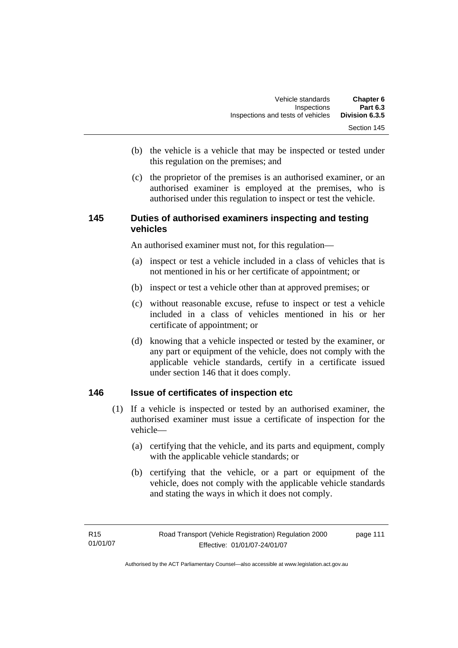- (b) the vehicle is a vehicle that may be inspected or tested under this regulation on the premises; and
- (c) the proprietor of the premises is an authorised examiner, or an authorised examiner is employed at the premises, who is authorised under this regulation to inspect or test the vehicle.

# **145 Duties of authorised examiners inspecting and testing vehicles**

An authorised examiner must not, for this regulation—

- (a) inspect or test a vehicle included in a class of vehicles that is not mentioned in his or her certificate of appointment; or
- (b) inspect or test a vehicle other than at approved premises; or
- (c) without reasonable excuse, refuse to inspect or test a vehicle included in a class of vehicles mentioned in his or her certificate of appointment; or
- (d) knowing that a vehicle inspected or tested by the examiner, or any part or equipment of the vehicle, does not comply with the applicable vehicle standards, certify in a certificate issued under section 146 that it does comply.

# **146 Issue of certificates of inspection etc**

- (1) If a vehicle is inspected or tested by an authorised examiner, the authorised examiner must issue a certificate of inspection for the vehicle—
	- (a) certifying that the vehicle, and its parts and equipment, comply with the applicable vehicle standards; or
	- (b) certifying that the vehicle, or a part or equipment of the vehicle, does not comply with the applicable vehicle standards and stating the ways in which it does not comply.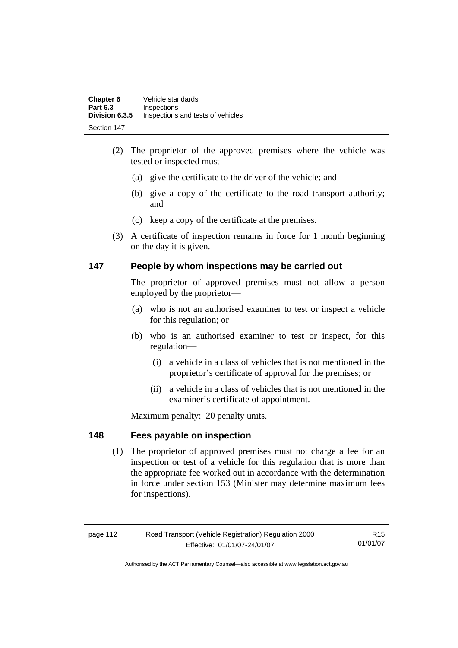| Chapter 6       | Vehicle standards                 |
|-----------------|-----------------------------------|
| <b>Part 6.3</b> | Inspections                       |
| Division 6.3.5  | Inspections and tests of vehicles |
| Section 147     |                                   |

- (2) The proprietor of the approved premises where the vehicle was tested or inspected must—
	- (a) give the certificate to the driver of the vehicle; and
	- (b) give a copy of the certificate to the road transport authority; and
	- (c) keep a copy of the certificate at the premises.
- (3) A certificate of inspection remains in force for 1 month beginning on the day it is given.

# **147 People by whom inspections may be carried out**

The proprietor of approved premises must not allow a person employed by the proprietor—

- (a) who is not an authorised examiner to test or inspect a vehicle for this regulation; or
- (b) who is an authorised examiner to test or inspect, for this regulation—
	- (i) a vehicle in a class of vehicles that is not mentioned in the proprietor's certificate of approval for the premises; or
	- (ii) a vehicle in a class of vehicles that is not mentioned in the examiner's certificate of appointment.

Maximum penalty: 20 penalty units.

# **148 Fees payable on inspection**

 (1) The proprietor of approved premises must not charge a fee for an inspection or test of a vehicle for this regulation that is more than the appropriate fee worked out in accordance with the determination in force under section 153 (Minister may determine maximum fees for inspections).

| Road Transport (Vehicle Registration) Regulation 2000<br>page 112 |                              | R15      |
|-------------------------------------------------------------------|------------------------------|----------|
|                                                                   | Effective: 01/01/07-24/01/07 | 01/01/07 |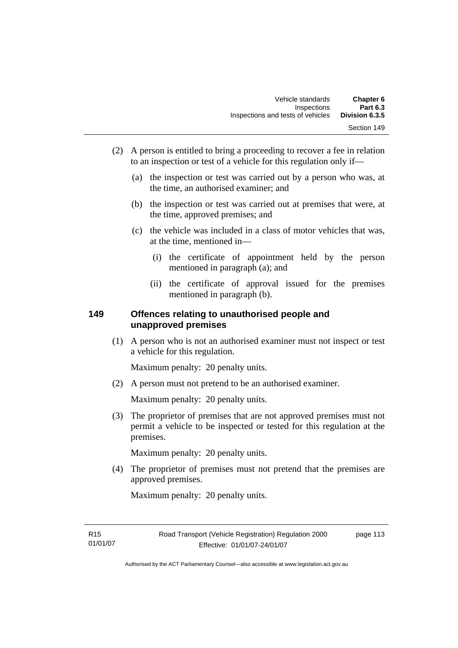- (2) A person is entitled to bring a proceeding to recover a fee in relation to an inspection or test of a vehicle for this regulation only if—
	- (a) the inspection or test was carried out by a person who was, at the time, an authorised examiner; and
	- (b) the inspection or test was carried out at premises that were, at the time, approved premises; and
	- (c) the vehicle was included in a class of motor vehicles that was, at the time, mentioned in—
		- (i) the certificate of appointment held by the person mentioned in paragraph (a); and
		- (ii) the certificate of approval issued for the premises mentioned in paragraph (b).

# **149 Offences relating to unauthorised people and unapproved premises**

 (1) A person who is not an authorised examiner must not inspect or test a vehicle for this regulation.

Maximum penalty: 20 penalty units.

(2) A person must not pretend to be an authorised examiner.

Maximum penalty: 20 penalty units.

 (3) The proprietor of premises that are not approved premises must not permit a vehicle to be inspected or tested for this regulation at the premises.

Maximum penalty: 20 penalty units.

 (4) The proprietor of premises must not pretend that the premises are approved premises.

Maximum penalty: 20 penalty units.

page 113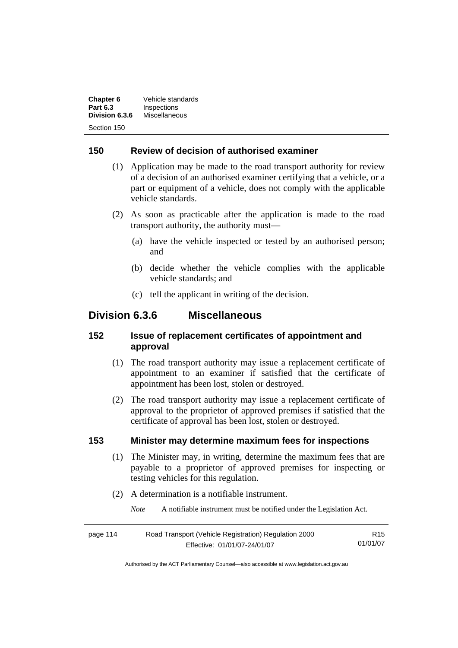| Chapter 6       | Vehicle standards |  |
|-----------------|-------------------|--|
| <b>Part 6.3</b> | Inspections       |  |
| Division 6.3.6  | Miscellaneous     |  |
|                 |                   |  |

# **150 Review of decision of authorised examiner**

- (1) Application may be made to the road transport authority for review of a decision of an authorised examiner certifying that a vehicle, or a part or equipment of a vehicle, does not comply with the applicable vehicle standards.
- (2) As soon as practicable after the application is made to the road transport authority, the authority must—
	- (a) have the vehicle inspected or tested by an authorised person; and
	- (b) decide whether the vehicle complies with the applicable vehicle standards; and
	- (c) tell the applicant in writing of the decision.

# **Division 6.3.6 Miscellaneous**

# **152 Issue of replacement certificates of appointment and approval**

- (1) The road transport authority may issue a replacement certificate of appointment to an examiner if satisfied that the certificate of appointment has been lost, stolen or destroyed.
- (2) The road transport authority may issue a replacement certificate of approval to the proprietor of approved premises if satisfied that the certificate of approval has been lost, stolen or destroyed.

# **153 Minister may determine maximum fees for inspections**

- (1) The Minister may, in writing, determine the maximum fees that are payable to a proprietor of approved premises for inspecting or testing vehicles for this regulation.
- (2) A determination is a notifiable instrument.

*Note* A notifiable instrument must be notified under the Legislation Act.

| page 114 | Road Transport (Vehicle Registration) Regulation 2000 |          |
|----------|-------------------------------------------------------|----------|
|          | Effective: 01/01/07-24/01/07                          | 01/01/07 |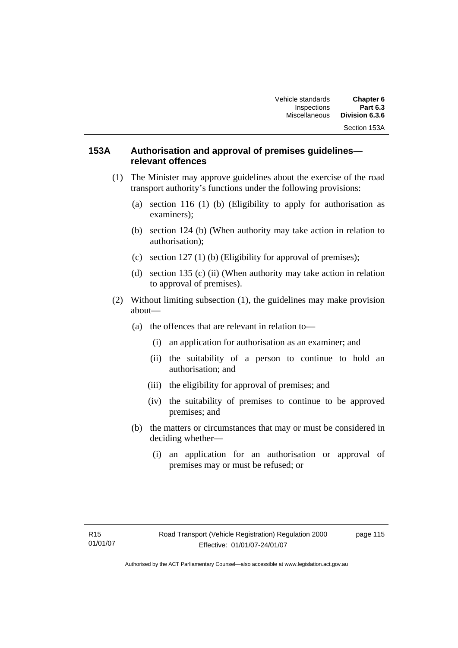# **153A Authorisation and approval of premises guidelines relevant offences**

- (1) The Minister may approve guidelines about the exercise of the road transport authority's functions under the following provisions:
	- (a) section 116 (1) (b) (Eligibility to apply for authorisation as examiners);
	- (b) section 124 (b) (When authority may take action in relation to authorisation);
	- (c) section 127 (1) (b) (Eligibility for approval of premises);
	- (d) section 135 (c) (ii) (When authority may take action in relation to approval of premises).
- (2) Without limiting subsection (1), the guidelines may make provision about—
	- (a) the offences that are relevant in relation to—
		- (i) an application for authorisation as an examiner; and
		- (ii) the suitability of a person to continue to hold an authorisation; and
		- (iii) the eligibility for approval of premises; and
		- (iv) the suitability of premises to continue to be approved premises; and
	- (b) the matters or circumstances that may or must be considered in deciding whether—
		- (i) an application for an authorisation or approval of premises may or must be refused; or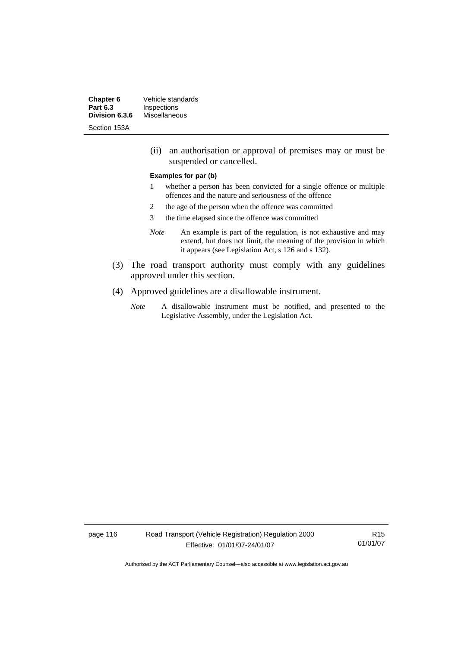**Chapter 6** Vehicle standards<br> **Part 6.3** Inspections **Inspections**<br>Miscellaneous **Division 6.3.6** 

Section 153A

 (ii) an authorisation or approval of premises may or must be suspended or cancelled.

#### **Examples for par (b)**

- 1 whether a person has been convicted for a single offence or multiple offences and the nature and seriousness of the offence
- 2 the age of the person when the offence was committed
- 3 the time elapsed since the offence was committed
- *Note* An example is part of the regulation, is not exhaustive and may extend, but does not limit, the meaning of the provision in which it appears (see Legislation Act, s 126 and s 132).
- (3) The road transport authority must comply with any guidelines approved under this section.
- (4) Approved guidelines are a disallowable instrument.
	- *Note* A disallowable instrument must be notified, and presented to the Legislative Assembly, under the Legislation Act.

page 116 Road Transport (Vehicle Registration) Regulation 2000 Effective: 01/01/07-24/01/07

R15 01/01/07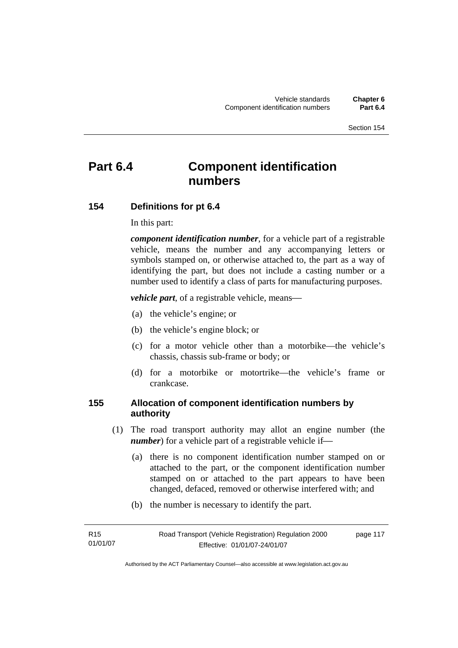# **Part 6.4 Component identification numbers**

# **154 Definitions for pt 6.4**

In this part:

*component identification number*, for a vehicle part of a registrable vehicle, means the number and any accompanying letters or symbols stamped on, or otherwise attached to, the part as a way of identifying the part, but does not include a casting number or a number used to identify a class of parts for manufacturing purposes.

*vehicle part*, of a registrable vehicle, means—

- (a) the vehicle's engine; or
- (b) the vehicle's engine block; or
- (c) for a motor vehicle other than a motorbike—the vehicle's chassis, chassis sub-frame or body; or
- (d) for a motorbike or motortrike—the vehicle's frame or crankcase.

# **155 Allocation of component identification numbers by authority**

- (1) The road transport authority may allot an engine number (the *number*) for a vehicle part of a registrable vehicle if-
	- (a) there is no component identification number stamped on or attached to the part, or the component identification number stamped on or attached to the part appears to have been changed, defaced, removed or otherwise interfered with; and
	- (b) the number is necessary to identify the part.

| R15      | Road Transport (Vehicle Registration) Regulation 2000 | page 117 |
|----------|-------------------------------------------------------|----------|
| 01/01/07 | Effective: 01/01/07-24/01/07                          |          |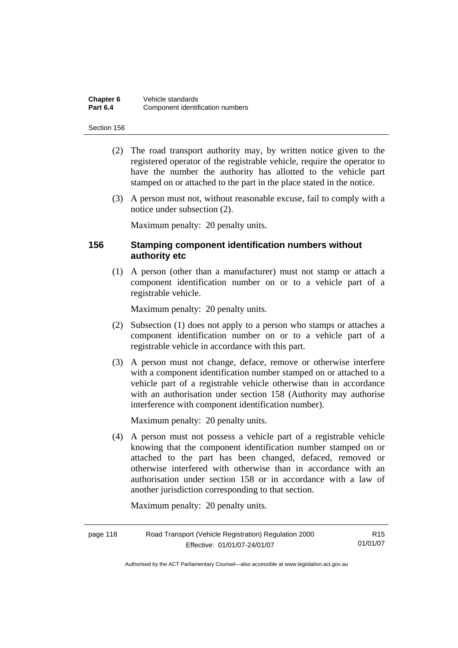| Chapter 6       | Vehicle standards                |
|-----------------|----------------------------------|
| <b>Part 6.4</b> | Component identification numbers |

- (2) The road transport authority may, by written notice given to the registered operator of the registrable vehicle, require the operator to have the number the authority has allotted to the vehicle part stamped on or attached to the part in the place stated in the notice.
- (3) A person must not, without reasonable excuse, fail to comply with a notice under subsection (2).

Maximum penalty: 20 penalty units.

## **156 Stamping component identification numbers without authority etc**

 (1) A person (other than a manufacturer) must not stamp or attach a component identification number on or to a vehicle part of a registrable vehicle.

Maximum penalty: 20 penalty units.

- (2) Subsection (1) does not apply to a person who stamps or attaches a component identification number on or to a vehicle part of a registrable vehicle in accordance with this part.
- (3) A person must not change, deface, remove or otherwise interfere with a component identification number stamped on or attached to a vehicle part of a registrable vehicle otherwise than in accordance with an authorisation under section 158 (Authority may authorise interference with component identification number).

Maximum penalty: 20 penalty units.

 (4) A person must not possess a vehicle part of a registrable vehicle knowing that the component identification number stamped on or attached to the part has been changed, defaced, removed or otherwise interfered with otherwise than in accordance with an authorisation under section 158 or in accordance with a law of another jurisdiction corresponding to that section.

Maximum penalty: 20 penalty units.

| Road Transport (Vehicle Registration) Regulation 2000<br>page 118 |                              | R <sub>15</sub> |
|-------------------------------------------------------------------|------------------------------|-----------------|
|                                                                   | Effective: 01/01/07-24/01/07 | 01/01/07        |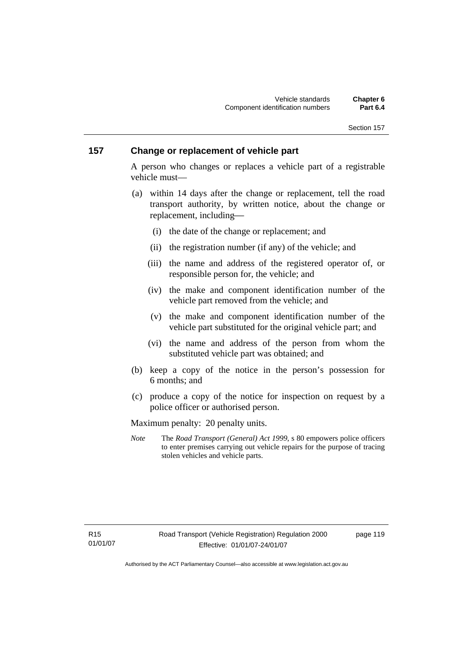# **157 Change or replacement of vehicle part**

A person who changes or replaces a vehicle part of a registrable vehicle must—

- (a) within 14 days after the change or replacement, tell the road transport authority, by written notice, about the change or replacement, including-
	- (i) the date of the change or replacement; and
	- (ii) the registration number (if any) of the vehicle; and
	- (iii) the name and address of the registered operator of, or responsible person for, the vehicle; and
	- (iv) the make and component identification number of the vehicle part removed from the vehicle; and
	- (v) the make and component identification number of the vehicle part substituted for the original vehicle part; and
	- (vi) the name and address of the person from whom the substituted vehicle part was obtained; and
- (b) keep a copy of the notice in the person's possession for 6 months; and
- (c) produce a copy of the notice for inspection on request by a police officer or authorised person.

Maximum penalty: 20 penalty units.

*Note* The *Road Transport (General) Act 1999*, s 80 empowers police officers to enter premises carrying out vehicle repairs for the purpose of tracing stolen vehicles and vehicle parts.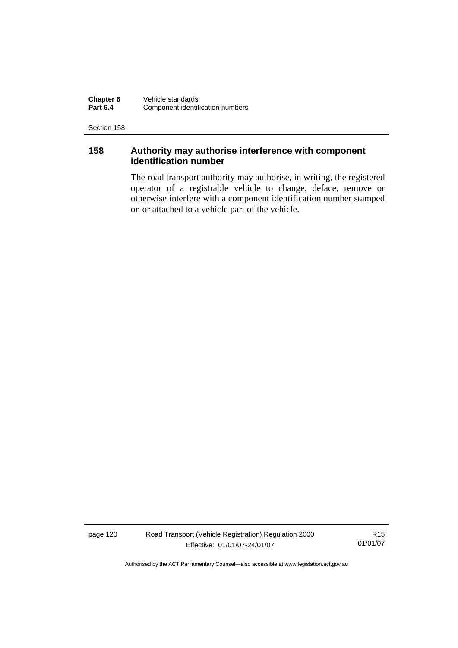**Chapter 6** Vehicle standards<br>**Part 6.4** Component identifi **Component identification numbers** 

Section 158

# **158 Authority may authorise interference with component identification number**

The road transport authority may authorise, in writing, the registered operator of a registrable vehicle to change, deface, remove or otherwise interfere with a component identification number stamped on or attached to a vehicle part of the vehicle.

page 120 Road Transport (Vehicle Registration) Regulation 2000 Effective: 01/01/07-24/01/07

R15 01/01/07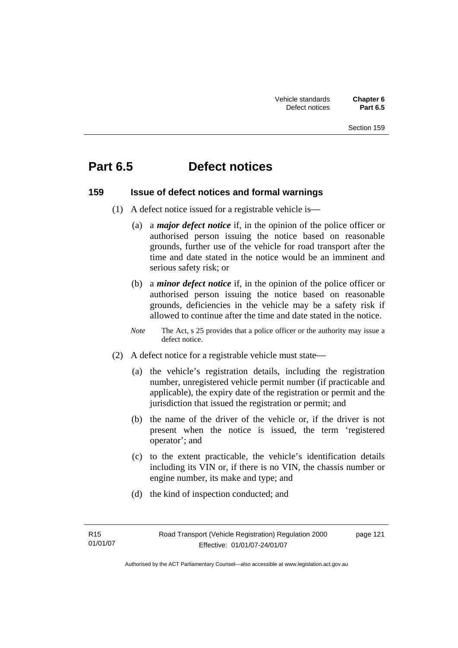# **Part 6.5 Defect notices**

#### **159 Issue of defect notices and formal warnings**

- (1) A defect notice issued for a registrable vehicle is—
	- (a) a *major defect notice* if, in the opinion of the police officer or authorised person issuing the notice based on reasonable grounds, further use of the vehicle for road transport after the time and date stated in the notice would be an imminent and serious safety risk; or
	- (b) a *minor defect notice* if, in the opinion of the police officer or authorised person issuing the notice based on reasonable grounds, deficiencies in the vehicle may be a safety risk if allowed to continue after the time and date stated in the notice.
	- *Note* The Act, s 25 provides that a police officer or the authority may issue a defect notice.
- (2) A defect notice for a registrable vehicle must state—
	- (a) the vehicle's registration details, including the registration number, unregistered vehicle permit number (if practicable and applicable), the expiry date of the registration or permit and the jurisdiction that issued the registration or permit; and
	- (b) the name of the driver of the vehicle or, if the driver is not present when the notice is issued, the term 'registered operator'; and
	- (c) to the extent practicable, the vehicle's identification details including its VIN or, if there is no VIN, the chassis number or engine number, its make and type; and
	- (d) the kind of inspection conducted; and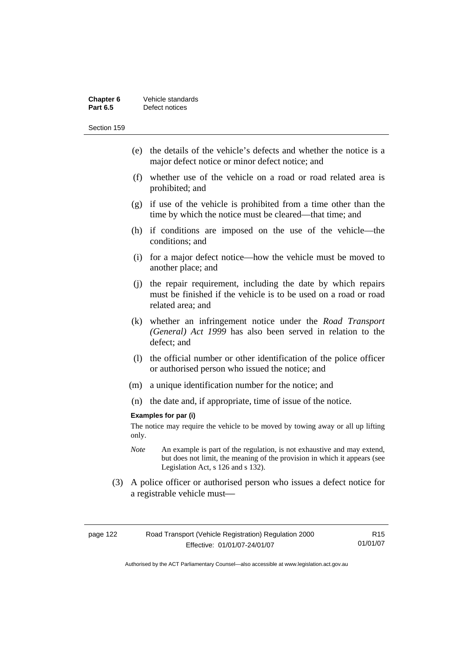| Chapter 6       | Vehicle standards |
|-----------------|-------------------|
| <b>Part 6.5</b> | Defect notices    |

- (e) the details of the vehicle's defects and whether the notice is a major defect notice or minor defect notice; and
- (f) whether use of the vehicle on a road or road related area is prohibited; and
- (g) if use of the vehicle is prohibited from a time other than the time by which the notice must be cleared—that time; and
- (h) if conditions are imposed on the use of the vehicle—the conditions; and
- (i) for a major defect notice—how the vehicle must be moved to another place; and
- (j) the repair requirement, including the date by which repairs must be finished if the vehicle is to be used on a road or road related area; and
- (k) whether an infringement notice under the *Road Transport (General) Act 1999* has also been served in relation to the defect; and
- (l) the official number or other identification of the police officer or authorised person who issued the notice; and
- (m) a unique identification number for the notice; and
- (n) the date and, if appropriate, time of issue of the notice.

#### **Examples for par (i)**

The notice may require the vehicle to be moved by towing away or all up lifting only.

- *Note* An example is part of the regulation, is not exhaustive and may extend, but does not limit, the meaning of the provision in which it appears (see Legislation Act, s 126 and s 132).
- (3) A police officer or authorised person who issues a defect notice for a registrable vehicle must-

| Road Transport (Vehicle Registration) Regulation 2000<br>page 122 |                              | R <sub>15</sub> |
|-------------------------------------------------------------------|------------------------------|-----------------|
|                                                                   | Effective: 01/01/07-24/01/07 | 01/01/07        |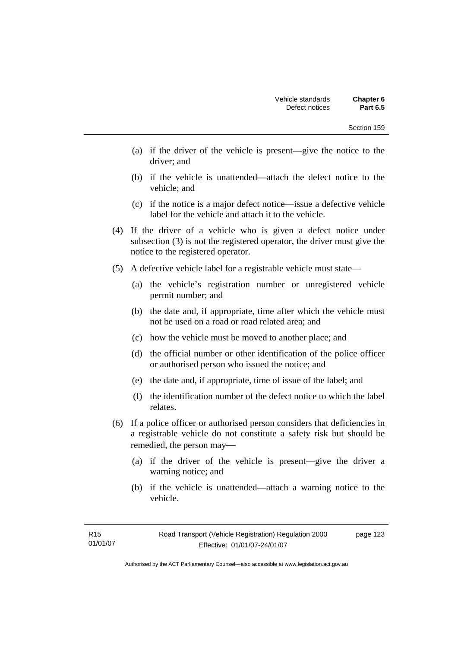- (a) if the driver of the vehicle is present—give the notice to the driver; and
- (b) if the vehicle is unattended—attach the defect notice to the vehicle; and
- (c) if the notice is a major defect notice—issue a defective vehicle label for the vehicle and attach it to the vehicle.
- (4) If the driver of a vehicle who is given a defect notice under subsection (3) is not the registered operator, the driver must give the notice to the registered operator.
- (5) A defective vehicle label for a registrable vehicle must state—
	- (a) the vehicle's registration number or unregistered vehicle permit number; and
	- (b) the date and, if appropriate, time after which the vehicle must not be used on a road or road related area; and
	- (c) how the vehicle must be moved to another place; and
	- (d) the official number or other identification of the police officer or authorised person who issued the notice; and
	- (e) the date and, if appropriate, time of issue of the label; and
	- (f) the identification number of the defect notice to which the label relates.
- (6) If a police officer or authorised person considers that deficiencies in a registrable vehicle do not constitute a safety risk but should be remedied, the person may—
	- (a) if the driver of the vehicle is present—give the driver a warning notice; and
	- (b) if the vehicle is unattended—attach a warning notice to the vehicle.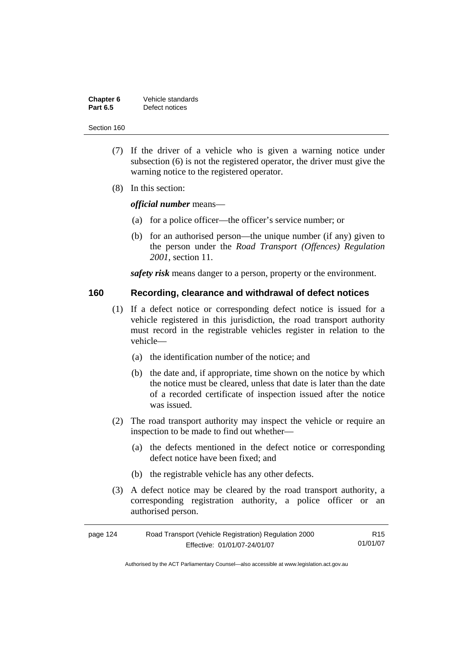| Chapter 6       | Vehicle standards |
|-----------------|-------------------|
| <b>Part 6.5</b> | Defect notices    |

- (7) If the driver of a vehicle who is given a warning notice under subsection (6) is not the registered operator, the driver must give the warning notice to the registered operator.
- (8) In this section:

*official number* means—

- (a) for a police officer—the officer's service number; or
- (b) for an authorised person—the unique number (if any) given to the person under the *Road Transport (Offences) Regulation 2001*, section 11.

*safety risk* means danger to a person, property or the environment.

#### **160 Recording, clearance and withdrawal of defect notices**

- (1) If a defect notice or corresponding defect notice is issued for a vehicle registered in this jurisdiction, the road transport authority must record in the registrable vehicles register in relation to the vehicle—
	- (a) the identification number of the notice; and
	- (b) the date and, if appropriate, time shown on the notice by which the notice must be cleared, unless that date is later than the date of a recorded certificate of inspection issued after the notice was issued.
- (2) The road transport authority may inspect the vehicle or require an inspection to be made to find out whether—
	- (a) the defects mentioned in the defect notice or corresponding defect notice have been fixed; and
	- (b) the registrable vehicle has any other defects.
- (3) A defect notice may be cleared by the road transport authority, a corresponding registration authority, a police officer or an authorised person.

| page 124 | Road Transport (Vehicle Registration) Regulation 2000 | R <sub>15</sub> |
|----------|-------------------------------------------------------|-----------------|
|          | Effective: 01/01/07-24/01/07                          | 01/01/07        |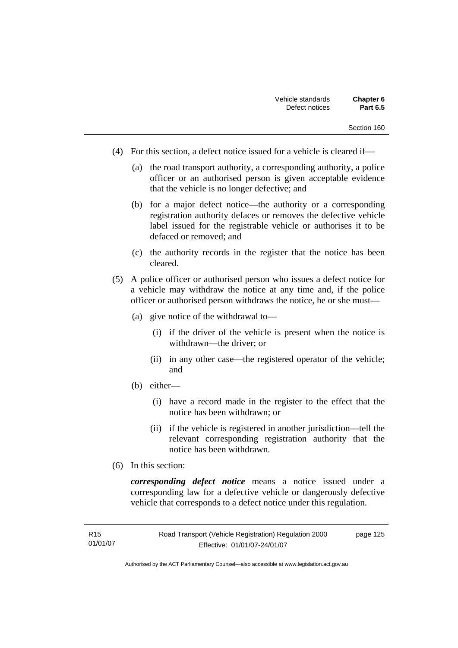- (4) For this section, a defect notice issued for a vehicle is cleared if—
	- (a) the road transport authority, a corresponding authority, a police officer or an authorised person is given acceptable evidence that the vehicle is no longer defective; and
	- (b) for a major defect notice—the authority or a corresponding registration authority defaces or removes the defective vehicle label issued for the registrable vehicle or authorises it to be defaced or removed; and
	- (c) the authority records in the register that the notice has been cleared.
- (5) A police officer or authorised person who issues a defect notice for a vehicle may withdraw the notice at any time and, if the police officer or authorised person withdraws the notice, he or she must—
	- (a) give notice of the withdrawal to—
		- (i) if the driver of the vehicle is present when the notice is withdrawn—the driver; or
		- (ii) in any other case—the registered operator of the vehicle; and
	- (b) either—
		- (i) have a record made in the register to the effect that the notice has been withdrawn; or
		- (ii) if the vehicle is registered in another jurisdiction—tell the relevant corresponding registration authority that the notice has been withdrawn.
- (6) In this section:

*corresponding defect notice* means a notice issued under a corresponding law for a defective vehicle or dangerously defective vehicle that corresponds to a defect notice under this regulation.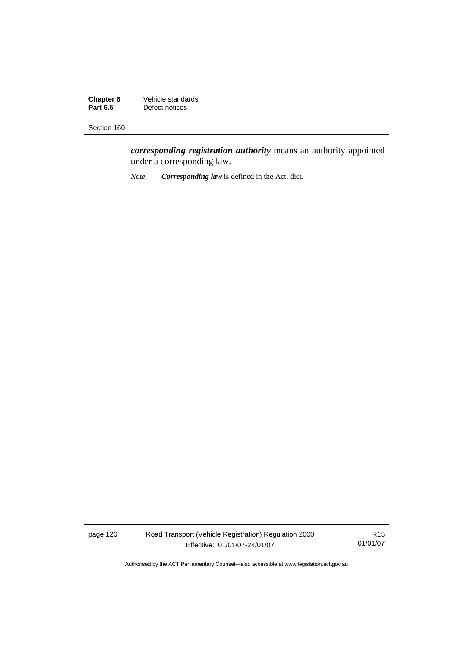**Chapter 6** Vehicle standards<br>**Part 6.5** Defect notices **Part 6.5 Part 6.5 Part 6.5 Part 6.5 <b>Part 6.5 Part 6.5 Part 6.5 Part 6.5 Part 6.5 Part 6.5 Part 6.5 Part 6.5 Part 6.5 Part 6.6 Part 6.6 Part 6.6 Part 6.6 Part 6.6 Part 6.6 Part 6.6 Part 6.6 Part 6.6 Part 6.6 Part 6.6 Part** 

Section 160

*corresponding registration authority* means an authority appointed under a corresponding law.

*Note Corresponding law* is defined in the Act, dict.

page 126 Road Transport (Vehicle Registration) Regulation 2000 Effective: 01/01/07-24/01/07

R15 01/01/07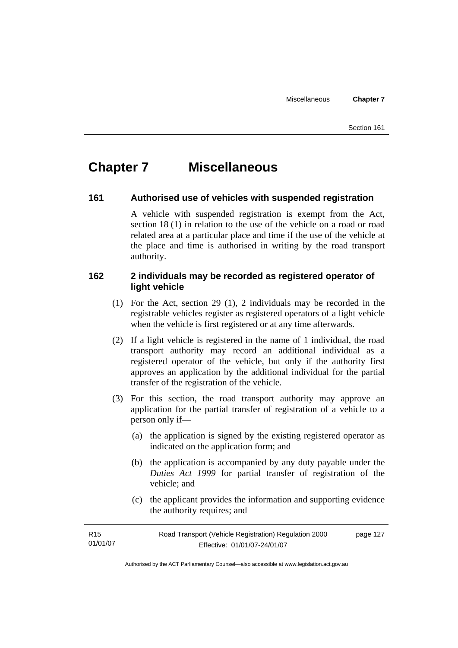# **Chapter 7 Miscellaneous**

#### **161 Authorised use of vehicles with suspended registration**

A vehicle with suspended registration is exempt from the Act, section 18 (1) in relation to the use of the vehicle on a road or road related area at a particular place and time if the use of the vehicle at the place and time is authorised in writing by the road transport authority.

## **162 2 individuals may be recorded as registered operator of light vehicle**

- (1) For the Act, section 29 (1), 2 individuals may be recorded in the registrable vehicles register as registered operators of a light vehicle when the vehicle is first registered or at any time afterwards.
- (2) If a light vehicle is registered in the name of 1 individual, the road transport authority may record an additional individual as a registered operator of the vehicle, but only if the authority first approves an application by the additional individual for the partial transfer of the registration of the vehicle.
- (3) For this section, the road transport authority may approve an application for the partial transfer of registration of a vehicle to a person only if—
	- (a) the application is signed by the existing registered operator as indicated on the application form; and
	- (b) the application is accompanied by any duty payable under the *Duties Act 1999* for partial transfer of registration of the vehicle; and
	- (c) the applicant provides the information and supporting evidence the authority requires; and

| R15      | Road Transport (Vehicle Registration) Regulation 2000 | page 127 |
|----------|-------------------------------------------------------|----------|
| 01/01/07 | Effective: 01/01/07-24/01/07                          |          |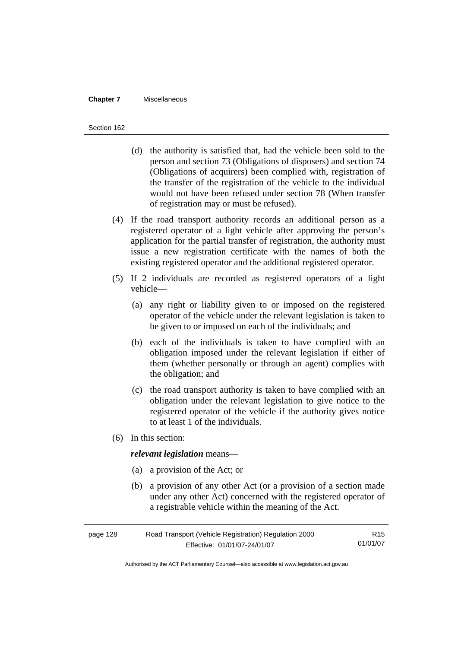#### **Chapter 7** Miscellaneous

#### Section 162

- (d) the authority is satisfied that, had the vehicle been sold to the person and section 73 (Obligations of disposers) and section 74 (Obligations of acquirers) been complied with, registration of the transfer of the registration of the vehicle to the individual would not have been refused under section 78 (When transfer of registration may or must be refused).
- (4) If the road transport authority records an additional person as a registered operator of a light vehicle after approving the person's application for the partial transfer of registration, the authority must issue a new registration certificate with the names of both the existing registered operator and the additional registered operator.
- (5) If 2 individuals are recorded as registered operators of a light vehicle—
	- (a) any right or liability given to or imposed on the registered operator of the vehicle under the relevant legislation is taken to be given to or imposed on each of the individuals; and
	- (b) each of the individuals is taken to have complied with an obligation imposed under the relevant legislation if either of them (whether personally or through an agent) complies with the obligation; and
	- (c) the road transport authority is taken to have complied with an obligation under the relevant legislation to give notice to the registered operator of the vehicle if the authority gives notice to at least 1 of the individuals.
- (6) In this section:

#### *relevant legislation* means—

- (a) a provision of the Act; or
- (b) a provision of any other Act (or a provision of a section made under any other Act) concerned with the registered operator of a registrable vehicle within the meaning of the Act.

| page 128 | Road Transport (Vehicle Registration) Regulation 2000 | R <sub>15</sub> |
|----------|-------------------------------------------------------|-----------------|
|          | Effective: 01/01/07-24/01/07                          | 01/01/07        |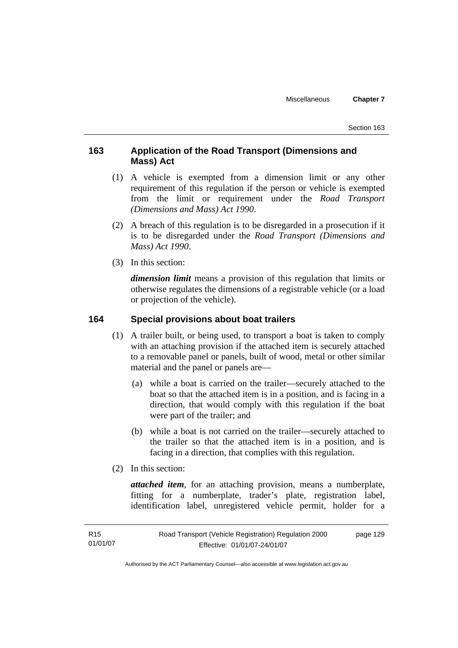Section 163

## **163 Application of the Road Transport (Dimensions and Mass) Act**

- (1) A vehicle is exempted from a dimension limit or any other requirement of this regulation if the person or vehicle is exempted from the limit or requirement under the *Road Transport (Dimensions and Mass) Act 1990*.
- (2) A breach of this regulation is to be disregarded in a prosecution if it is to be disregarded under the *Road Transport (Dimensions and Mass) Act 1990*.
- (3) In this section:

*dimension limit* means a provision of this regulation that limits or otherwise regulates the dimensions of a registrable vehicle (or a load or projection of the vehicle).

#### **164 Special provisions about boat trailers**

- (1) A trailer built, or being used, to transport a boat is taken to comply with an attaching provision if the attached item is securely attached to a removable panel or panels, built of wood, metal or other similar material and the panel or panels are—
	- (a) while a boat is carried on the trailer—securely attached to the boat so that the attached item is in a position, and is facing in a direction, that would comply with this regulation if the boat were part of the trailer; and
	- (b) while a boat is not carried on the trailer—securely attached to the trailer so that the attached item is in a position, and is facing in a direction, that complies with this regulation.
- (2) In this section:

*attached item*, for an attaching provision, means a numberplate, fitting for a numberplate, trader's plate, registration label, identification label, unregistered vehicle permit, holder for a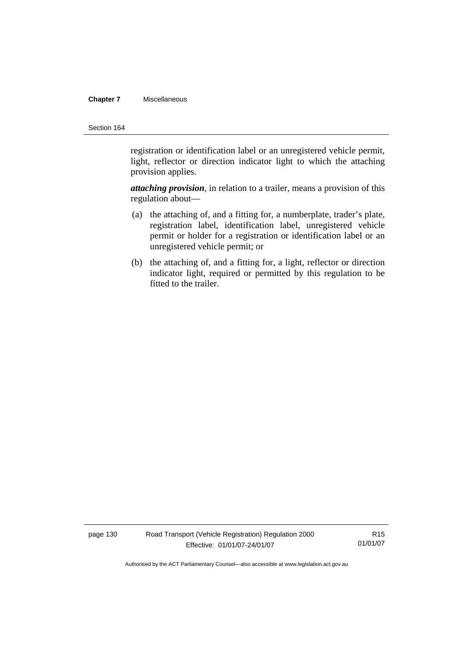#### **Chapter 7** Miscellaneous

#### Section 164

registration or identification label or an unregistered vehicle permit, light, reflector or direction indicator light to which the attaching provision applies.

*attaching provision*, in relation to a trailer, means a provision of this regulation about—

- (a) the attaching of, and a fitting for, a numberplate, trader's plate, registration label, identification label, unregistered vehicle permit or holder for a registration or identification label or an unregistered vehicle permit; or
- (b) the attaching of, and a fitting for, a light, reflector or direction indicator light, required or permitted by this regulation to be fitted to the trailer.

page 130 Road Transport (Vehicle Registration) Regulation 2000 Effective: 01/01/07-24/01/07

R15 01/01/07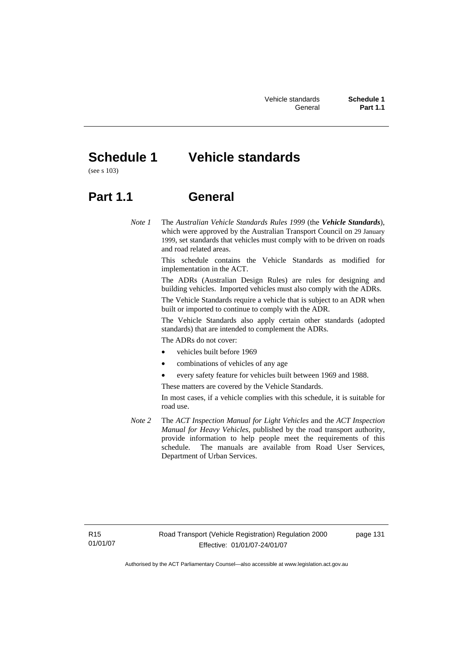# **Schedule 1 Vehicle standards**

(see s 103)

# **Part 1.1 General**

*Note 1* The *Australian Vehicle Standards Rules 1999* (the *Vehicle Standards*), which were approved by the Australian Transport Council on 29 January 1999, set standards that vehicles must comply with to be driven on roads and road related areas.

> This schedule contains the Vehicle Standards as modified for implementation in the ACT.

> The ADRs (Australian Design Rules) are rules for designing and building vehicles. Imported vehicles must also comply with the ADRs.

> The Vehicle Standards require a vehicle that is subject to an ADR when built or imported to continue to comply with the ADR.

> The Vehicle Standards also apply certain other standards (adopted standards) that are intended to complement the ADRs.

The ADRs do not cover:

- vehicles built before 1969
- combinations of vehicles of any age
- every safety feature for vehicles built between 1969 and 1988.

These matters are covered by the Vehicle Standards.

In most cases, if a vehicle complies with this schedule, it is suitable for road use.

*Note 2* The *ACT Inspection Manual for Light Vehicles* and the *ACT Inspection Manual for Heavy Vehicles*, published by the road transport authority, provide information to help people meet the requirements of this schedule. The manuals are available from Road User Services, Department of Urban Services.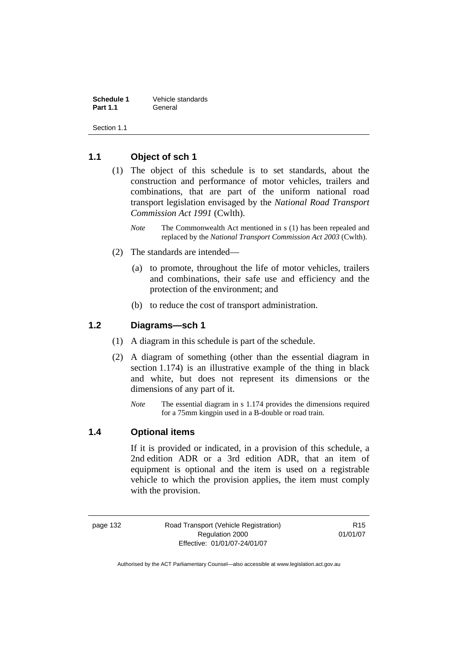**Schedule 1** Vehicle standards **Part 1.1** General

Section 1.1

## **1.1 Object of sch 1**

- (1) The object of this schedule is to set standards, about the construction and performance of motor vehicles, trailers and combinations, that are part of the uniform national road transport legislation envisaged by the *National Road Transport Commission Act 1991* (Cwlth).
	- *Note* The Commonwealth Act mentioned in s (1) has been repealed and replaced by the *National Transport Commission Act 2003* (Cwlth).
- (2) The standards are intended—
	- (a) to promote, throughout the life of motor vehicles, trailers and combinations, their safe use and efficiency and the protection of the environment; and
	- (b) to reduce the cost of transport administration.

#### **1.2 Diagrams—sch 1**

- (1) A diagram in this schedule is part of the schedule.
- (2) A diagram of something (other than the essential diagram in section 1.174) is an illustrative example of the thing in black and white, but does not represent its dimensions or the dimensions of any part of it.
	- *Note* The essential diagram in s 1.174 provides the dimensions required for a 75mm kingpin used in a B-double or road train.

#### **1.4 Optional items**

If it is provided or indicated, in a provision of this schedule, a 2nd edition ADR or a 3rd edition ADR, that an item of equipment is optional and the item is used on a registrable vehicle to which the provision applies, the item must comply with the provision.

page 132 Road Transport (Vehicle Registration) Regulation 2000 Effective: 01/01/07-24/01/07

R15 01/01/07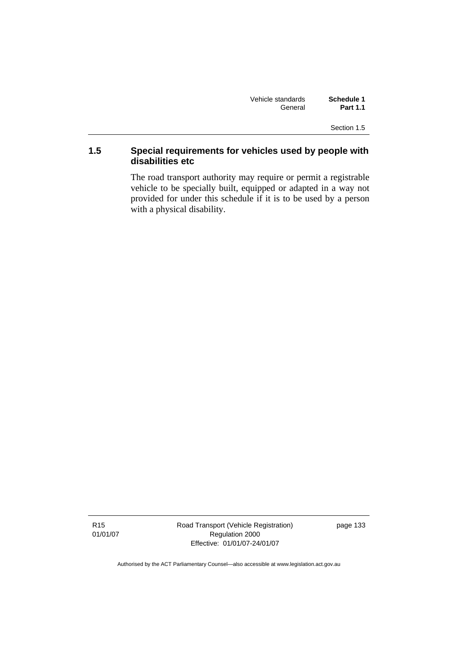| Vehicle standards | Schedule 1      |
|-------------------|-----------------|
| General           | <b>Part 1.1</b> |

Section 1.5

## **1.5 Special requirements for vehicles used by people with disabilities etc**

The road transport authority may require or permit a registrable vehicle to be specially built, equipped or adapted in a way not provided for under this schedule if it is to be used by a person with a physical disability.

R15 01/01/07 Road Transport (Vehicle Registration) Regulation 2000 Effective: 01/01/07-24/01/07

page 133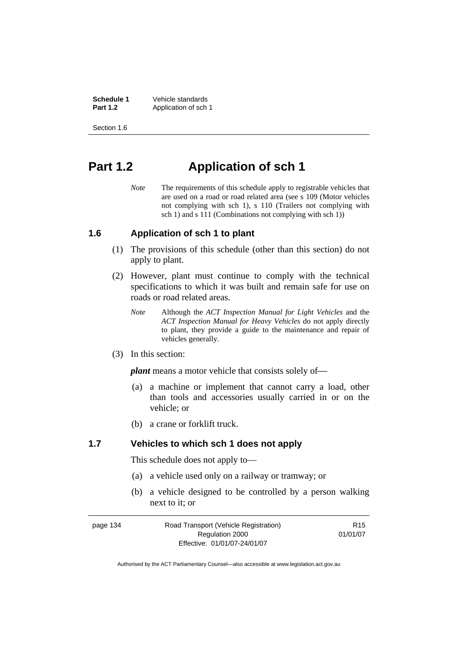**Schedule 1** Vehicle standards<br> **Part 1.2** Application of sch Application of sch 1.

Section 1.6

# **Part 1.2 Application of sch 1**

*Note* The requirements of this schedule apply to registrable vehicles that are used on a road or road related area (see s 109 (Motor vehicles not complying with sch 1), s 110 (Trailers not complying with sch 1) and s 111 (Combinations not complying with sch 1))

#### **1.6 Application of sch 1 to plant**

- (1) The provisions of this schedule (other than this section) do not apply to plant.
- (2) However, plant must continue to comply with the technical specifications to which it was built and remain safe for use on roads or road related areas.
	- *Note* Although the *ACT Inspection Manual for Light Vehicles* and the *ACT Inspection Manual for Heavy Vehicles* do not apply directly to plant, they provide a guide to the maintenance and repair of vehicles generally.
- (3) In this section:

*plant* means a motor vehicle that consists solely of—

- (a) a machine or implement that cannot carry a load, other than tools and accessories usually carried in or on the vehicle; or
- (b) a crane or forklift truck.

#### **1.7 Vehicles to which sch 1 does not apply**

This schedule does not apply to—

- (a) a vehicle used only on a railway or tramway; or
- (b) a vehicle designed to be controlled by a person walking next to it; or

| page 134 | Road Transport (Vehicle Registration) | R <sub>15</sub> |
|----------|---------------------------------------|-----------------|
|          | Regulation 2000                       | 01/01/07        |
|          | Effective: 01/01/07-24/01/07          |                 |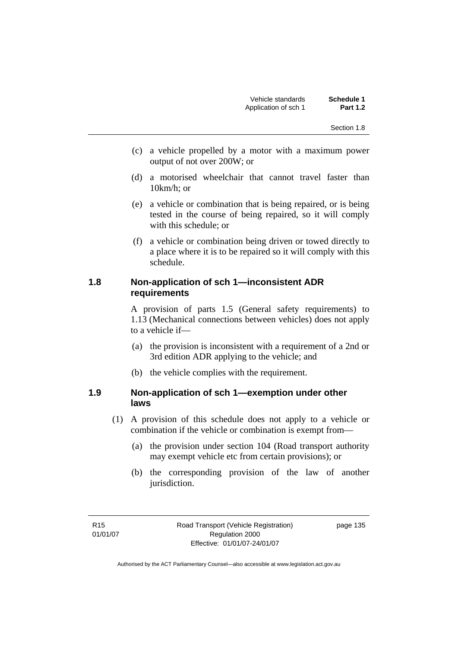- (c) a vehicle propelled by a motor with a maximum power output of not over 200W; or
- (d) a motorised wheelchair that cannot travel faster than 10km/h; or
- (e) a vehicle or combination that is being repaired, or is being tested in the course of being repaired, so it will comply with this schedule; or
- (f) a vehicle or combination being driven or towed directly to a place where it is to be repaired so it will comply with this schedule.

## **1.8 Non-application of sch 1—inconsistent ADR requirements**

A provision of parts 1.5 (General safety requirements) to 1.13 (Mechanical connections between vehicles) does not apply to a vehicle if—

- (a) the provision is inconsistent with a requirement of a 2nd or 3rd edition ADR applying to the vehicle; and
- (b) the vehicle complies with the requirement.

#### **1.9 Non-application of sch 1—exemption under other laws**

- (1) A provision of this schedule does not apply to a vehicle or combination if the vehicle or combination is exempt from—
	- (a) the provision under section 104 (Road transport authority may exempt vehicle etc from certain provisions); or
	- (b) the corresponding provision of the law of another jurisdiction.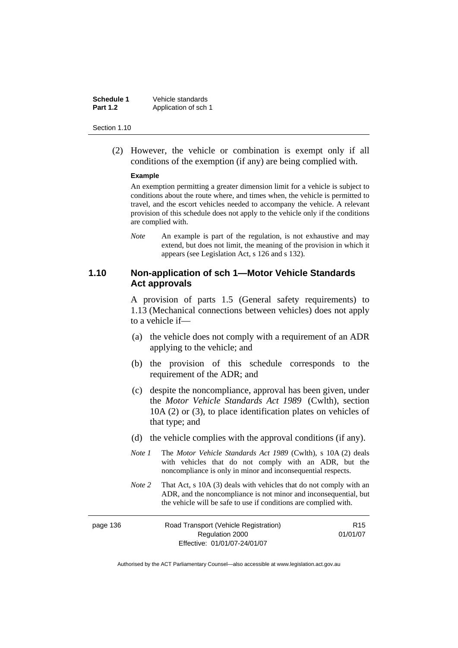**Schedule 1** Vehicle standards **Part 1.2** Application of sch 1

#### Section 1.10

 (2) However, the vehicle or combination is exempt only if all conditions of the exemption (if any) are being complied with.

#### **Example**

An exemption permitting a greater dimension limit for a vehicle is subject to conditions about the route where, and times when, the vehicle is permitted to travel, and the escort vehicles needed to accompany the vehicle. A relevant provision of this schedule does not apply to the vehicle only if the conditions are complied with.

*Note* An example is part of the regulation, is not exhaustive and may extend, but does not limit, the meaning of the provision in which it appears (see Legislation Act, s 126 and s 132).

#### **1.10 Non-application of sch 1—Motor Vehicle Standards Act approvals**

A provision of parts 1.5 (General safety requirements) to 1.13 (Mechanical connections between vehicles) does not apply to a vehicle if—

- (a) the vehicle does not comply with a requirement of an ADR applying to the vehicle; and
- (b) the provision of this schedule corresponds to the requirement of the ADR; and
- (c) despite the noncompliance, approval has been given, under the *Motor Vehicle Standards Act 1989* (Cwlth), section 10A (2) or (3), to place identification plates on vehicles of that type; and
- (d) the vehicle complies with the approval conditions (if any).
- *Note 1* The *Motor Vehicle Standards Act 1989* (Cwlth), s 10A (2) deals with vehicles that do not comply with an ADR, but the noncompliance is only in minor and inconsequential respects.
- *Note 2* That Act, s 10A (3) deals with vehicles that do not comply with an ADR, and the noncompliance is not minor and inconsequential, but the vehicle will be safe to use if conditions are complied with.

| page 136 | Road Transport (Vehicle Registration) | R <sub>15</sub> |
|----------|---------------------------------------|-----------------|
|          | Regulation 2000                       | 01/01/07        |
|          | Effective: 01/01/07-24/01/07          |                 |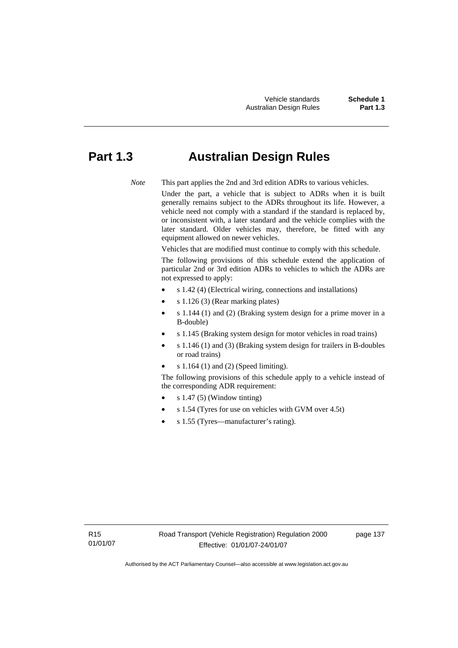# **Part 1.3 Australian Design Rules**

*Note* This part applies the 2nd and 3rd edition ADRs to various vehicles.

Under the part, a vehicle that is subject to ADRs when it is built generally remains subject to the ADRs throughout its life. However, a vehicle need not comply with a standard if the standard is replaced by, or inconsistent with, a later standard and the vehicle complies with the later standard. Older vehicles may, therefore, be fitted with any equipment allowed on newer vehicles.

Vehicles that are modified must continue to comply with this schedule.

The following provisions of this schedule extend the application of particular 2nd or 3rd edition ADRs to vehicles to which the ADRs are not expressed to apply:

- s 1.42 (4) (Electrical wiring, connections and installations)
- s 1.126 (3) (Rear marking plates)
- s 1.144 (1) and (2) (Braking system design for a prime mover in a B-double)
- s 1.145 (Braking system design for motor vehicles in road trains)
- s 1.146 (1) and (3) (Braking system design for trailers in B-doubles or road trains)
- s 1.164 (1) and (2) (Speed limiting).

The following provisions of this schedule apply to a vehicle instead of the corresponding ADR requirement:

- s 1.47 (5) (Window tinting)
- s 1.54 (Tyres for use on vehicles with GVM over 4.5t)
- s 1.55 (Tyres—manufacturer's rating).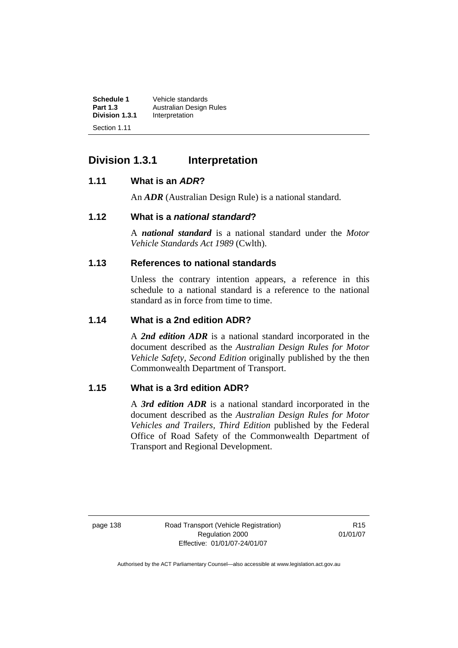| <b>Schedule 1</b>              | Vehicle standards       |
|--------------------------------|-------------------------|
| <b>Part 1.3</b>                | Australian Design Rules |
| Division 1.3.1<br>Section 1.11 | Interpretation          |

# **Division 1.3.1 Interpretation**

#### **1.11 What is an** *ADR***?**

An *ADR* (Australian Design Rule) is a national standard.

#### **1.12 What is a** *national standard***?**

A *national standard* is a national standard under the *Motor Vehicle Standards Act 1989* (Cwlth).

## **1.13 References to national standards**

Unless the contrary intention appears, a reference in this schedule to a national standard is a reference to the national standard as in force from time to time.

#### **1.14 What is a 2nd edition ADR?**

A *2nd edition ADR* is a national standard incorporated in the document described as the *Australian Design Rules for Motor Vehicle Safety, Second Edition* originally published by the then Commonwealth Department of Transport.

## **1.15 What is a 3rd edition ADR?**

A *3rd edition ADR* is a national standard incorporated in the document described as the *Australian Design Rules for Motor Vehicles and Trailers, Third Edition* published by the Federal Office of Road Safety of the Commonwealth Department of Transport and Regional Development.

page 138 Road Transport (Vehicle Registration) Regulation 2000 Effective: 01/01/07-24/01/07

R15 01/01/07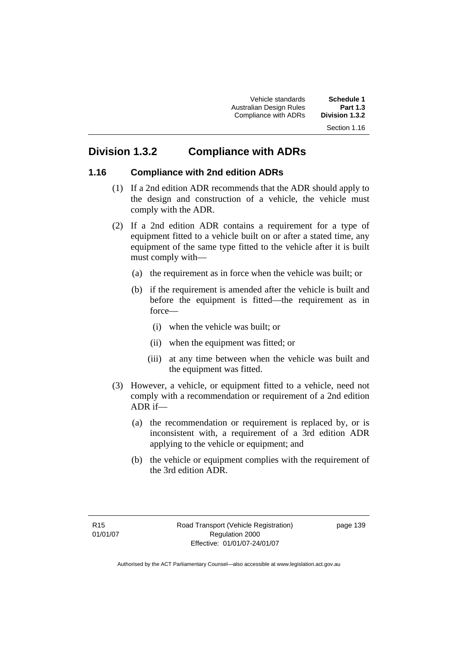Vehicle standards **Schedule 1**  Australian Design Rules **Part 1.3 Compliance with ADRs** 

# **Division 1.3.2 Compliance with ADRs**

#### **1.16 Compliance with 2nd edition ADRs**

- (1) If a 2nd edition ADR recommends that the ADR should apply to the design and construction of a vehicle, the vehicle must comply with the ADR.
- (2) If a 2nd edition ADR contains a requirement for a type of equipment fitted to a vehicle built on or after a stated time, any equipment of the same type fitted to the vehicle after it is built must comply with—
	- (a) the requirement as in force when the vehicle was built; or
	- (b) if the requirement is amended after the vehicle is built and before the equipment is fitted—the requirement as in force—
		- (i) when the vehicle was built; or
		- (ii) when the equipment was fitted; or
		- (iii) at any time between when the vehicle was built and the equipment was fitted.
- (3) However, a vehicle, or equipment fitted to a vehicle, need not comply with a recommendation or requirement of a 2nd edition ADR if—
	- (a) the recommendation or requirement is replaced by, or is inconsistent with, a requirement of a 3rd edition ADR applying to the vehicle or equipment; and
	- (b) the vehicle or equipment complies with the requirement of the 3rd edition ADR.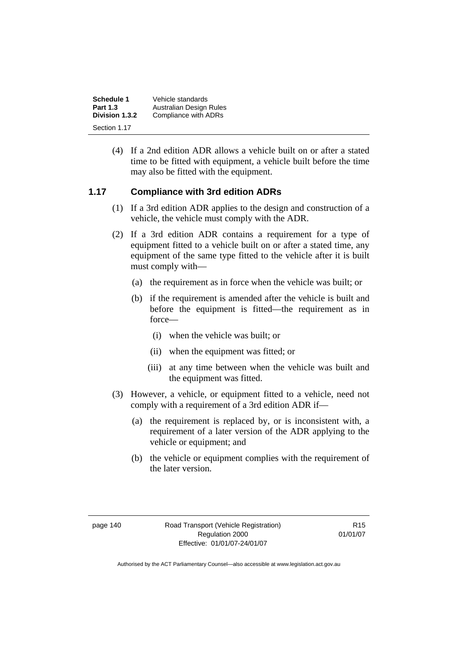| Schedule 1      | Vehicle standards       |
|-----------------|-------------------------|
| <b>Part 1.3</b> | Australian Design Rules |
| Division 1.3.2  | Compliance with ADRs    |
| Section 1.17    |                         |

 (4) If a 2nd edition ADR allows a vehicle built on or after a stated time to be fitted with equipment, a vehicle built before the time may also be fitted with the equipment.

#### **1.17 Compliance with 3rd edition ADRs**

- (1) If a 3rd edition ADR applies to the design and construction of a vehicle, the vehicle must comply with the ADR.
- (2) If a 3rd edition ADR contains a requirement for a type of equipment fitted to a vehicle built on or after a stated time, any equipment of the same type fitted to the vehicle after it is built must comply with—
	- (a) the requirement as in force when the vehicle was built; or
	- (b) if the requirement is amended after the vehicle is built and before the equipment is fitted—the requirement as in force—
		- (i) when the vehicle was built; or
		- (ii) when the equipment was fitted; or
		- (iii) at any time between when the vehicle was built and the equipment was fitted.
- (3) However, a vehicle, or equipment fitted to a vehicle, need not comply with a requirement of a 3rd edition ADR if—
	- (a) the requirement is replaced by, or is inconsistent with, a requirement of a later version of the ADR applying to the vehicle or equipment; and
	- (b) the vehicle or equipment complies with the requirement of the later version.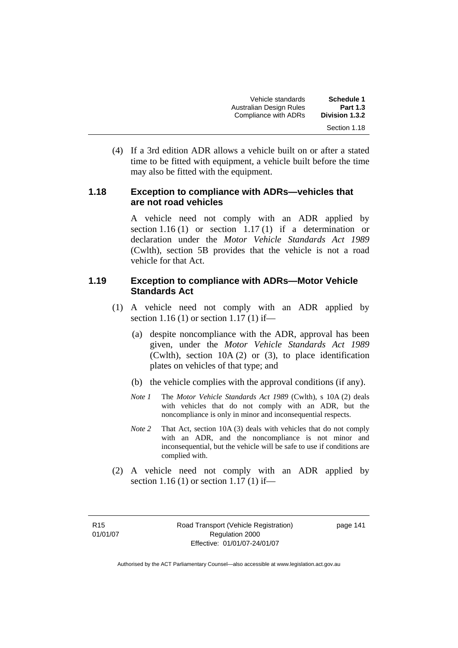| <b>Schedule 1</b> | Vehicle standards       |
|-------------------|-------------------------|
| <b>Part 1.3</b>   | Australian Design Rules |
| Division 1.3.2    | Compliance with ADRs    |
| Section 1.18      |                         |

 (4) If a 3rd edition ADR allows a vehicle built on or after a stated time to be fitted with equipment, a vehicle built before the time may also be fitted with the equipment.

#### **1.18 Exception to compliance with ADRs—vehicles that are not road vehicles**

A vehicle need not comply with an ADR applied by section 1.16 (1) or section 1.17 (1) if a determination or declaration under the *Motor Vehicle Standards Act 1989* (Cwlth), section 5B provides that the vehicle is not a road vehicle for that Act.

#### **1.19 Exception to compliance with ADRs—Motor Vehicle Standards Act**

- (1) A vehicle need not comply with an ADR applied by section 1.16 (1) or section 1.17 (1) if—
	- (a) despite noncompliance with the ADR, approval has been given, under the *Motor Vehicle Standards Act 1989*  (Cwlth), section 10A (2) or (3), to place identification plates on vehicles of that type; and
	- (b) the vehicle complies with the approval conditions (if any).
	- *Note 1* The *Motor Vehicle Standards Act 1989* (Cwlth), s 10A (2) deals with vehicles that do not comply with an ADR, but the noncompliance is only in minor and inconsequential respects.
	- *Note 2* That Act, section 10A (3) deals with vehicles that do not comply with an ADR, and the noncompliance is not minor and inconsequential, but the vehicle will be safe to use if conditions are complied with.
- (2) A vehicle need not comply with an ADR applied by section 1.16 (1) or section 1.17 (1) if—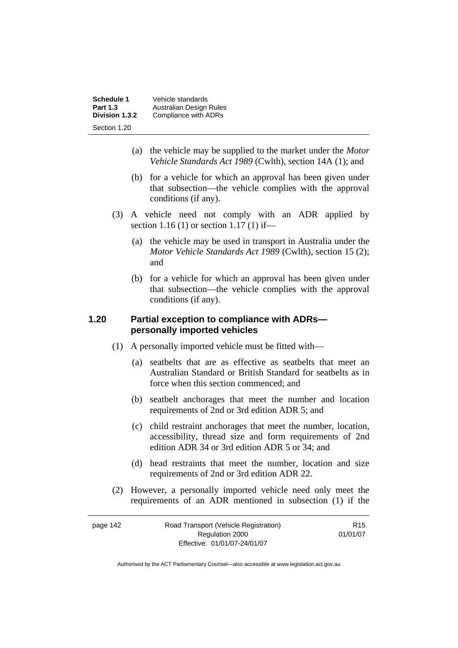| Schedule 1<br><b>Part 1.3</b> | Vehicle standards<br>Australian Design Rules |
|-------------------------------|----------------------------------------------|
| Division 1.3.2                | Compliance with ADRs                         |
| Section 1.20                  |                                              |

- (a) the vehicle may be supplied to the market under the *Motor Vehicle Standards Act 1989* (Cwlth), section 14A (1); and
- (b) for a vehicle for which an approval has been given under that subsection—the vehicle complies with the approval conditions (if any).
- (3) A vehicle need not comply with an ADR applied by section 1.16 (1) or section 1.17 (1) if—
	- (a) the vehicle may be used in transport in Australia under the *Motor Vehicle Standards Act 1989* (Cwlth), section 15 (2); and
	- (b) for a vehicle for which an approval has been given under that subsection—the vehicle complies with the approval conditions (if any).

#### **1.20 Partial exception to compliance with ADRs personally imported vehicles**

- (1) A personally imported vehicle must be fitted with—
	- (a) seatbelts that are as effective as seatbelts that meet an Australian Standard or British Standard for seatbelts as in force when this section commenced; and
	- (b) seatbelt anchorages that meet the number and location requirements of 2nd or 3rd edition ADR 5; and
	- (c) child restraint anchorages that meet the number, location, accessibility, thread size and form requirements of 2nd edition ADR 34 or 3rd edition ADR 5 or 34; and
	- (d) head restraints that meet the number, location and size requirements of 2nd or 3rd edition ADR 22.
- (2) However, a personally imported vehicle need only meet the requirements of an ADR mentioned in subsection (1) if the

| page 142 | Road Transport (Vehicle Registration) | R <sub>15</sub> |
|----------|---------------------------------------|-----------------|
|          | Regulation 2000                       | 01/01/07        |
|          | Effective: 01/01/07-24/01/07          |                 |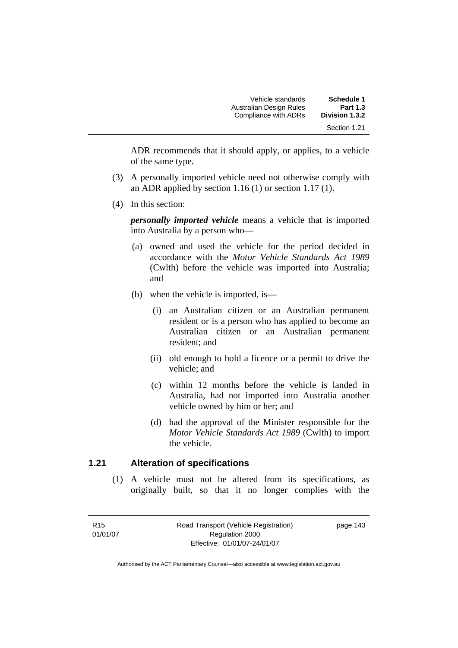| <b>Schedule 1</b><br><b>Part 1.3</b> | Vehicle standards<br>Australian Design Rules |  |
|--------------------------------------|----------------------------------------------|--|
| Division 1.3.2                       | Compliance with ADRs                         |  |
| Section 1.21                         |                                              |  |

ADR recommends that it should apply, or applies, to a vehicle of the same type.

- (3) A personally imported vehicle need not otherwise comply with an ADR applied by section 1.16 (1) or section 1.17 (1).
- (4) In this section:

*personally imported vehicle* means a vehicle that is imported into Australia by a person who—

- (a) owned and used the vehicle for the period decided in accordance with the *Motor Vehicle Standards Act 1989*  (Cwlth) before the vehicle was imported into Australia; and
- (b) when the vehicle is imported, is—
	- (i) an Australian citizen or an Australian permanent resident or is a person who has applied to become an Australian citizen or an Australian permanent resident; and
	- (ii) old enough to hold a licence or a permit to drive the vehicle; and
	- (c) within 12 months before the vehicle is landed in Australia, had not imported into Australia another vehicle owned by him or her; and
	- (d) had the approval of the Minister responsible for the *Motor Vehicle Standards Act 1989* (Cwlth) to import the vehicle.

#### **1.21 Alteration of specifications**

 (1) A vehicle must not be altered from its specifications, as originally built, so that it no longer complies with the

R15 01/01/07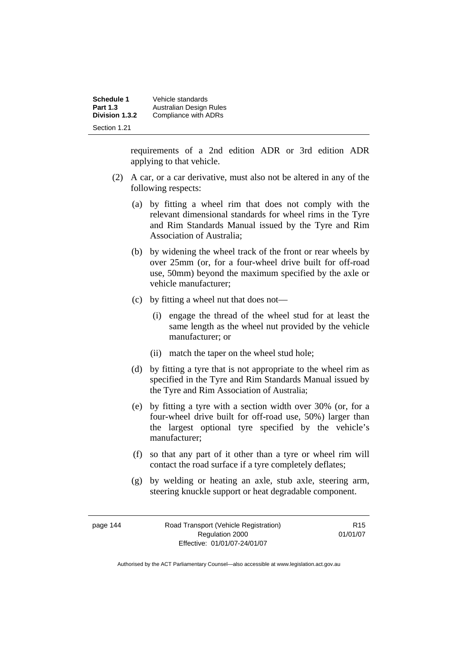| Schedule 1      | Vehicle standards       |
|-----------------|-------------------------|
| <b>Part 1.3</b> | Australian Design Rules |
| Division 1.3.2  | Compliance with ADRs    |
| Section 1.21    |                         |

requirements of a 2nd edition ADR or 3rd edition ADR applying to that vehicle.

- (2) A car, or a car derivative, must also not be altered in any of the following respects:
	- (a) by fitting a wheel rim that does not comply with the relevant dimensional standards for wheel rims in the Tyre and Rim Standards Manual issued by the Tyre and Rim Association of Australia;
	- (b) by widening the wheel track of the front or rear wheels by over 25mm (or, for a four-wheel drive built for off-road use, 50mm) beyond the maximum specified by the axle or vehicle manufacturer;
	- (c) by fitting a wheel nut that does not—
		- (i) engage the thread of the wheel stud for at least the same length as the wheel nut provided by the vehicle manufacturer; or
		- (ii) match the taper on the wheel stud hole;
	- (d) by fitting a tyre that is not appropriate to the wheel rim as specified in the Tyre and Rim Standards Manual issued by the Tyre and Rim Association of Australia;
	- (e) by fitting a tyre with a section width over 30% (or, for a four-wheel drive built for off-road use, 50%) larger than the largest optional tyre specified by the vehicle's manufacturer;
	- (f) so that any part of it other than a tyre or wheel rim will contact the road surface if a tyre completely deflates;
	- (g) by welding or heating an axle, stub axle, steering arm, steering knuckle support or heat degradable component.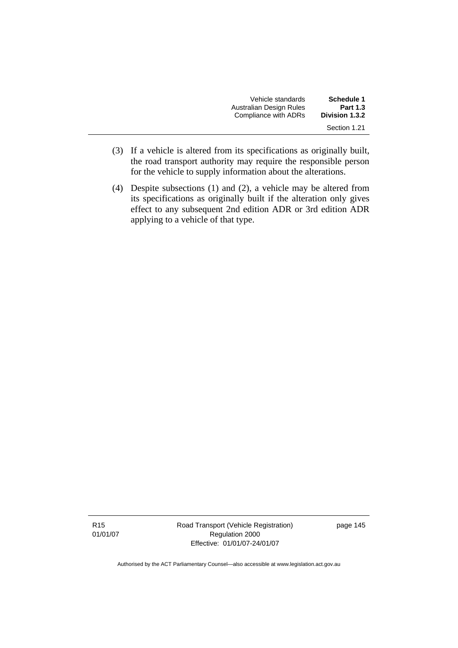| Vehicle standards       | Schedule 1      |
|-------------------------|-----------------|
| Australian Design Rules | <b>Part 1.3</b> |
| Compliance with ADRs    | Division 1.3.2  |
|                         | Section 1.21    |

- (3) If a vehicle is altered from its specifications as originally built, the road transport authority may require the responsible person for the vehicle to supply information about the alterations.
- (4) Despite subsections (1) and (2), a vehicle may be altered from its specifications as originally built if the alteration only gives effect to any subsequent 2nd edition ADR or 3rd edition ADR applying to a vehicle of that type.

Road Transport (Vehicle Registration) Regulation 2000 Effective: 01/01/07-24/01/07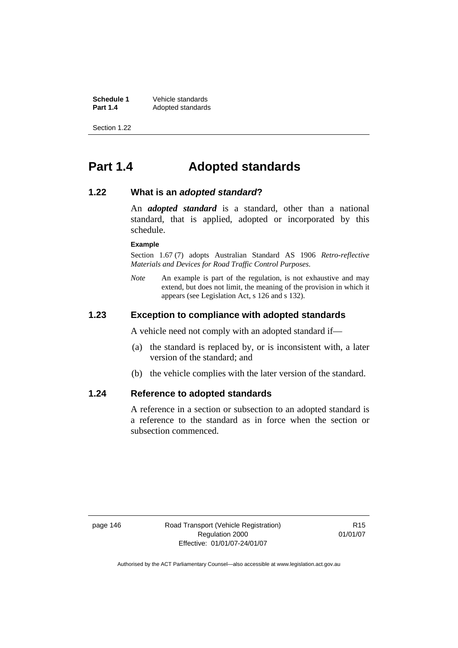**Schedule 1 Vehicle standards**<br>**Part 1.4 Adopted standards Adopted standards** 

Section 1.22

# **Part 1.4 Adopted standards**

#### **1.22 What is an** *adopted standard***?**

An *adopted standard* is a standard, other than a national standard, that is applied, adopted or incorporated by this schedule.

#### **Example**

Section 1.67 (7) adopts Australian Standard AS 1906 *Retro-reflective Materials and Devices for Road Traffic Control Purposes*.

*Note* An example is part of the regulation, is not exhaustive and may extend, but does not limit, the meaning of the provision in which it appears (see Legislation Act, s 126 and s 132).

#### **1.23 Exception to compliance with adopted standards**

A vehicle need not comply with an adopted standard if—

- (a) the standard is replaced by, or is inconsistent with, a later version of the standard; and
- (b) the vehicle complies with the later version of the standard.

#### **1.24 Reference to adopted standards**

A reference in a section or subsection to an adopted standard is a reference to the standard as in force when the section or subsection commenced.

page 146 Road Transport (Vehicle Registration) Regulation 2000 Effective: 01/01/07-24/01/07

R15 01/01/07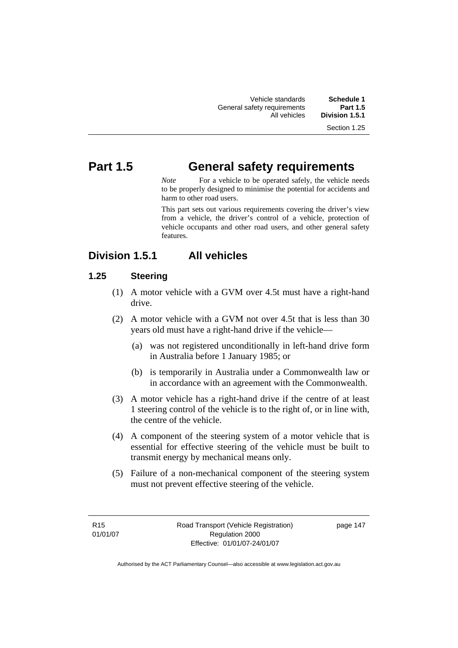| Vehicle standards           | Schedule 1      |
|-----------------------------|-----------------|
| General safety requirements | <b>Part 1.5</b> |
| All vehicles                | Division 1.5.1  |
|                             |                 |

Section 1.25

# **Part 1.5 General safety requirements**

*Note* For a vehicle to be operated safely, the vehicle needs to be properly designed to minimise the potential for accidents and harm to other road users.

This part sets out various requirements covering the driver's view from a vehicle, the driver's control of a vehicle, protection of vehicle occupants and other road users, and other general safety features.

## **Division 1.5.1 All vehicles**

## **1.25 Steering**

- (1) A motor vehicle with a GVM over 4.5t must have a right-hand drive.
- (2) A motor vehicle with a GVM not over 4.5t that is less than 30 years old must have a right-hand drive if the vehicle—
	- (a) was not registered unconditionally in left-hand drive form in Australia before 1 January 1985; or
	- (b) is temporarily in Australia under a Commonwealth law or in accordance with an agreement with the Commonwealth.
- (3) A motor vehicle has a right-hand drive if the centre of at least 1 steering control of the vehicle is to the right of, or in line with, the centre of the vehicle.
- (4) A component of the steering system of a motor vehicle that is essential for effective steering of the vehicle must be built to transmit energy by mechanical means only.
- (5) Failure of a non-mechanical component of the steering system must not prevent effective steering of the vehicle.

R15 01/01/07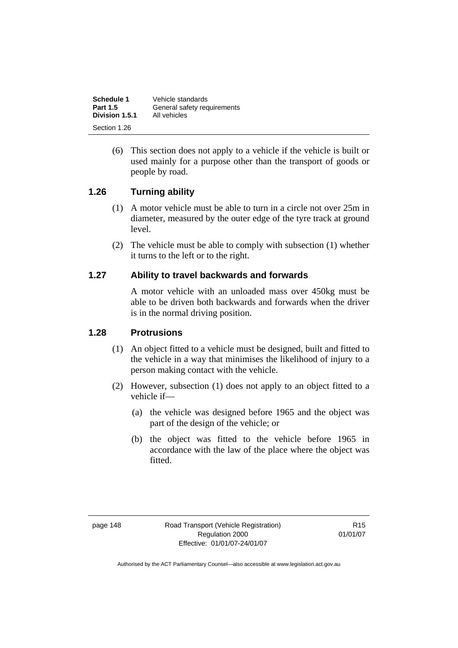| Schedule 1      | Vehicle standards           |
|-----------------|-----------------------------|
| <b>Part 1.5</b> | General safety requirements |
| Division 1.5.1  | All vehicles                |
| Section 1.26    |                             |

 (6) This section does not apply to a vehicle if the vehicle is built or used mainly for a purpose other than the transport of goods or people by road.

#### **1.26 Turning ability**

- (1) A motor vehicle must be able to turn in a circle not over 25m in diameter, measured by the outer edge of the tyre track at ground level.
- (2) The vehicle must be able to comply with subsection (1) whether it turns to the left or to the right.

#### **1.27 Ability to travel backwards and forwards**

A motor vehicle with an unloaded mass over 450kg must be able to be driven both backwards and forwards when the driver is in the normal driving position.

#### **1.28 Protrusions**

- (1) An object fitted to a vehicle must be designed, built and fitted to the vehicle in a way that minimises the likelihood of injury to a person making contact with the vehicle.
- (2) However, subsection (1) does not apply to an object fitted to a vehicle if—
	- (a) the vehicle was designed before 1965 and the object was part of the design of the vehicle; or
	- (b) the object was fitted to the vehicle before 1965 in accordance with the law of the place where the object was fitted.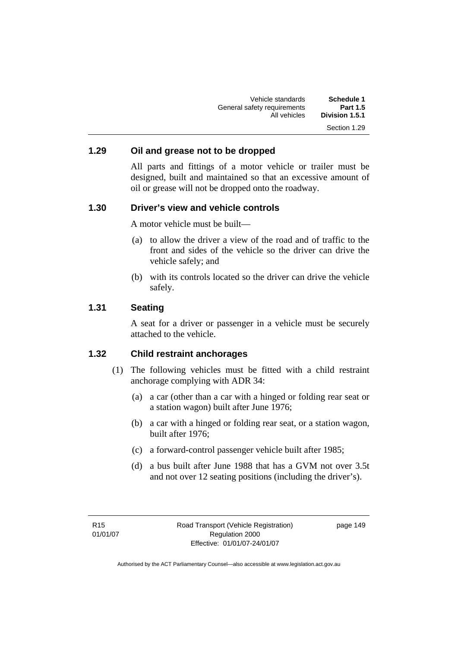Vehicle standards **Schedule 1**  General safety requirements<br>All vehicles Division 1.5.1 Section 1.29

#### **1.29 Oil and grease not to be dropped**

All parts and fittings of a motor vehicle or trailer must be designed, built and maintained so that an excessive amount of oil or grease will not be dropped onto the roadway.

#### **1.30 Driver's view and vehicle controls**

A motor vehicle must be built—

- (a) to allow the driver a view of the road and of traffic to the front and sides of the vehicle so the driver can drive the vehicle safely; and
- (b) with its controls located so the driver can drive the vehicle safely.

#### **1.31 Seating**

A seat for a driver or passenger in a vehicle must be securely attached to the vehicle.

#### **1.32 Child restraint anchorages**

- (1) The following vehicles must be fitted with a child restraint anchorage complying with ADR 34:
	- (a) a car (other than a car with a hinged or folding rear seat or a station wagon) built after June 1976;
	- (b) a car with a hinged or folding rear seat, or a station wagon, built after 1976;
	- (c) a forward-control passenger vehicle built after 1985;
	- (d) a bus built after June 1988 that has a GVM not over 3.5t and not over 12 seating positions (including the driver's).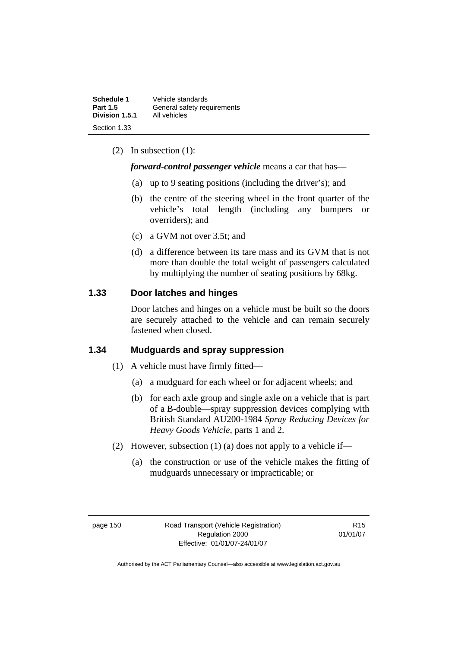| Schedule 1      | Vehicle standards           |
|-----------------|-----------------------------|
| <b>Part 1.5</b> | General safety requirements |
| Division 1.5.1  | All vehicles                |
| Section 1.33    |                             |

(2) In subsection (1):

#### *forward-control passenger vehicle* means a car that has—

- (a) up to 9 seating positions (including the driver's); and
- (b) the centre of the steering wheel in the front quarter of the vehicle's total length (including any bumpers or overriders); and
- (c) a GVM not over 3.5t; and
- (d) a difference between its tare mass and its GVM that is not more than double the total weight of passengers calculated by multiplying the number of seating positions by 68kg.

## **1.33 Door latches and hinges**

Door latches and hinges on a vehicle must be built so the doors are securely attached to the vehicle and can remain securely fastened when closed.

## **1.34 Mudguards and spray suppression**

- (1) A vehicle must have firmly fitted—
	- (a) a mudguard for each wheel or for adjacent wheels; and
	- (b) for each axle group and single axle on a vehicle that is part of a B-double—spray suppression devices complying with British Standard AU200-1984 *Spray Reducing Devices for Heavy Goods Vehicle*, parts 1 and 2.
- (2) However, subsection (1) (a) does not apply to a vehicle if—
	- (a) the construction or use of the vehicle makes the fitting of mudguards unnecessary or impracticable; or

page 150 Road Transport (Vehicle Registration) Regulation 2000 Effective: 01/01/07-24/01/07

R15 01/01/07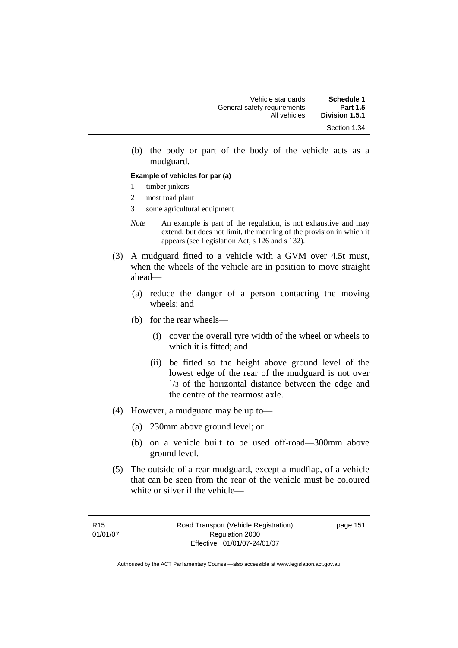(b) the body or part of the body of the vehicle acts as a mudguard.

#### **Example of vehicles for par (a)**

- 1 timber jinkers
- 2 most road plant
- 3 some agricultural equipment
- *Note* An example is part of the regulation, is not exhaustive and may extend, but does not limit, the meaning of the provision in which it appears (see Legislation Act, s 126 and s 132).
- (3) A mudguard fitted to a vehicle with a GVM over 4.5t must, when the wheels of the vehicle are in position to move straight ahead—
	- (a) reduce the danger of a person contacting the moving wheels; and
	- (b) for the rear wheels—
		- (i) cover the overall tyre width of the wheel or wheels to which it is fitted; and
		- (ii) be fitted so the height above ground level of the lowest edge of the rear of the mudguard is not over  $1/3$  of the horizontal distance between the edge and the centre of the rearmost axle.
- (4) However, a mudguard may be up to—
	- (a) 230mm above ground level; or
	- (b) on a vehicle built to be used off-road—300mm above ground level.
- (5) The outside of a rear mudguard, except a mudflap, of a vehicle that can be seen from the rear of the vehicle must be coloured white or silver if the vehicle—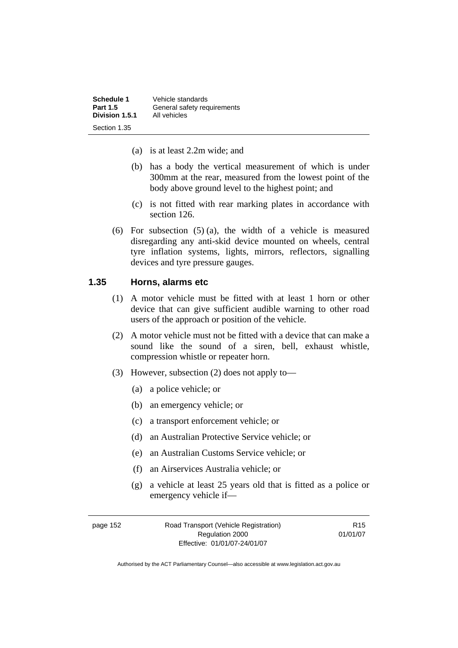| Schedule 1      | Vehicle standards           |
|-----------------|-----------------------------|
| <b>Part 1.5</b> | General safety requirements |
| Division 1.5.1  | All vehicles                |
| Section 1.35    |                             |

- (a) is at least 2.2m wide; and
- (b) has a body the vertical measurement of which is under 300mm at the rear, measured from the lowest point of the body above ground level to the highest point; and
- (c) is not fitted with rear marking plates in accordance with section 126.
- (6) For subsection (5) (a), the width of a vehicle is measured disregarding any anti-skid device mounted on wheels, central tyre inflation systems, lights, mirrors, reflectors, signalling devices and tyre pressure gauges.

## **1.35 Horns, alarms etc**

- (1) A motor vehicle must be fitted with at least 1 horn or other device that can give sufficient audible warning to other road users of the approach or position of the vehicle.
- (2) A motor vehicle must not be fitted with a device that can make a sound like the sound of a siren, bell, exhaust whistle, compression whistle or repeater horn.
- (3) However, subsection (2) does not apply to—
	- (a) a police vehicle; or
	- (b) an emergency vehicle; or
	- (c) a transport enforcement vehicle; or
	- (d) an Australian Protective Service vehicle; or
	- (e) an Australian Customs Service vehicle; or
	- (f) an Airservices Australia vehicle; or
	- (g) a vehicle at least 25 years old that is fitted as a police or emergency vehicle if—

| page 152 | Road Transport (Vehicle Registration) | R <sub>15</sub> |
|----------|---------------------------------------|-----------------|
|          | Regulation 2000                       | 01/01/07        |
|          | Effective: 01/01/07-24/01/07          |                 |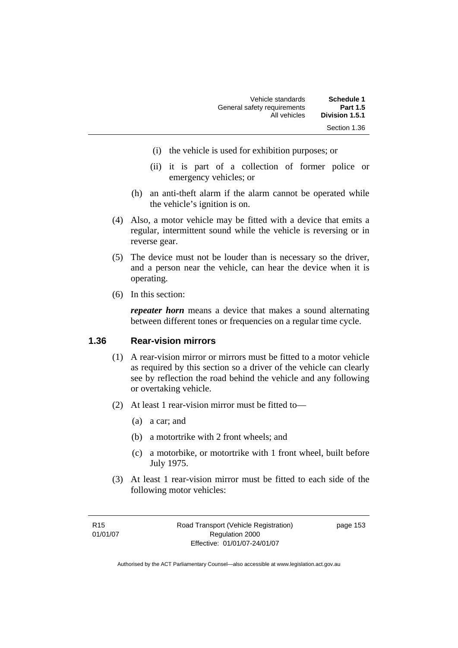| Schedule 1      | Vehicle standards           |
|-----------------|-----------------------------|
| <b>Part 1.5</b> | General safety requirements |
| Division 1.5.1  | All vehicles                |
| Section 1.36    |                             |

- (i) the vehicle is used for exhibition purposes; or
- (ii) it is part of a collection of former police or emergency vehicles; or
- (h) an anti-theft alarm if the alarm cannot be operated while the vehicle's ignition is on.
- (4) Also, a motor vehicle may be fitted with a device that emits a regular, intermittent sound while the vehicle is reversing or in reverse gear.
- (5) The device must not be louder than is necessary so the driver, and a person near the vehicle, can hear the device when it is operating.
- (6) In this section:

*repeater horn* means a device that makes a sound alternating between different tones or frequencies on a regular time cycle.

#### **1.36 Rear-vision mirrors**

- (1) A rear-vision mirror or mirrors must be fitted to a motor vehicle as required by this section so a driver of the vehicle can clearly see by reflection the road behind the vehicle and any following or overtaking vehicle.
- (2) At least 1 rear-vision mirror must be fitted to—
	- (a) a car; and
	- (b) a motortrike with 2 front wheels; and
	- (c) a motorbike, or motortrike with 1 front wheel, built before July 1975.
- (3) At least 1 rear-vision mirror must be fitted to each side of the following motor vehicles: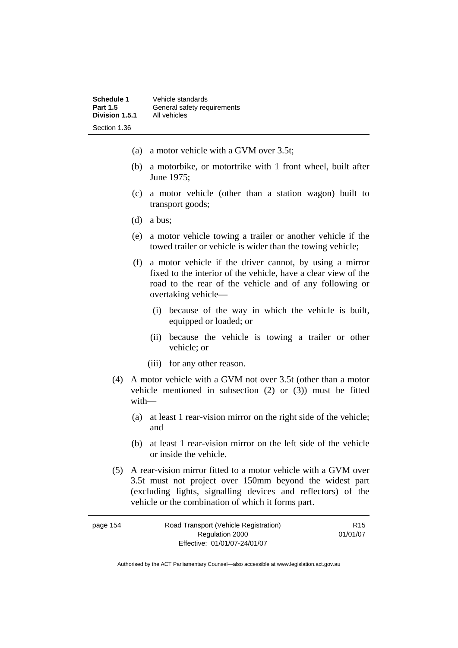- (a) a motor vehicle with a GVM over 3.5t;
- (b) a motorbike, or motortrike with 1 front wheel, built after June 1975;
- (c) a motor vehicle (other than a station wagon) built to transport goods;
- (d) a bus;
- (e) a motor vehicle towing a trailer or another vehicle if the towed trailer or vehicle is wider than the towing vehicle;
- (f) a motor vehicle if the driver cannot, by using a mirror fixed to the interior of the vehicle, have a clear view of the road to the rear of the vehicle and of any following or overtaking vehicle—
	- (i) because of the way in which the vehicle is built, equipped or loaded; or
	- (ii) because the vehicle is towing a trailer or other vehicle; or
	- (iii) for any other reason.
- (4) A motor vehicle with a GVM not over 3.5t (other than a motor vehicle mentioned in subsection (2) or (3)) must be fitted with—
	- (a) at least 1 rear-vision mirror on the right side of the vehicle; and
	- (b) at least 1 rear-vision mirror on the left side of the vehicle or inside the vehicle.
- (5) A rear-vision mirror fitted to a motor vehicle with a GVM over 3.5t must not project over 150mm beyond the widest part (excluding lights, signalling devices and reflectors) of the vehicle or the combination of which it forms part.

| page 154 | Road Transport (Vehicle Registration) | R <sub>15</sub> |
|----------|---------------------------------------|-----------------|
|          | Regulation 2000                       | 01/01/07        |
|          | Effective: 01/01/07-24/01/07          |                 |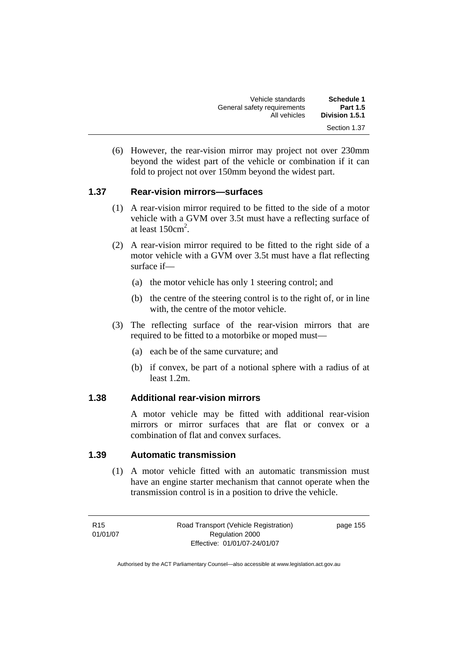| Schedule 1<br><b>Part 1.5</b> | Vehicle standards<br>General safety requirements |
|-------------------------------|--------------------------------------------------|
| Division 1.5.1                | All vehicles                                     |
| Section 1.37                  |                                                  |

 (6) However, the rear-vision mirror may project not over 230mm beyond the widest part of the vehicle or combination if it can fold to project not over 150mm beyond the widest part.

#### **1.37 Rear-vision mirrors—surfaces**

- (1) A rear-vision mirror required to be fitted to the side of a motor vehicle with a GVM over 3.5t must have a reflecting surface of at least  $150 \text{cm}^2$ .
- (2) A rear-vision mirror required to be fitted to the right side of a motor vehicle with a GVM over 3.5t must have a flat reflecting surface if—
	- (a) the motor vehicle has only 1 steering control; and
	- (b) the centre of the steering control is to the right of, or in line with, the centre of the motor vehicle.
- (3) The reflecting surface of the rear-vision mirrors that are required to be fitted to a motorbike or moped must—
	- (a) each be of the same curvature; and
	- (b) if convex, be part of a notional sphere with a radius of at least 1.2m.

#### **1.38 Additional rear-vision mirrors**

A motor vehicle may be fitted with additional rear-vision mirrors or mirror surfaces that are flat or convex or a combination of flat and convex surfaces.

#### **1.39 Automatic transmission**

 (1) A motor vehicle fitted with an automatic transmission must have an engine starter mechanism that cannot operate when the transmission control is in a position to drive the vehicle.

R15 01/01/07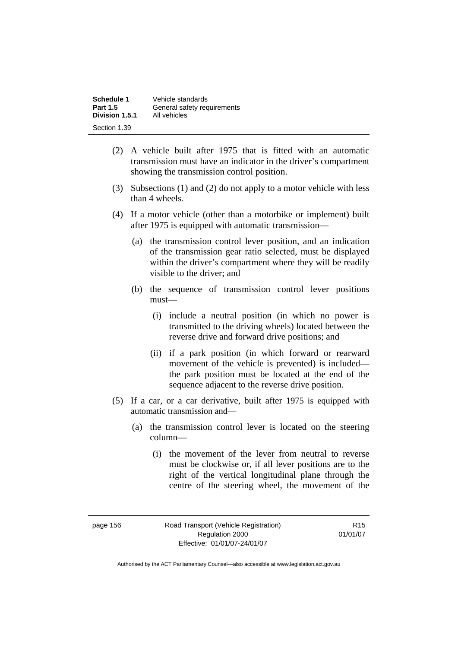| Schedule 1      | Vehicle standards           |
|-----------------|-----------------------------|
| <b>Part 1.5</b> | General safety requirements |
| Division 1.5.1  | All vehicles                |
| Section 1.39    |                             |

- (2) A vehicle built after 1975 that is fitted with an automatic transmission must have an indicator in the driver's compartment showing the transmission control position.
- (3) Subsections (1) and (2) do not apply to a motor vehicle with less than 4 wheels.
- (4) If a motor vehicle (other than a motorbike or implement) built after 1975 is equipped with automatic transmission—
	- (a) the transmission control lever position, and an indication of the transmission gear ratio selected, must be displayed within the driver's compartment where they will be readily visible to the driver; and
	- (b) the sequence of transmission control lever positions must—
		- (i) include a neutral position (in which no power is transmitted to the driving wheels) located between the reverse drive and forward drive positions; and
		- (ii) if a park position (in which forward or rearward movement of the vehicle is prevented) is included the park position must be located at the end of the sequence adjacent to the reverse drive position.
- (5) If a car, or a car derivative, built after 1975 is equipped with automatic transmission and—
	- (a) the transmission control lever is located on the steering column—
		- (i) the movement of the lever from neutral to reverse must be clockwise or, if all lever positions are to the right of the vertical longitudinal plane through the centre of the steering wheel, the movement of the

page 156 Road Transport (Vehicle Registration) Regulation 2000 Effective: 01/01/07-24/01/07

R15 01/01/07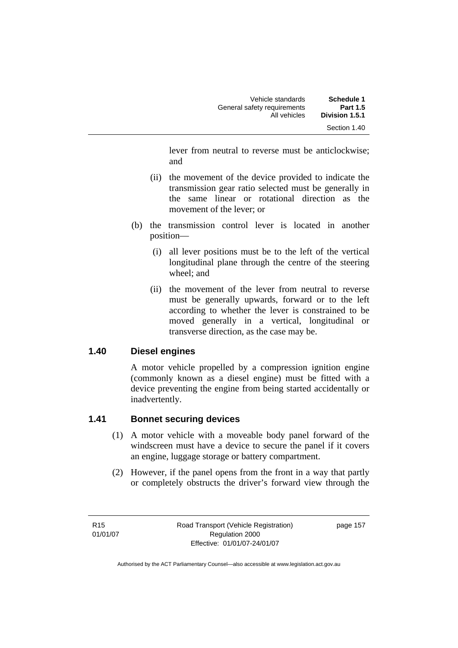| <b>Schedule 1</b> | Vehicle standards           |
|-------------------|-----------------------------|
| <b>Part 1.5</b>   | General safety requirements |
| Division 1.5.1    | All vehicles                |
| Section 1.40      |                             |

lever from neutral to reverse must be anticlockwise; and

- (ii) the movement of the device provided to indicate the transmission gear ratio selected must be generally in the same linear or rotational direction as the movement of the lever; or
- (b) the transmission control lever is located in another position—
	- (i) all lever positions must be to the left of the vertical longitudinal plane through the centre of the steering wheel; and
	- (ii) the movement of the lever from neutral to reverse must be generally upwards, forward or to the left according to whether the lever is constrained to be moved generally in a vertical, longitudinal or transverse direction, as the case may be.

#### **1.40 Diesel engines**

A motor vehicle propelled by a compression ignition engine (commonly known as a diesel engine) must be fitted with a device preventing the engine from being started accidentally or inadvertently.

## **1.41 Bonnet securing devices**

- (1) A motor vehicle with a moveable body panel forward of the windscreen must have a device to secure the panel if it covers an engine, luggage storage or battery compartment.
- (2) However, if the panel opens from the front in a way that partly or completely obstructs the driver's forward view through the

R15 01/01/07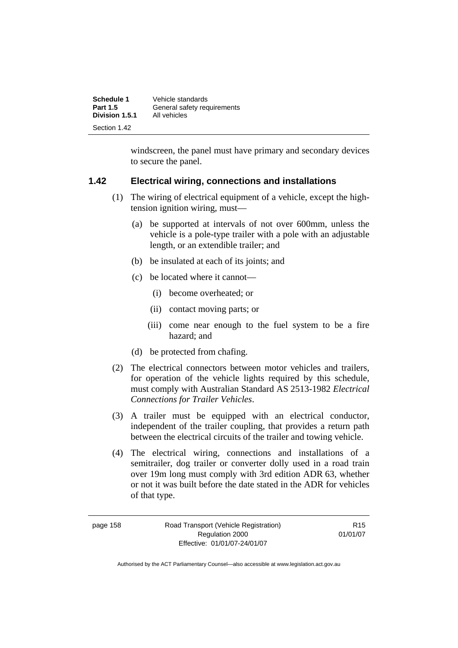| Schedule 1<br><b>Part 1.5</b> | Vehicle standards<br>General safety requirements |
|-------------------------------|--------------------------------------------------|
| Division 1.5.1                | All vehicles                                     |
| Section 1.42                  |                                                  |

windscreen, the panel must have primary and secondary devices to secure the panel.

#### **1.42 Electrical wiring, connections and installations**

- (1) The wiring of electrical equipment of a vehicle, except the hightension ignition wiring, must—
	- (a) be supported at intervals of not over 600mm, unless the vehicle is a pole-type trailer with a pole with an adjustable length, or an extendible trailer; and
	- (b) be insulated at each of its joints; and
	- (c) be located where it cannot—
		- (i) become overheated; or
		- (ii) contact moving parts; or
		- (iii) come near enough to the fuel system to be a fire hazard; and
	- (d) be protected from chafing.
- (2) The electrical connectors between motor vehicles and trailers, for operation of the vehicle lights required by this schedule, must comply with Australian Standard AS 2513-1982 *Electrical Connections for Trailer Vehicles*.
- (3) A trailer must be equipped with an electrical conductor, independent of the trailer coupling, that provides a return path between the electrical circuits of the trailer and towing vehicle.
- (4) The electrical wiring, connections and installations of a semitrailer, dog trailer or converter dolly used in a road train over 19m long must comply with 3rd edition ADR 63, whether or not it was built before the date stated in the ADR for vehicles of that type.

page 158 Road Transport (Vehicle Registration) Regulation 2000 Effective: 01/01/07-24/01/07

R15 01/01/07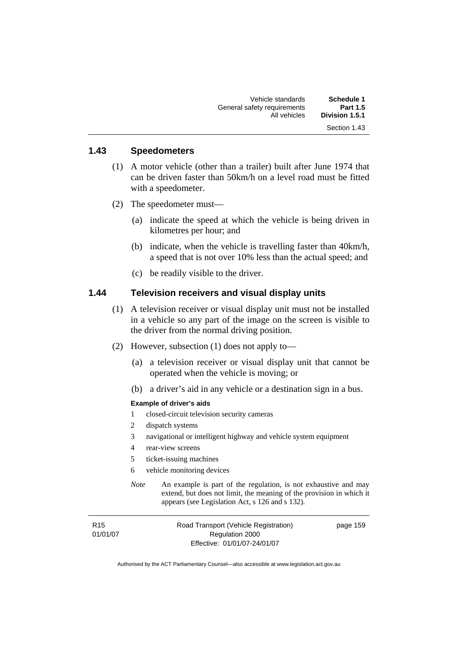| Schedule 1      | Vehicle standards           |
|-----------------|-----------------------------|
| <b>Part 1.5</b> | General safety requirements |
| Division 1.5.1  | All vehicles                |
| Section 1.43    |                             |

## **1.43 Speedometers**

- (1) A motor vehicle (other than a trailer) built after June 1974 that can be driven faster than 50km/h on a level road must be fitted with a speedometer.
- (2) The speedometer must—
	- (a) indicate the speed at which the vehicle is being driven in kilometres per hour; and
	- (b) indicate, when the vehicle is travelling faster than 40km/h, a speed that is not over 10% less than the actual speed; and
	- (c) be readily visible to the driver.

#### **1.44 Television receivers and visual display units**

- (1) A television receiver or visual display unit must not be installed in a vehicle so any part of the image on the screen is visible to the driver from the normal driving position.
- (2) However, subsection (1) does not apply to—
	- (a) a television receiver or visual display unit that cannot be operated when the vehicle is moving; or
	- (b) a driver's aid in any vehicle or a destination sign in a bus.

#### **Example of driver's aids**

- 1 closed-circuit television security cameras
- 2 dispatch systems
- 3 navigational or intelligent highway and vehicle system equipment
- 4 rear-view screens
- 5 ticket-issuing machines
- 6 vehicle monitoring devices
- *Note* An example is part of the regulation, is not exhaustive and may extend, but does not limit, the meaning of the provision in which it appears (see Legislation Act, s 126 and s 132).

R15 01/01/07 Road Transport (Vehicle Registration) Regulation 2000 Effective: 01/01/07-24/01/07

page 159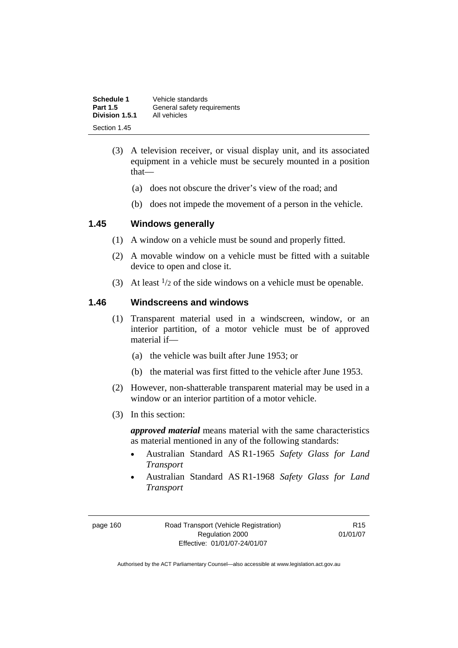| Schedule 1      | Vehicle standards           |
|-----------------|-----------------------------|
| <b>Part 1.5</b> | General safety requirements |
| Division 1.5.1  | All vehicles                |
| Section 1.45    |                             |

- (3) A television receiver, or visual display unit, and its associated equipment in a vehicle must be securely mounted in a position that—
	- (a) does not obscure the driver's view of the road; and
	- (b) does not impede the movement of a person in the vehicle.

#### **1.45 Windows generally**

- (1) A window on a vehicle must be sound and properly fitted.
- (2) A movable window on a vehicle must be fitted with a suitable device to open and close it.
- (3) At least  $\frac{1}{2}$  of the side windows on a vehicle must be openable.

#### **1.46 Windscreens and windows**

- (1) Transparent material used in a windscreen, window, or an interior partition, of a motor vehicle must be of approved material if—
	- (a) the vehicle was built after June 1953; or
	- (b) the material was first fitted to the vehicle after June 1953.
- (2) However, non-shatterable transparent material may be used in a window or an interior partition of a motor vehicle.
- (3) In this section:

*approved material* means material with the same characteristics as material mentioned in any of the following standards:

- Australian Standard AS R1-1965 *Safety Glass for Land Transport*
- Australian Standard AS R1-1968 *Safety Glass for Land Transport*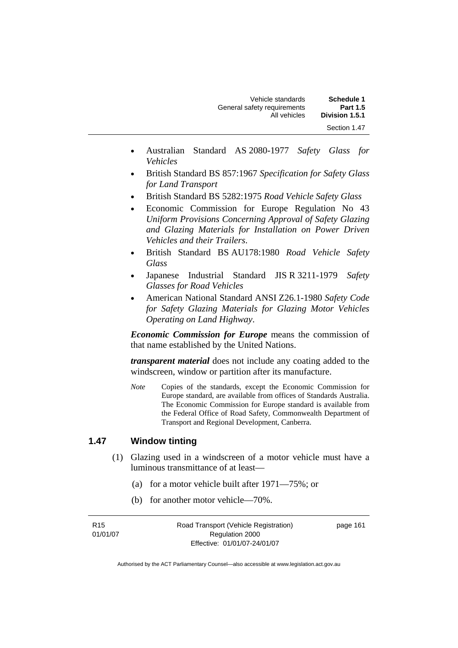| <b>Schedule 1</b> | Vehicle standards           |
|-------------------|-----------------------------|
| <b>Part 1.5</b>   | General safety requirements |
| Division 1.5.1    | All vehicles                |
| Section 1.47      |                             |

- Australian Standard AS 2080-1977 *Safety Glass for Vehicles*
- British Standard BS 857:1967 *Specification for Safety Glass for Land Transport*
- British Standard BS 5282:1975 *Road Vehicle Safety Glass*
- Economic Commission for Europe Regulation No 43 *Uniform Provisions Concerning Approval of Safety Glazing and Glazing Materials for Installation on Power Driven Vehicles and their Trailers*.
- British Standard BS AU178:1980 *Road Vehicle Safety Glass*
- Japanese Industrial Standard JIS R 3211-1979 *Safety Glasses for Road Vehicles*
- American National Standard ANSI Z26.1-1980 *Safety Code for Safety Glazing Materials for Glazing Motor Vehicles Operating on Land Highway*.

*Economic Commission for Europe* means the commission of that name established by the United Nations.

*transparent material* does not include any coating added to the windscreen, window or partition after its manufacture.

*Note* Copies of the standards, except the Economic Commission for Europe standard, are available from offices of Standards Australia. The Economic Commission for Europe standard is available from the Federal Office of Road Safety, Commonwealth Department of Transport and Regional Development, Canberra.

#### **1.47 Window tinting**

- (1) Glazing used in a windscreen of a motor vehicle must have a luminous transmittance of at least—
	- (a) for a motor vehicle built after 1971—75%; or
	- (b) for another motor vehicle—70%.

R15 01/01/07 Road Transport (Vehicle Registration) Regulation 2000 Effective: 01/01/07-24/01/07

page 161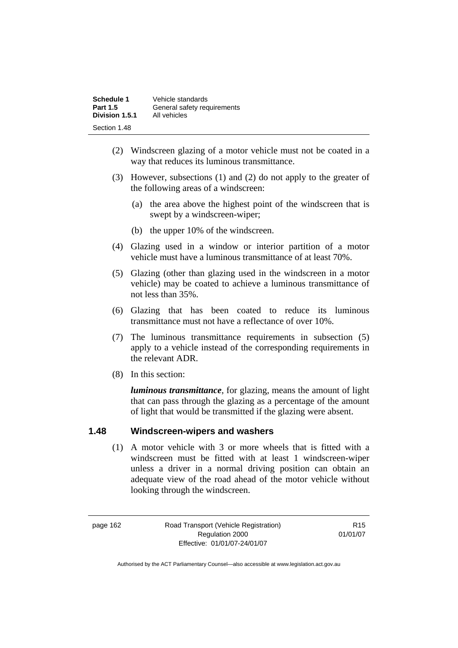| Schedule 1      | Vehicle standards           |
|-----------------|-----------------------------|
| <b>Part 1.5</b> | General safety requirements |
| Division 1.5.1  | All vehicles                |
| Section 1.48    |                             |

- (2) Windscreen glazing of a motor vehicle must not be coated in a way that reduces its luminous transmittance.
- (3) However, subsections (1) and (2) do not apply to the greater of the following areas of a windscreen:
	- (a) the area above the highest point of the windscreen that is swept by a windscreen-wiper;
	- (b) the upper 10% of the windscreen.
- (4) Glazing used in a window or interior partition of a motor vehicle must have a luminous transmittance of at least 70%.
- (5) Glazing (other than glazing used in the windscreen in a motor vehicle) may be coated to achieve a luminous transmittance of not less than 35%.
- (6) Glazing that has been coated to reduce its luminous transmittance must not have a reflectance of over 10%.
- (7) The luminous transmittance requirements in subsection (5) apply to a vehicle instead of the corresponding requirements in the relevant ADR.
- (8) In this section:

*luminous transmittance*, for glazing, means the amount of light that can pass through the glazing as a percentage of the amount of light that would be transmitted if the glazing were absent.

#### **1.48 Windscreen-wipers and washers**

 (1) A motor vehicle with 3 or more wheels that is fitted with a windscreen must be fitted with at least 1 windscreen-wiper unless a driver in a normal driving position can obtain an adequate view of the road ahead of the motor vehicle without looking through the windscreen.

page 162 Road Transport (Vehicle Registration) Regulation 2000 Effective: 01/01/07-24/01/07

R15 01/01/07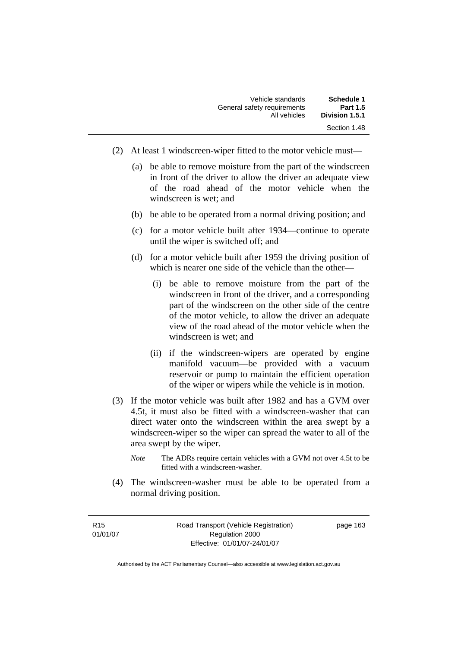| Schedule 1      | Vehicle standards           |
|-----------------|-----------------------------|
| <b>Part 1.5</b> | General safety requirements |
| Division 1.5.1  | All vehicles                |
| Section 1.48    |                             |

- (2) At least 1 windscreen-wiper fitted to the motor vehicle must—
	- (a) be able to remove moisture from the part of the windscreen in front of the driver to allow the driver an adequate view of the road ahead of the motor vehicle when the windscreen is wet; and
	- (b) be able to be operated from a normal driving position; and
	- (c) for a motor vehicle built after 1934—continue to operate until the wiper is switched off; and
	- (d) for a motor vehicle built after 1959 the driving position of which is nearer one side of the vehicle than the other—
		- (i) be able to remove moisture from the part of the windscreen in front of the driver, and a corresponding part of the windscreen on the other side of the centre of the motor vehicle, to allow the driver an adequate view of the road ahead of the motor vehicle when the windscreen is wet; and
		- (ii) if the windscreen-wipers are operated by engine manifold vacuum—be provided with a vacuum reservoir or pump to maintain the efficient operation of the wiper or wipers while the vehicle is in motion.
- (3) If the motor vehicle was built after 1982 and has a GVM over 4.5t, it must also be fitted with a windscreen-washer that can direct water onto the windscreen within the area swept by a windscreen-wiper so the wiper can spread the water to all of the area swept by the wiper.
	- *Note* The ADRs require certain vehicles with a GVM not over 4.5t to be fitted with a windscreen-washer.
- (4) The windscreen-washer must be able to be operated from a normal driving position.

R15 01/01/07 Road Transport (Vehicle Registration) Regulation 2000 Effective: 01/01/07-24/01/07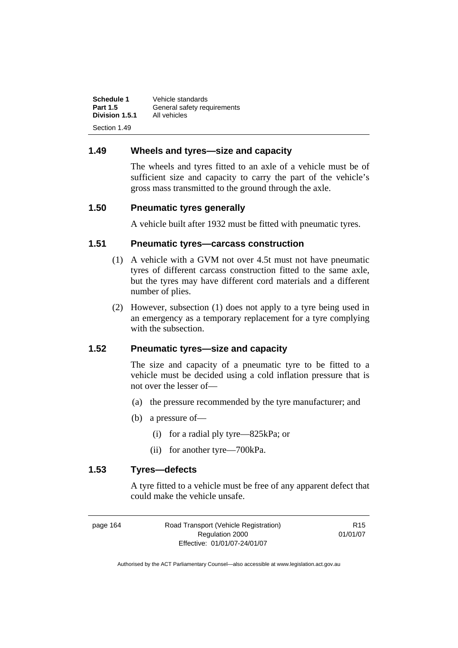| Schedule 1      | Vehicle standards           |
|-----------------|-----------------------------|
| <b>Part 1.5</b> | General safety requirements |
| Division 1.5.1  | All vehicles                |
| Section 1.49    |                             |

### **1.49 Wheels and tyres—size and capacity**

The wheels and tyres fitted to an axle of a vehicle must be of sufficient size and capacity to carry the part of the vehicle's gross mass transmitted to the ground through the axle.

#### **1.50 Pneumatic tyres generally**

A vehicle built after 1932 must be fitted with pneumatic tyres.

# **1.51 Pneumatic tyres—carcass construction**

- (1) A vehicle with a GVM not over 4.5t must not have pneumatic tyres of different carcass construction fitted to the same axle, but the tyres may have different cord materials and a different number of plies.
- (2) However, subsection (1) does not apply to a tyre being used in an emergency as a temporary replacement for a tyre complying with the subsection.

#### **1.52 Pneumatic tyres—size and capacity**

The size and capacity of a pneumatic tyre to be fitted to a vehicle must be decided using a cold inflation pressure that is not over the lesser of—

- (a) the pressure recommended by the tyre manufacturer; and
- (b) a pressure of—
	- (i) for a radial ply tyre—825kPa; or
	- (ii) for another tyre—700kPa.

#### **1.53 Tyres—defects**

A tyre fitted to a vehicle must be free of any apparent defect that could make the vehicle unsafe.

| page 164 | Road Transport (Vehicle Registration) | R <sub>15</sub> |
|----------|---------------------------------------|-----------------|
|          | Regulation 2000                       | 01/01/07        |
|          | Effective: 01/01/07-24/01/07          |                 |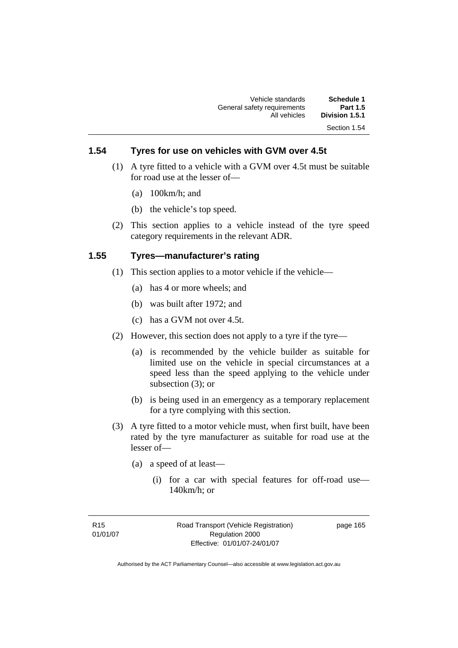# **1.54 Tyres for use on vehicles with GVM over 4.5t**

- (1) A tyre fitted to a vehicle with a GVM over 4.5t must be suitable for road use at the lesser of—
	- (a) 100km/h; and
	- (b) the vehicle's top speed.
- (2) This section applies to a vehicle instead of the tyre speed category requirements in the relevant ADR.

#### **1.55 Tyres—manufacturer's rating**

- (1) This section applies to a motor vehicle if the vehicle—
	- (a) has 4 or more wheels; and
	- (b) was built after 1972; and
	- (c) has a GVM not over 4.5t.
- (2) However, this section does not apply to a tyre if the tyre—
	- (a) is recommended by the vehicle builder as suitable for limited use on the vehicle in special circumstances at a speed less than the speed applying to the vehicle under subsection (3); or
	- (b) is being used in an emergency as a temporary replacement for a tyre complying with this section.
- (3) A tyre fitted to a motor vehicle must, when first built, have been rated by the tyre manufacturer as suitable for road use at the lesser of—
	- (a) a speed of at least—
		- (i) for a car with special features for off-road use— 140km/h; or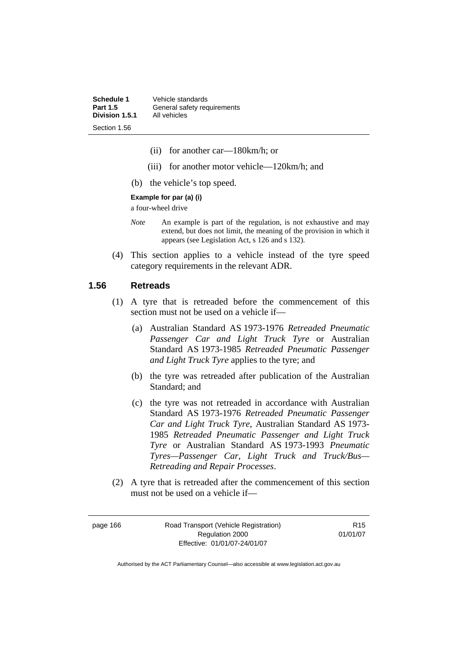**Schedule 1** Vehicle standards<br>**Part 1.5** General safety rec General safety requirements<br>All vehicles **Division 1.5.1** Section 1.56

- (ii) for another car—180km/h; or
- (iii) for another motor vehicle—120km/h; and
- (b) the vehicle's top speed.

#### **Example for par (a) (i)**

a four-wheel drive

- *Note* An example is part of the regulation, is not exhaustive and may extend, but does not limit, the meaning of the provision in which it appears (see Legislation Act, s 126 and s 132).
- (4) This section applies to a vehicle instead of the tyre speed category requirements in the relevant ADR.

#### **1.56 Retreads**

- (1) A tyre that is retreaded before the commencement of this section must not be used on a vehicle if—
	- (a) Australian Standard AS 1973-1976 *Retreaded Pneumatic Passenger Car and Light Truck Tyre* or Australian Standard AS 1973-1985 *Retreaded Pneumatic Passenger and Light Truck Tyre* applies to the tyre; and
	- (b) the tyre was retreaded after publication of the Australian Standard; and
	- (c) the tyre was not retreaded in accordance with Australian Standard AS 1973-1976 *Retreaded Pneumatic Passenger Car and Light Truck Tyre*, Australian Standard AS 1973- 1985 *Retreaded Pneumatic Passenger and Light Truck Tyre* or Australian Standard AS 1973-1993 *Pneumatic Tyres—Passenger Car, Light Truck and Truck/Bus— Retreading and Repair Processes*.
- (2) A tyre that is retreaded after the commencement of this section must not be used on a vehicle if—

page 166 Road Transport (Vehicle Registration) Regulation 2000 Effective: 01/01/07-24/01/07

R15 01/01/07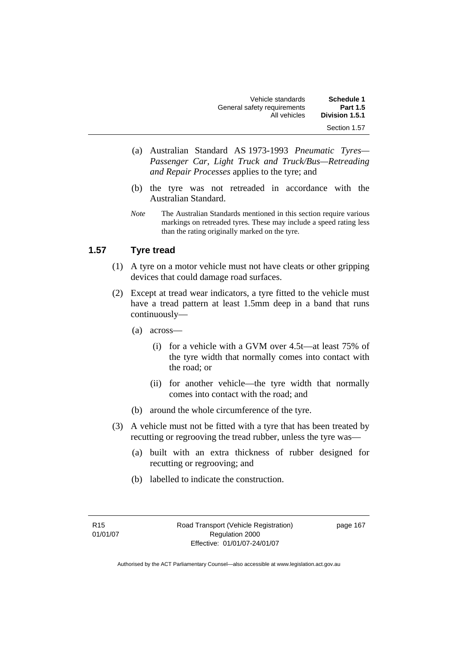| <b>Schedule 1</b> | Vehicle standards           |
|-------------------|-----------------------------|
| <b>Part 1.5</b>   | General safety requirements |
| Division 1.5.1    | All vehicles                |
| Section 1.57      |                             |

- (a) Australian Standard AS 1973-1993 *Pneumatic Tyres— Passenger Car, Light Truck and Truck/Bus—Retreading and Repair Processes* applies to the tyre; and
- (b) the tyre was not retreaded in accordance with the Australian Standard.
- *Note* The Australian Standards mentioned in this section require various markings on retreaded tyres. These may include a speed rating less than the rating originally marked on the tyre.

## **1.57 Tyre tread**

- (1) A tyre on a motor vehicle must not have cleats or other gripping devices that could damage road surfaces.
- (2) Except at tread wear indicators, a tyre fitted to the vehicle must have a tread pattern at least 1.5mm deep in a band that runs continuously—
	- (a) across—
		- (i) for a vehicle with a GVM over 4.5t—at least 75% of the tyre width that normally comes into contact with the road; or
		- (ii) for another vehicle—the tyre width that normally comes into contact with the road; and
	- (b) around the whole circumference of the tyre.
- (3) A vehicle must not be fitted with a tyre that has been treated by recutting or regrooving the tread rubber, unless the tyre was—
	- (a) built with an extra thickness of rubber designed for recutting or regrooving; and
	- (b) labelled to indicate the construction.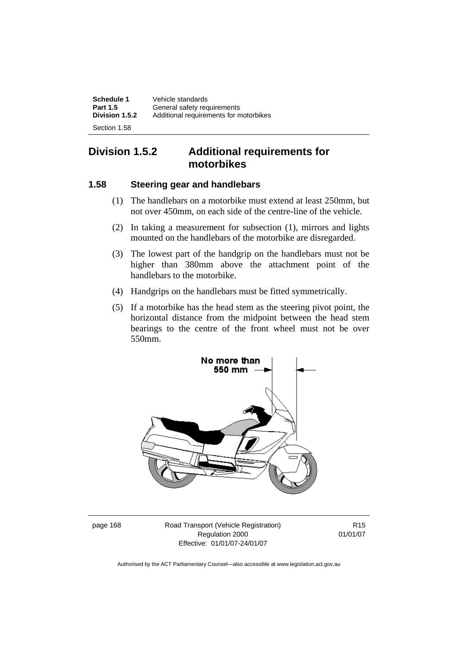| <b>Schedule 1</b> | Vehicle standards                      |
|-------------------|----------------------------------------|
| <b>Part 1.5</b>   | General safety requirements            |
| Division 1.5.2    | Additional requirements for motorbikes |
| Section 1.58      |                                        |

# **Division 1.5.2 Additional requirements for motorbikes**

#### **1.58 Steering gear and handlebars**

- (1) The handlebars on a motorbike must extend at least 250mm, but not over 450mm, on each side of the centre-line of the vehicle.
- (2) In taking a measurement for subsection (1), mirrors and lights mounted on the handlebars of the motorbike are disregarded.
- (3) The lowest part of the handgrip on the handlebars must not be higher than 380mm above the attachment point of the handlebars to the motorbike.
- (4) Handgrips on the handlebars must be fitted symmetrically.
- (5) If a motorbike has the head stem as the steering pivot point, the horizontal distance from the midpoint between the head stem bearings to the centre of the front wheel must not be over 550mm.



page 168 Road Transport (Vehicle Registration) Regulation 2000 Effective: 01/01/07-24/01/07

R15 01/01/07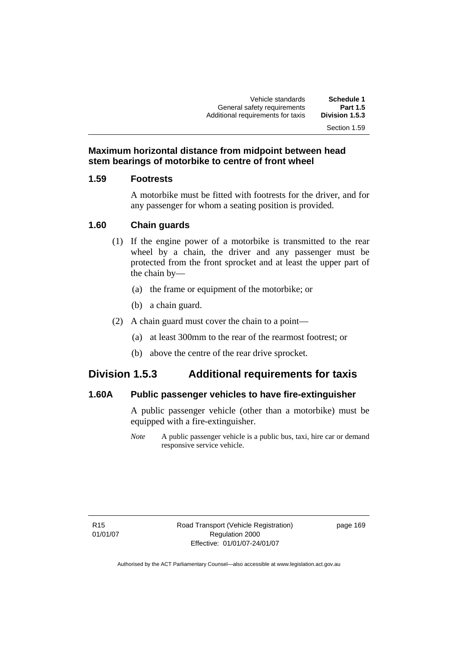Vehicle standards **Schedule 1**  General safety requirements **Part 1.5**  Additional requirements for taxis

Section 1.59

**Maximum horizontal distance from midpoint between head stem bearings of motorbike to centre of front wheel** 

#### **1.59 Footrests**

A motorbike must be fitted with footrests for the driver, and for any passenger for whom a seating position is provided.

### **1.60 Chain guards**

- (1) If the engine power of a motorbike is transmitted to the rear wheel by a chain, the driver and any passenger must be protected from the front sprocket and at least the upper part of the chain by—
	- (a) the frame or equipment of the motorbike; or
	- (b) a chain guard.
- (2) A chain guard must cover the chain to a point—
	- (a) at least 300mm to the rear of the rearmost footrest; or
	- (b) above the centre of the rear drive sprocket.

# **Division 1.5.3 Additional requirements for taxis**

#### **1.60A Public passenger vehicles to have fire-extinguisher**

A public passenger vehicle (other than a motorbike) must be equipped with a fire-extinguisher.

*Note* A public passenger vehicle is a public bus, taxi, hire car or demand responsive service vehicle.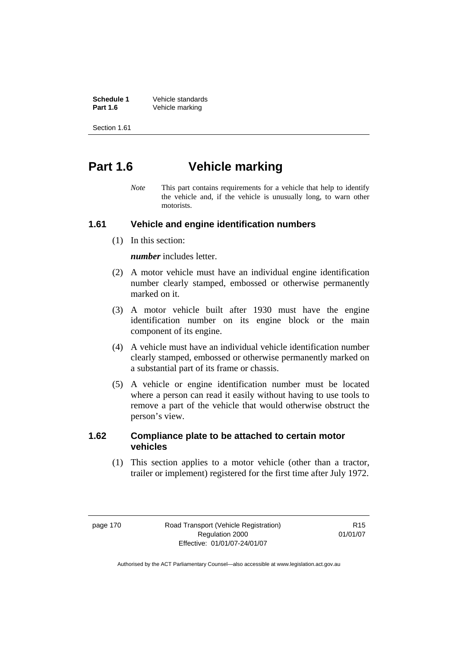**Schedule 1** Vehicle standards<br> **Part 1.6** Vehicle marking Vehicle marking

Section 1.61

# **Part 1.6 Vehicle marking**

*Note* This part contains requirements for a vehicle that help to identify the vehicle and, if the vehicle is unusually long, to warn other motorists.

### **1.61 Vehicle and engine identification numbers**

(1) In this section:

*number* includes letter.

- (2) A motor vehicle must have an individual engine identification number clearly stamped, embossed or otherwise permanently marked on it.
- (3) A motor vehicle built after 1930 must have the engine identification number on its engine block or the main component of its engine.
- (4) A vehicle must have an individual vehicle identification number clearly stamped, embossed or otherwise permanently marked on a substantial part of its frame or chassis.
- (5) A vehicle or engine identification number must be located where a person can read it easily without having to use tools to remove a part of the vehicle that would otherwise obstruct the person's view.

#### **1.62 Compliance plate to be attached to certain motor vehicles**

 (1) This section applies to a motor vehicle (other than a tractor, trailer or implement) registered for the first time after July 1972.

page 170 Road Transport (Vehicle Registration) Regulation 2000 Effective: 01/01/07-24/01/07

R15 01/01/07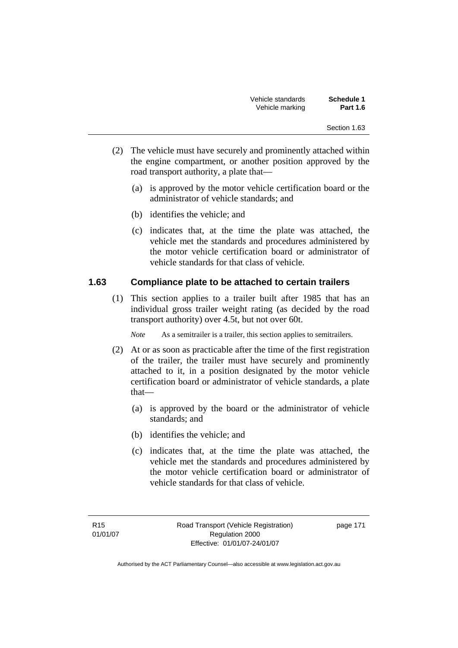| Vehicle standards | Schedule 1      |
|-------------------|-----------------|
| Vehicle marking   | <b>Part 1.6</b> |

- (2) The vehicle must have securely and prominently attached within the engine compartment, or another position approved by the road transport authority, a plate that—
	- (a) is approved by the motor vehicle certification board or the administrator of vehicle standards; and
	- (b) identifies the vehicle; and
	- (c) indicates that, at the time the plate was attached, the vehicle met the standards and procedures administered by the motor vehicle certification board or administrator of vehicle standards for that class of vehicle.

## **1.63 Compliance plate to be attached to certain trailers**

 (1) This section applies to a trailer built after 1985 that has an individual gross trailer weight rating (as decided by the road transport authority) over 4.5t, but not over 60t.

*Note* As a semitrailer is a trailer, this section applies to semitrailers.

- (2) At or as soon as practicable after the time of the first registration of the trailer, the trailer must have securely and prominently attached to it, in a position designated by the motor vehicle certification board or administrator of vehicle standards, a plate that—
	- (a) is approved by the board or the administrator of vehicle standards; and
	- (b) identifies the vehicle; and
	- (c) indicates that, at the time the plate was attached, the vehicle met the standards and procedures administered by the motor vehicle certification board or administrator of vehicle standards for that class of vehicle.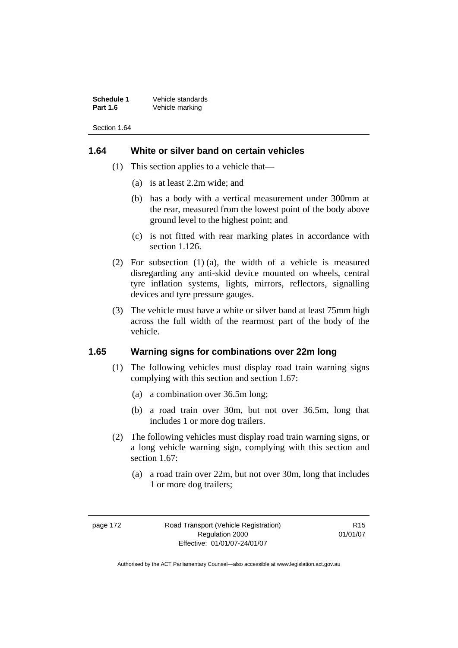**Schedule 1** Vehicle standards<br> **Part 1.6** Vehicle marking Vehicle marking

Section 1.64

#### **1.64 White or silver band on certain vehicles**

- (1) This section applies to a vehicle that—
	- (a) is at least 2.2m wide; and
	- (b) has a body with a vertical measurement under 300mm at the rear, measured from the lowest point of the body above ground level to the highest point; and
	- (c) is not fitted with rear marking plates in accordance with section 1.126.
- (2) For subsection (1) (a), the width of a vehicle is measured disregarding any anti-skid device mounted on wheels, central tyre inflation systems, lights, mirrors, reflectors, signalling devices and tyre pressure gauges.
- (3) The vehicle must have a white or silver band at least 75mm high across the full width of the rearmost part of the body of the vehicle.

# **1.65 Warning signs for combinations over 22m long**

- (1) The following vehicles must display road train warning signs complying with this section and section 1.67:
	- (a) a combination over 36.5m long;
	- (b) a road train over 30m, but not over 36.5m, long that includes 1 or more dog trailers.
- (2) The following vehicles must display road train warning signs, or a long vehicle warning sign, complying with this section and section 1.67:
	- (a) a road train over 22m, but not over 30m, long that includes 1 or more dog trailers;

R15 01/01/07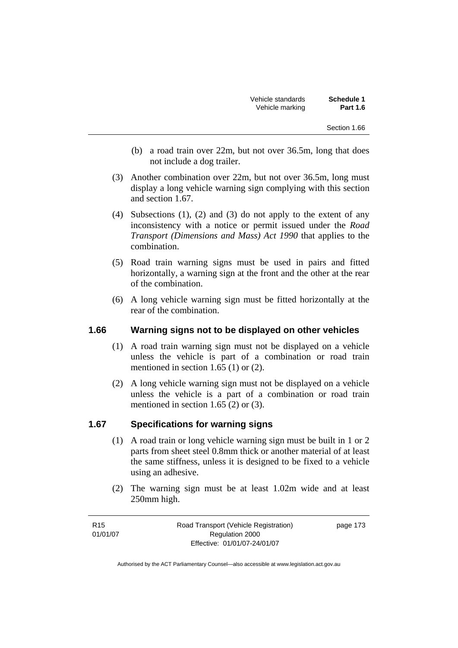| Vehicle standards | <b>Schedule 1</b> |
|-------------------|-------------------|
| Vehicle marking   | <b>Part 1.6</b>   |

- (b) a road train over 22m, but not over 36.5m, long that does not include a dog trailer.
- (3) Another combination over 22m, but not over 36.5m, long must display a long vehicle warning sign complying with this section and section 1.67.
- (4) Subsections (1), (2) and (3) do not apply to the extent of any inconsistency with a notice or permit issued under the *Road Transport (Dimensions and Mass) Act 1990* that applies to the combination.
- (5) Road train warning signs must be used in pairs and fitted horizontally, a warning sign at the front and the other at the rear of the combination.
- (6) A long vehicle warning sign must be fitted horizontally at the rear of the combination.

#### **1.66 Warning signs not to be displayed on other vehicles**

- (1) A road train warning sign must not be displayed on a vehicle unless the vehicle is part of a combination or road train mentioned in section 1.65 (1) or (2).
- (2) A long vehicle warning sign must not be displayed on a vehicle unless the vehicle is a part of a combination or road train mentioned in section 1.65 (2) or (3).

# **1.67 Specifications for warning signs**

- (1) A road train or long vehicle warning sign must be built in 1 or 2 parts from sheet steel 0.8mm thick or another material of at least the same stiffness, unless it is designed to be fixed to a vehicle using an adhesive.
- (2) The warning sign must be at least 1.02m wide and at least 250mm high.

R15 01/01/07 Road Transport (Vehicle Registration) Regulation 2000 Effective: 01/01/07-24/01/07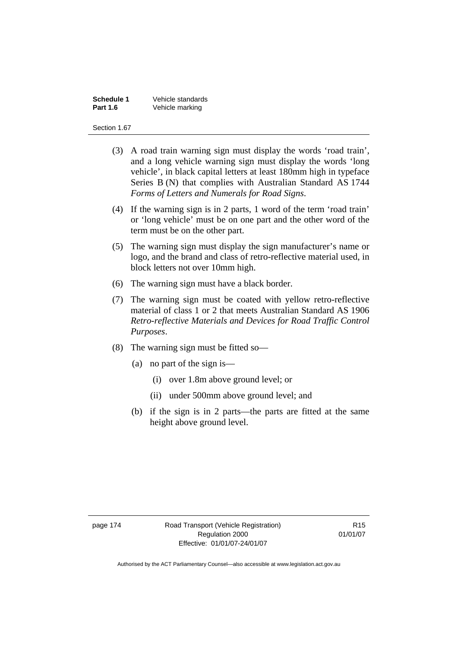| <b>Schedule 1</b> | Vehicle standards |
|-------------------|-------------------|
| <b>Part 1.6</b>   | Vehicle marking   |

#### Section 1.67

- (3) A road train warning sign must display the words 'road train', and a long vehicle warning sign must display the words 'long vehicle', in black capital letters at least 180mm high in typeface Series B (N) that complies with Australian Standard AS 1744 *Forms of Letters and Numerals for Road Signs*.
- (4) If the warning sign is in 2 parts, 1 word of the term 'road train' or 'long vehicle' must be on one part and the other word of the term must be on the other part.
- (5) The warning sign must display the sign manufacturer's name or logo, and the brand and class of retro-reflective material used, in block letters not over 10mm high.
- (6) The warning sign must have a black border.
- (7) The warning sign must be coated with yellow retro-reflective material of class 1 or 2 that meets Australian Standard AS 1906 *Retro-reflective Materials and Devices for Road Traffic Control Purposes*.
- (8) The warning sign must be fitted so—
	- (a) no part of the sign is—
		- (i) over 1.8m above ground level; or
		- (ii) under 500mm above ground level; and
	- (b) if the sign is in 2 parts—the parts are fitted at the same height above ground level.

page 174 Road Transport (Vehicle Registration) Regulation 2000 Effective: 01/01/07-24/01/07

R15 01/01/07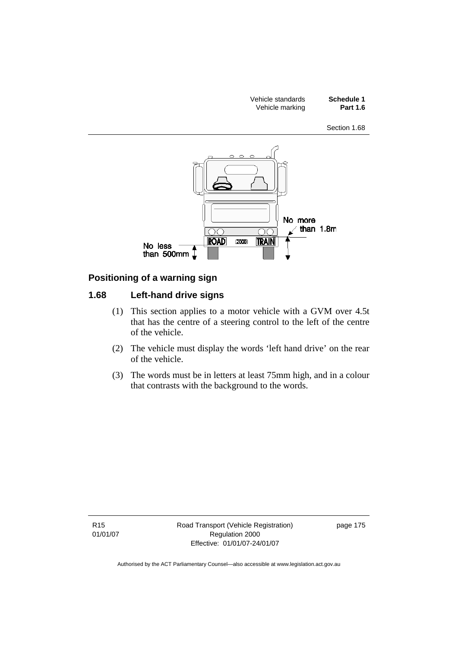

### **Positioning of a warning sign**

### **1.68 Left-hand drive signs**

- (1) This section applies to a motor vehicle with a GVM over 4.5t that has the centre of a steering control to the left of the centre of the vehicle.
- (2) The vehicle must display the words 'left hand drive' on the rear of the vehicle.
- (3) The words must be in letters at least 75mm high, and in a colour that contrasts with the background to the words.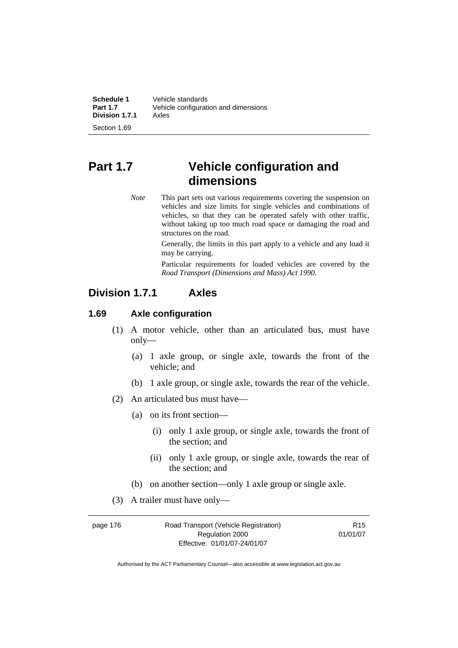| Schedule 1      | Vehicle standards                    |
|-----------------|--------------------------------------|
| <b>Part 1.7</b> | Vehicle configuration and dimensions |
| Division 1.7.1  | Axles                                |
|                 |                                      |

Section 1.69

# **Part 1.7 Vehicle configuration and dimensions**

*Note* This part sets out various requirements covering the suspension on vehicles and size limits for single vehicles and combinations of vehicles, so that they can be operated safely with other traffic, without taking up too much road space or damaging the road and structures on the road.

> Generally, the limits in this part apply to a vehicle and any load it may be carrying.

> Particular requirements for loaded vehicles are covered by the *Road Transport (Dimensions and Mass) Act 1990*.

# **Division 1.7.1 Axles**

#### **1.69 Axle configuration**

- (1) A motor vehicle, other than an articulated bus, must have only—
	- (a) 1 axle group, or single axle, towards the front of the vehicle; and
	- (b) 1 axle group, or single axle, towards the rear of the vehicle.
- (2) An articulated bus must have—
	- (a) on its front section—
		- (i) only 1 axle group, or single axle, towards the front of the section; and
		- (ii) only 1 axle group, or single axle, towards the rear of the section; and
	- (b) on another section—only 1 axle group or single axle.
- (3) A trailer must have only—

| page 176 | Road Transport (Vehicle Registration) | R <sub>15</sub> |
|----------|---------------------------------------|-----------------|
|          | Regulation 2000                       | 01/01/07        |
|          | Effective: 01/01/07-24/01/07          |                 |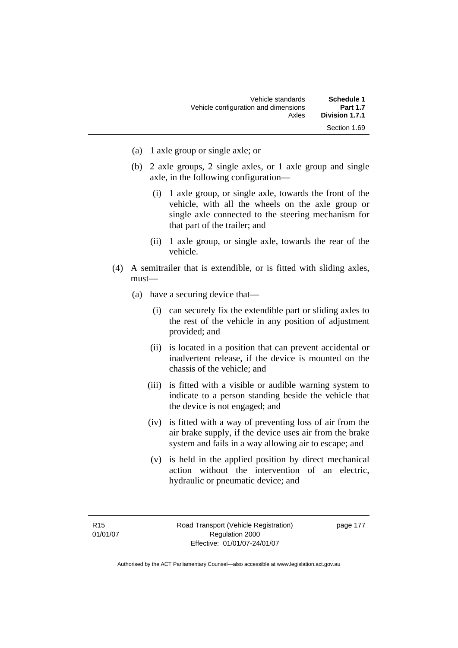| Schedule 1      | Vehicle standards                    |
|-----------------|--------------------------------------|
| <b>Part 1.7</b> | Vehicle configuration and dimensions |
| Division 1.7.1  | Axles                                |
| Section 1.69    |                                      |

- (a) 1 axle group or single axle; or
- (b) 2 axle groups, 2 single axles, or 1 axle group and single axle, in the following configuration—
	- (i) 1 axle group, or single axle, towards the front of the vehicle, with all the wheels on the axle group or single axle connected to the steering mechanism for that part of the trailer; and
	- (ii) 1 axle group, or single axle, towards the rear of the vehicle.
- (4) A semitrailer that is extendible, or is fitted with sliding axles, must—
	- (a) have a securing device that—
		- (i) can securely fix the extendible part or sliding axles to the rest of the vehicle in any position of adjustment provided; and
		- (ii) is located in a position that can prevent accidental or inadvertent release, if the device is mounted on the chassis of the vehicle; and
		- (iii) is fitted with a visible or audible warning system to indicate to a person standing beside the vehicle that the device is not engaged; and
		- (iv) is fitted with a way of preventing loss of air from the air brake supply, if the device uses air from the brake system and fails in a way allowing air to escape; and
		- (v) is held in the applied position by direct mechanical action without the intervention of an electric, hydraulic or pneumatic device; and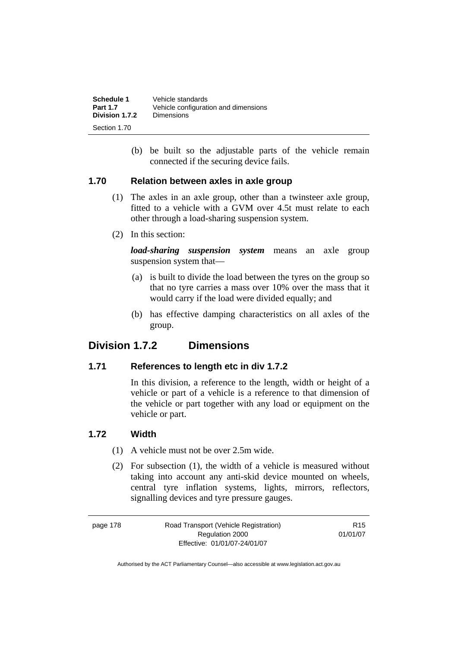| Schedule 1      | Vehicle standards                    |
|-----------------|--------------------------------------|
| <b>Part 1.7</b> | Vehicle configuration and dimensions |
| Division 1.7.2  | Dimensions                           |
| Section 1.70    |                                      |

 (b) be built so the adjustable parts of the vehicle remain connected if the securing device fails.

#### **1.70 Relation between axles in axle group**

- (1) The axles in an axle group, other than a twinsteer axle group, fitted to a vehicle with a GVM over 4.5t must relate to each other through a load-sharing suspension system.
- (2) In this section:

*load-sharing suspension system* means an axle group suspension system that—

- (a) is built to divide the load between the tyres on the group so that no tyre carries a mass over 10% over the mass that it would carry if the load were divided equally; and
- (b) has effective damping characteristics on all axles of the group.

# **Division 1.7.2 Dimensions**

#### **1.71 References to length etc in div 1.7.2**

In this division, a reference to the length, width or height of a vehicle or part of a vehicle is a reference to that dimension of the vehicle or part together with any load or equipment on the vehicle or part.

#### **1.72 Width**

- (1) A vehicle must not be over 2.5m wide.
- (2) For subsection (1), the width of a vehicle is measured without taking into account any anti-skid device mounted on wheels, central tyre inflation systems, lights, mirrors, reflectors, signalling devices and tyre pressure gauges.

page 178 Road Transport (Vehicle Registration) Regulation 2000 Effective: 01/01/07-24/01/07

R15 01/01/07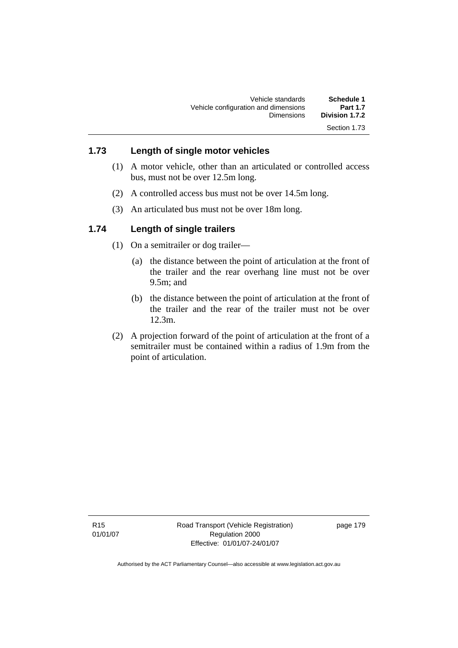# **1.73 Length of single motor vehicles**

- (1) A motor vehicle, other than an articulated or controlled access bus, must not be over 12.5m long.
- (2) A controlled access bus must not be over 14.5m long.
- (3) An articulated bus must not be over 18m long.

# **1.74 Length of single trailers**

- (1) On a semitrailer or dog trailer—
	- (a) the distance between the point of articulation at the front of the trailer and the rear overhang line must not be over 9.5m; and
	- (b) the distance between the point of articulation at the front of the trailer and the rear of the trailer must not be over 12.3m.
- (2) A projection forward of the point of articulation at the front of a semitrailer must be contained within a radius of 1.9m from the point of articulation.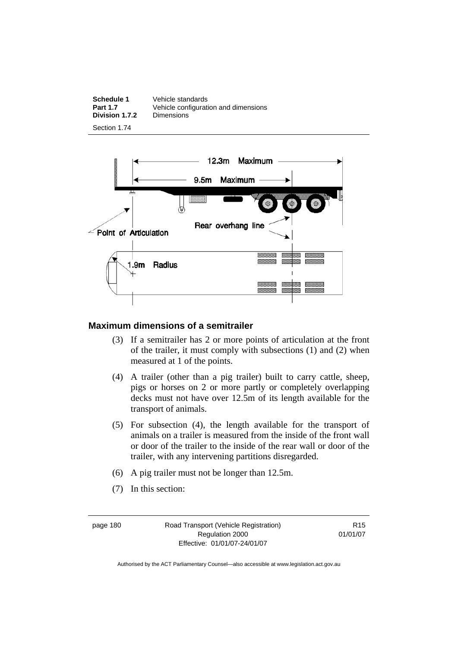| <b>Schedule 1</b> | Vehicle standards                    |
|-------------------|--------------------------------------|
| <b>Part 1.7</b>   | Vehicle configuration and dimensions |
| Division 1.7.2    | <b>Dimensions</b>                    |
|                   |                                      |

Section 1.74



#### **Maximum dimensions of a semitrailer**

- (3) If a semitrailer has 2 or more points of articulation at the front of the trailer, it must comply with subsections (1) and (2) when measured at 1 of the points.
- (4) A trailer (other than a pig trailer) built to carry cattle, sheep, pigs or horses on 2 or more partly or completely overlapping decks must not have over 12.5m of its length available for the transport of animals.
- (5) For subsection (4), the length available for the transport of animals on a trailer is measured from the inside of the front wall or door of the trailer to the inside of the rear wall or door of the trailer, with any intervening partitions disregarded.
- (6) A pig trailer must not be longer than 12.5m.
- (7) In this section:

page 180 Road Transport (Vehicle Registration) Regulation 2000 Effective: 01/01/07-24/01/07

R15 01/01/07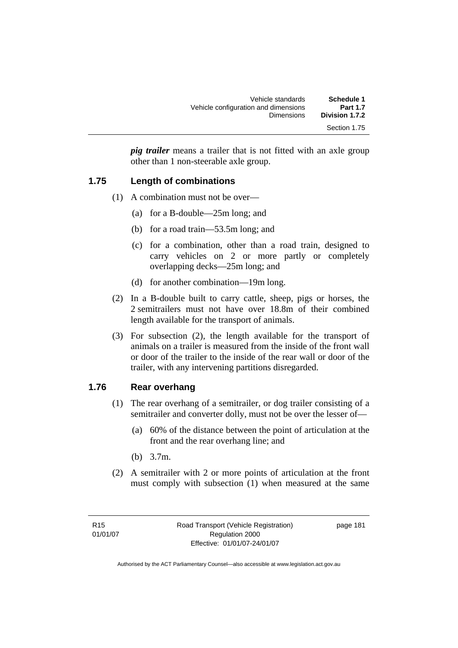| Schedule 1      | Vehicle standards                    |
|-----------------|--------------------------------------|
| <b>Part 1.7</b> | Vehicle configuration and dimensions |
| Division 1.7.2  | <b>Dimensions</b>                    |
| Section 1.75    |                                      |

*pig trailer* means a trailer that is not fitted with an axle group other than 1 non-steerable axle group.

#### **1.75 Length of combinations**

- (1) A combination must not be over—
	- (a) for a B-double—25m long; and
	- (b) for a road train—53.5m long; and
	- (c) for a combination, other than a road train, designed to carry vehicles on 2 or more partly or completely overlapping decks—25m long; and
	- (d) for another combination—19m long.
- (2) In a B-double built to carry cattle, sheep, pigs or horses, the 2 semitrailers must not have over 18.8m of their combined length available for the transport of animals.
- (3) For subsection (2), the length available for the transport of animals on a trailer is measured from the inside of the front wall or door of the trailer to the inside of the rear wall or door of the trailer, with any intervening partitions disregarded.

#### **1.76 Rear overhang**

- (1) The rear overhang of a semitrailer, or dog trailer consisting of a semitrailer and converter dolly, must not be over the lesser of—
	- (a) 60% of the distance between the point of articulation at the front and the rear overhang line; and
	- (b) 3.7m.
- (2) A semitrailer with 2 or more points of articulation at the front must comply with subsection (1) when measured at the same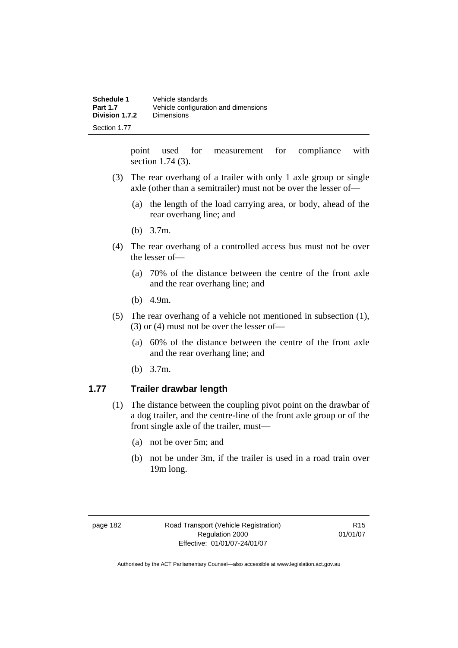| Schedule 1      | Vehicle standards                    |
|-----------------|--------------------------------------|
| <b>Part 1.7</b> | Vehicle configuration and dimensions |
| Division 1.7.2  | Dimensions                           |
| Section 1.77    |                                      |

point used for measurement for compliance with section 1.74 (3).

- (3) The rear overhang of a trailer with only 1 axle group or single axle (other than a semitrailer) must not be over the lesser of—
	- (a) the length of the load carrying area, or body, ahead of the rear overhang line; and
	- (b) 3.7m.
- (4) The rear overhang of a controlled access bus must not be over the lesser of—
	- (a) 70% of the distance between the centre of the front axle and the rear overhang line; and
	- (b) 4.9m.
- (5) The rear overhang of a vehicle not mentioned in subsection (1), (3) or (4) must not be over the lesser of—
	- (a) 60% of the distance between the centre of the front axle and the rear overhang line; and
	- (b) 3.7m.

#### **1.77 Trailer drawbar length**

- (1) The distance between the coupling pivot point on the drawbar of a dog trailer, and the centre-line of the front axle group or of the front single axle of the trailer, must—
	- (a) not be over 5m; and
	- (b) not be under 3m, if the trailer is used in a road train over 19m long.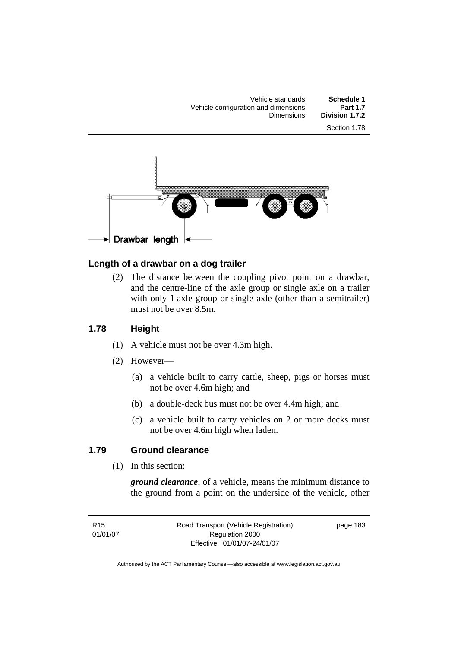Vehicle standards **Schedule 1**  Vehicle configuration and dimensions<br>Dimensions Division 1.7.2 Section 1.78



#### **Length of a drawbar on a dog trailer**

 (2) The distance between the coupling pivot point on a drawbar, and the centre-line of the axle group or single axle on a trailer with only 1 axle group or single axle (other than a semitrailer) must not be over 8.5m.

#### **1.78 Height**

- (1) A vehicle must not be over 4.3m high.
- (2) However—
	- (a) a vehicle built to carry cattle, sheep, pigs or horses must not be over 4.6m high; and
	- (b) a double-deck bus must not be over 4.4m high; and
	- (c) a vehicle built to carry vehicles on 2 or more decks must not be over 4.6m high when laden.

### **1.79 Ground clearance**

(1) In this section:

*ground clearance*, of a vehicle, means the minimum distance to the ground from a point on the underside of the vehicle, other

R15 01/01/07 Road Transport (Vehicle Registration) Regulation 2000 Effective: 01/01/07-24/01/07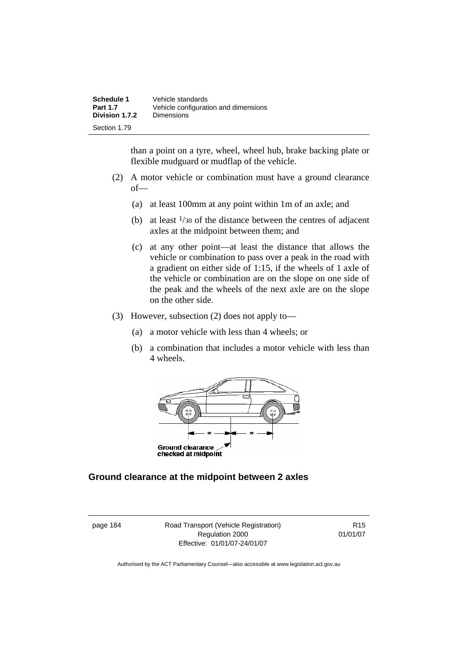| Schedule 1      | Vehicle standards                    |
|-----------------|--------------------------------------|
| <b>Part 1.7</b> | Vehicle configuration and dimensions |
| Division 1.7.2  | <b>Dimensions</b>                    |
| Section 1.79    |                                      |

than a point on a tyre, wheel, wheel hub, brake backing plate or flexible mudguard or mudflap of the vehicle.

- (2) A motor vehicle or combination must have a ground clearance of—
	- (a) at least 100mm at any point within 1m of an axle; and
	- (b) at least  $\frac{1}{30}$  of the distance between the centres of adjacent axles at the midpoint between them; and
	- (c) at any other point—at least the distance that allows the vehicle or combination to pass over a peak in the road with a gradient on either side of 1:15, if the wheels of 1 axle of the vehicle or combination are on the slope on one side of the peak and the wheels of the next axle are on the slope on the other side.
- (3) However, subsection (2) does not apply to—
	- (a) a motor vehicle with less than 4 wheels; or
	- (b) a combination that includes a motor vehicle with less than 4 wheels.



#### **Ground clearance at the midpoint between 2 axles**

page 184 Road Transport (Vehicle Registration) Regulation 2000 Effective: 01/01/07-24/01/07

R15 01/01/07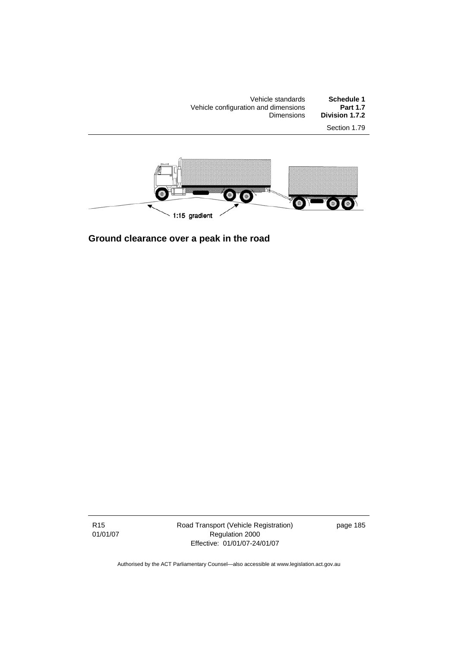Vehicle standards **Schedule 1**  Vehicle configuration and dimensions **Part 1.7**  Dimensions **Division 1.7.2**  Section 1.79



**Ground clearance over a peak in the road** 

R15 01/01/07 Road Transport (Vehicle Registration) Regulation 2000 Effective: 01/01/07-24/01/07

page 185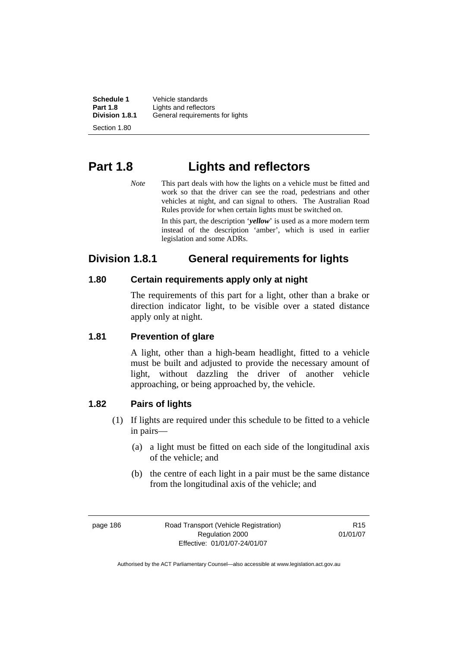**Schedule 1** Vehicle standards<br>**Part 1.8 Lights** and reflector **Part 1.8 Lights and reflectors**<br>**Division 1.8.1 General requirement Division 1.8.1** General requirements for lights Section 1.80

**Part 1.8 Lights and reflectors** 

*Note* This part deals with how the lights on a vehicle must be fitted and work so that the driver can see the road, pedestrians and other vehicles at night, and can signal to others. The Australian Road Rules provide for when certain lights must be switched on.

> In this part, the description '*yellow*' is used as a more modern term instead of the description 'amber', which is used in earlier legislation and some ADRs.

# **Division 1.8.1 General requirements for lights**

# **1.80 Certain requirements apply only at night**

The requirements of this part for a light, other than a brake or direction indicator light, to be visible over a stated distance apply only at night.

#### **1.81 Prevention of glare**

A light, other than a high-beam headlight, fitted to a vehicle must be built and adjusted to provide the necessary amount of light, without dazzling the driver of another vehicle approaching, or being approached by, the vehicle.

# **1.82 Pairs of lights**

- (1) If lights are required under this schedule to be fitted to a vehicle in pairs—
	- (a) a light must be fitted on each side of the longitudinal axis of the vehicle; and
	- (b) the centre of each light in a pair must be the same distance from the longitudinal axis of the vehicle; and

page 186 Road Transport (Vehicle Registration) Regulation 2000 Effective: 01/01/07-24/01/07

R15 01/01/07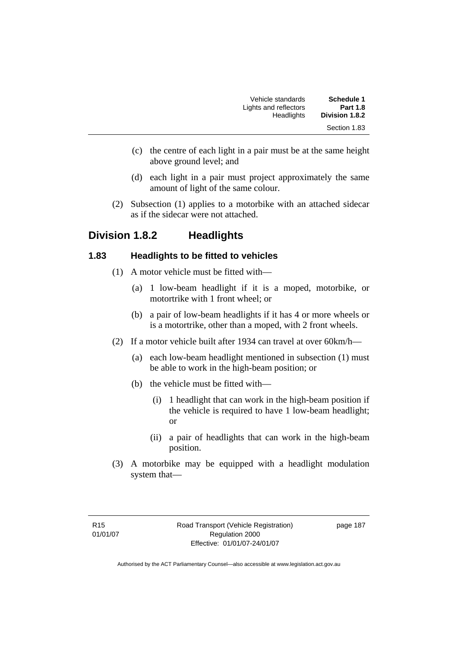| Schedule 1      | Vehicle standards     |
|-----------------|-----------------------|
| <b>Part 1.8</b> | Lights and reflectors |
| Division 1.8.2  | Headlights            |
| Section 1.83    |                       |

- (c) the centre of each light in a pair must be at the same height above ground level; and
- (d) each light in a pair must project approximately the same amount of light of the same colour.
- (2) Subsection (1) applies to a motorbike with an attached sidecar as if the sidecar were not attached.

# **Division 1.8.2 Headlights**

#### **1.83 Headlights to be fitted to vehicles**

- (1) A motor vehicle must be fitted with—
	- (a) 1 low-beam headlight if it is a moped, motorbike, or motortrike with 1 front wheel; or
	- (b) a pair of low-beam headlights if it has 4 or more wheels or is a motortrike, other than a moped, with 2 front wheels.
- (2) If a motor vehicle built after 1934 can travel at over 60km/h—
	- (a) each low-beam headlight mentioned in subsection (1) must be able to work in the high-beam position; or
	- (b) the vehicle must be fitted with—
		- (i) 1 headlight that can work in the high-beam position if the vehicle is required to have 1 low-beam headlight; or
		- (ii) a pair of headlights that can work in the high-beam position.
- (3) A motorbike may be equipped with a headlight modulation system that—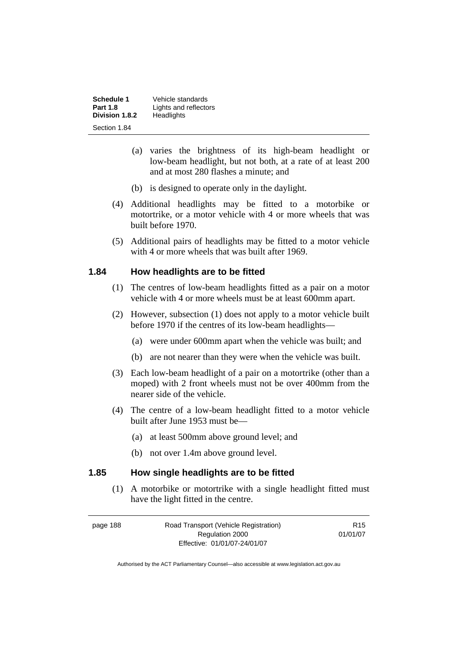**Schedule 1** Vehicle standards<br>**Part 1.8 Lights** and reflector **Lights and reflectors**<br>Headlights **Division 1.8.2** Section 1.84

- (a) varies the brightness of its high-beam headlight or low-beam headlight, but not both, at a rate of at least 200 and at most 280 flashes a minute; and
- (b) is designed to operate only in the daylight.
- (4) Additional headlights may be fitted to a motorbike or motortrike, or a motor vehicle with 4 or more wheels that was built before 1970.
- (5) Additional pairs of headlights may be fitted to a motor vehicle with 4 or more wheels that was built after 1969.

#### **1.84 How headlights are to be fitted**

- (1) The centres of low-beam headlights fitted as a pair on a motor vehicle with 4 or more wheels must be at least 600mm apart.
- (2) However, subsection (1) does not apply to a motor vehicle built before 1970 if the centres of its low-beam headlights—
	- (a) were under 600mm apart when the vehicle was built; and
	- (b) are not nearer than they were when the vehicle was built.
- (3) Each low-beam headlight of a pair on a motortrike (other than a moped) with 2 front wheels must not be over 400mm from the nearer side of the vehicle.
- (4) The centre of a low-beam headlight fitted to a motor vehicle built after June 1953 must be—
	- (a) at least 500mm above ground level; and
	- (b) not over 1.4m above ground level.

#### **1.85 How single headlights are to be fitted**

 (1) A motorbike or motortrike with a single headlight fitted must have the light fitted in the centre.

| page 188 | Road Transport (Vehicle Registration) | R <sub>15</sub> |
|----------|---------------------------------------|-----------------|
|          | Regulation 2000                       | 01/01/07        |
|          | Effective: 01/01/07-24/01/07          |                 |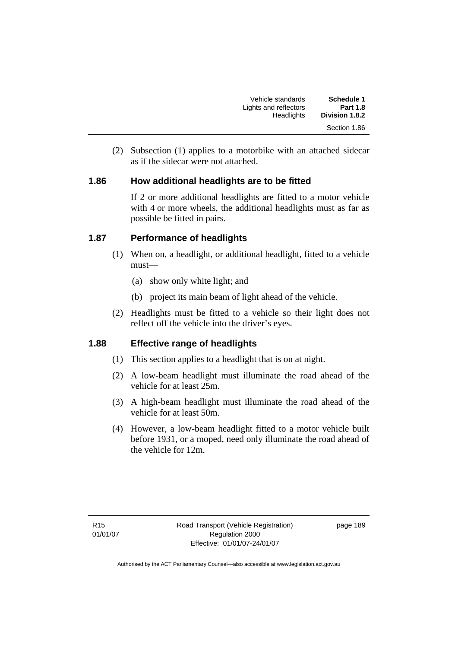| Schedule 1<br><b>Part 1.8</b> | Vehicle standards                   |
|-------------------------------|-------------------------------------|
| Division 1.8.2                | Lights and reflectors<br>Headlights |
| Section 1.86                  |                                     |

 (2) Subsection (1) applies to a motorbike with an attached sidecar as if the sidecar were not attached.

### **1.86 How additional headlights are to be fitted**

If 2 or more additional headlights are fitted to a motor vehicle with 4 or more wheels, the additional headlights must as far as possible be fitted in pairs.

# **1.87 Performance of headlights**

- (1) When on, a headlight, or additional headlight, fitted to a vehicle must—
	- (a) show only white light; and
	- (b) project its main beam of light ahead of the vehicle.
- (2) Headlights must be fitted to a vehicle so their light does not reflect off the vehicle into the driver's eyes.

# **1.88 Effective range of headlights**

- (1) This section applies to a headlight that is on at night.
- (2) A low-beam headlight must illuminate the road ahead of the vehicle for at least 25m.
- (3) A high-beam headlight must illuminate the road ahead of the vehicle for at least 50m.
- (4) However, a low-beam headlight fitted to a motor vehicle built before 1931, or a moped, need only illuminate the road ahead of the vehicle for 12m.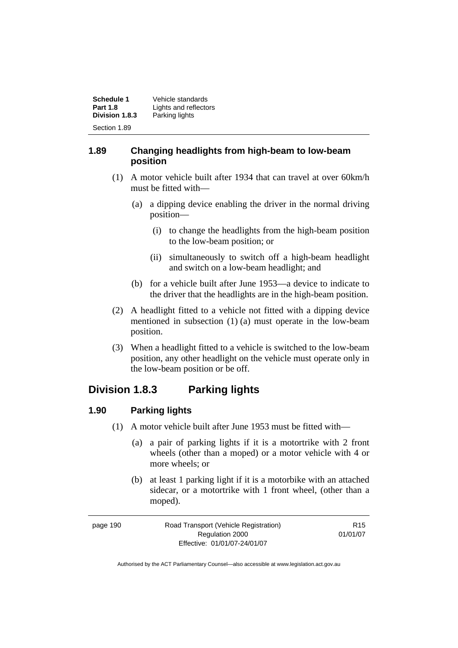| Schedule 1      | Vehicle standards     |
|-----------------|-----------------------|
| <b>Part 1.8</b> | Lights and reflectors |
| Division 1.8.3  | Parking lights        |
| Section 1.89    |                       |

#### **1.89 Changing headlights from high-beam to low-beam position**

- (1) A motor vehicle built after 1934 that can travel at over 60km/h must be fitted with—
	- (a) a dipping device enabling the driver in the normal driving position—
		- (i) to change the headlights from the high-beam position to the low-beam position; or
		- (ii) simultaneously to switch off a high-beam headlight and switch on a low-beam headlight; and
	- (b) for a vehicle built after June 1953—a device to indicate to the driver that the headlights are in the high-beam position.
- (2) A headlight fitted to a vehicle not fitted with a dipping device mentioned in subsection (1) (a) must operate in the low-beam position.
- (3) When a headlight fitted to a vehicle is switched to the low-beam position, any other headlight on the vehicle must operate only in the low-beam position or be off.

# **Division 1.8.3 Parking lights**

# **1.90 Parking lights**

- (1) A motor vehicle built after June 1953 must be fitted with—
	- (a) a pair of parking lights if it is a motortrike with 2 front wheels (other than a moped) or a motor vehicle with 4 or more wheels; or
	- (b) at least 1 parking light if it is a motorbike with an attached sidecar, or a motortrike with 1 front wheel, (other than a moped).

| page 190 | Road Transport (Vehicle Registration) | R <sub>15</sub> |
|----------|---------------------------------------|-----------------|
|          | Regulation 2000                       | 01/01/07        |
|          | Effective: 01/01/07-24/01/07          |                 |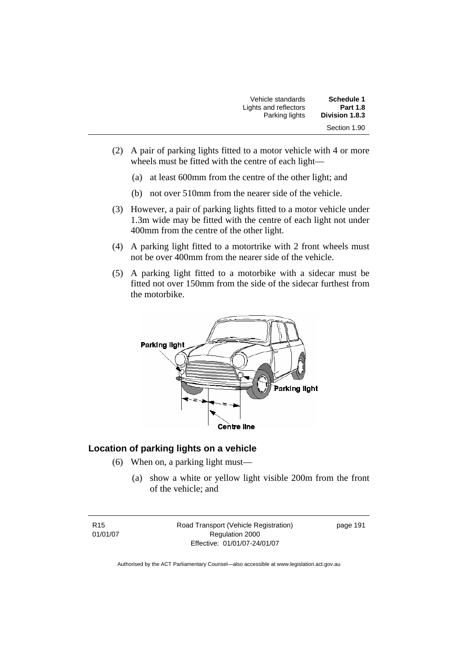| Vehicle standards     | Schedule 1      |
|-----------------------|-----------------|
| Lights and reflectors | <b>Part 1.8</b> |
| Parking lights        | Division 1.8.3  |
|                       | Section 1.90    |

- (2) A pair of parking lights fitted to a motor vehicle with 4 or more wheels must be fitted with the centre of each light—
	- (a) at least 600mm from the centre of the other light; and
	- (b) not over 510mm from the nearer side of the vehicle.
- (3) However, a pair of parking lights fitted to a motor vehicle under 1.3m wide may be fitted with the centre of each light not under 400mm from the centre of the other light.
- (4) A parking light fitted to a motortrike with 2 front wheels must not be over 400mm from the nearer side of the vehicle.
- (5) A parking light fitted to a motorbike with a sidecar must be fitted not over 150mm from the side of the sidecar furthest from the motorbike.



# **Location of parking lights on a vehicle**

- (6) When on, a parking light must—
	- (a) show a white or yellow light visible 200m from the front of the vehicle; and

R15 01/01/07 Road Transport (Vehicle Registration) Regulation 2000 Effective: 01/01/07-24/01/07

page 191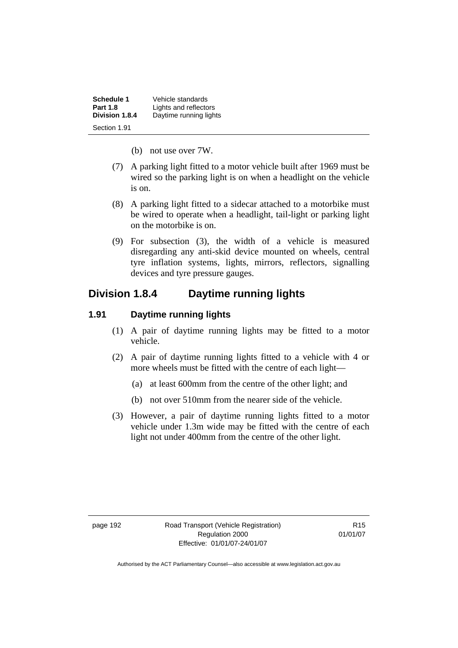| Schedule 1      | Vehicle standards      |
|-----------------|------------------------|
| <b>Part 1.8</b> | Lights and reflectors  |
| Division 1.8.4  | Daytime running lights |
| Section 1.91    |                        |

- (b) not use over 7W.
- (7) A parking light fitted to a motor vehicle built after 1969 must be wired so the parking light is on when a headlight on the vehicle is on.
- (8) A parking light fitted to a sidecar attached to a motorbike must be wired to operate when a headlight, tail-light or parking light on the motorbike is on.
- (9) For subsection (3), the width of a vehicle is measured disregarding any anti-skid device mounted on wheels, central tyre inflation systems, lights, mirrors, reflectors, signalling devices and tyre pressure gauges.

# **Division 1.8.4 Daytime running lights**

#### **1.91 Daytime running lights**

- (1) A pair of daytime running lights may be fitted to a motor vehicle.
- (2) A pair of daytime running lights fitted to a vehicle with 4 or more wheels must be fitted with the centre of each light—
	- (a) at least 600mm from the centre of the other light; and
	- (b) not over 510mm from the nearer side of the vehicle.
- (3) However, a pair of daytime running lights fitted to a motor vehicle under 1.3m wide may be fitted with the centre of each light not under 400mm from the centre of the other light.

page 192 Road Transport (Vehicle Registration) Regulation 2000 Effective: 01/01/07-24/01/07

R15 01/01/07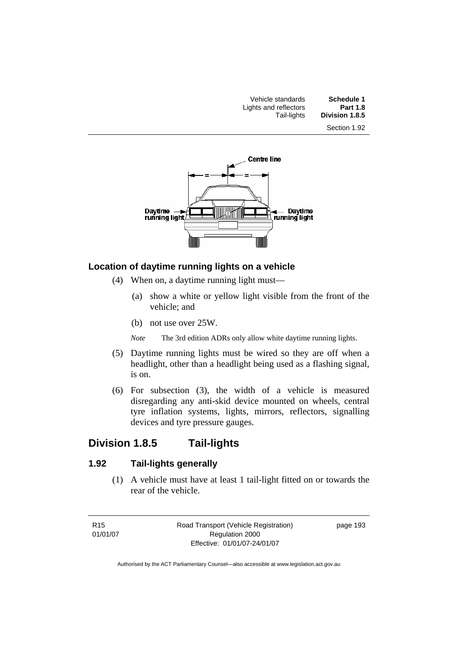| Schedule 1<br><b>Part 1.8</b> | Vehicle standards                    |  |
|-------------------------------|--------------------------------------|--|
| Division 1.8.5                | Lights and reflectors<br>Tail-lights |  |
| Section 1.92                  |                                      |  |



#### **Location of daytime running lights on a vehicle**

- (4) When on, a daytime running light must—
	- (a) show a white or yellow light visible from the front of the vehicle; and
	- (b) not use over 25W.
	- *Note* The 3rd edition ADRs only allow white daytime running lights.
- (5) Daytime running lights must be wired so they are off when a headlight, other than a headlight being used as a flashing signal, is on.
- (6) For subsection (3), the width of a vehicle is measured disregarding any anti-skid device mounted on wheels, central tyre inflation systems, lights, mirrors, reflectors, signalling devices and tyre pressure gauges.

# **Division 1.8.5 Tail-lights**

# **1.92 Tail-lights generally**

 (1) A vehicle must have at least 1 tail-light fitted on or towards the rear of the vehicle.

R15 01/01/07 Road Transport (Vehicle Registration) Regulation 2000 Effective: 01/01/07-24/01/07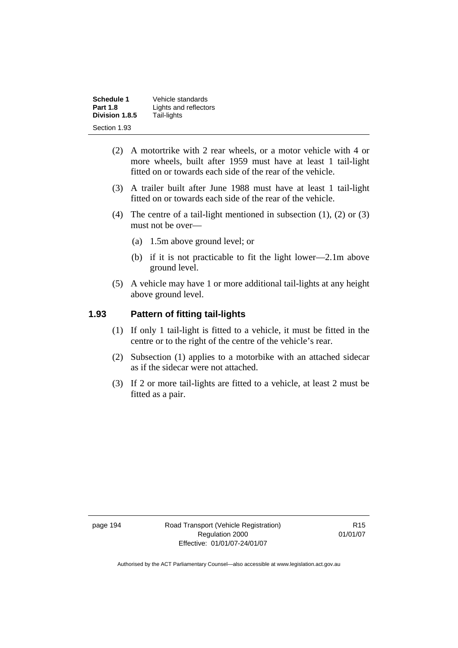| Schedule 1      | Vehicle standards     |
|-----------------|-----------------------|
| <b>Part 1.8</b> | Lights and reflectors |
| Division 1.8.5  | Tail-lights           |
| Section 1.93    |                       |

- (2) A motortrike with 2 rear wheels, or a motor vehicle with 4 or more wheels, built after 1959 must have at least 1 tail-light fitted on or towards each side of the rear of the vehicle.
- (3) A trailer built after June 1988 must have at least 1 tail-light fitted on or towards each side of the rear of the vehicle.
- (4) The centre of a tail-light mentioned in subsection (1), (2) or (3) must not be over—
	- (a) 1.5m above ground level; or
	- (b) if it is not practicable to fit the light lower—2.1m above ground level.
- (5) A vehicle may have 1 or more additional tail-lights at any height above ground level.

#### **1.93 Pattern of fitting tail-lights**

- (1) If only 1 tail-light is fitted to a vehicle, it must be fitted in the centre or to the right of the centre of the vehicle's rear.
- (2) Subsection (1) applies to a motorbike with an attached sidecar as if the sidecar were not attached.
- (3) If 2 or more tail-lights are fitted to a vehicle, at least 2 must be fitted as a pair.

page 194 Road Transport (Vehicle Registration) Regulation 2000 Effective: 01/01/07-24/01/07

R15 01/01/07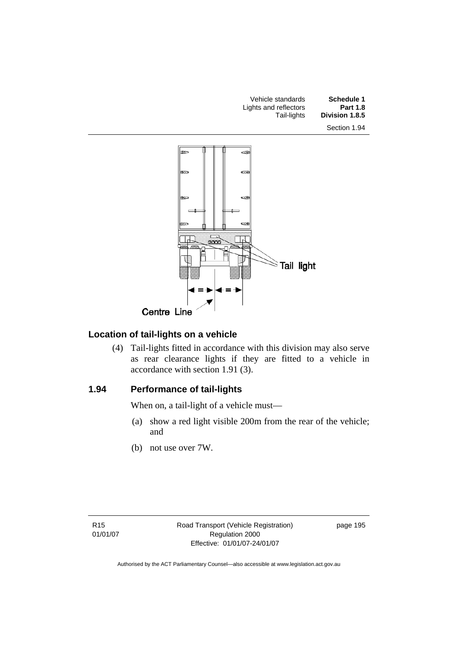



## **Location of tail-lights on a vehicle**

 (4) Tail-lights fitted in accordance with this division may also serve as rear clearance lights if they are fitted to a vehicle in accordance with section 1.91 (3).

#### **1.94 Performance of tail-lights**

When on, a tail-light of a vehicle must—

- (a) show a red light visible 200m from the rear of the vehicle; and
- (b) not use over 7W.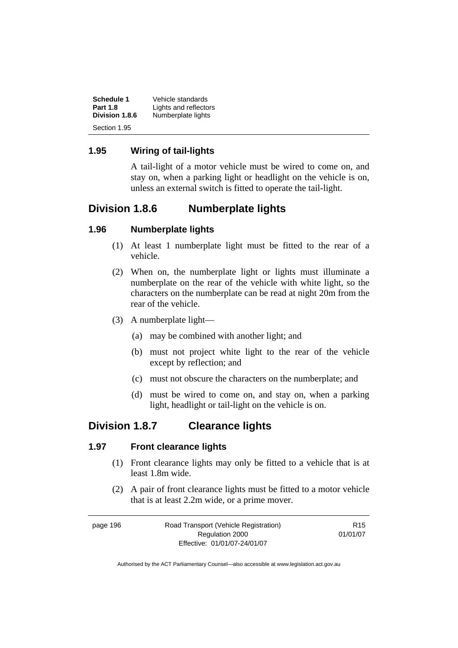| Schedule 1      | Vehicle standards     |
|-----------------|-----------------------|
| <b>Part 1.8</b> | Lights and reflectors |
| Division 1.8.6  | Numberplate lights    |
| Section 1.95    |                       |

#### **1.95 Wiring of tail-lights**

A tail-light of a motor vehicle must be wired to come on, and stay on, when a parking light or headlight on the vehicle is on, unless an external switch is fitted to operate the tail-light.

# **Division 1.8.6 Numberplate lights**

#### **1.96 Numberplate lights**

- (1) At least 1 numberplate light must be fitted to the rear of a vehicle.
- (2) When on, the numberplate light or lights must illuminate a numberplate on the rear of the vehicle with white light, so the characters on the numberplate can be read at night 20m from the rear of the vehicle.
- (3) A numberplate light—
	- (a) may be combined with another light; and
	- (b) must not project white light to the rear of the vehicle except by reflection; and
	- (c) must not obscure the characters on the numberplate; and
	- (d) must be wired to come on, and stay on, when a parking light, headlight or tail-light on the vehicle is on.

# **Division 1.8.7 Clearance lights**

#### **1.97 Front clearance lights**

- (1) Front clearance lights may only be fitted to a vehicle that is at least 1.8m wide.
- (2) A pair of front clearance lights must be fitted to a motor vehicle that is at least 2.2m wide, or a prime mover.

| page 196 | Road Transport (Vehicle Registration) | R15      |
|----------|---------------------------------------|----------|
|          | Regulation 2000                       | 01/01/07 |
|          | Effective: 01/01/07-24/01/07          |          |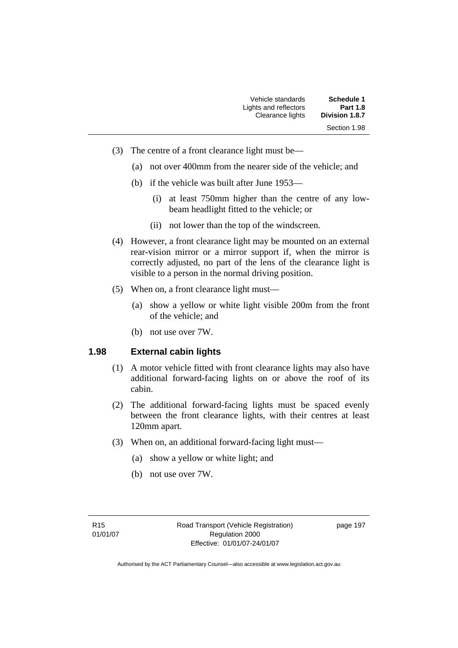| Vehicle standards     | Schedule 1            |
|-----------------------|-----------------------|
| Lights and reflectors | <b>Part 1.8</b>       |
| Clearance lights      | <b>Division 1.8.7</b> |
|                       | Section 1.98          |

- (3) The centre of a front clearance light must be—
	- (a) not over 400mm from the nearer side of the vehicle; and
	- (b) if the vehicle was built after June 1953—
		- (i) at least 750mm higher than the centre of any lowbeam headlight fitted to the vehicle; or
		- (ii) not lower than the top of the windscreen.
- (4) However, a front clearance light may be mounted on an external rear-vision mirror or a mirror support if, when the mirror is correctly adjusted, no part of the lens of the clearance light is visible to a person in the normal driving position.
- (5) When on, a front clearance light must—
	- (a) show a yellow or white light visible 200m from the front of the vehicle; and
	- (b) not use over 7W.

#### **1.98 External cabin lights**

- (1) A motor vehicle fitted with front clearance lights may also have additional forward-facing lights on or above the roof of its cabin.
- (2) The additional forward-facing lights must be spaced evenly between the front clearance lights, with their centres at least 120mm apart.
- (3) When on, an additional forward-facing light must—
	- (a) show a yellow or white light; and
	- (b) not use over 7W.

page 197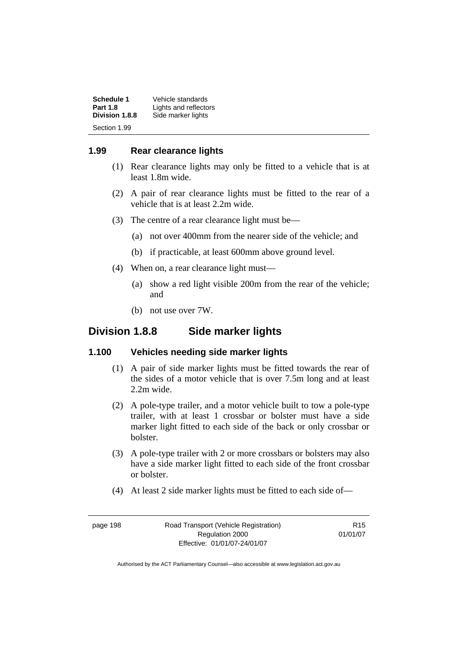| Schedule 1<br><b>Part 1.8</b> | Vehicle standards<br>Lights and reflectors |
|-------------------------------|--------------------------------------------|
| Division 1.8.8                | Side marker lights                         |
| Section 1.99                  |                                            |

#### **1.99 Rear clearance lights**

- (1) Rear clearance lights may only be fitted to a vehicle that is at least 1.8m wide.
- (2) A pair of rear clearance lights must be fitted to the rear of a vehicle that is at least 2.2m wide.
- (3) The centre of a rear clearance light must be—
	- (a) not over 400mm from the nearer side of the vehicle; and
	- (b) if practicable, at least 600mm above ground level.
- (4) When on, a rear clearance light must—
	- (a) show a red light visible 200m from the rear of the vehicle; and
	- (b) not use over 7W.

## **Division 1.8.8 Side marker lights**

#### **1.100 Vehicles needing side marker lights**

- (1) A pair of side marker lights must be fitted towards the rear of the sides of a motor vehicle that is over 7.5m long and at least 2.2m wide.
- (2) A pole-type trailer, and a motor vehicle built to tow a pole-type trailer, with at least 1 crossbar or bolster must have a side marker light fitted to each side of the back or only crossbar or bolster.
- (3) A pole-type trailer with 2 or more crossbars or bolsters may also have a side marker light fitted to each side of the front crossbar or bolster.
- (4) At least 2 side marker lights must be fitted to each side of—

page 198 Road Transport (Vehicle Registration) Regulation 2000 Effective: 01/01/07-24/01/07

R15 01/01/07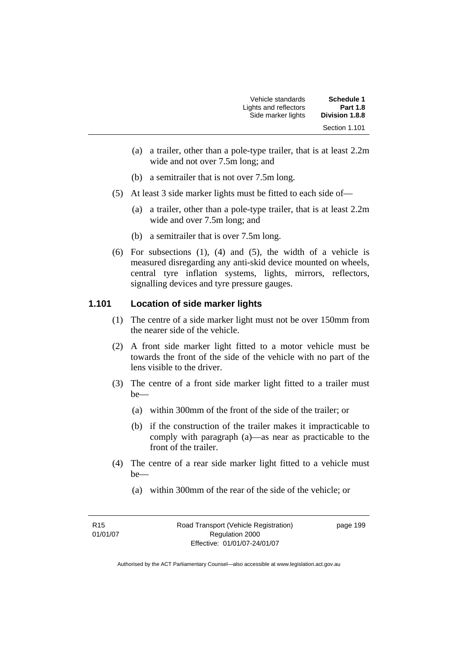| Schedule 1      | Vehicle standards     |
|-----------------|-----------------------|
| <b>Part 1.8</b> | Lights and reflectors |
| Division 1.8.8  | Side marker lights    |
| Section 1.101   |                       |

- (a) a trailer, other than a pole-type trailer, that is at least 2.2m wide and not over 7.5m long; and
- (b) a semitrailer that is not over 7.5m long.
- (5) At least 3 side marker lights must be fitted to each side of—
	- (a) a trailer, other than a pole-type trailer, that is at least 2.2m wide and over 7.5m long; and
	- (b) a semitrailer that is over 7.5m long.
- (6) For subsections (1), (4) and (5), the width of a vehicle is measured disregarding any anti-skid device mounted on wheels, central tyre inflation systems, lights, mirrors, reflectors, signalling devices and tyre pressure gauges.

#### **1.101 Location of side marker lights**

- (1) The centre of a side marker light must not be over 150mm from the nearer side of the vehicle.
- (2) A front side marker light fitted to a motor vehicle must be towards the front of the side of the vehicle with no part of the lens visible to the driver.
- (3) The centre of a front side marker light fitted to a trailer must be—
	- (a) within 300mm of the front of the side of the trailer; or
	- (b) if the construction of the trailer makes it impracticable to comply with paragraph (a)—as near as practicable to the front of the trailer.
- (4) The centre of a rear side marker light fitted to a vehicle must be—
	- (a) within 300mm of the rear of the side of the vehicle; or

page 199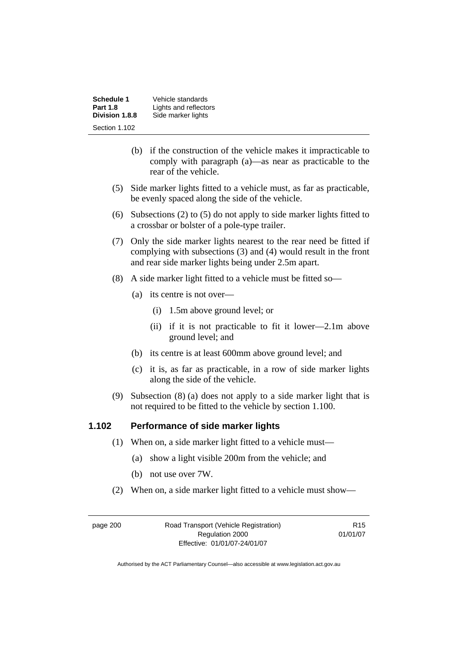**Schedule 1 Vehicle standards**<br>**Part 1.8 Lights and reflector Part 1.8** Lights and reflectors<br>**Division 1.8.8** Side marker lights Side marker lights Section 1.102

- (b) if the construction of the vehicle makes it impracticable to comply with paragraph (a)—as near as practicable to the rear of the vehicle.
- (5) Side marker lights fitted to a vehicle must, as far as practicable, be evenly spaced along the side of the vehicle.
- (6) Subsections (2) to (5) do not apply to side marker lights fitted to a crossbar or bolster of a pole-type trailer.
- (7) Only the side marker lights nearest to the rear need be fitted if complying with subsections (3) and (4) would result in the front and rear side marker lights being under 2.5m apart.
- (8) A side marker light fitted to a vehicle must be fitted so—
	- (a) its centre is not over—
		- (i) 1.5m above ground level; or
		- (ii) if it is not practicable to fit it lower—2.1m above ground level; and
	- (b) its centre is at least 600mm above ground level; and
	- (c) it is, as far as practicable, in a row of side marker lights along the side of the vehicle.
- (9) Subsection (8) (a) does not apply to a side marker light that is not required to be fitted to the vehicle by section 1.100.

#### **1.102 Performance of side marker lights**

- (1) When on, a side marker light fitted to a vehicle must—
	- (a) show a light visible 200m from the vehicle; and
	- (b) not use over 7W.
- (2) When on, a side marker light fitted to a vehicle must show—

page 200 Road Transport (Vehicle Registration) Regulation 2000 Effective: 01/01/07-24/01/07

R15 01/01/07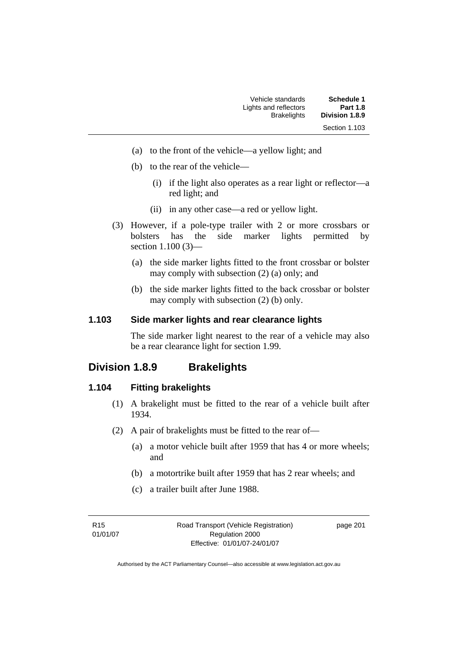| Schedule 1      | Vehicle standards     |
|-----------------|-----------------------|
| <b>Part 1.8</b> | Lights and reflectors |
| Division 1.8.9  | <b>Brakelights</b>    |
| Section 1.103   |                       |

- (a) to the front of the vehicle—a yellow light; and
- (b) to the rear of the vehicle—
	- (i) if the light also operates as a rear light or reflector—a red light; and
	- (ii) in any other case—a red or yellow light.
- (3) However, if a pole-type trailer with 2 or more crossbars or bolsters has the side marker lights permitted by section 1.100 (3)—
	- (a) the side marker lights fitted to the front crossbar or bolster may comply with subsection (2) (a) only; and
	- (b) the side marker lights fitted to the back crossbar or bolster may comply with subsection (2) (b) only.

#### **1.103 Side marker lights and rear clearance lights**

The side marker light nearest to the rear of a vehicle may also be a rear clearance light for section 1.99.

# **Division 1.8.9 Brakelights**

#### **1.104 Fitting brakelights**

- (1) A brakelight must be fitted to the rear of a vehicle built after 1934.
- (2) A pair of brakelights must be fitted to the rear of—
	- (a) a motor vehicle built after 1959 that has 4 or more wheels; and
	- (b) a motortrike built after 1959 that has 2 rear wheels; and
	- (c) a trailer built after June 1988.

R15 01/01/07 Road Transport (Vehicle Registration) Regulation 2000 Effective: 01/01/07-24/01/07

page 201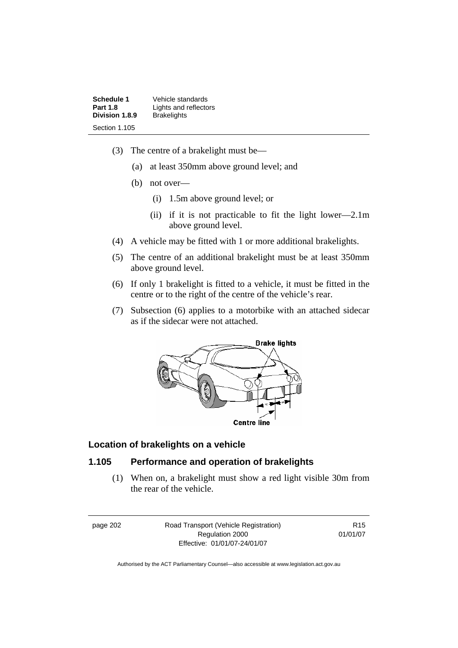**Schedule 1** Vehicle standards<br>**Part 1.8 Lights** and reflector **Lights and reflectors**<br>**Brakelights Division 1.8.9** Section 1.105

- (3) The centre of a brakelight must be—
	- (a) at least 350mm above ground level; and
	- (b) not over—
		- (i) 1.5m above ground level; or
		- (ii) if it is not practicable to fit the light lower—2.1m above ground level.
- (4) A vehicle may be fitted with 1 or more additional brakelights.
- (5) The centre of an additional brakelight must be at least 350mm above ground level.
- (6) If only 1 brakelight is fitted to a vehicle, it must be fitted in the centre or to the right of the centre of the vehicle's rear.
- (7) Subsection (6) applies to a motorbike with an attached sidecar as if the sidecar were not attached.



#### **Location of brakelights on a vehicle**

#### **1.105 Performance and operation of brakelights**

 (1) When on, a brakelight must show a red light visible 30m from the rear of the vehicle.

page 202 Road Transport (Vehicle Registration) Regulation 2000 Effective: 01/01/07-24/01/07

R15 01/01/07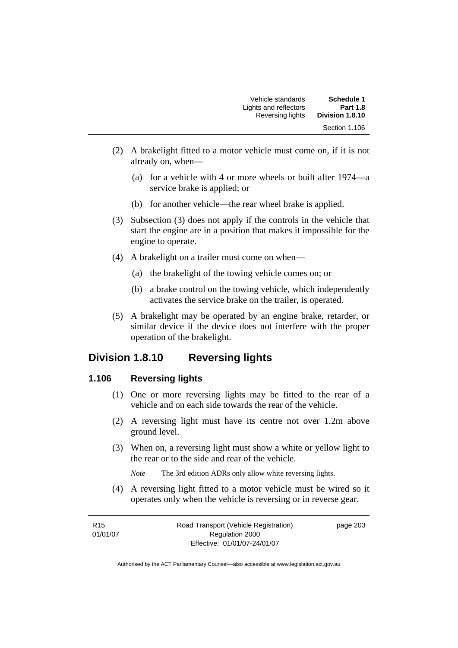| Schedule 1      | Vehicle standards     |
|-----------------|-----------------------|
| <b>Part 1.8</b> | Lights and reflectors |
| Division 1.8.10 | Reversing lights      |
| Section 1.106   |                       |

- (2) A brakelight fitted to a motor vehicle must come on, if it is not already on, when—
	- (a) for a vehicle with 4 or more wheels or built after 1974—a service brake is applied; or
	- (b) for another vehicle—the rear wheel brake is applied.
- (3) Subsection (3) does not apply if the controls in the vehicle that start the engine are in a position that makes it impossible for the engine to operate.
- (4) A brakelight on a trailer must come on when—
	- (a) the brakelight of the towing vehicle comes on; or
	- (b) a brake control on the towing vehicle, which independently activates the service brake on the trailer, is operated.
- (5) A brakelight may be operated by an engine brake, retarder, or similar device if the device does not interfere with the proper operation of the brakelight.

## **Division 1.8.10 Reversing lights**

#### **1.106 Reversing lights**

- (1) One or more reversing lights may be fitted to the rear of a vehicle and on each side towards the rear of the vehicle.
- (2) A reversing light must have its centre not over 1.2m above ground level.
- (3) When on, a reversing light must show a white or yellow light to the rear or to the side and rear of the vehicle.

*Note* The 3rd edition ADRs only allow white reversing lights.

 (4) A reversing light fitted to a motor vehicle must be wired so it operates only when the vehicle is reversing or in reverse gear.

| R <sub>15</sub> | Road Transport (Vehicle Registration) | page 203 |
|-----------------|---------------------------------------|----------|
| 01/01/07        | Regulation 2000                       |          |
|                 | Effective: 01/01/07-24/01/07          |          |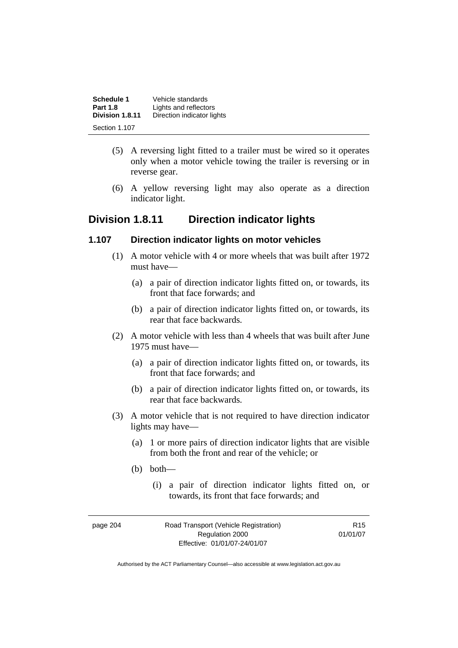| Schedule 1<br><b>Part 1.8</b> | Vehicle standards<br>Lights and reflectors |
|-------------------------------|--------------------------------------------|
| Division 1.8.11               | Direction indicator lights                 |
| Section 1.107                 |                                            |

- (5) A reversing light fitted to a trailer must be wired so it operates only when a motor vehicle towing the trailer is reversing or in reverse gear.
- (6) A yellow reversing light may also operate as a direction indicator light.

## **Division 1.8.11 Direction indicator lights**

#### **1.107 Direction indicator lights on motor vehicles**

- (1) A motor vehicle with 4 or more wheels that was built after 1972 must have—
	- (a) a pair of direction indicator lights fitted on, or towards, its front that face forwards; and
	- (b) a pair of direction indicator lights fitted on, or towards, its rear that face backwards.
- (2) A motor vehicle with less than 4 wheels that was built after June 1975 must have—
	- (a) a pair of direction indicator lights fitted on, or towards, its front that face forwards; and
	- (b) a pair of direction indicator lights fitted on, or towards, its rear that face backwards.
- (3) A motor vehicle that is not required to have direction indicator lights may have—
	- (a) 1 or more pairs of direction indicator lights that are visible from both the front and rear of the vehicle; or
	- (b) both—
		- (i) a pair of direction indicator lights fitted on, or towards, its front that face forwards; and

| page 204 | Road Transport (Vehicle Registration) | R <sub>15</sub> |
|----------|---------------------------------------|-----------------|
|          | Regulation 2000                       | 01/01/07        |
|          | Effective: 01/01/07-24/01/07          |                 |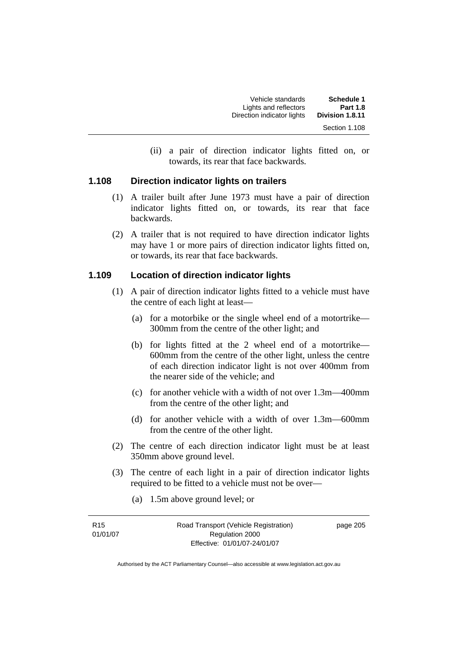| Vehicle standards          | <b>Schedule 1</b> |
|----------------------------|-------------------|
| Lights and reflectors      | <b>Part 1.8</b>   |
| Direction indicator lights | Division 1.8.11   |
|                            | Section 1.108     |

 (ii) a pair of direction indicator lights fitted on, or towards, its rear that face backwards.

#### **1.108 Direction indicator lights on trailers**

- (1) A trailer built after June 1973 must have a pair of direction indicator lights fitted on, or towards, its rear that face backwards.
- (2) A trailer that is not required to have direction indicator lights may have 1 or more pairs of direction indicator lights fitted on, or towards, its rear that face backwards.

#### **1.109 Location of direction indicator lights**

- (1) A pair of direction indicator lights fitted to a vehicle must have the centre of each light at least—
	- (a) for a motorbike or the single wheel end of a motortrike— 300mm from the centre of the other light; and
	- (b) for lights fitted at the 2 wheel end of a motortrike— 600mm from the centre of the other light, unless the centre of each direction indicator light is not over 400mm from the nearer side of the vehicle; and
	- (c) for another vehicle with a width of not over 1.3m—400mm from the centre of the other light; and
	- (d) for another vehicle with a width of over 1.3m—600mm from the centre of the other light.
- (2) The centre of each direction indicator light must be at least 350mm above ground level.
- (3) The centre of each light in a pair of direction indicator lights required to be fitted to a vehicle must not be over—
	- (a) 1.5m above ground level; or

| R <sub>15</sub> | Road Transport (Vehicle Registration) |
|-----------------|---------------------------------------|
| 01/01/07        | Regulation 2000                       |
|                 | Effective: 01/01/07-24/01/07          |

page 205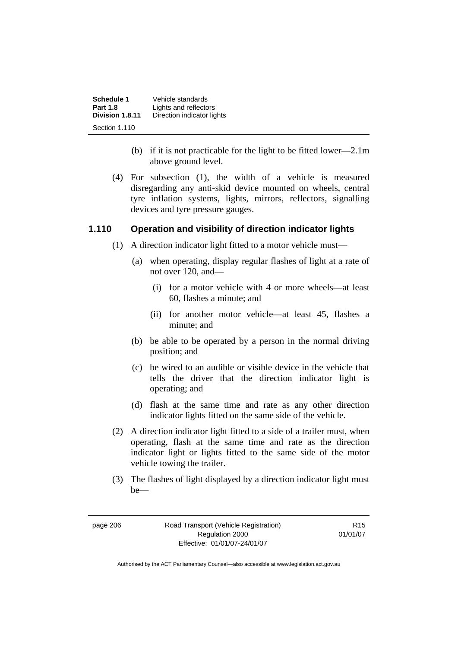| Schedule 1      | Vehicle standards          |
|-----------------|----------------------------|
| <b>Part 1.8</b> | Lights and reflectors      |
| Division 1.8.11 | Direction indicator lights |
| Section 1.110   |                            |

- (b) if it is not practicable for the light to be fitted lower—2.1m above ground level.
- (4) For subsection (1), the width of a vehicle is measured disregarding any anti-skid device mounted on wheels, central tyre inflation systems, lights, mirrors, reflectors, signalling devices and tyre pressure gauges.

#### **1.110 Operation and visibility of direction indicator lights**

- (1) A direction indicator light fitted to a motor vehicle must—
	- (a) when operating, display regular flashes of light at a rate of not over 120, and—
		- (i) for a motor vehicle with 4 or more wheels—at least 60, flashes a minute; and
		- (ii) for another motor vehicle—at least 45, flashes a minute; and
	- (b) be able to be operated by a person in the normal driving position; and
	- (c) be wired to an audible or visible device in the vehicle that tells the driver that the direction indicator light is operating; and
	- (d) flash at the same time and rate as any other direction indicator lights fitted on the same side of the vehicle.
- (2) A direction indicator light fitted to a side of a trailer must, when operating, flash at the same time and rate as the direction indicator light or lights fitted to the same side of the motor vehicle towing the trailer.
- (3) The flashes of light displayed by a direction indicator light must be—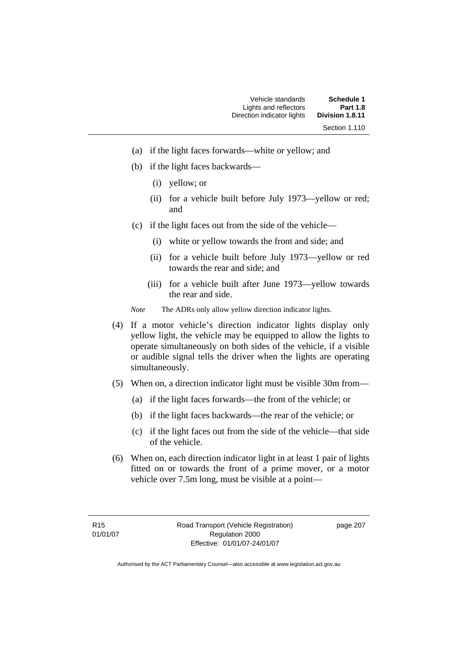| Schedule 1      | Vehicle standards          |
|-----------------|----------------------------|
| <b>Part 1.8</b> | Lights and reflectors      |
| Division 1.8.11 | Direction indicator lights |
| Section 1.110   |                            |

- (a) if the light faces forwards—white or yellow; and
- (b) if the light faces backwards—
	- (i) yellow; or
	- (ii) for a vehicle built before July 1973—yellow or red; and
- (c) if the light faces out from the side of the vehicle—
	- (i) white or yellow towards the front and side; and
	- (ii) for a vehicle built before July 1973—yellow or red towards the rear and side; and
	- (iii) for a vehicle built after June 1973—yellow towards the rear and side.
- *Note* The ADRs only allow yellow direction indicator lights.
- (4) If a motor vehicle's direction indicator lights display only yellow light, the vehicle may be equipped to allow the lights to operate simultaneously on both sides of the vehicle, if a visible or audible signal tells the driver when the lights are operating simultaneously.
- (5) When on, a direction indicator light must be visible 30m from—
	- (a) if the light faces forwards—the front of the vehicle; or
	- (b) if the light faces backwards—the rear of the vehicle; or
	- (c) if the light faces out from the side of the vehicle—that side of the vehicle.
- (6) When on, each direction indicator light in at least 1 pair of lights fitted on or towards the front of a prime mover, or a motor vehicle over 7.5m long, must be visible at a point—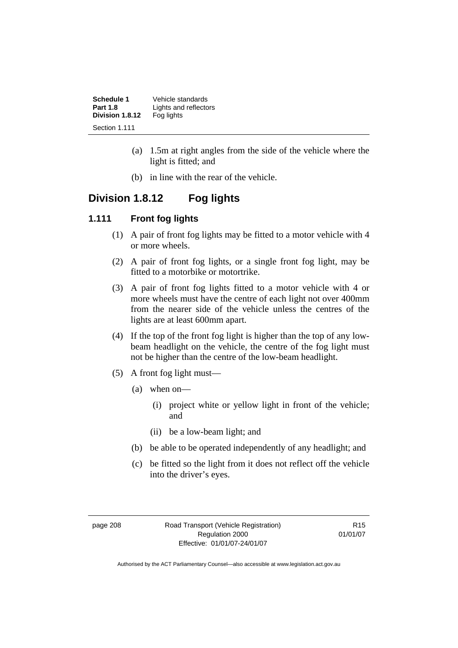| Schedule 1      | Vehicle standards     |
|-----------------|-----------------------|
| <b>Part 1.8</b> | Lights and reflectors |
| Division 1.8.12 | Fog lights            |
| Section 1.111   |                       |

- (a) 1.5m at right angles from the side of the vehicle where the light is fitted; and
- (b) in line with the rear of the vehicle.

# **Division 1.8.12 Fog lights**

#### **1.111 Front fog lights**

- (1) A pair of front fog lights may be fitted to a motor vehicle with 4 or more wheels.
- (2) A pair of front fog lights, or a single front fog light, may be fitted to a motorbike or motortrike.
- (3) A pair of front fog lights fitted to a motor vehicle with 4 or more wheels must have the centre of each light not over 400mm from the nearer side of the vehicle unless the centres of the lights are at least 600mm apart.
- (4) If the top of the front fog light is higher than the top of any lowbeam headlight on the vehicle, the centre of the fog light must not be higher than the centre of the low-beam headlight.
- (5) A front fog light must—
	- (a) when on—
		- (i) project white or yellow light in front of the vehicle; and
		- (ii) be a low-beam light; and
	- (b) be able to be operated independently of any headlight; and
	- (c) be fitted so the light from it does not reflect off the vehicle into the driver's eyes.

page 208 Road Transport (Vehicle Registration) Regulation 2000 Effective: 01/01/07-24/01/07

R15 01/01/07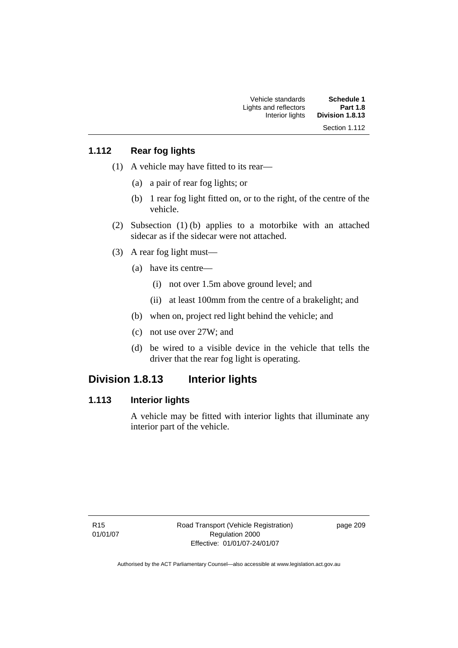| <b>Schedule 1</b> | Vehicle standards     |
|-------------------|-----------------------|
| <b>Part 1.8</b>   | Lights and reflectors |
| Division 1.8.13   | Interior lights       |
| Section 1.112     |                       |

## **1.112 Rear fog lights**

- (1) A vehicle may have fitted to its rear—
	- (a) a pair of rear fog lights; or
	- (b) 1 rear fog light fitted on, or to the right, of the centre of the vehicle.
- (2) Subsection (1) (b) applies to a motorbike with an attached sidecar as if the sidecar were not attached.
- (3) A rear fog light must—
	- (a) have its centre—
		- (i) not over 1.5m above ground level; and
		- (ii) at least 100mm from the centre of a brakelight; and
	- (b) when on, project red light behind the vehicle; and
	- (c) not use over 27W; and
	- (d) be wired to a visible device in the vehicle that tells the driver that the rear fog light is operating.

## **Division 1.8.13 Interior lights**

### **1.113 Interior lights**

A vehicle may be fitted with interior lights that illuminate any interior part of the vehicle.

page 209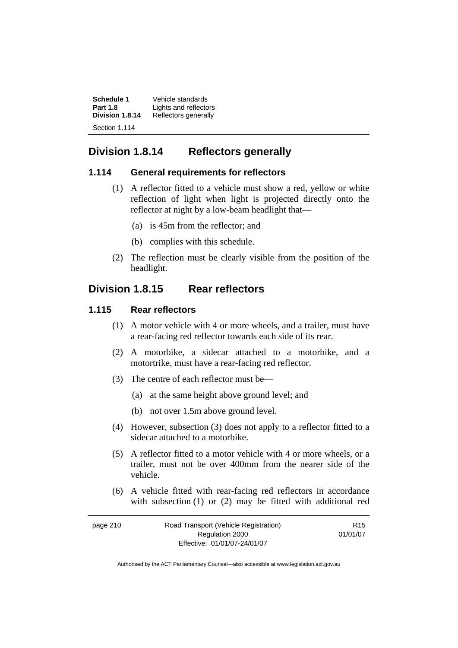| Schedule 1      | Vehicle standards     |
|-----------------|-----------------------|
| <b>Part 1.8</b> | Lights and reflectors |
| Division 1.8.14 | Reflectors generally  |
| Section 1.114   |                       |

# **Division 1.8.14 Reflectors generally**

#### **1.114 General requirements for reflectors**

- (1) A reflector fitted to a vehicle must show a red, yellow or white reflection of light when light is projected directly onto the reflector at night by a low-beam headlight that—
	- (a) is 45m from the reflector; and
	- (b) complies with this schedule.
- (2) The reflection must be clearly visible from the position of the headlight.

# **Division 1.8.15 Rear reflectors**

#### **1.115 Rear reflectors**

- (1) A motor vehicle with 4 or more wheels, and a trailer, must have a rear-facing red reflector towards each side of its rear.
- (2) A motorbike, a sidecar attached to a motorbike, and a motortrike, must have a rear-facing red reflector.
- (3) The centre of each reflector must be—
	- (a) at the same height above ground level; and
	- (b) not over 1.5m above ground level.
- (4) However, subsection (3) does not apply to a reflector fitted to a sidecar attached to a motorbike.
- (5) A reflector fitted to a motor vehicle with 4 or more wheels, or a trailer, must not be over 400mm from the nearer side of the vehicle.
- (6) A vehicle fitted with rear-facing red reflectors in accordance with subsection (1) or (2) may be fitted with additional red

| page 210 | Road Transport (Vehicle Registration) | R <sub>15</sub> |
|----------|---------------------------------------|-----------------|
|          | Regulation 2000                       | 01/01/07        |
|          | Effective: 01/01/07-24/01/07          |                 |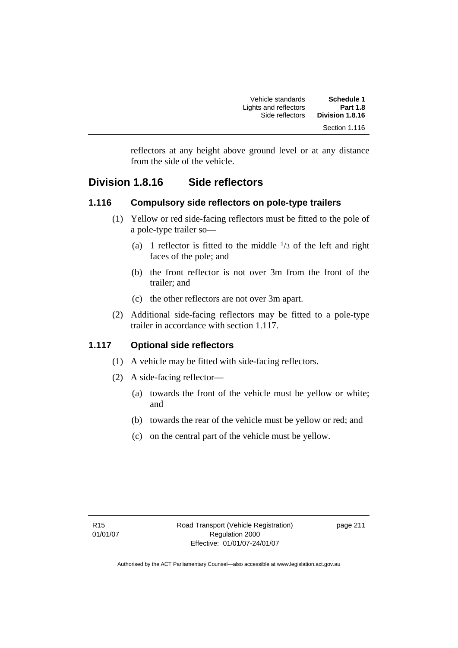| Schedule 1      | Vehicle standards     |
|-----------------|-----------------------|
| <b>Part 1.8</b> | Lights and reflectors |
| Division 1.8.16 | Side reflectors       |
| Section 1.116   |                       |

reflectors at any height above ground level or at any distance from the side of the vehicle.

# **Division 1.8.16 Side reflectors**

#### **1.116 Compulsory side reflectors on pole-type trailers**

- (1) Yellow or red side-facing reflectors must be fitted to the pole of a pole-type trailer so—
	- (a) 1 reflector is fitted to the middle  $\frac{1}{3}$  of the left and right faces of the pole; and
	- (b) the front reflector is not over 3m from the front of the trailer; and
	- (c) the other reflectors are not over 3m apart.
- (2) Additional side-facing reflectors may be fitted to a pole-type trailer in accordance with section 1.117.

## **1.117 Optional side reflectors**

- (1) A vehicle may be fitted with side-facing reflectors.
- (2) A side-facing reflector—
	- (a) towards the front of the vehicle must be yellow or white; and
	- (b) towards the rear of the vehicle must be yellow or red; and
	- (c) on the central part of the vehicle must be yellow.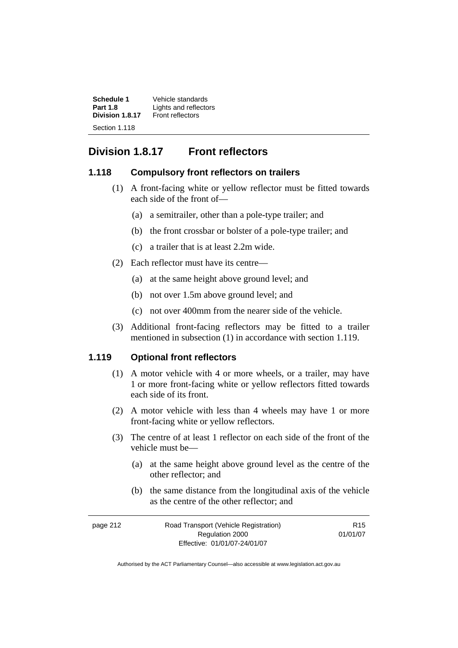**Schedule 1** Vehicle standards<br>**Part 1.8 Lights** and reflector **Lights and reflectors**<br>Front reflectors Division 1.8.17 Section 1.118

# **Division 1.8.17 Front reflectors**

#### **1.118 Compulsory front reflectors on trailers**

- (1) A front-facing white or yellow reflector must be fitted towards each side of the front of—
	- (a) a semitrailer, other than a pole-type trailer; and
	- (b) the front crossbar or bolster of a pole-type trailer; and
	- (c) a trailer that is at least 2.2m wide.
- (2) Each reflector must have its centre—
	- (a) at the same height above ground level; and
	- (b) not over 1.5m above ground level; and
	- (c) not over 400mm from the nearer side of the vehicle.
- (3) Additional front-facing reflectors may be fitted to a trailer mentioned in subsection (1) in accordance with section 1.119.

#### **1.119 Optional front reflectors**

- (1) A motor vehicle with 4 or more wheels, or a trailer, may have 1 or more front-facing white or yellow reflectors fitted towards each side of its front.
- (2) A motor vehicle with less than 4 wheels may have 1 or more front-facing white or yellow reflectors.
- (3) The centre of at least 1 reflector on each side of the front of the vehicle must be—
	- (a) at the same height above ground level as the centre of the other reflector; and
	- (b) the same distance from the longitudinal axis of the vehicle as the centre of the other reflector; and

| page 212 | Road Transport (Vehicle Registration) | R <sub>15</sub> |
|----------|---------------------------------------|-----------------|
|          | Regulation 2000                       | 01/01/07        |
|          | Effective: 01/01/07-24/01/07          |                 |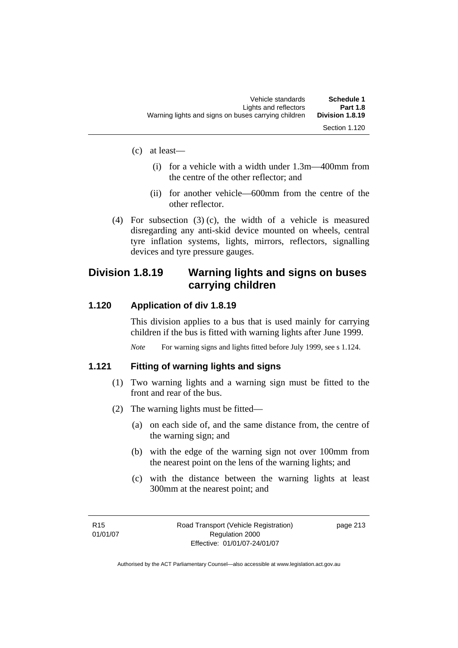| Schedule 1<br><b>Part 1.8</b> | Vehicle standards<br>Lights and reflectors          |
|-------------------------------|-----------------------------------------------------|
| Division 1.8.19               | Warning lights and signs on buses carrying children |
| Section 1.120                 |                                                     |

- (c) at least—
	- (i) for a vehicle with a width under 1.3m—400mm from the centre of the other reflector; and
	- (ii) for another vehicle—600mm from the centre of the other reflector.
- (4) For subsection (3) (c), the width of a vehicle is measured disregarding any anti-skid device mounted on wheels, central tyre inflation systems, lights, mirrors, reflectors, signalling devices and tyre pressure gauges.

# **Division 1.8.19 Warning lights and signs on buses carrying children**

#### **1.120 Application of div 1.8.19**

This division applies to a bus that is used mainly for carrying children if the bus is fitted with warning lights after June 1999.

*Note* For warning signs and lights fitted before July 1999, see s 1.124.

#### **1.121 Fitting of warning lights and signs**

- (1) Two warning lights and a warning sign must be fitted to the front and rear of the bus.
- (2) The warning lights must be fitted—
	- (a) on each side of, and the same distance from, the centre of the warning sign; and
	- (b) with the edge of the warning sign not over 100mm from the nearest point on the lens of the warning lights; and
	- (c) with the distance between the warning lights at least 300mm at the nearest point; and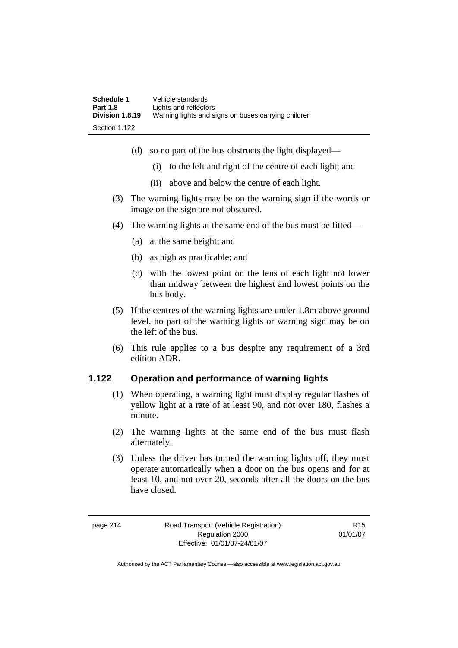| Schedule 1      | Vehicle standards                                   |
|-----------------|-----------------------------------------------------|
| <b>Part 1.8</b> | Lights and reflectors                               |
| Division 1.8.19 | Warning lights and signs on buses carrying children |
| Section 1.122   |                                                     |

- (d) so no part of the bus obstructs the light displayed—
	- (i) to the left and right of the centre of each light; and
	- (ii) above and below the centre of each light.
- (3) The warning lights may be on the warning sign if the words or image on the sign are not obscured.
- (4) The warning lights at the same end of the bus must be fitted—
	- (a) at the same height; and
	- (b) as high as practicable; and
	- (c) with the lowest point on the lens of each light not lower than midway between the highest and lowest points on the bus body.
- (5) If the centres of the warning lights are under 1.8m above ground level, no part of the warning lights or warning sign may be on the left of the bus.
- (6) This rule applies to a bus despite any requirement of a 3rd edition ADR.

### **1.122 Operation and performance of warning lights**

- (1) When operating, a warning light must display regular flashes of yellow light at a rate of at least 90, and not over 180, flashes a minute.
- (2) The warning lights at the same end of the bus must flash alternately.
- (3) Unless the driver has turned the warning lights off, they must operate automatically when a door on the bus opens and for at least 10, and not over 20, seconds after all the doors on the bus have closed.

R15 01/01/07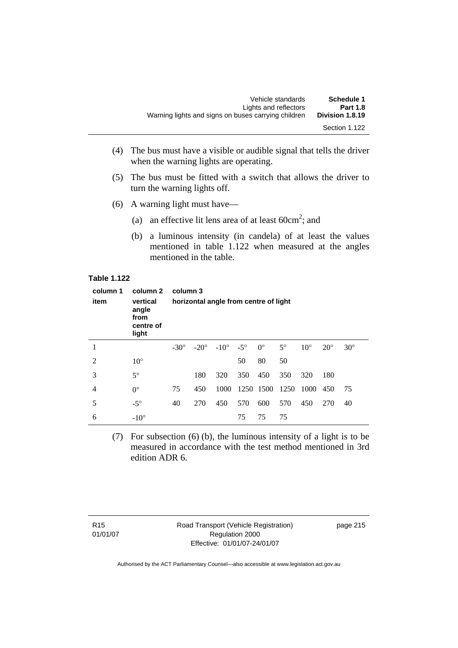| Warning lights and signs on buses carrying children | Vehicle standards<br>Lights and reflectors | Schedule 1<br><b>Part 1.8</b><br>Division 1.8.19 |
|-----------------------------------------------------|--------------------------------------------|--------------------------------------------------|
|                                                     |                                            | Section 1.122                                    |

- (4) The bus must have a visible or audible signal that tells the driver when the warning lights are operating.
- (5) The bus must be fitted with a switch that allows the driver to turn the warning lights off.
- (6) A warning light must have—
- (a) an effective lit lens area of at least  $60 \text{cm}^2$ ; and
	- (b) a luminous intensity (in candela) of at least the values mentioned in table 1.122 when measured at the angles mentioned in the table.

#### **Table 1.122**

| column 1<br>item | column 2<br>vertical<br>angle<br>from<br>centre of<br>light | column 3    |             | horizontal angle from centre of light |            |             |           |              |            |            |
|------------------|-------------------------------------------------------------|-------------|-------------|---------------------------------------|------------|-------------|-----------|--------------|------------|------------|
| 1                |                                                             | $-30^\circ$ | $-20^\circ$ | $-10^{\circ}$                         | $-5^\circ$ | $0^{\circ}$ | $5^\circ$ | $10^{\circ}$ | $20^\circ$ | $30^\circ$ |
| $\overline{2}$   | $10^{\circ}$                                                |             |             |                                       | 50         | 80          | 50        |              |            |            |
| 3                | $5^\circ$                                                   |             | 180         | 320                                   | 350        | 450         | 350       | 320          | 180        |            |
| 4                | $0^{\circ}$                                                 | 75          | 450         | 1000                                  |            | 1250 1500   | 1250      | 1000         | 450        | 75         |
| 5                | $-5^\circ$                                                  | 40          | 270         | 450                                   | 570        | 600         | 570       | 450          | 270        | 40         |
| 6                | $-10^{\circ}$                                               |             |             |                                       | 75         | 75          | 75        |              |            |            |

 (7) For subsection (6) (b), the luminous intensity of a light is to be measured in accordance with the test method mentioned in 3rd edition ADR 6.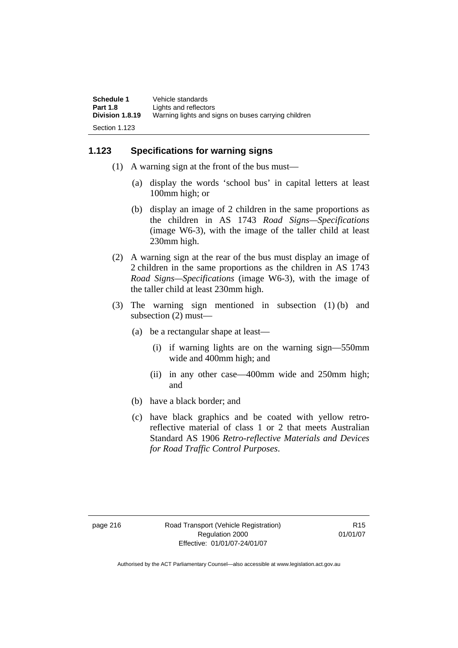| Schedule 1      | Vehicle standards                                   |
|-----------------|-----------------------------------------------------|
| <b>Part 1.8</b> | Lights and reflectors                               |
| Division 1.8.19 | Warning lights and signs on buses carrying children |
| Section 1.123   |                                                     |

#### **1.123 Specifications for warning signs**

- (1) A warning sign at the front of the bus must—
	- (a) display the words 'school bus' in capital letters at least 100mm high; or
	- (b) display an image of 2 children in the same proportions as the children in AS 1743 *Road Signs—Specifications*  (image W6-3), with the image of the taller child at least 230mm high.
- (2) A warning sign at the rear of the bus must display an image of 2 children in the same proportions as the children in AS 1743 *Road Signs—Specifications* (image W6-3), with the image of the taller child at least 230mm high.
- (3) The warning sign mentioned in subsection (1) (b) and subsection (2) must—
	- (a) be a rectangular shape at least—
		- (i) if warning lights are on the warning sign—550mm wide and 400mm high; and
		- (ii) in any other case—400mm wide and 250mm high; and
	- (b) have a black border; and
	- (c) have black graphics and be coated with yellow retroreflective material of class 1 or 2 that meets Australian Standard AS 1906 *Retro-reflective Materials and Devices for Road Traffic Control Purposes*.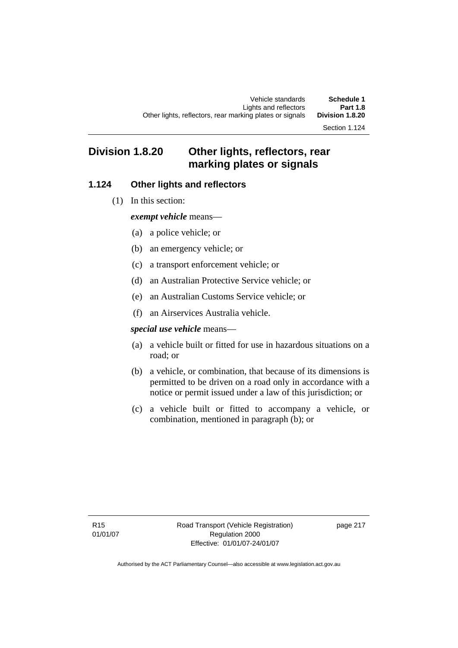Section 1.124

# **Division 1.8.20 Other lights, reflectors, rear marking plates or signals**

## **1.124 Other lights and reflectors**

(1) In this section:

*exempt vehicle* means—

- (a) a police vehicle; or
- (b) an emergency vehicle; or
- (c) a transport enforcement vehicle; or
- (d) an Australian Protective Service vehicle; or
- (e) an Australian Customs Service vehicle; or
- (f) an Airservices Australia vehicle.

#### *special use vehicle* means—

- (a) a vehicle built or fitted for use in hazardous situations on a road; or
- (b) a vehicle, or combination, that because of its dimensions is permitted to be driven on a road only in accordance with a notice or permit issued under a law of this jurisdiction; or
- (c) a vehicle built or fitted to accompany a vehicle, or combination, mentioned in paragraph (b); or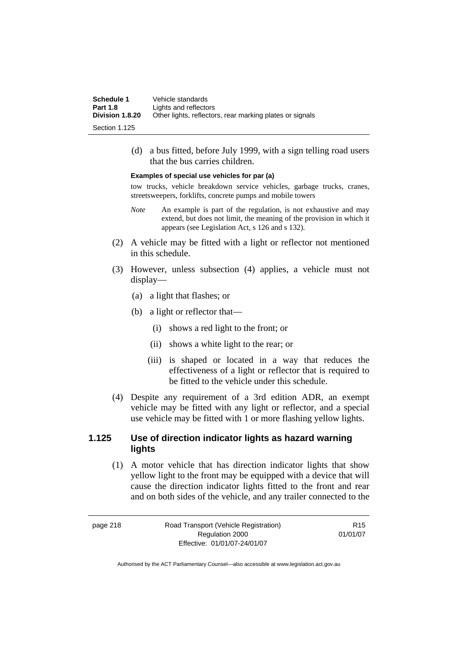| Schedule 1      | Vehicle standards                                        |
|-----------------|----------------------------------------------------------|
| <b>Part 1.8</b> | Lights and reflectors                                    |
| Division 1.8.20 | Other lights, reflectors, rear marking plates or signals |
| Section 1 125   |                                                          |

 (d) a bus fitted, before July 1999, with a sign telling road users that the bus carries children.

#### **Examples of special use vehicles for par (a)**

tow trucks, vehicle breakdown service vehicles, garbage trucks, cranes, streetsweepers, forklifts, concrete pumps and mobile towers

- *Note* An example is part of the regulation, is not exhaustive and may extend, but does not limit, the meaning of the provision in which it appears (see Legislation Act, s 126 and s 132).
- (2) A vehicle may be fitted with a light or reflector not mentioned in this schedule.
- (3) However, unless subsection (4) applies, a vehicle must not display—
	- (a) a light that flashes; or
	- (b) a light or reflector that—
		- (i) shows a red light to the front; or
		- (ii) shows a white light to the rear; or
		- (iii) is shaped or located in a way that reduces the effectiveness of a light or reflector that is required to be fitted to the vehicle under this schedule.
- (4) Despite any requirement of a 3rd edition ADR, an exempt vehicle may be fitted with any light or reflector, and a special use vehicle may be fitted with 1 or more flashing yellow lights.

#### **1.125 Use of direction indicator lights as hazard warning lights**

 (1) A motor vehicle that has direction indicator lights that show yellow light to the front may be equipped with a device that will cause the direction indicator lights fitted to the front and rear and on both sides of the vehicle, and any trailer connected to the

| page 218 | Road Transport (Vehicle Registration) | R <sub>15</sub> |
|----------|---------------------------------------|-----------------|
|          | Regulation 2000                       | 01/01/07        |
|          | Effective: 01/01/07-24/01/07          |                 |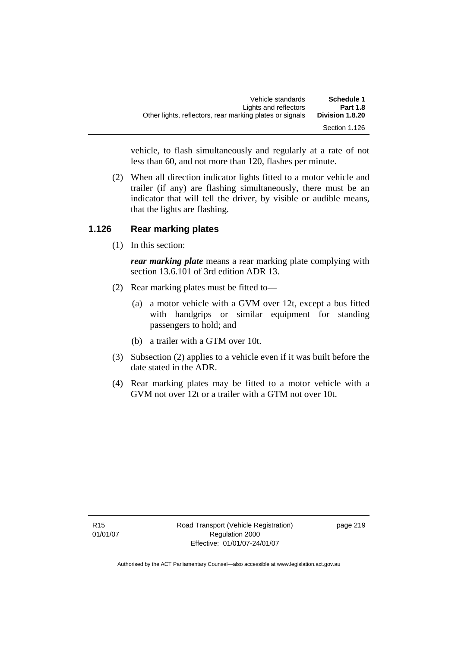| Other lights, reflectors, rear marking plates or signals | Vehicle standards<br>Lights and reflectors | Schedule 1<br><b>Part 1.8</b><br>Division 1.8.20 |
|----------------------------------------------------------|--------------------------------------------|--------------------------------------------------|
|                                                          |                                            | Section 1.126                                    |

vehicle, to flash simultaneously and regularly at a rate of not less than 60, and not more than 120, flashes per minute.

 (2) When all direction indicator lights fitted to a motor vehicle and trailer (if any) are flashing simultaneously, there must be an indicator that will tell the driver, by visible or audible means, that the lights are flashing.

#### **1.126 Rear marking plates**

(1) In this section:

*rear marking plate* means a rear marking plate complying with section 13.6.101 of 3rd edition ADR 13.

- (2) Rear marking plates must be fitted to—
	- (a) a motor vehicle with a GVM over 12t, except a bus fitted with handgrips or similar equipment for standing passengers to hold; and
	- (b) a trailer with a GTM over 10t.
- (3) Subsection (2) applies to a vehicle even if it was built before the date stated in the ADR.
- (4) Rear marking plates may be fitted to a motor vehicle with a GVM not over 12t or a trailer with a GTM not over 10t.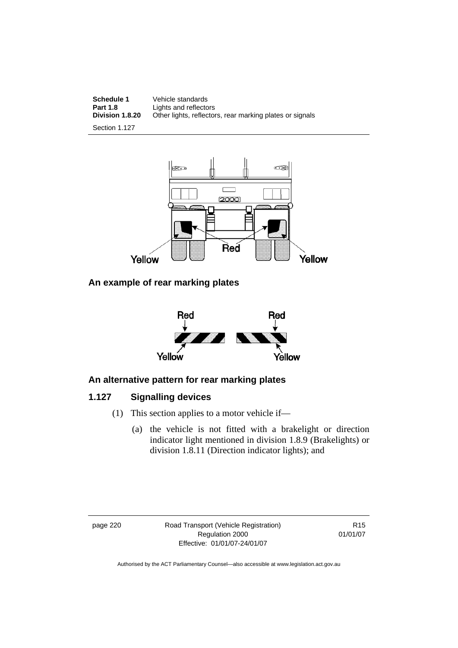**Schedule 1 Vehicle standards**<br>**Part 1.8 Lights and reflector Part 1.8** Lights and reflectors<br>**Division 1.8.20** Other lights, reflector Other lights, reflectors, rear marking plates or signals

Section 1.127



#### **An example of rear marking plates**



### **An alternative pattern for rear marking plates**

## **1.127 Signalling devices**

- (1) This section applies to a motor vehicle if—
	- (a) the vehicle is not fitted with a brakelight or direction indicator light mentioned in division 1.8.9 (Brakelights) or division 1.8.11 (Direction indicator lights); and

page 220 Road Transport (Vehicle Registration) Regulation 2000 Effective: 01/01/07-24/01/07

R15 01/01/07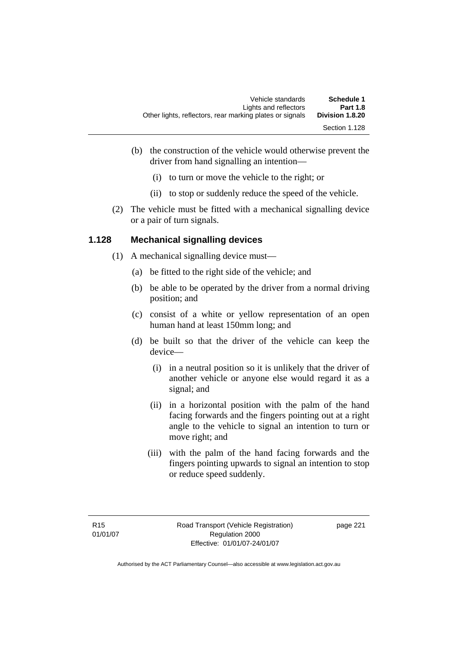- (b) the construction of the vehicle would otherwise prevent the driver from hand signalling an intention—
	- (i) to turn or move the vehicle to the right; or
	- (ii) to stop or suddenly reduce the speed of the vehicle.
- (2) The vehicle must be fitted with a mechanical signalling device or a pair of turn signals.

### **1.128 Mechanical signalling devices**

- (1) A mechanical signalling device must—
	- (a) be fitted to the right side of the vehicle; and
	- (b) be able to be operated by the driver from a normal driving position; and
	- (c) consist of a white or yellow representation of an open human hand at least 150mm long; and
	- (d) be built so that the driver of the vehicle can keep the device—
		- (i) in a neutral position so it is unlikely that the driver of another vehicle or anyone else would regard it as a signal; and
		- (ii) in a horizontal position with the palm of the hand facing forwards and the fingers pointing out at a right angle to the vehicle to signal an intention to turn or move right; and
		- (iii) with the palm of the hand facing forwards and the fingers pointing upwards to signal an intention to stop or reduce speed suddenly.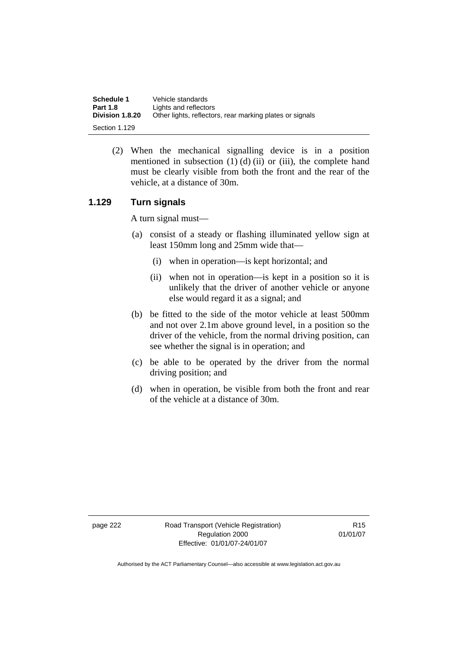| Schedule 1             | Vehicle standards                                        |
|------------------------|----------------------------------------------------------|
| <b>Part 1.8</b>        | Lights and reflectors                                    |
| <b>Division 1.8.20</b> | Other lights, reflectors, rear marking plates or signals |
| Section 1.129          |                                                          |

 (2) When the mechanical signalling device is in a position mentioned in subsection  $(1)$   $(d)$   $(ii)$  or  $(iii)$ , the complete hand must be clearly visible from both the front and the rear of the vehicle, at a distance of 30m.

#### **1.129 Turn signals**

A turn signal must—

- (a) consist of a steady or flashing illuminated yellow sign at least 150mm long and 25mm wide that—
	- (i) when in operation—is kept horizontal; and
	- (ii) when not in operation—is kept in a position so it is unlikely that the driver of another vehicle or anyone else would regard it as a signal; and
- (b) be fitted to the side of the motor vehicle at least 500mm and not over 2.1m above ground level, in a position so the driver of the vehicle, from the normal driving position, can see whether the signal is in operation; and
- (c) be able to be operated by the driver from the normal driving position; and
- (d) when in operation, be visible from both the front and rear of the vehicle at a distance of 30m.

page 222 Road Transport (Vehicle Registration) Regulation 2000 Effective: 01/01/07-24/01/07

R15 01/01/07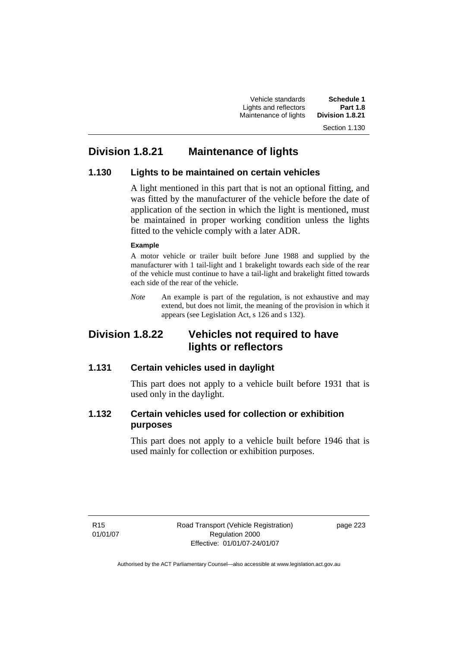Vehicle standards **Schedule 1**  Lights and reflectors **Part 1.8 Maintenance of lights** 

# **Division 1.8.21 Maintenance of lights**

#### **1.130 Lights to be maintained on certain vehicles**

A light mentioned in this part that is not an optional fitting, and was fitted by the manufacturer of the vehicle before the date of application of the section in which the light is mentioned, must be maintained in proper working condition unless the lights fitted to the vehicle comply with a later ADR.

#### **Example**

A motor vehicle or trailer built before June 1988 and supplied by the manufacturer with 1 tail-light and 1 brakelight towards each side of the rear of the vehicle must continue to have a tail-light and brakelight fitted towards each side of the rear of the vehicle.

*Note* An example is part of the regulation, is not exhaustive and may extend, but does not limit, the meaning of the provision in which it appears (see Legislation Act, s 126 and s 132).

# **Division 1.8.22 Vehicles not required to have lights or reflectors**

#### **1.131 Certain vehicles used in daylight**

This part does not apply to a vehicle built before 1931 that is used only in the daylight.

### **1.132 Certain vehicles used for collection or exhibition purposes**

This part does not apply to a vehicle built before 1946 that is used mainly for collection or exhibition purposes.

R15 01/01/07 Road Transport (Vehicle Registration) Regulation 2000 Effective: 01/01/07-24/01/07

page 223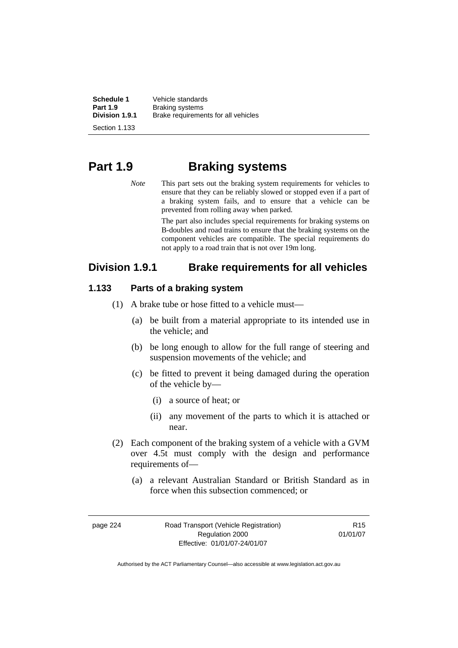**Schedule 1** Vehicle standards<br> **Part 1.9** Braking systems **Part 1.9 Braking systems**<br>**Division 1.9.1 Brake requireme Division 1.9.1** Brake requirements for all vehicles

Section 1.133

# **Part 1.9 Braking systems**

*Note* This part sets out the braking system requirements for vehicles to ensure that they can be reliably slowed or stopped even if a part of a braking system fails, and to ensure that a vehicle can be prevented from rolling away when parked.

> The part also includes special requirements for braking systems on B-doubles and road trains to ensure that the braking systems on the component vehicles are compatible. The special requirements do not apply to a road train that is not over 19m long.

# **Division 1.9.1 Brake requirements for all vehicles**

#### **1.133 Parts of a braking system**

- (1) A brake tube or hose fitted to a vehicle must—
	- (a) be built from a material appropriate to its intended use in the vehicle; and
	- (b) be long enough to allow for the full range of steering and suspension movements of the vehicle; and
	- (c) be fitted to prevent it being damaged during the operation of the vehicle by—
		- (i) a source of heat; or
		- (ii) any movement of the parts to which it is attached or near.
- (2) Each component of the braking system of a vehicle with a GVM over 4.5t must comply with the design and performance requirements of—
	- (a) a relevant Australian Standard or British Standard as in force when this subsection commenced; or

page 224 Road Transport (Vehicle Registration) Regulation 2000 Effective: 01/01/07-24/01/07

R15 01/01/07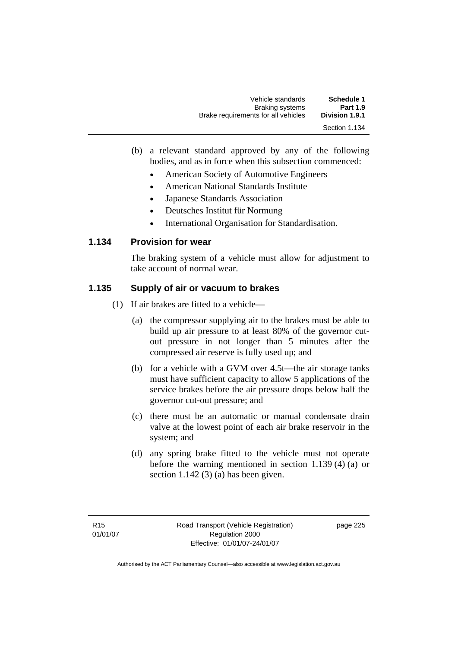| Vehicle standards                   | Schedule 1      |
|-------------------------------------|-----------------|
| <b>Braking systems</b>              | <b>Part 1.9</b> |
| Brake requirements for all vehicles | Division 1.9.1  |
|                                     | Section 1.134   |

- (b) a relevant standard approved by any of the following bodies, and as in force when this subsection commenced:
	- American Society of Automotive Engineers
	- American National Standards Institute
	- Japanese Standards Association
	- Deutsches Institut für Normung
	- International Organisation for Standardisation.

#### **1.134 Provision for wear**

The braking system of a vehicle must allow for adjustment to take account of normal wear.

#### **1.135 Supply of air or vacuum to brakes**

- (1) If air brakes are fitted to a vehicle—
	- (a) the compressor supplying air to the brakes must be able to build up air pressure to at least 80% of the governor cutout pressure in not longer than 5 minutes after the compressed air reserve is fully used up; and
	- (b) for a vehicle with a GVM over 4.5t—the air storage tanks must have sufficient capacity to allow 5 applications of the service brakes before the air pressure drops below half the governor cut-out pressure; and
	- (c) there must be an automatic or manual condensate drain valve at the lowest point of each air brake reservoir in the system; and
	- (d) any spring brake fitted to the vehicle must not operate before the warning mentioned in section 1.139 (4) (a) or section 1.142 (3) (a) has been given.

page 225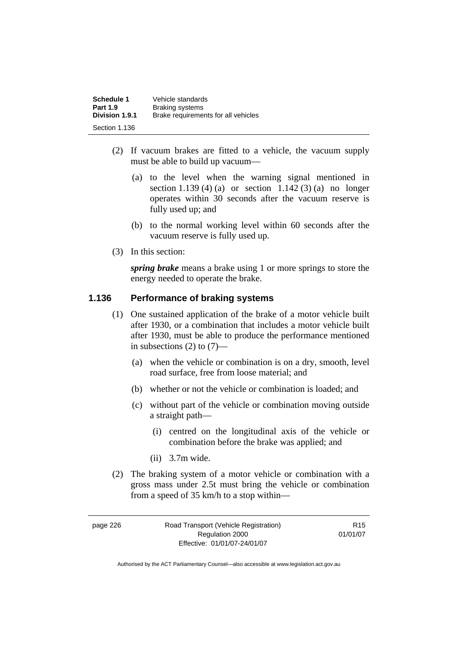| Schedule 1<br><b>Part 1.9</b> | Vehicle standards<br><b>Braking systems</b> |
|-------------------------------|---------------------------------------------|
| Division 1.9.1                | Brake requirements for all vehicles         |
| Section 1.136                 |                                             |

- (2) If vacuum brakes are fitted to a vehicle, the vacuum supply must be able to build up vacuum—
	- (a) to the level when the warning signal mentioned in section 1.139 (4) (a) or section 1.142 (3) (a) no longer operates within 30 seconds after the vacuum reserve is fully used up; and
	- (b) to the normal working level within 60 seconds after the vacuum reserve is fully used up.
- (3) In this section:

*spring brake* means a brake using 1 or more springs to store the energy needed to operate the brake.

#### **1.136 Performance of braking systems**

- (1) One sustained application of the brake of a motor vehicle built after 1930, or a combination that includes a motor vehicle built after 1930, must be able to produce the performance mentioned in subsections  $(2)$  to  $(7)$ —
	- (a) when the vehicle or combination is on a dry, smooth, level road surface, free from loose material; and
	- (b) whether or not the vehicle or combination is loaded; and
	- (c) without part of the vehicle or combination moving outside a straight path—
		- (i) centred on the longitudinal axis of the vehicle or combination before the brake was applied; and
		- (ii) 3.7m wide.
- (2) The braking system of a motor vehicle or combination with a gross mass under 2.5t must bring the vehicle or combination from a speed of 35 km/h to a stop within—

6 Road Transport (Vehicle Registration) Regulation 2000 Effective: 01/01/07-24/01/07

R15 01/01/07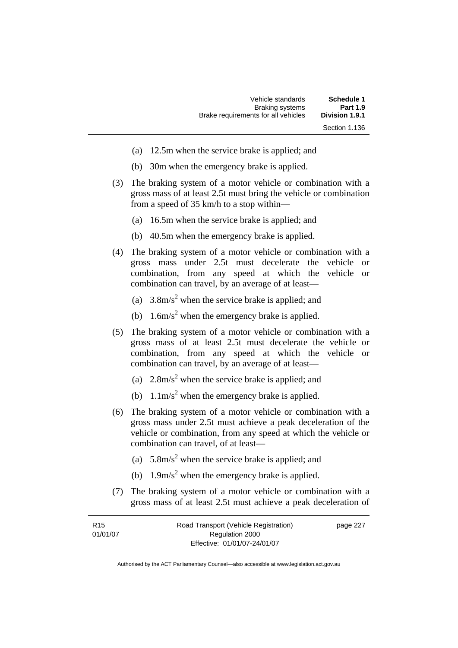| Schedule 1      | Vehicle standards                   |
|-----------------|-------------------------------------|
| <b>Part 1.9</b> | <b>Braking systems</b>              |
| Division 1.9.1  | Brake requirements for all vehicles |
| Section 1.136   |                                     |

- (a) 12.5m when the service brake is applied; and
- (b) 30m when the emergency brake is applied.
- (3) The braking system of a motor vehicle or combination with a gross mass of at least 2.5t must bring the vehicle or combination from a speed of 35 km/h to a stop within—
	- (a) 16.5m when the service brake is applied; and
	- (b) 40.5m when the emergency brake is applied.
- (4) The braking system of a motor vehicle or combination with a gross mass under 2.5t must decelerate the vehicle or combination, from any speed at which the vehicle or combination can travel, by an average of at least—
- (a)  $3.8 \text{m/s}^2$  when the service brake is applied; and
- (b)  $1.6 \text{m/s}^2$  when the emergency brake is applied.
	- (5) The braking system of a motor vehicle or combination with a gross mass of at least 2.5t must decelerate the vehicle or combination, from any speed at which the vehicle or combination can travel, by an average of at least—
- (a)  $2.8 \text{m/s}^2$  when the service brake is applied; and
- (b)  $1.1 \text{m/s}^2$  when the emergency brake is applied.
	- (6) The braking system of a motor vehicle or combination with a gross mass under 2.5t must achieve a peak deceleration of the vehicle or combination, from any speed at which the vehicle or combination can travel, of at least—
- (a)  $5.8 \text{m/s}^2$  when the service brake is applied; and
- (b)  $1.9 \text{m/s}^2$  when the emergency brake is applied.
	- (7) The braking system of a motor vehicle or combination with a gross mass of at least 2.5t must achieve a peak deceleration of

| R <sub>15</sub> | Road Transport (Vehicle Registration) | page 227 |
|-----------------|---------------------------------------|----------|
| 01/01/07        | Regulation 2000                       |          |
|                 | Effective: 01/01/07-24/01/07          |          |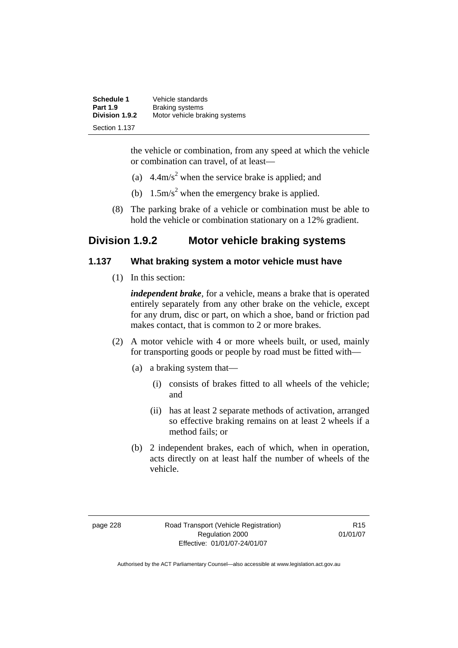| Schedule 1      | Vehicle standards             |
|-----------------|-------------------------------|
| <b>Part 1.9</b> | <b>Braking systems</b>        |
| Division 1.9.2  | Motor vehicle braking systems |
| Section 1.137   |                               |

the vehicle or combination, from any speed at which the vehicle or combination can travel, of at least—

- (a)  $4.4 \text{m/s}^2$  when the service brake is applied; and
- (b)  $1.5 \text{m/s}^2$  when the emergency brake is applied.
	- (8) The parking brake of a vehicle or combination must be able to hold the vehicle or combination stationary on a 12% gradient.

# **Division 1.9.2 Motor vehicle braking systems**

#### **1.137 What braking system a motor vehicle must have**

(1) In this section:

*independent brake*, for a vehicle, means a brake that is operated entirely separately from any other brake on the vehicle, except for any drum, disc or part, on which a shoe, band or friction pad makes contact, that is common to 2 or more brakes.

- (2) A motor vehicle with 4 or more wheels built, or used, mainly for transporting goods or people by road must be fitted with—
	- (a) a braking system that—
		- (i) consists of brakes fitted to all wheels of the vehicle; and
		- (ii) has at least 2 separate methods of activation, arranged so effective braking remains on at least 2 wheels if a method fails; or
	- (b) 2 independent brakes, each of which, when in operation, acts directly on at least half the number of wheels of the vehicle.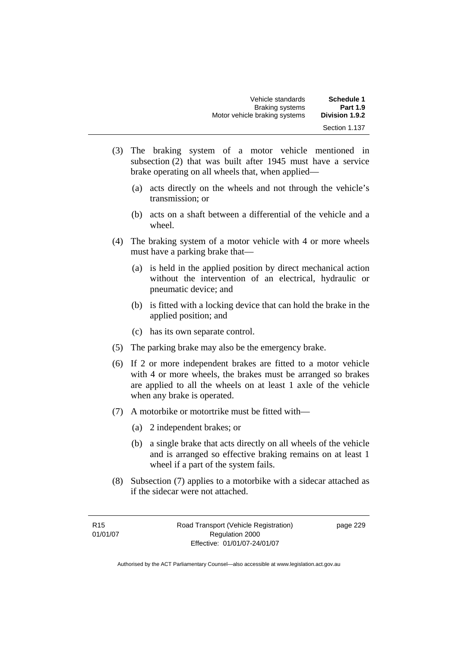| Vehicle standards             | <b>Schedule 1</b>     |
|-------------------------------|-----------------------|
| <b>Braking systems</b>        | <b>Part 1.9</b>       |
| Motor vehicle braking systems | <b>Division 1.9.2</b> |
|                               | Section 1.137         |

- (3) The braking system of a motor vehicle mentioned in subsection (2) that was built after 1945 must have a service brake operating on all wheels that, when applied—
	- (a) acts directly on the wheels and not through the vehicle's transmission; or
	- (b) acts on a shaft between a differential of the vehicle and a wheel.
- (4) The braking system of a motor vehicle with 4 or more wheels must have a parking brake that—
	- (a) is held in the applied position by direct mechanical action without the intervention of an electrical, hydraulic or pneumatic device; and
	- (b) is fitted with a locking device that can hold the brake in the applied position; and
	- (c) has its own separate control.
- (5) The parking brake may also be the emergency brake.
- (6) If 2 or more independent brakes are fitted to a motor vehicle with 4 or more wheels, the brakes must be arranged so brakes are applied to all the wheels on at least 1 axle of the vehicle when any brake is operated.
- (7) A motorbike or motortrike must be fitted with—
	- (a) 2 independent brakes; or
	- (b) a single brake that acts directly on all wheels of the vehicle and is arranged so effective braking remains on at least 1 wheel if a part of the system fails.
- (8) Subsection (7) applies to a motorbike with a sidecar attached as if the sidecar were not attached.

page 229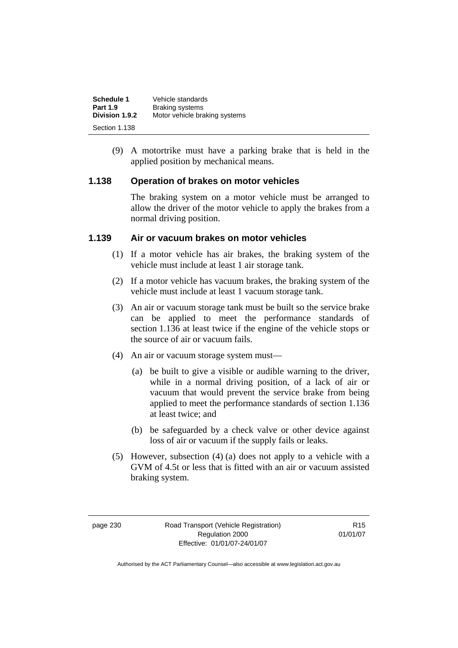| <b>Schedule 1</b> | Vehicle standards             |
|-------------------|-------------------------------|
| <b>Part 1.9</b>   | <b>Braking systems</b>        |
| Division 1.9.2    | Motor vehicle braking systems |
| Section 1.138     |                               |

 (9) A motortrike must have a parking brake that is held in the applied position by mechanical means.

#### **1.138 Operation of brakes on motor vehicles**

The braking system on a motor vehicle must be arranged to allow the driver of the motor vehicle to apply the brakes from a normal driving position.

#### **1.139 Air or vacuum brakes on motor vehicles**

- (1) If a motor vehicle has air brakes, the braking system of the vehicle must include at least 1 air storage tank.
- (2) If a motor vehicle has vacuum brakes, the braking system of the vehicle must include at least 1 vacuum storage tank.
- (3) An air or vacuum storage tank must be built so the service brake can be applied to meet the performance standards of section 1.136 at least twice if the engine of the vehicle stops or the source of air or vacuum fails.
- (4) An air or vacuum storage system must—
	- (a) be built to give a visible or audible warning to the driver, while in a normal driving position, of a lack of air or vacuum that would prevent the service brake from being applied to meet the performance standards of section 1.136 at least twice; and
	- (b) be safeguarded by a check valve or other device against loss of air or vacuum if the supply fails or leaks.
- (5) However, subsection (4) (a) does not apply to a vehicle with a GVM of 4.5t or less that is fitted with an air or vacuum assisted braking system.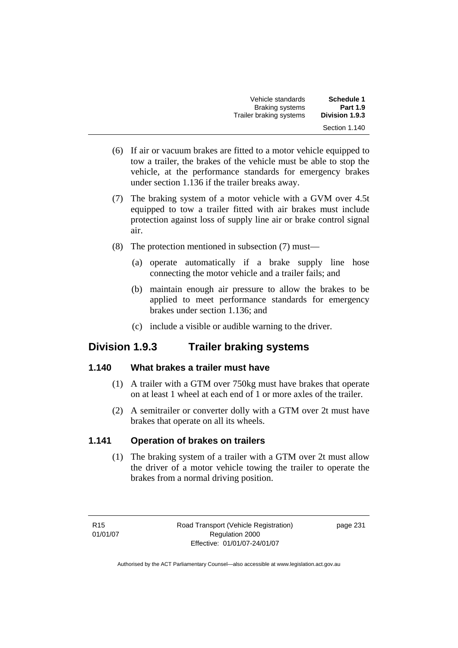| Vehicle standards                                 | <b>Schedule 1</b><br><b>Part 1.9</b> |
|---------------------------------------------------|--------------------------------------|
| <b>Braking systems</b><br>Trailer braking systems | Division 1.9.3                       |
|                                                   | Section 1.140                        |

- (6) If air or vacuum brakes are fitted to a motor vehicle equipped to tow a trailer, the brakes of the vehicle must be able to stop the vehicle, at the performance standards for emergency brakes under section 1.136 if the trailer breaks away.
- (7) The braking system of a motor vehicle with a GVM over 4.5t equipped to tow a trailer fitted with air brakes must include protection against loss of supply line air or brake control signal air.
- (8) The protection mentioned in subsection (7) must—
	- (a) operate automatically if a brake supply line hose connecting the motor vehicle and a trailer fails; and
	- (b) maintain enough air pressure to allow the brakes to be applied to meet performance standards for emergency brakes under section 1.136; and
	- (c) include a visible or audible warning to the driver.

# **Division 1.9.3 Trailer braking systems**

### **1.140 What brakes a trailer must have**

- (1) A trailer with a GTM over 750kg must have brakes that operate on at least 1 wheel at each end of 1 or more axles of the trailer.
- (2) A semitrailer or converter dolly with a GTM over 2t must have brakes that operate on all its wheels.

## **1.141 Operation of brakes on trailers**

 (1) The braking system of a trailer with a GTM over 2t must allow the driver of a motor vehicle towing the trailer to operate the brakes from a normal driving position.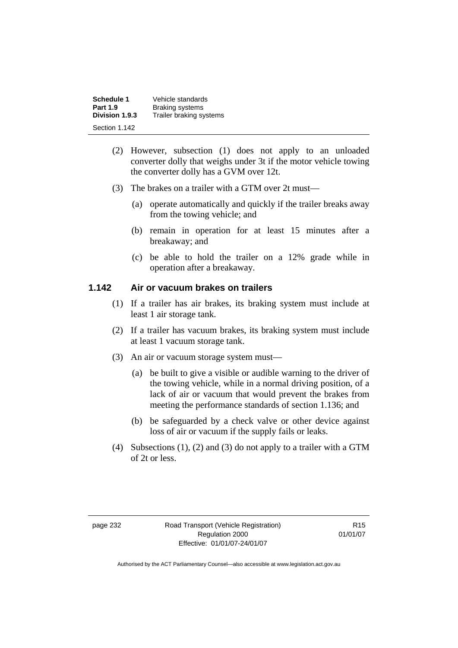| Schedule 1      | Vehicle standards       |
|-----------------|-------------------------|
| <b>Part 1.9</b> | <b>Braking systems</b>  |
| Division 1.9.3  | Trailer braking systems |
| Section 1.142   |                         |

- (2) However, subsection (1) does not apply to an unloaded converter dolly that weighs under 3t if the motor vehicle towing the converter dolly has a GVM over 12t.
- (3) The brakes on a trailer with a GTM over 2t must—
	- (a) operate automatically and quickly if the trailer breaks away from the towing vehicle; and
	- (b) remain in operation for at least 15 minutes after a breakaway; and
	- (c) be able to hold the trailer on a 12% grade while in operation after a breakaway.

#### **1.142 Air or vacuum brakes on trailers**

- (1) If a trailer has air brakes, its braking system must include at least 1 air storage tank.
- (2) If a trailer has vacuum brakes, its braking system must include at least 1 vacuum storage tank.
- (3) An air or vacuum storage system must—
	- (a) be built to give a visible or audible warning to the driver of the towing vehicle, while in a normal driving position, of a lack of air or vacuum that would prevent the brakes from meeting the performance standards of section 1.136; and
	- (b) be safeguarded by a check valve or other device against loss of air or vacuum if the supply fails or leaks.
- (4) Subsections (1), (2) and (3) do not apply to a trailer with a GTM of 2t or less.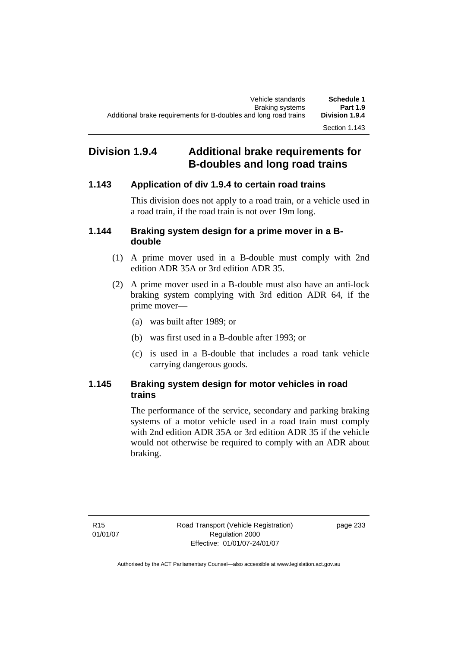## **Division 1.9.4 Additional brake requirements for B-doubles and long road trains**

### **1.143 Application of div 1.9.4 to certain road trains**

This division does not apply to a road train, or a vehicle used in a road train, if the road train is not over 19m long.

#### **1.144 Braking system design for a prime mover in a Bdouble**

- (1) A prime mover used in a B-double must comply with 2nd edition ADR 35A or 3rd edition ADR 35.
- (2) A prime mover used in a B-double must also have an anti-lock braking system complying with 3rd edition ADR 64, if the prime mover—
	- (a) was built after 1989; or
	- (b) was first used in a B-double after 1993; or
	- (c) is used in a B-double that includes a road tank vehicle carrying dangerous goods.

### **1.145 Braking system design for motor vehicles in road trains**

The performance of the service, secondary and parking braking systems of a motor vehicle used in a road train must comply with 2nd edition ADR 35A or 3rd edition ADR 35 if the vehicle would not otherwise be required to comply with an ADR about braking.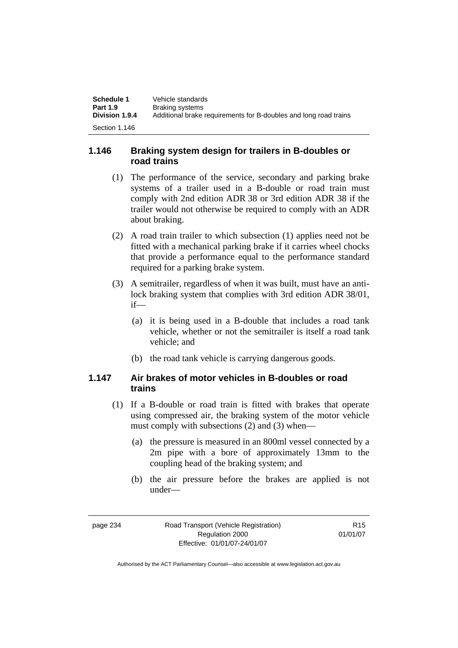| Schedule 1      | Vehicle standards                                                |
|-----------------|------------------------------------------------------------------|
| <b>Part 1.9</b> | Braking systems                                                  |
| Division 1.9.4  | Additional brake requirements for B-doubles and long road trains |
| Section 1.146   |                                                                  |

#### **1.146 Braking system design for trailers in B-doubles or road trains**

- (1) The performance of the service, secondary and parking brake systems of a trailer used in a B-double or road train must comply with 2nd edition ADR 38 or 3rd edition ADR 38 if the trailer would not otherwise be required to comply with an ADR about braking.
- (2) A road train trailer to which subsection (1) applies need not be fitted with a mechanical parking brake if it carries wheel chocks that provide a performance equal to the performance standard required for a parking brake system.
- (3) A semitrailer, regardless of when it was built, must have an antilock braking system that complies with 3rd edition ADR 38/01, if—
	- (a) it is being used in a B-double that includes a road tank vehicle, whether or not the semitrailer is itself a road tank vehicle; and
	- (b) the road tank vehicle is carrying dangerous goods.

#### **1.147 Air brakes of motor vehicles in B-doubles or road trains**

- (1) If a B-double or road train is fitted with brakes that operate using compressed air, the braking system of the motor vehicle must comply with subsections (2) and (3) when—
	- (a) the pressure is measured in an 800ml vessel connected by a 2m pipe with a bore of approximately 13mm to the coupling head of the braking system; and
	- (b) the air pressure before the brakes are applied is not under—

page 234 Road Transport (Vehicle Registration) Regulation 2000 Effective: 01/01/07-24/01/07

R15 01/01/07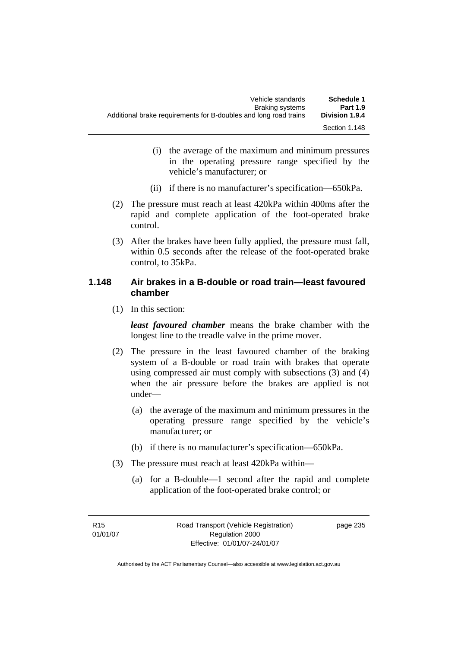- (i) the average of the maximum and minimum pressures in the operating pressure range specified by the vehicle's manufacturer; or
- (ii) if there is no manufacturer's specification—650kPa.
- (2) The pressure must reach at least 420kPa within 400ms after the rapid and complete application of the foot-operated brake control.
- (3) After the brakes have been fully applied, the pressure must fall, within 0.5 seconds after the release of the foot-operated brake control, to 35kPa.

#### **1.148 Air brakes in a B-double or road train—least favoured chamber**

(1) In this section:

*least favoured chamber* means the brake chamber with the longest line to the treadle valve in the prime mover.

- (2) The pressure in the least favoured chamber of the braking system of a B-double or road train with brakes that operate using compressed air must comply with subsections (3) and (4) when the air pressure before the brakes are applied is not under—
	- (a) the average of the maximum and minimum pressures in the operating pressure range specified by the vehicle's manufacturer; or
	- (b) if there is no manufacturer's specification—650kPa.
- (3) The pressure must reach at least 420kPa within—
	- (a) for a B-double—1 second after the rapid and complete application of the foot-operated brake control; or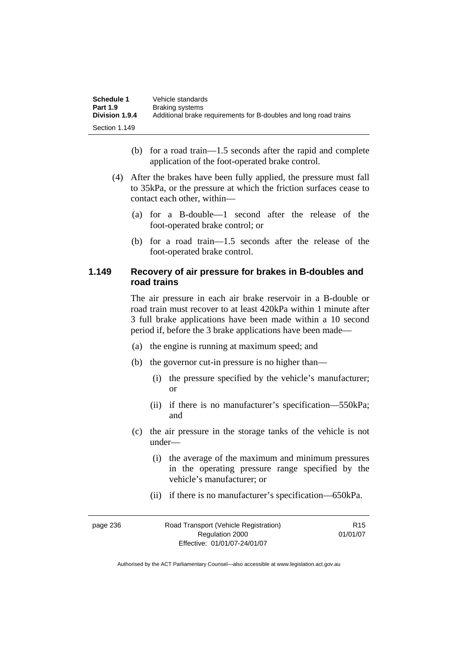| <b>Schedule 1</b> | Vehicle standards                                                |
|-------------------|------------------------------------------------------------------|
| <b>Part 1.9</b>   | Braking systems                                                  |
| Division 1.9.4    | Additional brake requirements for B-doubles and long road trains |
| Section 1.149     |                                                                  |

- (b) for a road train—1.5 seconds after the rapid and complete application of the foot-operated brake control.
- (4) After the brakes have been fully applied, the pressure must fall to 35kPa, or the pressure at which the friction surfaces cease to contact each other, within—
	- (a) for a B-double—1 second after the release of the foot-operated brake control; or
	- (b) for a road train—1.5 seconds after the release of the foot-operated brake control.

#### **1.149 Recovery of air pressure for brakes in B-doubles and road trains**

The air pressure in each air brake reservoir in a B-double or road train must recover to at least 420kPa within 1 minute after 3 full brake applications have been made within a 10 second period if, before the 3 brake applications have been made—

- (a) the engine is running at maximum speed; and
- (b) the governor cut-in pressure is no higher than—
	- (i) the pressure specified by the vehicle's manufacturer; or
	- (ii) if there is no manufacturer's specification—550kPa; and
- (c) the air pressure in the storage tanks of the vehicle is not under—
	- (i) the average of the maximum and minimum pressures in the operating pressure range specified by the vehicle's manufacturer; or
	- (ii) if there is no manufacturer's specification—650kPa.

| page 236 | Road Transport (Vehicle Registration) | R <sub>15</sub> |
|----------|---------------------------------------|-----------------|
|          | Regulation 2000                       | 01/01/07        |
|          | Effective: 01/01/07-24/01/07          |                 |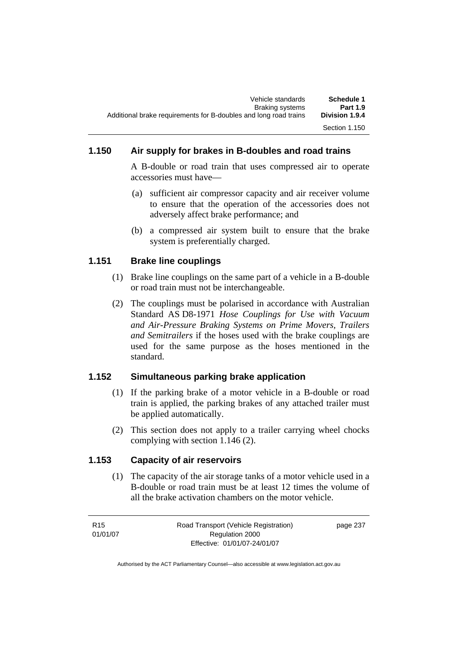## **1.150 Air supply for brakes in B-doubles and road trains**

A B-double or road train that uses compressed air to operate accessories must have—

- (a) sufficient air compressor capacity and air receiver volume to ensure that the operation of the accessories does not adversely affect brake performance; and
- (b) a compressed air system built to ensure that the brake system is preferentially charged.

### **1.151 Brake line couplings**

- (1) Brake line couplings on the same part of a vehicle in a B-double or road train must not be interchangeable.
- (2) The couplings must be polarised in accordance with Australian Standard AS D8-1971 *Hose Couplings for Use with Vacuum and Air-Pressure Braking Systems on Prime Movers, Trailers and Semitrailers* if the hoses used with the brake couplings are used for the same purpose as the hoses mentioned in the standard.

## **1.152 Simultaneous parking brake application**

- (1) If the parking brake of a motor vehicle in a B-double or road train is applied, the parking brakes of any attached trailer must be applied automatically.
- (2) This section does not apply to a trailer carrying wheel chocks complying with section 1.146 (2).

## **1.153 Capacity of air reservoirs**

 (1) The capacity of the air storage tanks of a motor vehicle used in a B-double or road train must be at least 12 times the volume of all the brake activation chambers on the motor vehicle.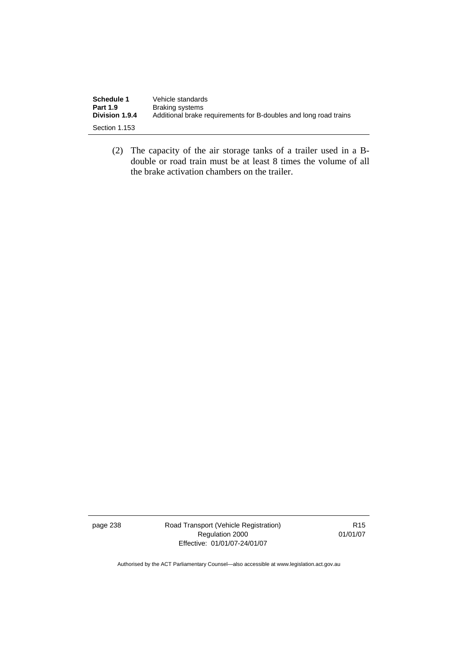| Schedule 1      | Vehicle standards                                                |
|-----------------|------------------------------------------------------------------|
| <b>Part 1.9</b> | <b>Braking systems</b>                                           |
| Division 1.9.4  | Additional brake requirements for B-doubles and long road trains |
| Section 1.153   |                                                                  |

 (2) The capacity of the air storage tanks of a trailer used in a Bdouble or road train must be at least 8 times the volume of all the brake activation chambers on the trailer.

page 238 Road Transport (Vehicle Registration) Regulation 2000 Effective: 01/01/07-24/01/07

R15 01/01/07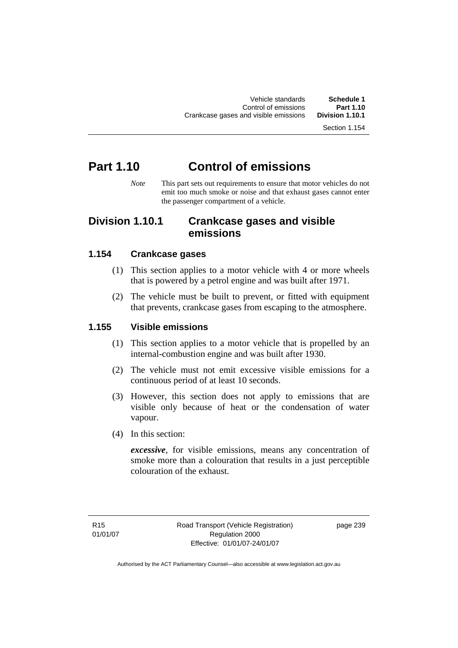Section 1.154

# **Part 1.10 Control of emissions**

*Note* This part sets out requirements to ensure that motor vehicles do not emit too much smoke or noise and that exhaust gases cannot enter the passenger compartment of a vehicle.

## **Division 1.10.1 Crankcase gases and visible emissions**

### **1.154 Crankcase gases**

- (1) This section applies to a motor vehicle with 4 or more wheels that is powered by a petrol engine and was built after 1971.
- (2) The vehicle must be built to prevent, or fitted with equipment that prevents, crankcase gases from escaping to the atmosphere.

#### **1.155 Visible emissions**

- (1) This section applies to a motor vehicle that is propelled by an internal-combustion engine and was built after 1930.
- (2) The vehicle must not emit excessive visible emissions for a continuous period of at least 10 seconds.
- (3) However, this section does not apply to emissions that are visible only because of heat or the condensation of water vapour.
- (4) In this section:

*excessive*, for visible emissions, means any concentration of smoke more than a colouration that results in a just perceptible colouration of the exhaust.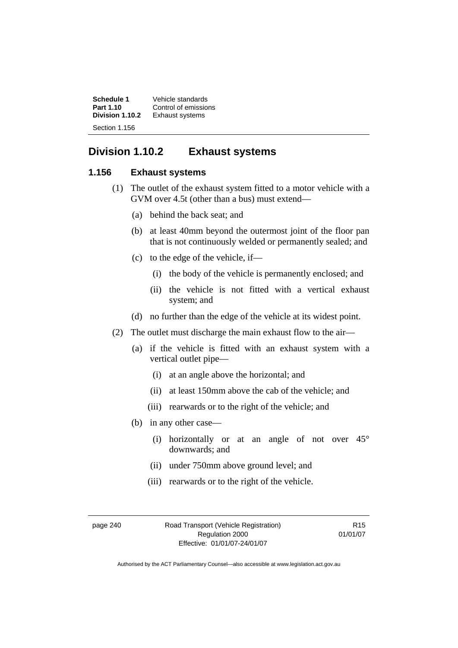**Schedule 1 Vehicle standards**<br>**Part 1.10 Control of emission Part 1.10 Control of emissions**<br>**Division 1.10.2 Exhaust systems Exhaust systems** Section 1.156

## **Division 1.10.2 Exhaust systems**

#### **1.156 Exhaust systems**

- (1) The outlet of the exhaust system fitted to a motor vehicle with a GVM over 4.5t (other than a bus) must extend—
	- (a) behind the back seat; and
	- (b) at least 40mm beyond the outermost joint of the floor pan that is not continuously welded or permanently sealed; and
	- (c) to the edge of the vehicle, if—
		- (i) the body of the vehicle is permanently enclosed; and
		- (ii) the vehicle is not fitted with a vertical exhaust system; and
	- (d) no further than the edge of the vehicle at its widest point.
- (2) The outlet must discharge the main exhaust flow to the air—
	- (a) if the vehicle is fitted with an exhaust system with a vertical outlet pipe—
		- (i) at an angle above the horizontal; and
		- (ii) at least 150mm above the cab of the vehicle; and
		- (iii) rearwards or to the right of the vehicle; and
	- (b) in any other case—
		- (i) horizontally or at an angle of not over 45° downwards; and
		- (ii) under 750mm above ground level; and
		- (iii) rearwards or to the right of the vehicle.

page 240 Road Transport (Vehicle Registration) Regulation 2000 Effective: 01/01/07-24/01/07

R15 01/01/07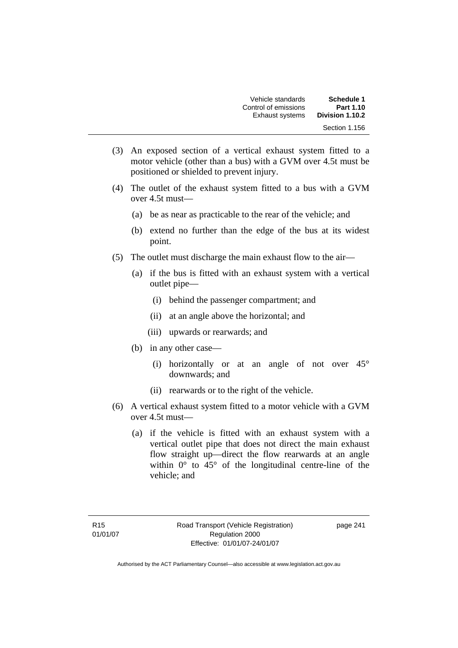| Schedule 1      | Vehicle standards      |
|-----------------|------------------------|
| Part 1.10       | Control of emissions   |
| Division 1.10.2 | <b>Exhaust systems</b> |
| Section 1.156   |                        |

- (3) An exposed section of a vertical exhaust system fitted to a motor vehicle (other than a bus) with a GVM over 4.5t must be positioned or shielded to prevent injury.
- (4) The outlet of the exhaust system fitted to a bus with a GVM over 4.5t must—
	- (a) be as near as practicable to the rear of the vehicle; and
	- (b) extend no further than the edge of the bus at its widest point.
- (5) The outlet must discharge the main exhaust flow to the air—
	- (a) if the bus is fitted with an exhaust system with a vertical outlet pipe—
		- (i) behind the passenger compartment; and
		- (ii) at an angle above the horizontal; and
		- (iii) upwards or rearwards; and
	- (b) in any other case—
		- (i) horizontally or at an angle of not over 45° downwards; and
		- (ii) rearwards or to the right of the vehicle.
- (6) A vertical exhaust system fitted to a motor vehicle with a GVM over 4.5t must—
	- (a) if the vehicle is fitted with an exhaust system with a vertical outlet pipe that does not direct the main exhaust flow straight up—direct the flow rearwards at an angle within  $0^{\circ}$  to  $45^{\circ}$  of the longitudinal centre-line of the vehicle; and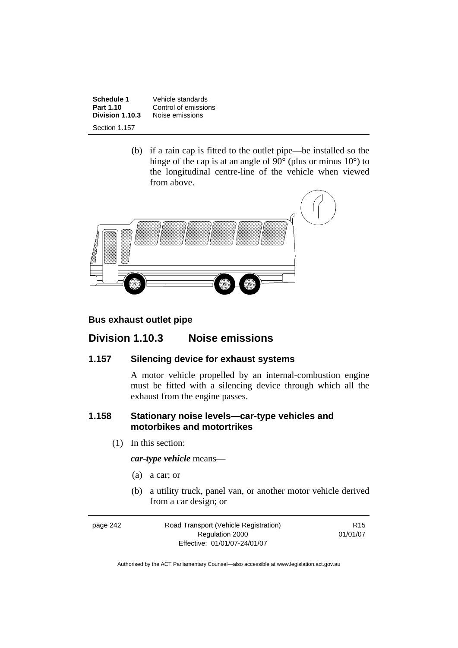**Schedule 1 Vehicle standards**<br>**Part 1.10 Control of emission Part 1.10** Control of emissions<br>**Division 1.10.3** Noise emissions **Noise emissions** Section 1.157

> (b) if a rain cap is fitted to the outlet pipe—be installed so the hinge of the cap is at an angle of 90 $^{\circ}$  (plus or minus 10 $^{\circ}$ ) to the longitudinal centre-line of the vehicle when viewed from above.



#### **Bus exhaust outlet pipe**

## **Division 1.10.3 Noise emissions**

#### **1.157 Silencing device for exhaust systems**

A motor vehicle propelled by an internal-combustion engine must be fitted with a silencing device through which all the exhaust from the engine passes.

#### **1.158 Stationary noise levels—car-type vehicles and motorbikes and motortrikes**

(1) In this section:

*car-type vehicle* means—

- (a) a car; or
- (b) a utility truck, panel van, or another motor vehicle derived from a car design; or

| page 242 | Road Transport (Vehicle Registration) | R <sub>15</sub> |
|----------|---------------------------------------|-----------------|
|          | Regulation 2000                       | 01/01/07        |
|          | Effective: 01/01/07-24/01/07          |                 |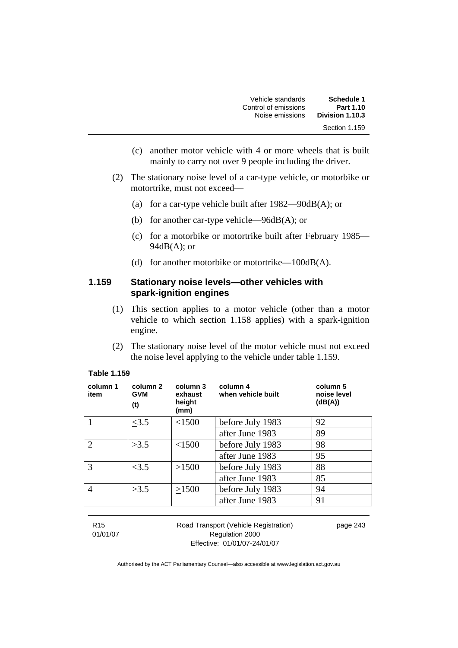| Vehicle standards    | Schedule 1      |
|----------------------|-----------------|
| Control of emissions | Part 1.10       |
| Noise emissions      | Division 1.10.3 |
|                      | Section 1.159   |

- (c) another motor vehicle with 4 or more wheels that is built mainly to carry not over 9 people including the driver.
- (2) The stationary noise level of a car-type vehicle, or motorbike or motortrike, must not exceed—
	- (a) for a car-type vehicle built after 1982—90dB(A); or
	- (b) for another car-type vehicle—96dB(A); or
	- (c) for a motorbike or motortrike built after February 1985—  $94dB(A)$ ; or
	- (d) for another motorbike or motortrike—100dB(A).

#### **1.159 Stationary noise levels—other vehicles with spark-ignition engines**

- (1) This section applies to a motor vehicle (other than a motor vehicle to which section 1.158 applies) with a spark-ignition engine.
- (2) The stationary noise level of the motor vehicle must not exceed the noise level applying to the vehicle under table 1.159.

| column 1<br>item | column 2<br><b>GVM</b><br>(t) | column 3<br>exhaust<br>height<br>(mm) | column 4<br>when vehicle built | column 5<br>noise level<br>(dB(A)) |
|------------------|-------------------------------|---------------------------------------|--------------------------------|------------------------------------|
|                  | <3.5                          | < 1500                                | before July 1983               | 92                                 |
|                  |                               |                                       | after June 1983                | 89                                 |
| $\overline{2}$   | >3.5                          | < 1500                                | before July 1983               | 98                                 |
|                  |                               |                                       | after June 1983                | 95                                 |
| 3                | <3.5                          | >1500                                 | before July 1983               | 88                                 |
|                  |                               |                                       | after June 1983                | 85                                 |
| 4                | >3.5                          | >1500                                 | before July 1983               | 94                                 |
|                  |                               |                                       | after June 1983                | 91                                 |
|                  |                               |                                       |                                |                                    |

#### **Table 1.159**

R15 01/01/07 Road Transport (Vehicle Registration) Regulation 2000 Effective: 01/01/07-24/01/07

page 243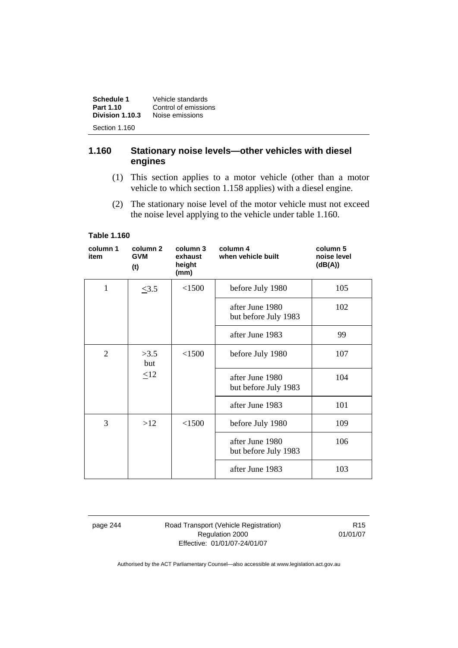| Schedule 1<br>Part 1.10          | Vehicle standards<br>Control of emissions |
|----------------------------------|-------------------------------------------|
| Division 1.10.3<br>Section 1.160 | Noise emissions                           |
|                                  |                                           |

#### **1.160 Stationary noise levels—other vehicles with diesel engines**

- (1) This section applies to a motor vehicle (other than a motor vehicle to which section 1.158 applies) with a diesel engine.
- (2) The stationary noise level of the motor vehicle must not exceed the noise level applying to the vehicle under table 1.160.

#### **Table 1.160**

| column 1<br>item | column 2<br><b>GVM</b><br>(t) | column 3<br>exhaust<br>height<br>(mm) | column 4<br>when vehicle built          | column 5<br>noise level<br>(dB(A)) |
|------------------|-------------------------------|---------------------------------------|-----------------------------------------|------------------------------------|
| $\mathbf{1}$     | $\leq 3.5$                    | < 1500                                | before July 1980                        | 105                                |
|                  |                               |                                       | after June 1980<br>but before July 1983 | 102                                |
|                  |                               |                                       | after June 1983                         | 99                                 |
| 2                | >3.5<br>but                   | < 1500                                | before July 1980                        | 107                                |
|                  | $\leq12$                      |                                       | after June 1980<br>but before July 1983 | 104                                |
|                  |                               |                                       | after June 1983                         | 101                                |
| 3                | >12                           | < 1500                                | before July 1980                        | 109                                |
|                  |                               |                                       | after June 1980<br>but before July 1983 | 106                                |
|                  |                               |                                       | after June 1983                         | 103                                |

page 244 Road Transport (Vehicle Registration) Regulation 2000 Effective: 01/01/07-24/01/07

R15 01/01/07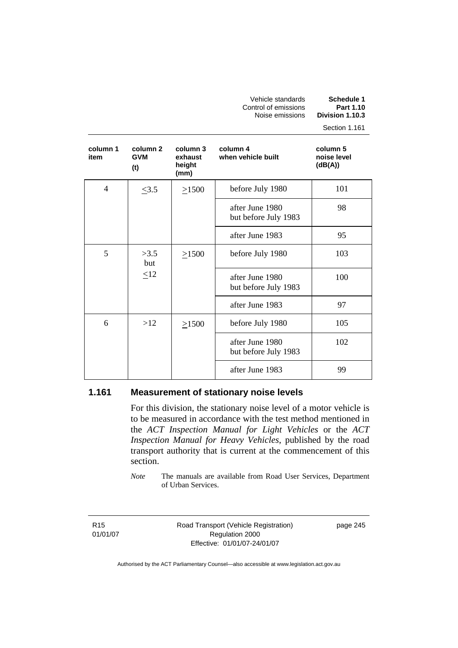Vehicle standards **Schedule 1**  Control of emissions **Part 1.10 Noise emissions** 

Section 1.161

| column 1<br>item | column 2<br><b>GVM</b><br>(t) | column 3<br>exhaust<br>height<br>(mm) | column 4<br>when vehicle built          | column 5<br>noise level<br>(dB(A)) |
|------------------|-------------------------------|---------------------------------------|-----------------------------------------|------------------------------------|
| 4                | $\leq 3.5$                    | $\geq 1500$                           | before July 1980                        | 101                                |
|                  |                               |                                       | after June 1980<br>but before July 1983 | 98                                 |
|                  |                               |                                       | after June 1983                         | 95                                 |
| 5                | >3.5<br>but                   | $\geq$ 1500                           | before July 1980                        | 103                                |
|                  | $\leq12$                      |                                       | after June 1980<br>but before July 1983 | 100                                |
|                  |                               |                                       | after June 1983                         | 97                                 |
| 6                | >12                           | $\geq$ 1500                           | before July 1980                        | 105                                |
|                  |                               |                                       | after June 1980<br>but before July 1983 | 102                                |
|                  |                               |                                       | after June 1983                         | 99                                 |

#### **1.161 Measurement of stationary noise levels**

For this division, the stationary noise level of a motor vehicle is to be measured in accordance with the test method mentioned in the *ACT Inspection Manual for Light Vehicles* or the *ACT Inspection Manual for Heavy Vehicles*, published by the road transport authority that is current at the commencement of this section.

*Note* The manuals are available from Road User Services, Department of Urban Services.

R15 01/01/07 Road Transport (Vehicle Registration) Regulation 2000 Effective: 01/01/07-24/01/07

page 245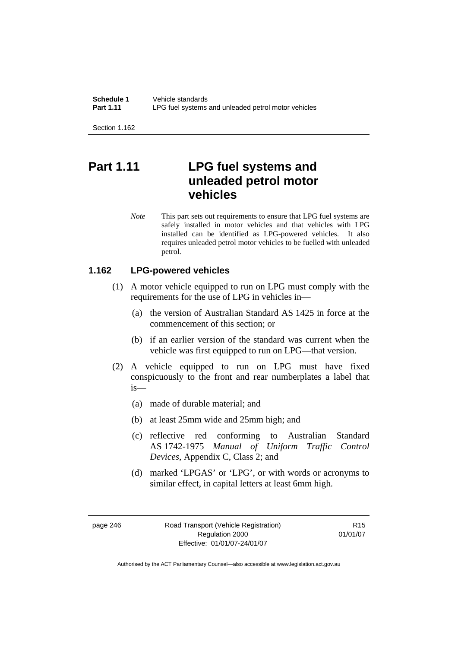**Schedule 1** Vehicle standards<br>**Part 1.11** I PG fuel systems LPG fuel systems and unleaded petrol motor vehicles

Section 1.162

# **Part 1.11 LPG fuel systems and unleaded petrol motor vehicles**

*Note* This part sets out requirements to ensure that LPG fuel systems are safely installed in motor vehicles and that vehicles with LPG installed can be identified as LPG-powered vehicles. It also requires unleaded petrol motor vehicles to be fuelled with unleaded petrol.

#### **1.162 LPG-powered vehicles**

- (1) A motor vehicle equipped to run on LPG must comply with the requirements for the use of LPG in vehicles in—
	- (a) the version of Australian Standard AS 1425 in force at the commencement of this section; or
	- (b) if an earlier version of the standard was current when the vehicle was first equipped to run on LPG—that version.
- (2) A vehicle equipped to run on LPG must have fixed conspicuously to the front and rear numberplates a label that is—
	- (a) made of durable material; and
	- (b) at least 25mm wide and 25mm high; and
	- (c) reflective red conforming to Australian Standard AS 1742-1975 *Manual of Uniform Traffic Control Devices*, Appendix C, Class 2; and
	- (d) marked 'LPGAS' or 'LPG', or with words or acronyms to similar effect, in capital letters at least 6mm high.

page 246 Road Transport (Vehicle Registration) Regulation 2000 Effective: 01/01/07-24/01/07

R15 01/01/07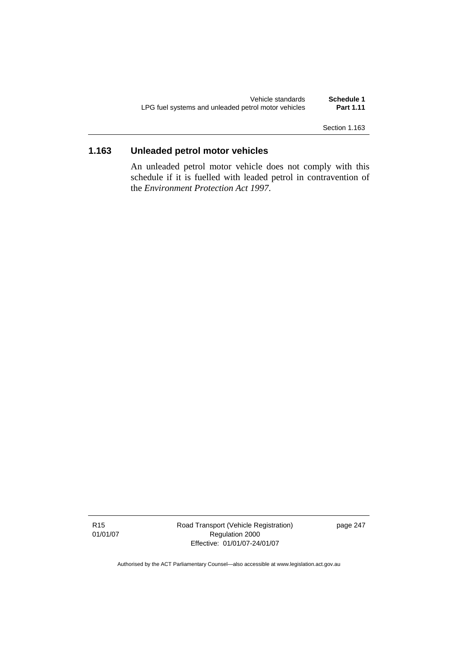| Vehicle standards                                   | Schedule 1       |
|-----------------------------------------------------|------------------|
| LPG fuel systems and unleaded petrol motor vehicles | <b>Part 1.11</b> |

Section 1.163

## **1.163 Unleaded petrol motor vehicles**

An unleaded petrol motor vehicle does not comply with this schedule if it is fuelled with leaded petrol in contravention of the *Environment Protection Act 1997*.

Road Transport (Vehicle Registration) Regulation 2000 Effective: 01/01/07-24/01/07

page 247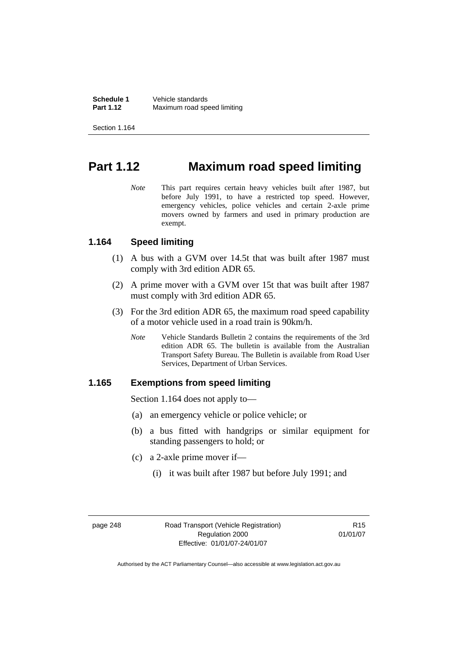Section 1.164

## **Part 1.12 Maximum road speed limiting**

*Note* This part requires certain heavy vehicles built after 1987, but before July 1991, to have a restricted top speed. However, emergency vehicles, police vehicles and certain 2-axle prime movers owned by farmers and used in primary production are exempt.

#### **1.164 Speed limiting**

- (1) A bus with a GVM over 14.5t that was built after 1987 must comply with 3rd edition ADR 65.
- (2) A prime mover with a GVM over 15t that was built after 1987 must comply with 3rd edition ADR 65.
- (3) For the 3rd edition ADR 65, the maximum road speed capability of a motor vehicle used in a road train is 90km/h.
	- *Note* Vehicle Standards Bulletin 2 contains the requirements of the 3rd edition ADR 65. The bulletin is available from the Australian Transport Safety Bureau. The Bulletin is available from Road User Services, Department of Urban Services.

#### **1.165 Exemptions from speed limiting**

Section 1.164 does not apply to—

- (a) an emergency vehicle or police vehicle; or
- (b) a bus fitted with handgrips or similar equipment for standing passengers to hold; or
- (c) a 2-axle prime mover if—
	- (i) it was built after 1987 but before July 1991; and

R15 01/01/07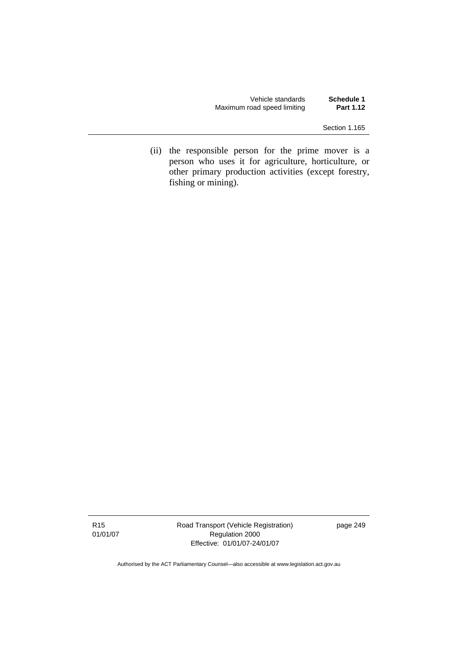Vehicle standards **Schedule 1**  Maximum road speed limiting

Section 1.165

 (ii) the responsible person for the prime mover is a person who uses it for agriculture, horticulture, or other primary production activities (except forestry, fishing or mining).

R15 01/01/07 Road Transport (Vehicle Registration) Regulation 2000 Effective: 01/01/07-24/01/07

page 249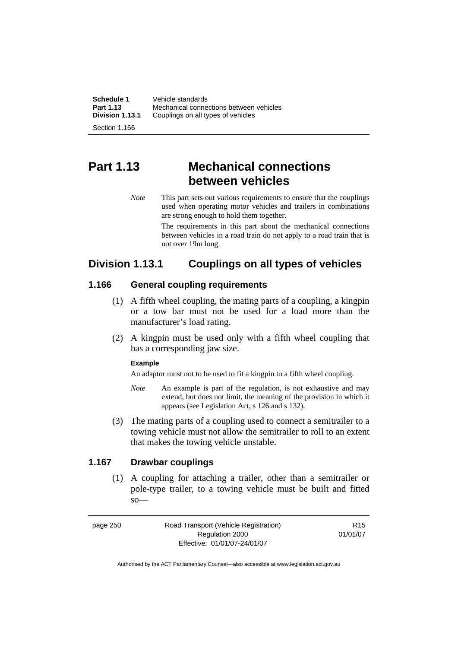| Schedule 1      | Vehicle standards                       |
|-----------------|-----------------------------------------|
| Part 1.13       | Mechanical connections between vehicles |
| Division 1.13.1 | Couplings on all types of vehicles      |
| Section 1.166   |                                         |

# **Part 1.13 Mechanical connections between vehicles**

*Note* This part sets out various requirements to ensure that the couplings used when operating motor vehicles and trailers in combinations are strong enough to hold them together.

> The requirements in this part about the mechanical connections between vehicles in a road train do not apply to a road train that is not over 19m long.

## **Division 1.13.1 Couplings on all types of vehicles**

#### **1.166 General coupling requirements**

- (1) A fifth wheel coupling, the mating parts of a coupling, a kingpin or a tow bar must not be used for a load more than the manufacturer's load rating.
- (2) A kingpin must be used only with a fifth wheel coupling that has a corresponding jaw size.

#### **Example**

An adaptor must not to be used to fit a kingpin to a fifth wheel coupling.

- *Note* An example is part of the regulation, is not exhaustive and may extend, but does not limit, the meaning of the provision in which it appears (see Legislation Act, s 126 and s 132).
- (3) The mating parts of a coupling used to connect a semitrailer to a towing vehicle must not allow the semitrailer to roll to an extent that makes the towing vehicle unstable.

### **1.167 Drawbar couplings**

 (1) A coupling for attaching a trailer, other than a semitrailer or pole-type trailer, to a towing vehicle must be built and fitted so—

page 250 Road Transport (Vehicle Registration) Regulation 2000 Effective: 01/01/07-24/01/07

R15 01/01/07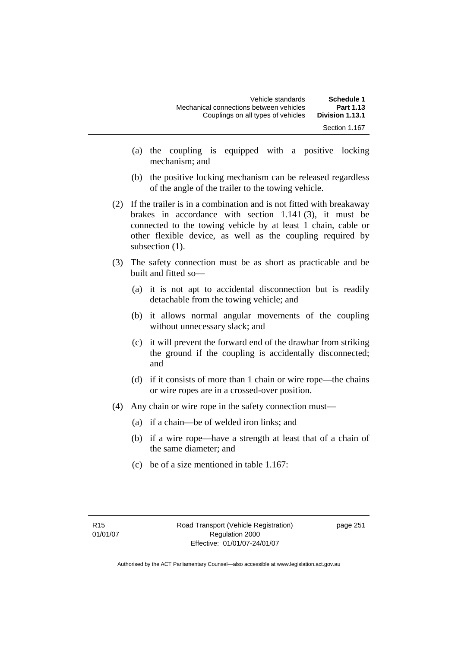| Schedule 1      | Vehicle standards                       |
|-----------------|-----------------------------------------|
| Part 1.13       | Mechanical connections between vehicles |
| Division 1.13.1 | Couplings on all types of vehicles      |
| Section 1.167   |                                         |

- (a) the coupling is equipped with a positive locking mechanism; and
- (b) the positive locking mechanism can be released regardless of the angle of the trailer to the towing vehicle.
- (2) If the trailer is in a combination and is not fitted with breakaway brakes in accordance with section 1.141 (3), it must be connected to the towing vehicle by at least 1 chain, cable or other flexible device, as well as the coupling required by subsection  $(1)$ .
- (3) The safety connection must be as short as practicable and be built and fitted so—
	- (a) it is not apt to accidental disconnection but is readily detachable from the towing vehicle; and
	- (b) it allows normal angular movements of the coupling without unnecessary slack; and
	- (c) it will prevent the forward end of the drawbar from striking the ground if the coupling is accidentally disconnected; and
	- (d) if it consists of more than 1 chain or wire rope—the chains or wire ropes are in a crossed-over position.
- (4) Any chain or wire rope in the safety connection must—
	- (a) if a chain—be of welded iron links; and
	- (b) if a wire rope—have a strength at least that of a chain of the same diameter; and
	- (c) be of a size mentioned in table 1.167: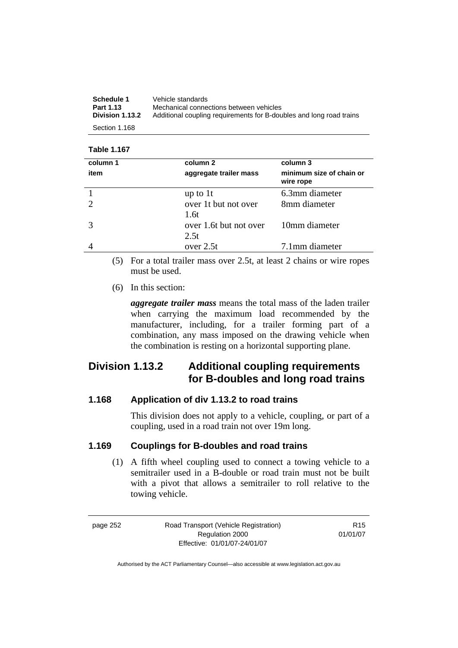| Schedule 1       | Vehicle standards                                                   |
|------------------|---------------------------------------------------------------------|
| <b>Part 1.13</b> | Mechanical connections between vehicles                             |
| Division 1.13.2  | Additional coupling requirements for B-doubles and long road trains |
| Section 1.168    |                                                                     |

#### **Table 1.167**

| column 1 | column 2                       | column 3                              |
|----------|--------------------------------|---------------------------------------|
| item     | aggregate trailer mass         | minimum size of chain or<br>wire rope |
|          | up to $1t$                     | 6.3mm diameter                        |
|          | over 1t but not over<br>1.6t   | 8mm diameter                          |
|          | over 1.6t but not over<br>2.5t | 10mm diameter                         |
|          | over $2.5t$                    | 7.1mm diameter                        |

 (5) For a total trailer mass over 2.5t, at least 2 chains or wire ropes must be used.

(6) In this section:

*aggregate trailer mass* means the total mass of the laden trailer when carrying the maximum load recommended by the manufacturer, including, for a trailer forming part of a combination, any mass imposed on the drawing vehicle when the combination is resting on a horizontal supporting plane.

## **Division 1.13.2 Additional coupling requirements for B-doubles and long road trains**

#### **1.168 Application of div 1.13.2 to road trains**

This division does not apply to a vehicle, coupling, or part of a coupling, used in a road train not over 19m long.

#### **1.169 Couplings for B-doubles and road trains**

 (1) A fifth wheel coupling used to connect a towing vehicle to a semitrailer used in a B-double or road train must not be built with a pivot that allows a semitrailer to roll relative to the towing vehicle.

page 252 Road Transport (Vehicle Registration) Regulation 2000 Effective: 01/01/07-24/01/07

R15 01/01/07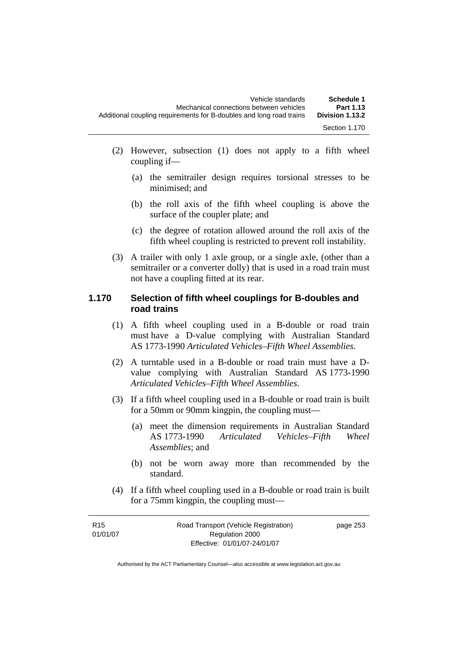- (2) However, subsection (1) does not apply to a fifth wheel coupling if—
	- (a) the semitrailer design requires torsional stresses to be minimised; and
	- (b) the roll axis of the fifth wheel coupling is above the surface of the coupler plate; and
	- (c) the degree of rotation allowed around the roll axis of the fifth wheel coupling is restricted to prevent roll instability.
- (3) A trailer with only 1 axle group, or a single axle, (other than a semitrailer or a converter dolly) that is used in a road train must not have a coupling fitted at its rear.

#### **1.170 Selection of fifth wheel couplings for B-doubles and road trains**

- (1) A fifth wheel coupling used in a B-double or road train must have a D-value complying with Australian Standard AS 1773-1990 *Articulated Vehicles–Fifth Wheel Assemblies*.
- (2) A turntable used in a B-double or road train must have a Dvalue complying with Australian Standard AS 1773-1990 *Articulated Vehicles–Fifth Wheel Assemblies*.
- (3) If a fifth wheel coupling used in a B-double or road train is built for a 50mm or 90mm kingpin, the coupling must—
	- (a) meet the dimension requirements in Australian Standard AS 1773-1990 *Articulated Vehicles–Fifth Wheel Assemblies*; and
	- (b) not be worn away more than recommended by the standard.
- (4) If a fifth wheel coupling used in a B-double or road train is built for a 75mm kingpin, the coupling must—

| R <sub>15</sub> | Road Transport (Vehicle Registration) | page 253 |
|-----------------|---------------------------------------|----------|
| 01/01/07        | Regulation 2000                       |          |
|                 | Effective: 01/01/07-24/01/07          |          |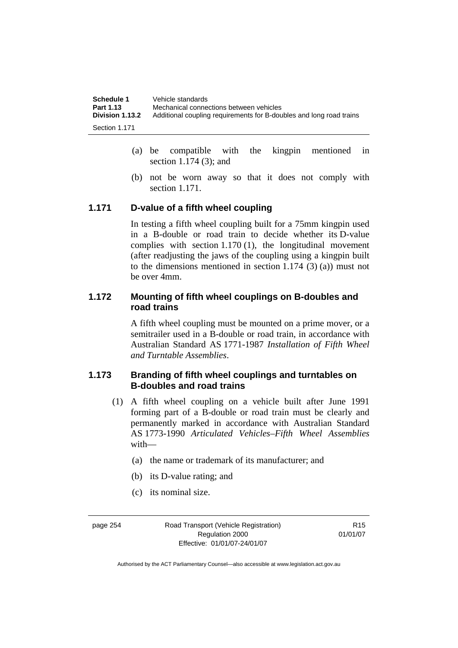| Schedule 1      | Vehicle standards                                                   |
|-----------------|---------------------------------------------------------------------|
| Part 1.13       | Mechanical connections between vehicles                             |
| Division 1.13.2 | Additional coupling requirements for B-doubles and long road trains |
| Section 1.171   |                                                                     |

- (a) be compatible with the kingpin mentioned in section 1.174 (3); and
- (b) not be worn away so that it does not comply with section 1.171.

#### **1.171 D-value of a fifth wheel coupling**

In testing a fifth wheel coupling built for a 75mm kingpin used in a B-double or road train to decide whether its D-value complies with section 1.170 (1), the longitudinal movement (after readjusting the jaws of the coupling using a kingpin built to the dimensions mentioned in section 1.174 (3) (a)) must not be over 4mm.

#### **1.172 Mounting of fifth wheel couplings on B-doubles and road trains**

A fifth wheel coupling must be mounted on a prime mover, or a semitrailer used in a B-double or road train, in accordance with Australian Standard AS 1771-1987 *Installation of Fifth Wheel and Turntable Assemblies*.

#### **1.173 Branding of fifth wheel couplings and turntables on B-doubles and road trains**

- (1) A fifth wheel coupling on a vehicle built after June 1991 forming part of a B-double or road train must be clearly and permanently marked in accordance with Australian Standard AS 1773-1990 *Articulated Vehicles–Fifth Wheel Assemblies* with—
	- (a) the name or trademark of its manufacturer; and
	- (b) its D-value rating; and
	- (c) its nominal size.

page 254 Road Transport (Vehicle Registration) Regulation 2000 Effective: 01/01/07-24/01/07

R15 01/01/07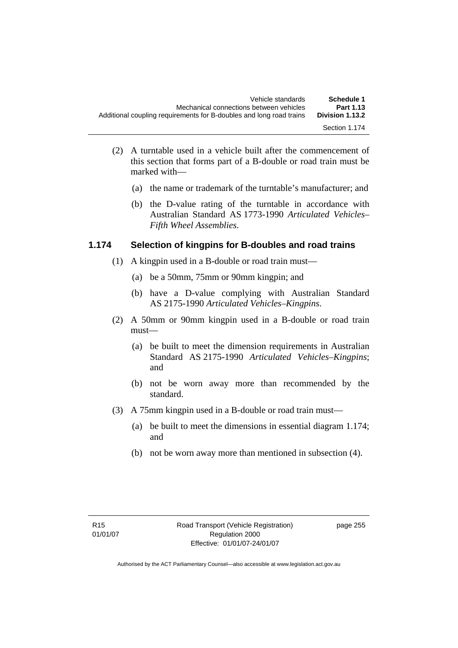- (2) A turntable used in a vehicle built after the commencement of this section that forms part of a B-double or road train must be marked with—
	- (a) the name or trademark of the turntable's manufacturer; and
	- (b) the D-value rating of the turntable in accordance with Australian Standard AS 1773-1990 *Articulated Vehicles– Fifth Wheel Assemblies*.

#### **1.174 Selection of kingpins for B-doubles and road trains**

- (1) A kingpin used in a B-double or road train must—
	- (a) be a 50mm, 75mm or 90mm kingpin; and
	- (b) have a D-value complying with Australian Standard AS 2175-1990 *Articulated Vehicles–Kingpins*.
- (2) A 50mm or 90mm kingpin used in a B-double or road train must—
	- (a) be built to meet the dimension requirements in Australian Standard AS 2175-1990 *Articulated Vehicles–Kingpins*; and
	- (b) not be worn away more than recommended by the standard.
- (3) A 75mm kingpin used in a B-double or road train must—
	- (a) be built to meet the dimensions in essential diagram 1.174; and
	- (b) not be worn away more than mentioned in subsection (4).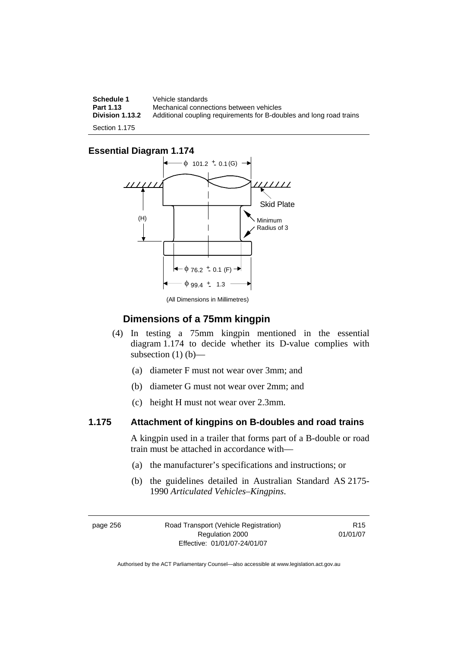**Schedule 1 Vehicle standards**<br>**Part 1.13 Mechanical conner Part 1.13 Mechanical connections between vehicles**<br>**Division 1.13.2** Additional coupling requirements for B-dou **Division 1.13.2** Additional coupling requirements for B-doubles and long road trains Section 1.175

#### **Essential Diagram 1.174**



(All Dimensions in Millimetres)

#### **Dimensions of a 75mm kingpin**

- (4) In testing a 75mm kingpin mentioned in the essential diagram 1.174 to decide whether its D-value complies with subsection  $(1)$   $(b)$ —
	- (a) diameter F must not wear over 3mm; and
	- (b) diameter G must not wear over 2mm; and
	- (c) height H must not wear over 2.3mm.

#### **1.175 Attachment of kingpins on B-doubles and road trains**

A kingpin used in a trailer that forms part of a B-double or road train must be attached in accordance with—

- (a) the manufacturer's specifications and instructions; or
- (b) the guidelines detailed in Australian Standard AS 2175- 1990 *Articulated Vehicles–Kingpins*.

page 256 Road Transport (Vehicle Registration) Regulation 2000 Effective: 01/01/07-24/01/07

R15 01/01/07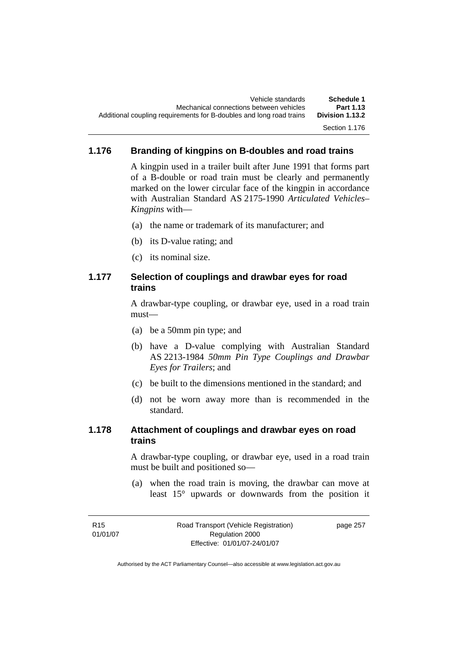### **1.176 Branding of kingpins on B-doubles and road trains**

A kingpin used in a trailer built after June 1991 that forms part of a B-double or road train must be clearly and permanently marked on the lower circular face of the kingpin in accordance with Australian Standard AS 2175-1990 *Articulated Vehicles– Kingpins* with—

- (a) the name or trademark of its manufacturer; and
- (b) its D-value rating; and
- (c) its nominal size.

#### **1.177 Selection of couplings and drawbar eyes for road trains**

A drawbar-type coupling, or drawbar eye, used in a road train must—

- (a) be a 50mm pin type; and
- (b) have a D-value complying with Australian Standard AS 2213-1984 *50mm Pin Type Couplings and Drawbar Eyes for Trailers*; and
- (c) be built to the dimensions mentioned in the standard; and
- (d) not be worn away more than is recommended in the standard.

#### **1.178 Attachment of couplings and drawbar eyes on road trains**

A drawbar-type coupling, or drawbar eye, used in a road train must be built and positioned so—

 (a) when the road train is moving, the drawbar can move at least 15° upwards or downwards from the position it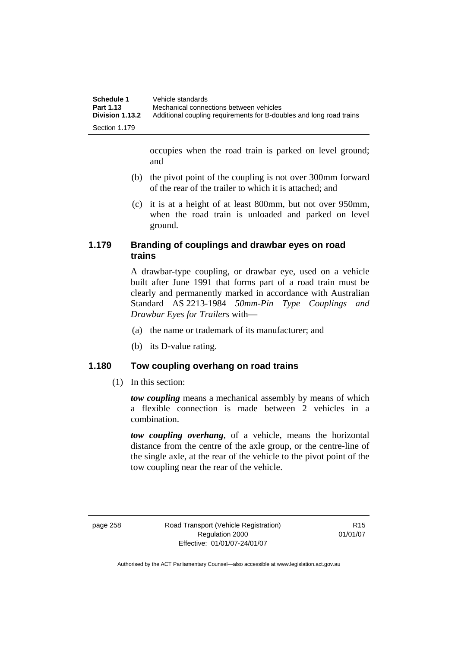| Schedule 1             | Vehicle standards                                                   |
|------------------------|---------------------------------------------------------------------|
| Part 1.13              | Mechanical connections between vehicles                             |
| <b>Division 1.13.2</b> | Additional coupling requirements for B-doubles and long road trains |
| Section 1.179          |                                                                     |

occupies when the road train is parked on level ground; and

- (b) the pivot point of the coupling is not over 300mm forward of the rear of the trailer to which it is attached; and
- (c) it is at a height of at least 800mm, but not over 950mm, when the road train is unloaded and parked on level ground.

#### **1.179 Branding of couplings and drawbar eyes on road trains**

A drawbar-type coupling, or drawbar eye, used on a vehicle built after June 1991 that forms part of a road train must be clearly and permanently marked in accordance with Australian Standard AS 2213-1984 *50mm-Pin Type Couplings and Drawbar Eyes for Trailers* with—

- (a) the name or trademark of its manufacturer; and
- (b) its D-value rating.

#### **1.180 Tow coupling overhang on road trains**

(1) In this section:

*tow coupling* means a mechanical assembly by means of which a flexible connection is made between 2 vehicles in a combination.

*tow coupling overhang*, of a vehicle, means the horizontal distance from the centre of the axle group, or the centre-line of the single axle, at the rear of the vehicle to the pivot point of the tow coupling near the rear of the vehicle.

page 258 Road Transport (Vehicle Registration) Regulation 2000 Effective: 01/01/07-24/01/07

R15 01/01/07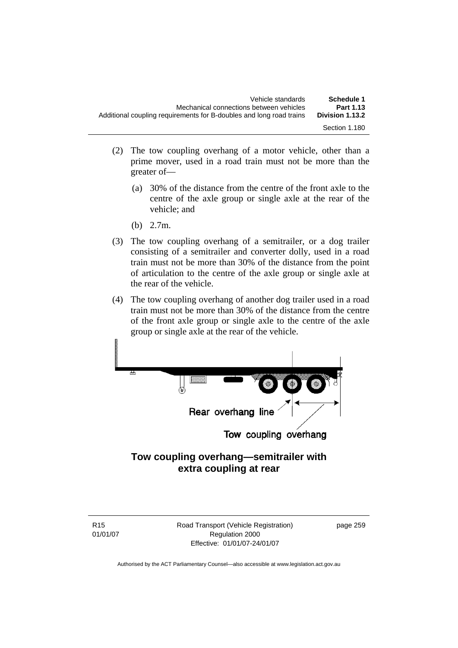| Schedule 1      | Vehicle standards                                                   |
|-----------------|---------------------------------------------------------------------|
| Part 1.13       | Mechanical connections between vehicles                             |
| Division 1.13.2 | Additional coupling requirements for B-doubles and long road trains |
| Section 1.180   |                                                                     |

- (2) The tow coupling overhang of a motor vehicle, other than a prime mover, used in a road train must not be more than the greater of—
	- (a) 30% of the distance from the centre of the front axle to the centre of the axle group or single axle at the rear of the vehicle; and
	- (b) 2.7m.
- (3) The tow coupling overhang of a semitrailer, or a dog trailer consisting of a semitrailer and converter dolly, used in a road train must not be more than 30% of the distance from the point of articulation to the centre of the axle group or single axle at the rear of the vehicle.
- (4) The tow coupling overhang of another dog trailer used in a road train must not be more than 30% of the distance from the centre of the front axle group or single axle to the centre of the axle group or single axle at the rear of the vehicle.



## **Tow coupling overhang—semitrailer with extra coupling at rear**

R15 01/01/07 Road Transport (Vehicle Registration) Regulation 2000 Effective: 01/01/07-24/01/07

page 259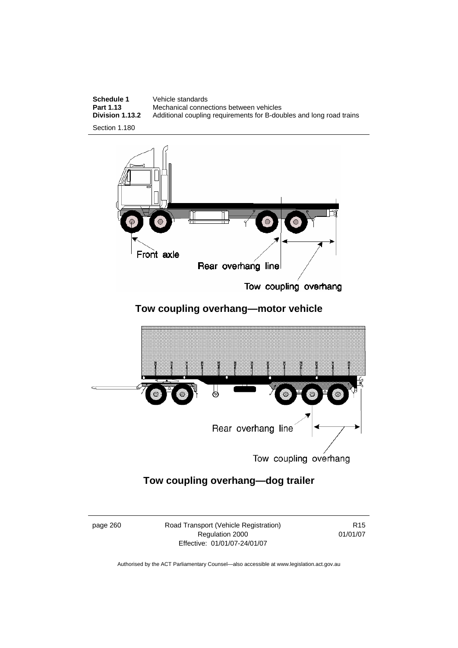



Tow coupling overhang

## **Tow coupling overhang—motor vehicle**



Tow coupling overhang

## **Tow coupling overhang—dog trailer**

page 260 Road Transport (Vehicle Registration) Regulation 2000 Effective: 01/01/07-24/01/07

R15 01/01/07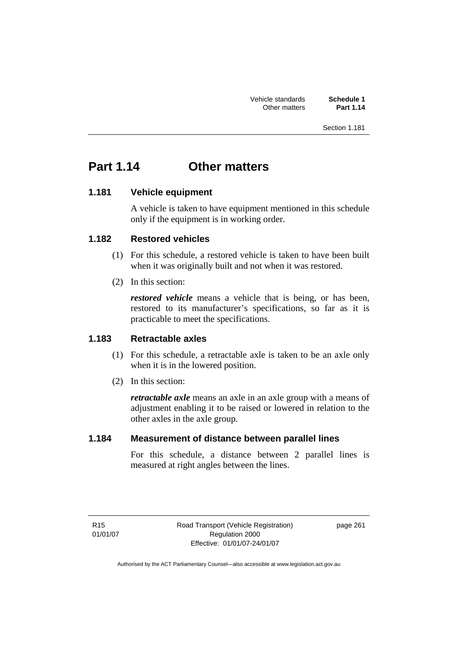Section 1.181

# **Part 1.14 Other matters**

### **1.181 Vehicle equipment**

A vehicle is taken to have equipment mentioned in this schedule only if the equipment is in working order.

#### **1.182 Restored vehicles**

- (1) For this schedule, a restored vehicle is taken to have been built when it was originally built and not when it was restored.
- (2) In this section:

*restored vehicle* means a vehicle that is being, or has been, restored to its manufacturer's specifications, so far as it is practicable to meet the specifications.

### **1.183 Retractable axles**

- (1) For this schedule, a retractable axle is taken to be an axle only when it is in the lowered position.
- (2) In this section:

*retractable axle* means an axle in an axle group with a means of adjustment enabling it to be raised or lowered in relation to the other axles in the axle group.

#### **1.184 Measurement of distance between parallel lines**

For this schedule, a distance between 2 parallel lines is measured at right angles between the lines.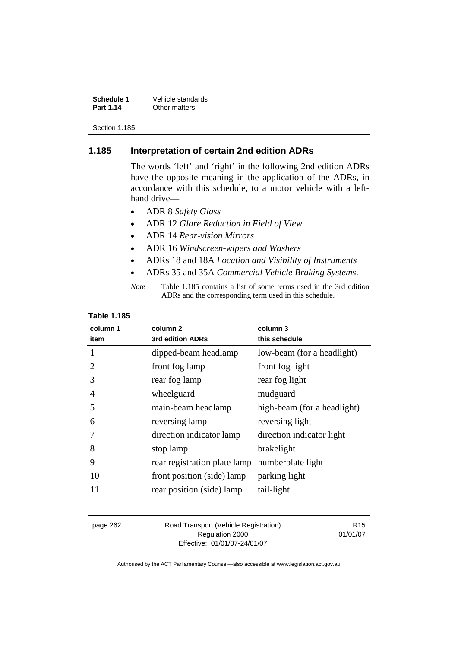**Schedule 1** Vehicle standards<br> **Part 1.14** Other matters **Other matters** 

Section 1.185

### **1.185 Interpretation of certain 2nd edition ADRs**

The words 'left' and 'right' in the following 2nd edition ADRs have the opposite meaning in the application of the ADRs, in accordance with this schedule, to a motor vehicle with a lefthand drive—

- ADR 8 *Safety Glass*
- ADR 12 *Glare Reduction in Field of View*
- ADR 14 *Rear-vision Mirrors*
- ADR 16 *Windscreen-wipers and Washers*
- ADRs 18 and 18A *Location and Visibility of Instruments*
- ADRs 35 and 35A *Commercial Vehicle Braking Systems*.

| Note | Table 1.185 contains a list of some terms used in the 3rd edition |
|------|-------------------------------------------------------------------|
|      | ADRs and the corresponding term used in this schedule.            |

### **Table 1.185**

| column 1<br>item | column <sub>2</sub><br>3rd edition ADRs | column 3<br>this schedule   |
|------------------|-----------------------------------------|-----------------------------|
| 1                | dipped-beam headlamp                    | low-beam (for a headlight)  |
|                  | front fog lamp                          | front fog light             |
| 3                | rear fog lamp                           | rear fog light              |
| 4                | wheelguard                              | mudguard                    |
| 5                | main-beam headlamp                      | high-beam (for a headlight) |
| 6                | reversing lamp                          | reversing light             |
|                  | direction indicator lamp                | direction indicator light   |
| 8                | stop lamp                               | brakelight                  |
| 9                | rear registration plate lamp            | numberplate light           |
| 10               | front position (side) lamp              | parking light               |
| 11               | rear position (side) lamp               | tail-light                  |

| page 262 | Road Transport (Vehicle Registration) | R <sub>15</sub> |
|----------|---------------------------------------|-----------------|
|          | Regulation 2000                       | 01/01/07        |
|          | Effective: 01/01/07-24/01/07          |                 |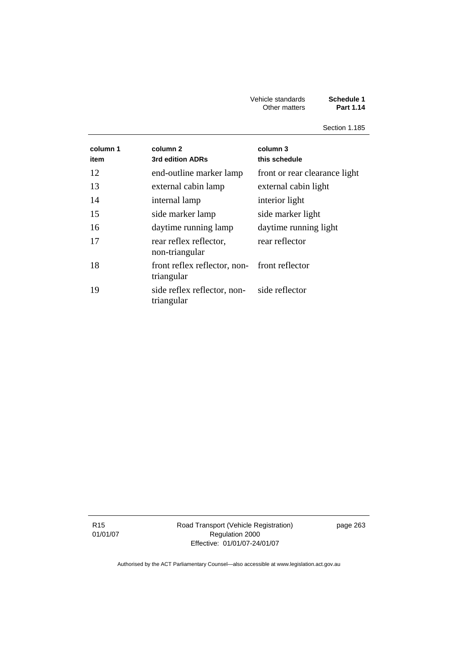#### Vehicle standards **Schedule 1**  Other matters **Part 1.14**

Section 1.185

| column 1<br>item | column 2<br>3rd edition ADRs                                  | column 3<br>this schedule     |
|------------------|---------------------------------------------------------------|-------------------------------|
| 12               | end-outline marker lamp                                       | front or rear clearance light |
| 13               | external cabin lamp                                           | external cabin light          |
| 14               | internal lamp                                                 | interior light                |
| 15               | side marker lamp                                              | side marker light             |
| 16               | daytime running lamp                                          | daytime running light         |
| 17               | rear reflex reflector,<br>non-triangular                      | rear reflector                |
| 18               | front reflex reflector, non-<br>front reflector<br>triangular |                               |
| 19               | side reflex reflector, non-<br>triangular                     | side reflector                |

R15 01/01/07 Road Transport (Vehicle Registration) Regulation 2000 Effective: 01/01/07-24/01/07

page 263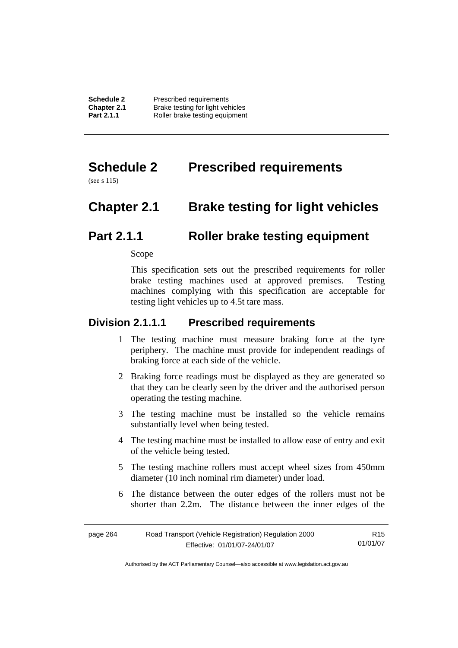# **Schedule 2 Prescribed requirements**

(see s 115)

# **Chapter 2.1 Brake testing for light vehicles**

## **Part 2.1.1 Roller brake testing equipment**

Scope

This specification sets out the prescribed requirements for roller brake testing machines used at approved premises. Testing machines complying with this specification are acceptable for testing light vehicles up to 4.5t tare mass.

## **Division 2.1.1.1 Prescribed requirements**

- 1 The testing machine must measure braking force at the tyre periphery. The machine must provide for independent readings of braking force at each side of the vehicle.
- 2 Braking force readings must be displayed as they are generated so that they can be clearly seen by the driver and the authorised person operating the testing machine.
- 3 The testing machine must be installed so the vehicle remains substantially level when being tested.
- 4 The testing machine must be installed to allow ease of entry and exit of the vehicle being tested.
- 5 The testing machine rollers must accept wheel sizes from 450mm diameter (10 inch nominal rim diameter) under load.
- 6 The distance between the outer edges of the rollers must not be shorter than 2.2m. The distance between the inner edges of the

| page 264 | Road Transport (Vehicle Registration) Regulation 2000 | R15      |
|----------|-------------------------------------------------------|----------|
|          | Effective: 01/01/07-24/01/07                          | 01/01/07 |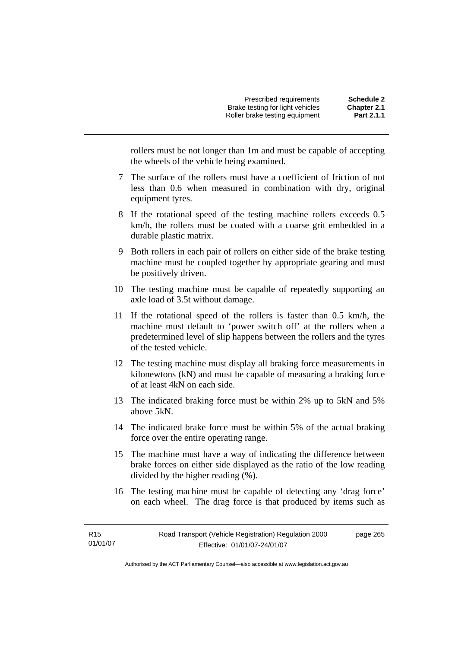rollers must be not longer than 1m and must be capable of accepting the wheels of the vehicle being examined.

- 7 The surface of the rollers must have a coefficient of friction of not less than 0.6 when measured in combination with dry, original equipment tyres.
- 8 If the rotational speed of the testing machine rollers exceeds 0.5 km/h, the rollers must be coated with a coarse grit embedded in a durable plastic matrix.
- 9 Both rollers in each pair of rollers on either side of the brake testing machine must be coupled together by appropriate gearing and must be positively driven.
- 10 The testing machine must be capable of repeatedly supporting an axle load of 3.5t without damage.
- 11 If the rotational speed of the rollers is faster than 0.5 km/h, the machine must default to 'power switch off' at the rollers when a predetermined level of slip happens between the rollers and the tyres of the tested vehicle.
- 12 The testing machine must display all braking force measurements in kilonewtons (kN) and must be capable of measuring a braking force of at least 4kN on each side.
- 13 The indicated braking force must be within 2% up to 5kN and 5% above 5kN.
- 14 The indicated brake force must be within 5% of the actual braking force over the entire operating range.
- 15 The machine must have a way of indicating the difference between brake forces on either side displayed as the ratio of the low reading divided by the higher reading (%).
- 16 The testing machine must be capable of detecting any 'drag force' on each wheel. The drag force is that produced by items such as

page 265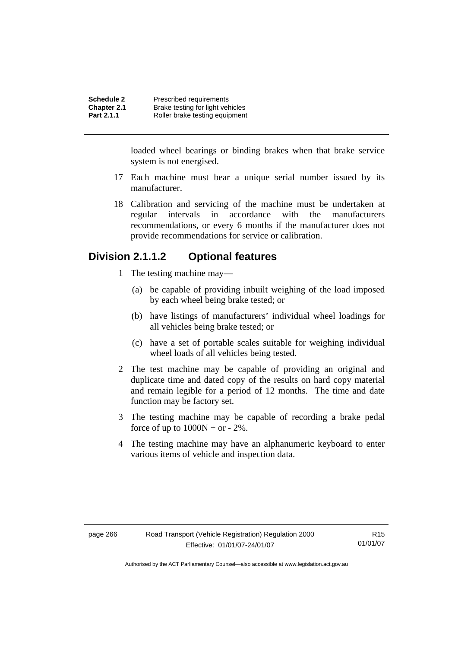loaded wheel bearings or binding brakes when that brake service system is not energised.

- 17 Each machine must bear a unique serial number issued by its manufacturer.
- 18 Calibration and servicing of the machine must be undertaken at regular intervals in accordance with the manufacturers recommendations, or every 6 months if the manufacturer does not provide recommendations for service or calibration.

## **Division 2.1.1.2 Optional features**

- 1 The testing machine may—
	- (a) be capable of providing inbuilt weighing of the load imposed by each wheel being brake tested; or
	- (b) have listings of manufacturers' individual wheel loadings for all vehicles being brake tested; or
	- (c) have a set of portable scales suitable for weighing individual wheel loads of all vehicles being tested.
- 2 The test machine may be capable of providing an original and duplicate time and dated copy of the results on hard copy material and remain legible for a period of 12 months. The time and date function may be factory set.
- 3 The testing machine may be capable of recording a brake pedal force of up to  $1000N + or - 2\%$ .
- 4 The testing machine may have an alphanumeric keyboard to enter various items of vehicle and inspection data.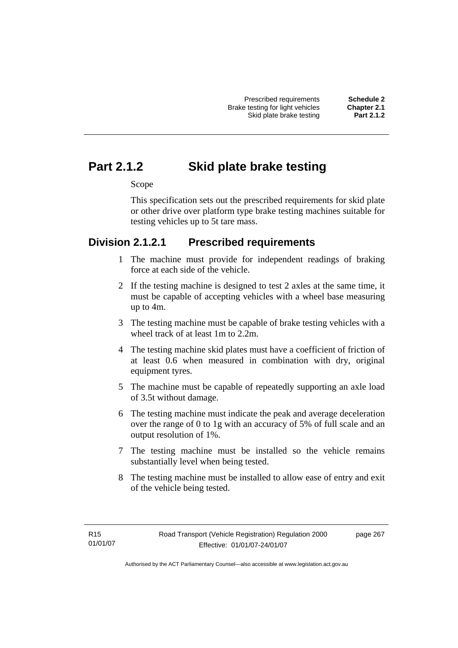# **Part 2.1.2 Skid plate brake testing**

#### Scope

This specification sets out the prescribed requirements for skid plate or other drive over platform type brake testing machines suitable for testing vehicles up to 5t tare mass.

## **Division 2.1.2.1 Prescribed requirements**

- 1 The machine must provide for independent readings of braking force at each side of the vehicle.
- 2 If the testing machine is designed to test 2 axles at the same time, it must be capable of accepting vehicles with a wheel base measuring up to 4m.
- 3 The testing machine must be capable of brake testing vehicles with a wheel track of at least 1m to 2.2m.
- 4 The testing machine skid plates must have a coefficient of friction of at least 0.6 when measured in combination with dry, original equipment tyres.
- 5 The machine must be capable of repeatedly supporting an axle load of 3.5t without damage.
- 6 The testing machine must indicate the peak and average deceleration over the range of 0 to 1g with an accuracy of 5% of full scale and an output resolution of 1%.
- 7 The testing machine must be installed so the vehicle remains substantially level when being tested.
- 8 The testing machine must be installed to allow ease of entry and exit of the vehicle being tested.

page 267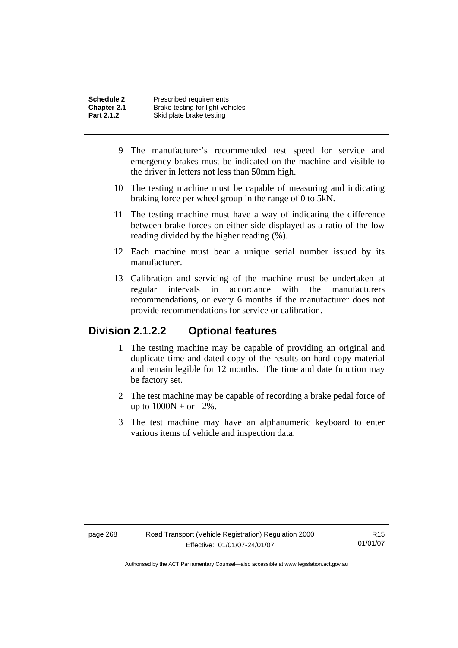- 9 The manufacturer's recommended test speed for service and emergency brakes must be indicated on the machine and visible to the driver in letters not less than 50mm high.
- 10 The testing machine must be capable of measuring and indicating braking force per wheel group in the range of 0 to 5kN.
- 11 The testing machine must have a way of indicating the difference between brake forces on either side displayed as a ratio of the low reading divided by the higher reading (%).
- 12 Each machine must bear a unique serial number issued by its manufacturer.
- 13 Calibration and servicing of the machine must be undertaken at regular intervals in accordance with the manufacturers recommendations, or every 6 months if the manufacturer does not provide recommendations for service or calibration.

## **Division 2.1.2.2 Optional features**

- 1 The testing machine may be capable of providing an original and duplicate time and dated copy of the results on hard copy material and remain legible for 12 months. The time and date function may be factory set.
- 2 The test machine may be capable of recording a brake pedal force of up to  $1000N + or - 2\%$ .
- 3 The test machine may have an alphanumeric keyboard to enter various items of vehicle and inspection data.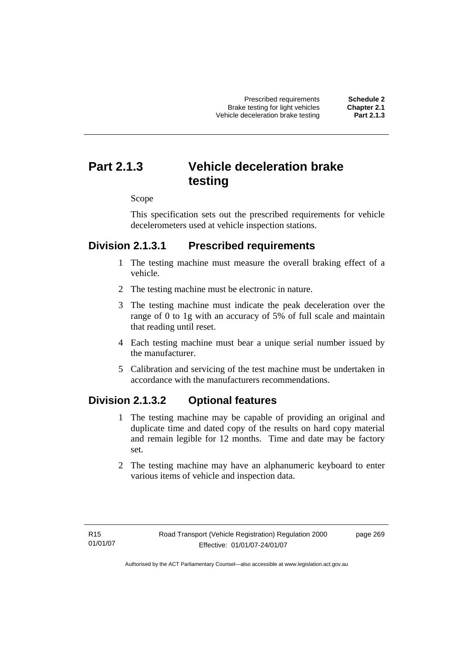Prescribed requirements **Schedule 2**  Brake testing for light vehicles **Chapter 2.1**  Vehicle deceleration brake testing

# **Part 2.1.3 Vehicle deceleration brake testing**

Scope

This specification sets out the prescribed requirements for vehicle decelerometers used at vehicle inspection stations.

# **Division 2.1.3.1 Prescribed requirements**

- 1 The testing machine must measure the overall braking effect of a vehicle.
- 2 The testing machine must be electronic in nature.
- 3 The testing machine must indicate the peak deceleration over the range of 0 to 1g with an accuracy of 5% of full scale and maintain that reading until reset.
- 4 Each testing machine must bear a unique serial number issued by the manufacturer.
- 5 Calibration and servicing of the test machine must be undertaken in accordance with the manufacturers recommendations.

# **Division 2.1.3.2 Optional features**

- 1 The testing machine may be capable of providing an original and duplicate time and dated copy of the results on hard copy material and remain legible for 12 months. Time and date may be factory set.
- 2 The testing machine may have an alphanumeric keyboard to enter various items of vehicle and inspection data.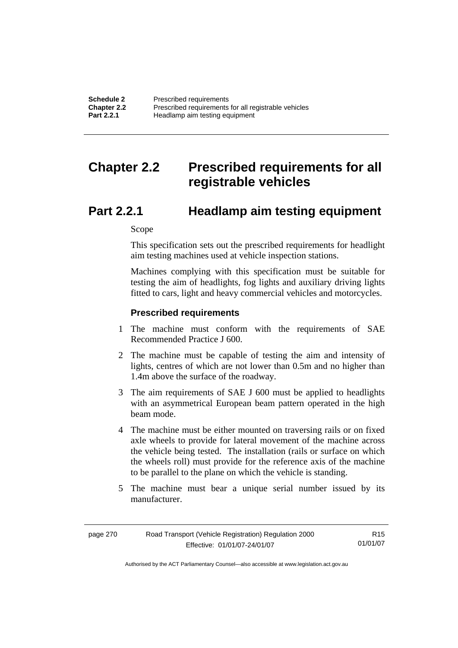| <b>Schedule 2</b> | Prescribed requirements                              |
|-------------------|------------------------------------------------------|
| Chapter 2.2       | Prescribed requirements for all registrable vehicles |
| <b>Part 2.2.1</b> | Headlamp aim testing equipment                       |

# **Chapter 2.2 Prescribed requirements for all registrable vehicles**

# **Part 2.2.1 Headlamp aim testing equipment**

Scope

This specification sets out the prescribed requirements for headlight aim testing machines used at vehicle inspection stations.

Machines complying with this specification must be suitable for testing the aim of headlights, fog lights and auxiliary driving lights fitted to cars, light and heavy commercial vehicles and motorcycles.

### **Prescribed requirements**

- 1 The machine must conform with the requirements of SAE Recommended Practice J 600.
- 2 The machine must be capable of testing the aim and intensity of lights, centres of which are not lower than 0.5m and no higher than 1.4m above the surface of the roadway.
- 3 The aim requirements of SAE J 600 must be applied to headlights with an asymmetrical European beam pattern operated in the high beam mode.
- 4 The machine must be either mounted on traversing rails or on fixed axle wheels to provide for lateral movement of the machine across the vehicle being tested. The installation (rails or surface on which the wheels roll) must provide for the reference axis of the machine to be parallel to the plane on which the vehicle is standing.
- 5 The machine must bear a unique serial number issued by its manufacturer.

| page 270 | Road Transport (Vehicle Registration) Regulation 2000 | R <sub>15</sub> |
|----------|-------------------------------------------------------|-----------------|
|          | Effective: 01/01/07-24/01/07                          | 01/01/07        |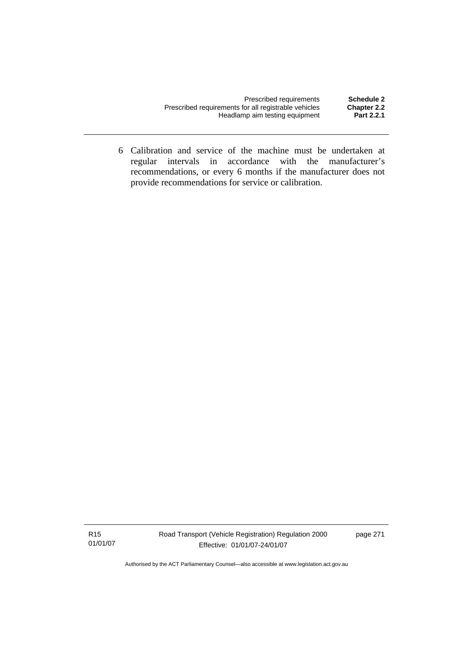| Prescribed requirements                              | Schedule 2         |
|------------------------------------------------------|--------------------|
| Prescribed requirements for all registrable vehicles | <b>Chapter 2.2</b> |
| Headlamp aim testing equipment                       | Part 2.2.1         |

 6 Calibration and service of the machine must be undertaken at regular intervals in accordance with the manufacturer's recommendations, or every 6 months if the manufacturer does not provide recommendations for service or calibration.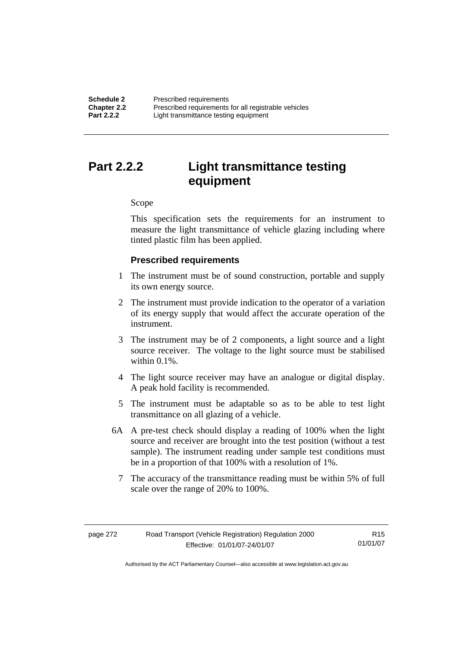**Schedule 2 Prescribed requirements**<br> **Chapter 2.2 Prescribed requirements Chapter 2.2** Prescribed requirements for all registrable vehicles<br>**Part 2.2.2** Light transmittance testing equipment Light transmittance testing equipment

# **Part 2.2.2 Light transmittance testing equipment**

#### Scope

This specification sets the requirements for an instrument to measure the light transmittance of vehicle glazing including where tinted plastic film has been applied.

## **Prescribed requirements**

- 1 The instrument must be of sound construction, portable and supply its own energy source.
- 2 The instrument must provide indication to the operator of a variation of its energy supply that would affect the accurate operation of the instrument.
- 3 The instrument may be of 2 components, a light source and a light source receiver. The voltage to the light source must be stabilised within 0.1%
- 4 The light source receiver may have an analogue or digital display. A peak hold facility is recommended.
- 5 The instrument must be adaptable so as to be able to test light transmittance on all glazing of a vehicle.
- 6A A pre-test check should display a reading of 100% when the light source and receiver are brought into the test position (without a test sample). The instrument reading under sample test conditions must be in a proportion of that 100% with a resolution of 1%.
	- 7 The accuracy of the transmittance reading must be within 5% of full scale over the range of 20% to 100%.

| page 272 | Road Transport (Vehicle Registration) Regulation 2000 | R <sub>15</sub> |
|----------|-------------------------------------------------------|-----------------|
|          | Effective: 01/01/07-24/01/07                          | 01/01/07        |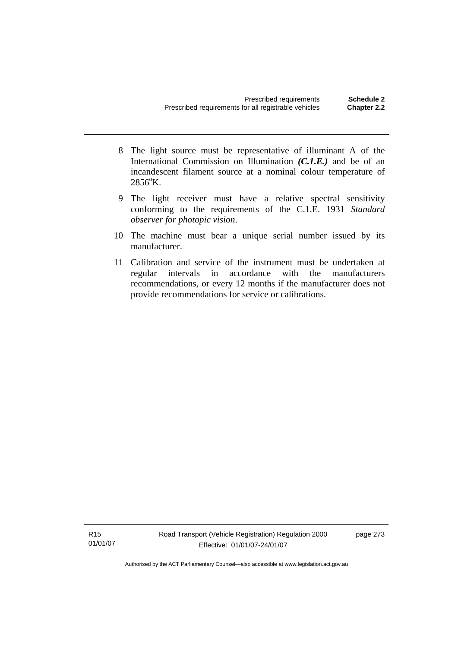- 8 The light source must be representative of illuminant A of the International Commission on Illumination *(C.1.E.)* and be of an incandescent filament source at a nominal colour temperature of  $2856^{\circ}$ K.
- 9 The light receiver must have a relative spectral sensitivity conforming to the requirements of the C.1.E. 1931 *Standard observer for photopic vision*.
- 10 The machine must bear a unique serial number issued by its manufacturer.
- 11 Calibration and service of the instrument must be undertaken at regular intervals in accordance with the manufacturers recommendations, or every 12 months if the manufacturer does not provide recommendations for service or calibrations.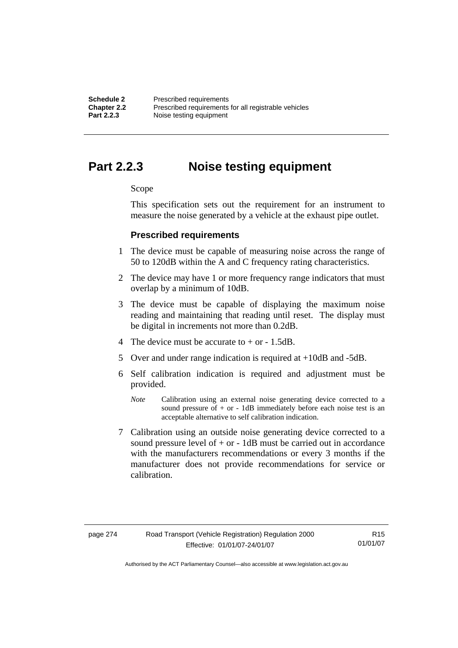**Schedule 2 Prescribed requirements**<br> **Chapter 2.2 Prescribed requirements Chapter 2.2** Prescribed requirements for all registrable vehicles<br>**Part 2.2.3** Noise testing equipment **Part 2.2.3** Noise testing equipment

# **Part 2.2.3 Noise testing equipment**

### Scope

This specification sets out the requirement for an instrument to measure the noise generated by a vehicle at the exhaust pipe outlet.

## **Prescribed requirements**

- 1 The device must be capable of measuring noise across the range of 50 to 120dB within the A and C frequency rating characteristics.
- 2 The device may have 1 or more frequency range indicators that must overlap by a minimum of 10dB.
- 3 The device must be capable of displaying the maximum noise reading and maintaining that reading until reset. The display must be digital in increments not more than 0.2dB.
- 4 The device must be accurate to  $+$  or  $-$  1.5dB.
- 5 Over and under range indication is required at +10dB and -5dB.
- 6 Self calibration indication is required and adjustment must be provided.
	- *Note* Calibration using an external noise generating device corrected to a sound pressure of  $+$  or  $-$  1dB immediately before each noise test is an acceptable alternative to self calibration indication.
- 7 Calibration using an outside noise generating device corrected to a sound pressure level of  $+$  or  $-$  1dB must be carried out in accordance with the manufacturers recommendations or every 3 months if the manufacturer does not provide recommendations for service or calibration.

R15 01/01/07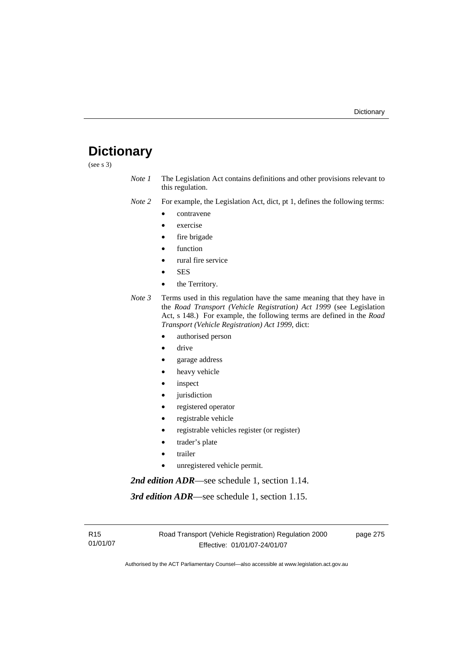# **Dictionary**

(see s 3)

*Note 1* The Legislation Act contains definitions and other provisions relevant to this regulation.

*Note 2* For example, the Legislation Act, dict, pt 1, defines the following terms:

- contravene
- exercise
- fire brigade
- function
- rural fire service
- **SES**
- the Territory.
- *Note 3* Terms used in this regulation have the same meaning that they have in the *Road Transport (Vehicle Registration) Act 1999* (see Legislation Act, s 148.) For example, the following terms are defined in the *Road Transport (Vehicle Registration) Act 1999*, dict:
	- authorised person
	- drive
	- garage address
	- heavy vehicle
	- inspect
	- jurisdiction
	- registered operator
	- registrable vehicle
	- registrable vehicles register (or register)
	- trader's plate
	- **trailer**
	- unregistered vehicle permit.

*2nd edition ADR*—see schedule 1, section 1.14.

*3rd edition ADR*—see schedule 1, section 1.15.

R15 01/01/07 page 275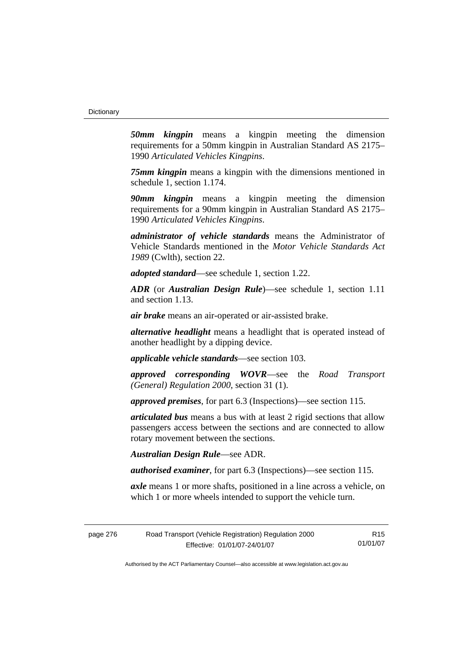*50mm kingpin* means a kingpin meeting the dimension requirements for a 50mm kingpin in Australian Standard AS 2175– 1990 *Articulated Vehicles Kingpins*.

*75mm kingpin* means a kingpin with the dimensions mentioned in schedule 1, section 1.174.

*90mm kingpin* means a kingpin meeting the dimension requirements for a 90mm kingpin in Australian Standard AS 2175– 1990 *Articulated Vehicles Kingpins*.

*administrator of vehicle standards* means the Administrator of Vehicle Standards mentioned in the *Motor Vehicle Standards Act 1989* (Cwlth), section 22.

*adopted standard*—see schedule 1, section 1.22.

*ADR* (or *Australian Design Rule*)—see schedule 1, section 1.11 and section 1.13.

*air brake* means an air-operated or air-assisted brake.

*alternative headlight* means a headlight that is operated instead of another headlight by a dipping device.

*applicable vehicle standards*—see section 103.

*approved corresponding WOVR*—see the *Road Transport (General) Regulation 2000*, section 31 (1).

*approved premises*, for part 6.3 (Inspections)—see section 115.

*articulated bus* means a bus with at least 2 rigid sections that allow passengers access between the sections and are connected to allow rotary movement between the sections.

*Australian Design Rule*—see ADR.

*authorised examiner*, for part 6.3 (Inspections)—see section 115.

*axle* means 1 or more shafts, positioned in a line across a vehicle, on which 1 or more wheels intended to support the vehicle turn.

| page 276 | Road Transport (Vehicle Registration) Regulation 2000 | R <sub>15</sub> |
|----------|-------------------------------------------------------|-----------------|
|          | Effective: 01/01/07-24/01/07                          | 01/01/07        |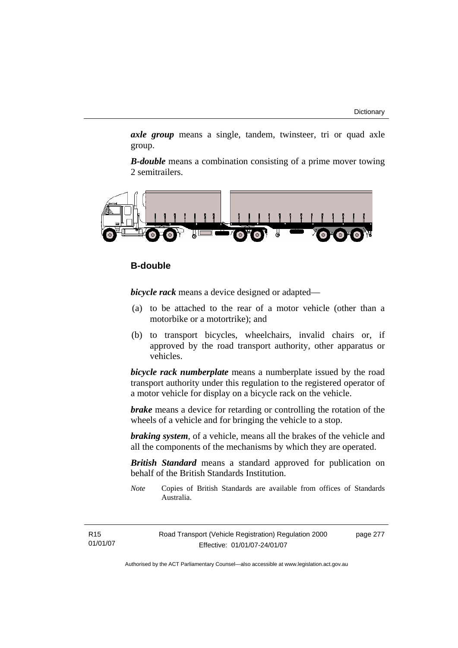*axle group* means a single, tandem, twinsteer, tri or quad axle group.

*B-double* means a combination consisting of a prime mover towing 2 semitrailers.



# **B-double**

*bicycle rack* means a device designed or adapted—

- (a) to be attached to the rear of a motor vehicle (other than a motorbike or a motortrike); and
- (b) to transport bicycles, wheelchairs, invalid chairs or, if approved by the road transport authority, other apparatus or vehicles.

*bicycle rack numberplate* means a numberplate issued by the road transport authority under this regulation to the registered operator of a motor vehicle for display on a bicycle rack on the vehicle.

*brake* means a device for retarding or controlling the rotation of the wheels of a vehicle and for bringing the vehicle to a stop.

*braking system*, of a vehicle, means all the brakes of the vehicle and all the components of the mechanisms by which they are operated.

*British Standard* means a standard approved for publication on behalf of the British Standards Institution.

*Note* Copies of British Standards are available from offices of Standards Australia.

R15 01/01/07 page 277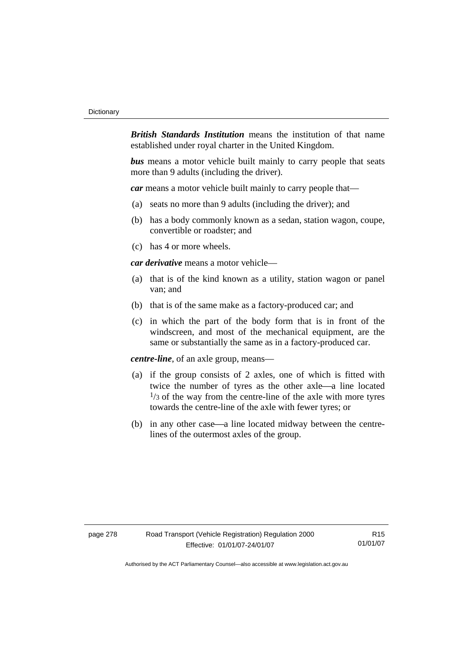*British Standards Institution* means the institution of that name established under royal charter in the United Kingdom.

*bus* means a motor vehicle built mainly to carry people that seats more than 9 adults (including the driver).

*car* means a motor vehicle built mainly to carry people that—

- (a) seats no more than 9 adults (including the driver); and
- (b) has a body commonly known as a sedan, station wagon, coupe, convertible or roadster; and
- (c) has 4 or more wheels.

*car derivative* means a motor vehicle—

- (a) that is of the kind known as a utility, station wagon or panel van; and
- (b) that is of the same make as a factory-produced car; and
- (c) in which the part of the body form that is in front of the windscreen, and most of the mechanical equipment, are the same or substantially the same as in a factory-produced car.

*centre-line*, of an axle group, means—

- (a) if the group consists of 2 axles, one of which is fitted with twice the number of tyres as the other axle—a line located  $\frac{1}{3}$  of the way from the centre-line of the axle with more tyres towards the centre-line of the axle with fewer tyres; or
- (b) in any other case—a line located midway between the centrelines of the outermost axles of the group.

R15 01/01/07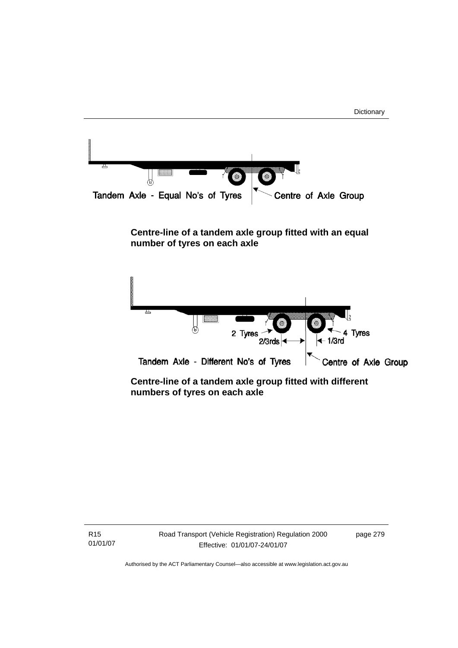

# **Centre-line of a tandem axle group fitted with an equal number of tyres on each axle**



 **Centre-line of a tandem axle group fitted with different numbers of tyres on each axle** 

R15 01/01/07 Road Transport (Vehicle Registration) Regulation 2000 Effective: 01/01/07-24/01/07

page 279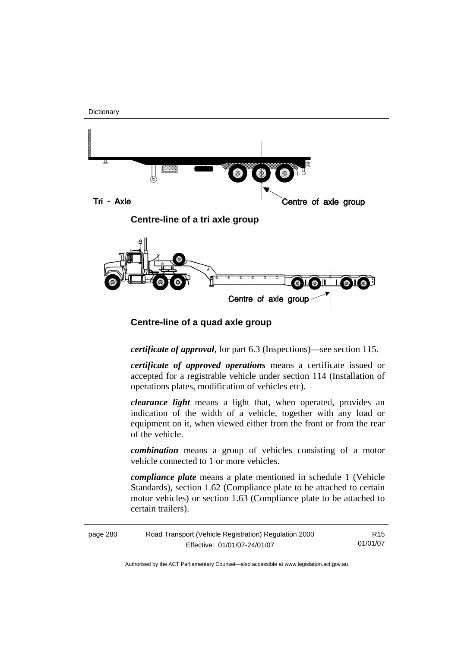

 **Centre-line of a quad axle group** 

*certificate of approval*, for part 6.3 (Inspections)—see section 115.

*certificate of approved operations* means a certificate issued or accepted for a registrable vehicle under section 114 (Installation of operations plates, modification of vehicles etc).

*clearance light* means a light that, when operated, provides an indication of the width of a vehicle, together with any load or equipment on it, when viewed either from the front or from the rear of the vehicle.

*combination* means a group of vehicles consisting of a motor vehicle connected to 1 or more vehicles.

*compliance plate* means a plate mentioned in schedule 1 (Vehicle Standards), section 1.62 (Compliance plate to be attached to certain motor vehicles) or section 1.63 (Compliance plate to be attached to certain trailers).

| page 280 | Road Transport (Vehicle Registration) Regulation 2000 | R15.     |
|----------|-------------------------------------------------------|----------|
|          | Effective: 01/01/07-24/01/07                          | 01/01/07 |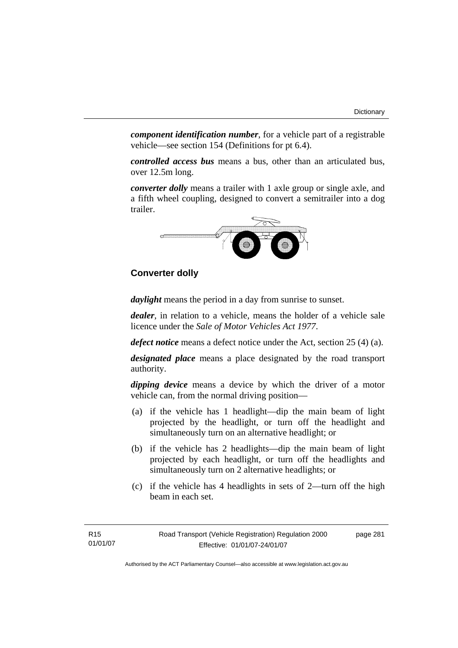*component identification number*, for a vehicle part of a registrable vehicle—see section 154 (Definitions for pt 6.4).

*controlled access bus* means a bus, other than an articulated bus, over 12.5m long.

*converter dolly* means a trailer with 1 axle group or single axle, and a fifth wheel coupling, designed to convert a semitrailer into a dog trailer.



# **Converter dolly**

*daylight* means the period in a day from sunrise to sunset.

*dealer*, in relation to a vehicle, means the holder of a vehicle sale licence under the *Sale of Motor Vehicles Act 1977*.

*defect notice* means a defect notice under the Act, section 25 (4) (a).

*designated place* means a place designated by the road transport authority.

*dipping device* means a device by which the driver of a motor vehicle can, from the normal driving position—

- (a) if the vehicle has 1 headlight—dip the main beam of light projected by the headlight, or turn off the headlight and simultaneously turn on an alternative headlight; or
- (b) if the vehicle has 2 headlights—dip the main beam of light projected by each headlight, or turn off the headlights and simultaneously turn on 2 alternative headlights; or
- (c) if the vehicle has 4 headlights in sets of 2—turn off the high beam in each set.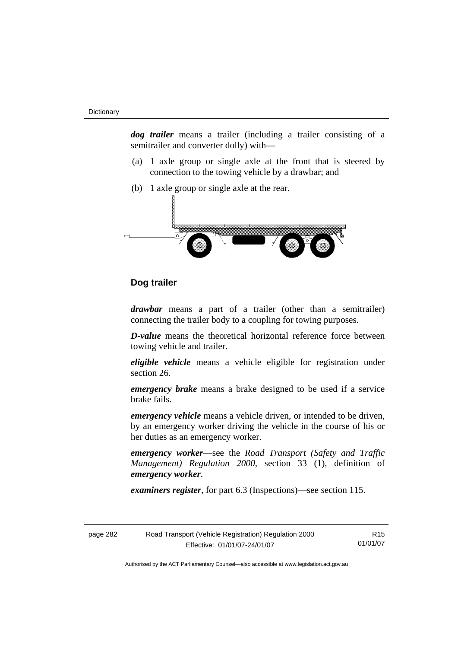*dog trailer* means a trailer (including a trailer consisting of a semitrailer and converter dolly) with—

- (a) 1 axle group or single axle at the front that is steered by connection to the towing vehicle by a drawbar; and
- (b) 1 axle group or single axle at the rear.



# **Dog trailer**

*drawbar* means a part of a trailer (other than a semitrailer) connecting the trailer body to a coupling for towing purposes.

*D-value* means the theoretical horizontal reference force between towing vehicle and trailer.

*eligible vehicle* means a vehicle eligible for registration under section 26.

*emergency brake* means a brake designed to be used if a service brake fails.

*emergency vehicle* means a vehicle driven, or intended to be driven, by an emergency worker driving the vehicle in the course of his or her duties as an emergency worker.

*emergency worker*—see the *Road Transport (Safety and Traffic Management) Regulation 2000*, section 33 (1), definition of *emergency worker*.

*examiners register*, for part 6.3 (Inspections)—see section 115.

| page 282 | Road Transport (Vehicle Registration) Regulation 2000 | R <sub>15</sub> |
|----------|-------------------------------------------------------|-----------------|
|          | Effective: 01/01/07-24/01/07                          | 01/01/07        |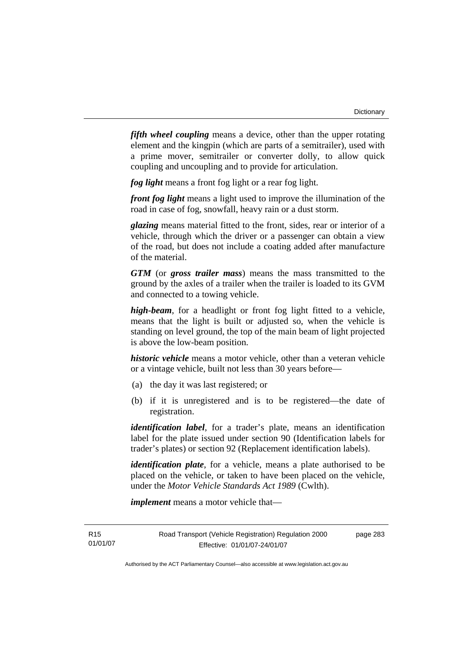*fifth wheel coupling* means a device, other than the upper rotating element and the kingpin (which are parts of a semitrailer), used with a prime mover, semitrailer or converter dolly, to allow quick coupling and uncoupling and to provide for articulation.

*fog light* means a front fog light or a rear fog light.

*front fog light* means a light used to improve the illumination of the road in case of fog, snowfall, heavy rain or a dust storm.

*glazing* means material fitted to the front, sides, rear or interior of a vehicle, through which the driver or a passenger can obtain a view of the road, but does not include a coating added after manufacture of the material.

*GTM* (or *gross trailer mass*) means the mass transmitted to the ground by the axles of a trailer when the trailer is loaded to its GVM and connected to a towing vehicle.

*high-beam*, for a headlight or front fog light fitted to a vehicle, means that the light is built or adjusted so, when the vehicle is standing on level ground, the top of the main beam of light projected is above the low-beam position.

*historic vehicle* means a motor vehicle, other than a veteran vehicle or a vintage vehicle, built not less than 30 years before—

- (a) the day it was last registered; or
- (b) if it is unregistered and is to be registered—the date of registration.

*identification label*, for a trader's plate, means an identification label for the plate issued under section 90 (Identification labels for trader's plates) or section 92 (Replacement identification labels).

*identification plate*, for a vehicle, means a plate authorised to be placed on the vehicle, or taken to have been placed on the vehicle, under the *Motor Vehicle Standards Act 1989* (Cwlth).

*implement* means a motor vehicle that—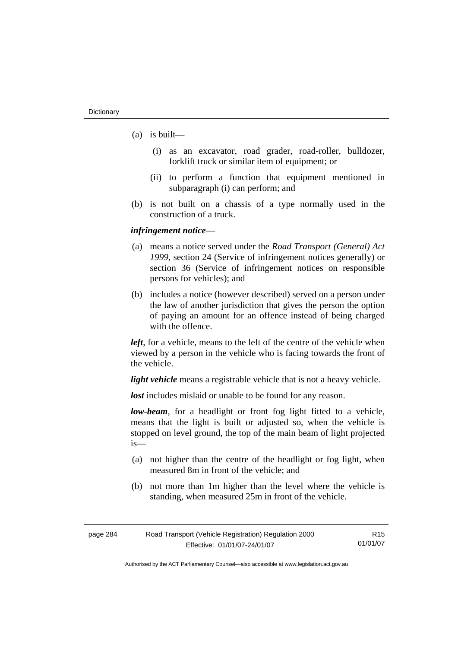- (a) is built—
	- (i) as an excavator, road grader, road-roller, bulldozer, forklift truck or similar item of equipment; or
	- (ii) to perform a function that equipment mentioned in subparagraph (i) can perform; and
- (b) is not built on a chassis of a type normally used in the construction of a truck.

#### *infringement notice*—

- (a) means a notice served under the *Road Transport (General) Act 1999*, section 24 (Service of infringement notices generally) or section 36 (Service of infringement notices on responsible persons for vehicles); and
- (b) includes a notice (however described) served on a person under the law of another jurisdiction that gives the person the option of paying an amount for an offence instead of being charged with the offence.

*left*, for a vehicle, means to the left of the centre of the vehicle when viewed by a person in the vehicle who is facing towards the front of the vehicle.

*light vehicle* means a registrable vehicle that is not a heavy vehicle.

*lost* includes mislaid or unable to be found for any reason.

*low-beam*, for a headlight or front fog light fitted to a vehicle, means that the light is built or adjusted so, when the vehicle is stopped on level ground, the top of the main beam of light projected is—

- (a) not higher than the centre of the headlight or fog light, when measured 8m in front of the vehicle; and
- (b) not more than 1m higher than the level where the vehicle is standing, when measured 25m in front of the vehicle.

| page 284 | Road Transport (Vehicle Registration) Regulation 2000 | R <sub>15</sub> |
|----------|-------------------------------------------------------|-----------------|
|          | Effective: 01/01/07-24/01/07                          | 01/01/07        |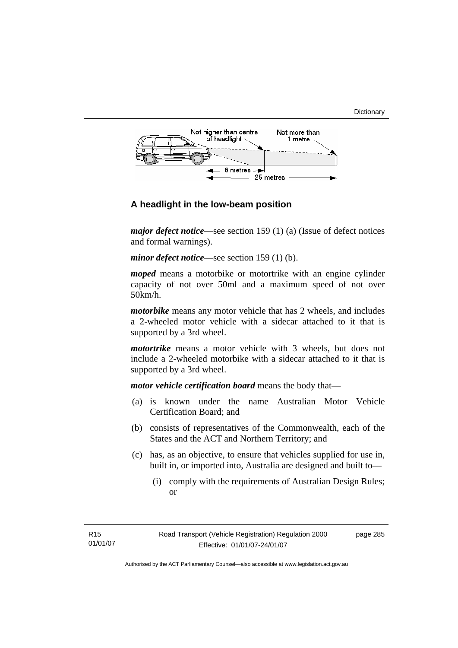



# **A headlight in the low-beam position**

*major defect notice*—see section 159 (1) (a) (Issue of defect notices and formal warnings).

*minor defect notice*—see section 159 (1) (b).

*moped* means a motorbike or motortrike with an engine cylinder capacity of not over 50ml and a maximum speed of not over 50km/h.

*motorbike* means any motor vehicle that has 2 wheels, and includes a 2-wheeled motor vehicle with a sidecar attached to it that is supported by a 3rd wheel.

*motortrike* means a motor vehicle with 3 wheels, but does not include a 2-wheeled motorbike with a sidecar attached to it that is supported by a 3rd wheel.

*motor vehicle certification board* means the body that—

- (a) is known under the name Australian Motor Vehicle Certification Board; and
- (b) consists of representatives of the Commonwealth, each of the States and the ACT and Northern Territory; and
- (c) has, as an objective, to ensure that vehicles supplied for use in, built in, or imported into, Australia are designed and built to—
	- (i) comply with the requirements of Australian Design Rules; or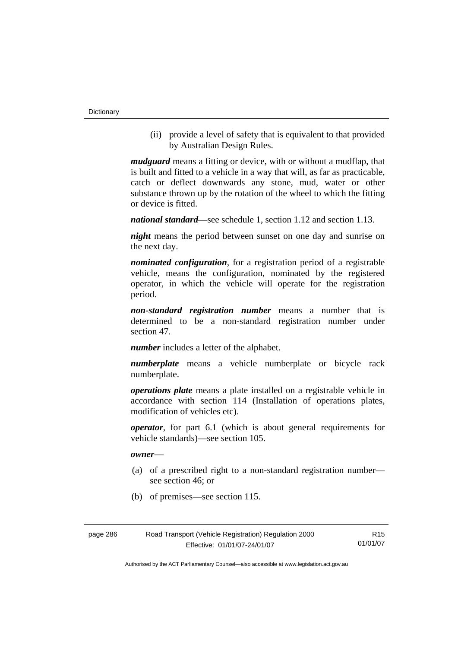**Dictionary** 

 (ii) provide a level of safety that is equivalent to that provided by Australian Design Rules.

*mudguard* means a fitting or device, with or without a mudflap, that is built and fitted to a vehicle in a way that will, as far as practicable, catch or deflect downwards any stone, mud, water or other substance thrown up by the rotation of the wheel to which the fitting or device is fitted.

*national standard*—see schedule 1, section 1.12 and section 1.13.

*night* means the period between sunset on one day and sunrise on the next day.

*nominated configuration*, for a registration period of a registrable vehicle, means the configuration, nominated by the registered operator, in which the vehicle will operate for the registration period.

*non-standard registration number* means a number that is determined to be a non-standard registration number under section 47.

*number* includes a letter of the alphabet.

*numberplate* means a vehicle numberplate or bicycle rack numberplate.

*operations plate* means a plate installed on a registrable vehicle in accordance with section 114 (Installation of operations plates, modification of vehicles etc).

*operator*, for part 6.1 (which is about general requirements for vehicle standards)—see section 105.

*owner*—

- (a) of a prescribed right to a non-standard registration number see section 46; or
- (b) of premises—see section 115.

| page 286 | Road Transport (Vehicle Registration) Regulation 2000 | R15      |
|----------|-------------------------------------------------------|----------|
|          | Effective: 01/01/07-24/01/07                          | 01/01/07 |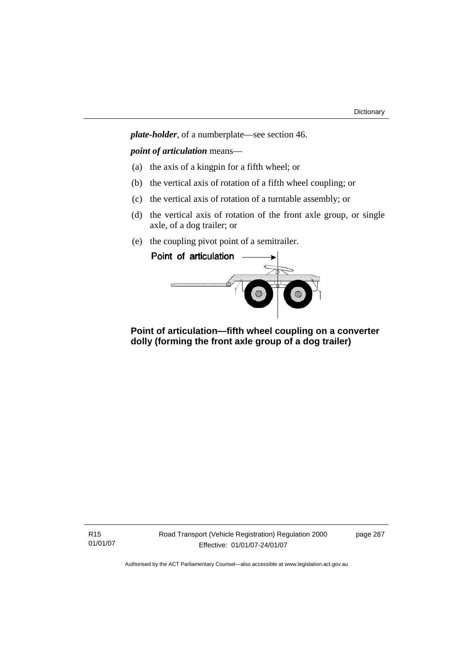*plate-holder*, of a numberplate—see section 46.

*point of articulation* means—

- (a) the axis of a kingpin for a fifth wheel; or
- (b) the vertical axis of rotation of a fifth wheel coupling; or
- (c) the vertical axis of rotation of a turntable assembly; or
- (d) the vertical axis of rotation of the front axle group, or single axle, of a dog trailer; or
- (e) the coupling pivot point of a semitrailer.



 **Point of articulation—fifth wheel coupling on a converter dolly (forming the front axle group of a dog trailer)**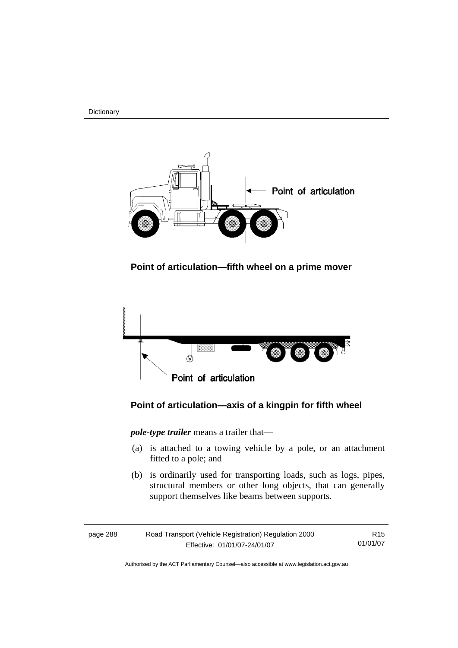**Dictionary** 



 **Point of articulation—fifth wheel on a prime mover** 



# **Point of articulation—axis of a kingpin for fifth wheel**

*pole-type trailer* means a trailer that—

- (a) is attached to a towing vehicle by a pole, or an attachment fitted to a pole; and
- (b) is ordinarily used for transporting loads, such as logs, pipes, structural members or other long objects, that can generally support themselves like beams between supports.

| page 288 | Road Transport (Vehicle Registration) Regulation 2000 | R <sub>15</sub> |
|----------|-------------------------------------------------------|-----------------|
|          | Effective: 01/01/07-24/01/07                          | 01/01/07        |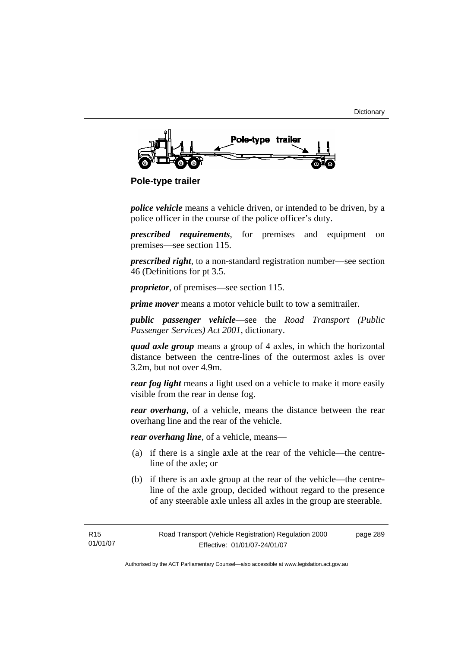

 **Pole-type trailer** 

*police vehicle* means a vehicle driven, or intended to be driven, by a police officer in the course of the police officer's duty.

*prescribed requirements*, for premises and equipment on premises—see section 115.

*prescribed right*, to a non-standard registration number—see section 46 (Definitions for pt 3.5.

*proprietor*, of premises—see section 115.

*prime mover* means a motor vehicle built to tow a semitrailer.

*public passenger vehicle*—see the *Road Transport (Public Passenger Services) Act 2001*, dictionary.

*quad axle group* means a group of 4 axles, in which the horizontal distance between the centre-lines of the outermost axles is over 3.2m, but not over 4.9m.

*rear fog light* means a light used on a vehicle to make it more easily visible from the rear in dense fog.

*rear overhang*, of a vehicle, means the distance between the rear overhang line and the rear of the vehicle.

*rear overhang line*, of a vehicle, means—

- (a) if there is a single axle at the rear of the vehicle—the centreline of the axle; or
- (b) if there is an axle group at the rear of the vehicle—the centreline of the axle group, decided without regard to the presence of any steerable axle unless all axles in the group are steerable.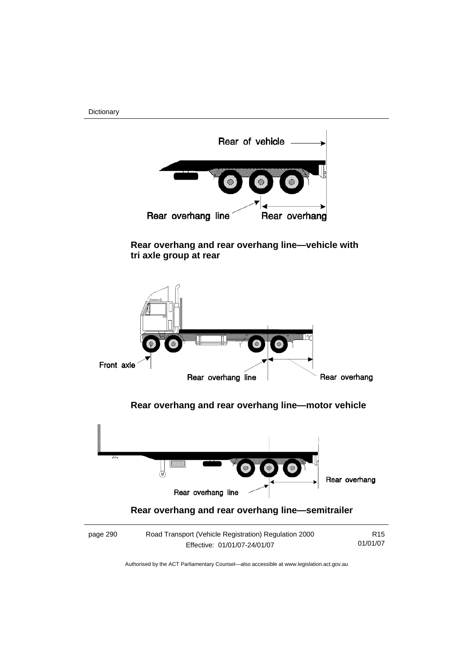Dictionary



 **Rear overhang and rear overhang line—vehicle with tri axle group at rear** 



# **Rear overhang and rear overhang line—semitrailer**

| page 290 | Road Transport (Vehicle Registration) Regulation 2000 | R <sub>15</sub> |
|----------|-------------------------------------------------------|-----------------|
|          | Effective: 01/01/07-24/01/07                          | 01/01/07        |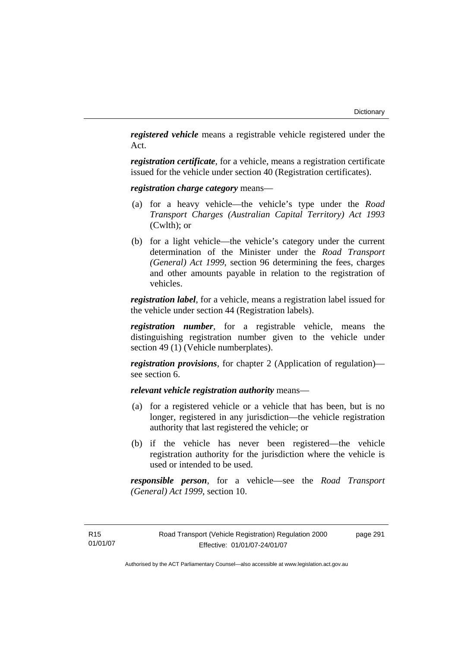*registered vehicle* means a registrable vehicle registered under the Act.

*registration certificate*, for a vehicle, means a registration certificate issued for the vehicle under section 40 (Registration certificates).

*registration charge category* means—

- (a) for a heavy vehicle—the vehicle's type under the *Road Transport Charges (Australian Capital Territory) Act 1993*  (Cwlth); or
- (b) for a light vehicle—the vehicle's category under the current determination of the Minister under the *Road Transport (General) Act 1999*, section 96 determining the fees, charges and other amounts payable in relation to the registration of vehicles.

*registration label*, for a vehicle, means a registration label issued for the vehicle under section 44 (Registration labels).

*registration number*, for a registrable vehicle, means the distinguishing registration number given to the vehicle under section 49 (1) (Vehicle numberplates).

*registration provisions*, for chapter 2 (Application of regulation) see section 6.

*relevant vehicle registration authority* means—

- (a) for a registered vehicle or a vehicle that has been, but is no longer, registered in any jurisdiction—the vehicle registration authority that last registered the vehicle; or
- (b) if the vehicle has never been registered—the vehicle registration authority for the jurisdiction where the vehicle is used or intended to be used.

*responsible person*, for a vehicle—see the *Road Transport (General) Act 1999*, section 10.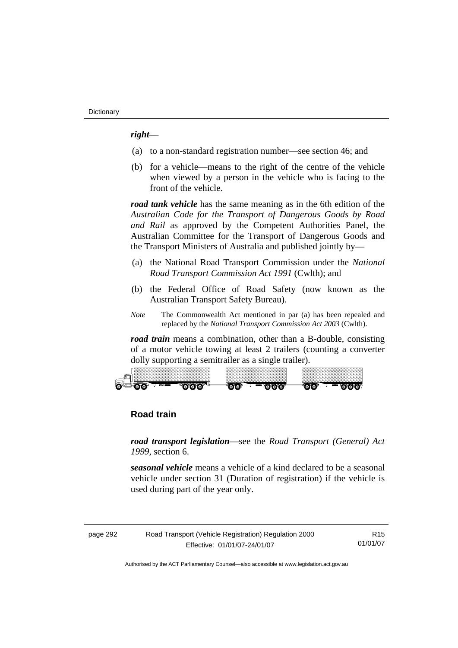#### *right*—

- (a) to a non-standard registration number—see section 46; and
- (b) for a vehicle—means to the right of the centre of the vehicle when viewed by a person in the vehicle who is facing to the front of the vehicle.

*road tank vehicle* has the same meaning as in the 6th edition of the *Australian Code for the Transport of Dangerous Goods by Road and Rail* as approved by the Competent Authorities Panel, the Australian Committee for the Transport of Dangerous Goods and the Transport Ministers of Australia and published jointly by—

- (a) the National Road Transport Commission under the *National Road Transport Commission Act 1991* (Cwlth); and
- (b) the Federal Office of Road Safety (now known as the Australian Transport Safety Bureau).
- *Note* The Commonwealth Act mentioned in par (a) has been repealed and replaced by the *National Transport Commission Act 2003* (Cwlth).

*road train* means a combination, other than a B-double, consisting of a motor vehicle towing at least 2 trailers (counting a converter dolly supporting a semitrailer as a single trailer).



# **Road train**

*road transport legislation*—see the *Road Transport (General) Act 1999*, section 6.

*seasonal vehicle* means a vehicle of a kind declared to be a seasonal vehicle under section 31 (Duration of registration) if the vehicle is used during part of the year only.

| page 292 | Road Transport (Vehicle Registration) Regulation 2000 | R15      |
|----------|-------------------------------------------------------|----------|
|          | Effective: 01/01/07-24/01/07                          | 01/01/07 |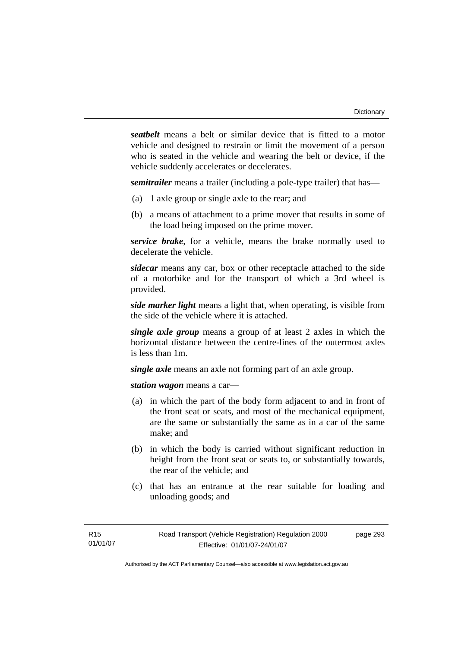*seatbelt* means a belt or similar device that is fitted to a motor vehicle and designed to restrain or limit the movement of a person who is seated in the vehicle and wearing the belt or device, if the vehicle suddenly accelerates or decelerates.

*semitrailer* means a trailer (including a pole-type trailer) that has—

- (a) 1 axle group or single axle to the rear; and
- (b) a means of attachment to a prime mover that results in some of the load being imposed on the prime mover.

*service brake*, for a vehicle, means the brake normally used to decelerate the vehicle.

*sidecar* means any car, box or other receptacle attached to the side of a motorbike and for the transport of which a 3rd wheel is provided.

*side marker light* means a light that, when operating, is visible from the side of the vehicle where it is attached.

*single axle group* means a group of at least 2 axles in which the horizontal distance between the centre-lines of the outermost axles is less than 1m.

*single axle* means an axle not forming part of an axle group.

*station wagon* means a car—

- (a) in which the part of the body form adjacent to and in front of the front seat or seats, and most of the mechanical equipment, are the same or substantially the same as in a car of the same make; and
- (b) in which the body is carried without significant reduction in height from the front seat or seats to, or substantially towards, the rear of the vehicle; and
- (c) that has an entrance at the rear suitable for loading and unloading goods; and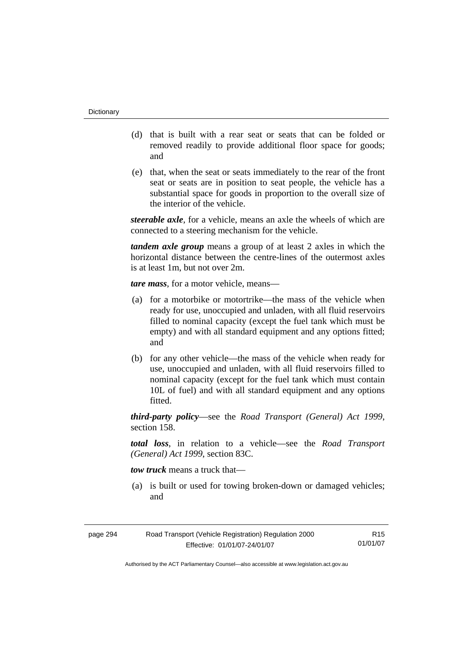- (d) that is built with a rear seat or seats that can be folded or removed readily to provide additional floor space for goods; and
- (e) that, when the seat or seats immediately to the rear of the front seat or seats are in position to seat people, the vehicle has a substantial space for goods in proportion to the overall size of the interior of the vehicle.

*steerable axle*, for a vehicle, means an axle the wheels of which are connected to a steering mechanism for the vehicle.

*tandem axle group* means a group of at least 2 axles in which the horizontal distance between the centre-lines of the outermost axles is at least 1m, but not over 2m.

*tare mass*, for a motor vehicle, means—

- (a) for a motorbike or motortrike—the mass of the vehicle when ready for use, unoccupied and unladen, with all fluid reservoirs filled to nominal capacity (except the fuel tank which must be empty) and with all standard equipment and any options fitted; and
- (b) for any other vehicle—the mass of the vehicle when ready for use, unoccupied and unladen, with all fluid reservoirs filled to nominal capacity (except for the fuel tank which must contain 10L of fuel) and with all standard equipment and any options fitted.

*third-party policy*—see the *Road Transport (General) Act 1999*, section 158.

*total loss*, in relation to a vehicle—see the *Road Transport (General) Act 1999*, section 83C.

*tow truck* means a truck that—

 (a) is built or used for towing broken-down or damaged vehicles; and

| page 294 | Road Transport (Vehicle Registration) Regulation 2000 | R15      |
|----------|-------------------------------------------------------|----------|
|          | Effective: 01/01/07-24/01/07                          | 01/01/07 |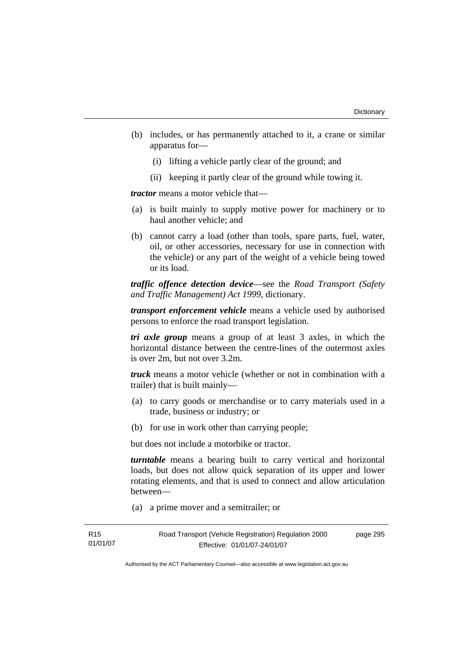- (b) includes, or has permanently attached to it, a crane or similar apparatus for—
	- (i) lifting a vehicle partly clear of the ground; and
	- (ii) keeping it partly clear of the ground while towing it.

*tractor* means a motor vehicle that—

- (a) is built mainly to supply motive power for machinery or to haul another vehicle; and
- (b) cannot carry a load (other than tools, spare parts, fuel, water, oil, or other accessories, necessary for use in connection with the vehicle) or any part of the weight of a vehicle being towed or its load.

*traffic offence detection device*—see the *Road Transport (Safety and Traffic Management) Act 1999*, dictionary.

*transport enforcement vehicle* means a vehicle used by authorised persons to enforce the road transport legislation.

*tri axle group* means a group of at least 3 axles, in which the horizontal distance between the centre-lines of the outermost axles is over 2m, but not over 3.2m.

*truck* means a motor vehicle (whether or not in combination with a trailer) that is built mainly—

- (a) to carry goods or merchandise or to carry materials used in a trade, business or industry; or
- (b) for use in work other than carrying people;

but does not include a motorbike or tractor.

*turntable* means a bearing built to carry vertical and horizontal loads, but does not allow quick separation of its upper and lower rotating elements, and that is used to connect and allow articulation between—

(a) a prime mover and a semitrailer; or

page 295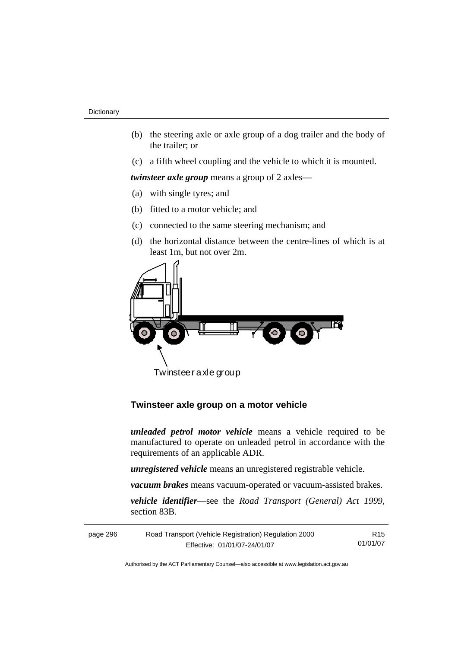- (b) the steering axle or axle group of a dog trailer and the body of the trailer; or
- (c) a fifth wheel coupling and the vehicle to which it is mounted.

*twinsteer axle group* means a group of 2 axles—

- (a) with single tyres; and
- (b) fitted to a motor vehicle; and
- (c) connected to the same steering mechanism; and
- (d) the horizontal distance between the centre-lines of which is at least 1m, but not over 2m.



Twinsteer axle group

# **Twinsteer axle group on a motor vehicle**

*unleaded petrol motor vehicle* means a vehicle required to be manufactured to operate on unleaded petrol in accordance with the requirements of an applicable ADR.

*unregistered vehicle* means an unregistered registrable vehicle.

*vacuum brakes* means vacuum-operated or vacuum-assisted brakes.

*vehicle identifier*—see the *Road Transport (General) Act 1999*, section 83B.

| Road Transport (Vehicle Registration) Regulation 2000<br>page 296 |                              | R15.     |
|-------------------------------------------------------------------|------------------------------|----------|
|                                                                   | Effective: 01/01/07-24/01/07 | 01/01/07 |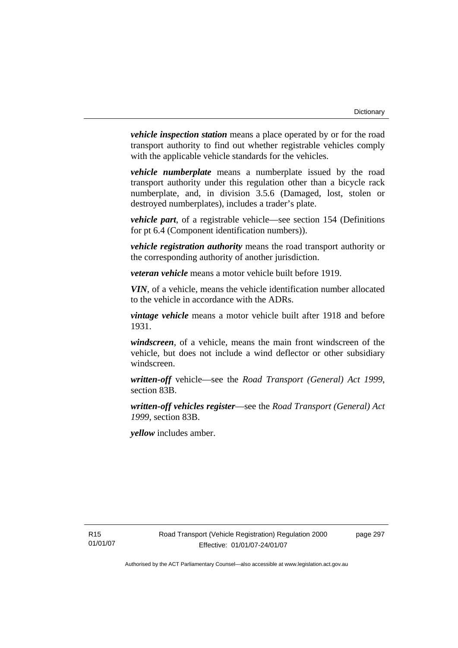*vehicle inspection station* means a place operated by or for the road transport authority to find out whether registrable vehicles comply with the applicable vehicle standards for the vehicles.

*vehicle numberplate* means a numberplate issued by the road transport authority under this regulation other than a bicycle rack numberplate, and, in division 3.5.6 (Damaged, lost, stolen or destroyed numberplates), includes a trader's plate.

*vehicle part*, of a registrable vehicle—see section 154 (Definitions for pt 6.4 (Component identification numbers)).

*vehicle registration authority* means the road transport authority or the corresponding authority of another jurisdiction.

*veteran vehicle* means a motor vehicle built before 1919.

*VIN*, of a vehicle, means the vehicle identification number allocated to the vehicle in accordance with the ADRs.

*vintage vehicle* means a motor vehicle built after 1918 and before 1931.

*windscreen*, of a vehicle, means the main front windscreen of the vehicle, but does not include a wind deflector or other subsidiary windscreen.

*written-off* vehicle—see the *Road Transport (General) Act 1999*, section 83B.

*written-off vehicles register*—see the *Road Transport (General) Act 1999*, section 83B.

*yellow* includes amber.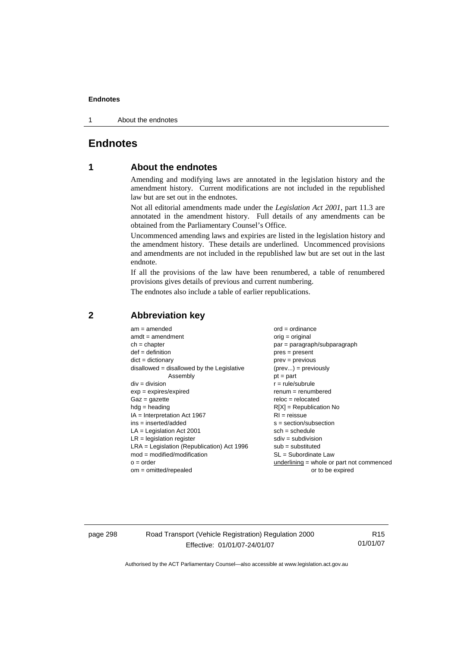1 About the endnotes

# **Endnotes**

# **1 About the endnotes**

Amending and modifying laws are annotated in the legislation history and the amendment history. Current modifications are not included in the republished law but are set out in the endnotes.

Not all editorial amendments made under the *Legislation Act 2001*, part 11.3 are annotated in the amendment history. Full details of any amendments can be obtained from the Parliamentary Counsel's Office.

Uncommenced amending laws and expiries are listed in the legislation history and the amendment history. These details are underlined. Uncommenced provisions and amendments are not included in the republished law but are set out in the last endnote.

If all the provisions of the law have been renumbered, a table of renumbered provisions gives details of previous and current numbering.

The endnotes also include a table of earlier republications.

| $am = amended$                               | $ord = ordinance$                         |
|----------------------------------------------|-------------------------------------------|
| $amdt = amendment$                           | $orig = original$                         |
| $ch = chapter$                               | par = paragraph/subparagraph              |
| $def = definition$                           | $pres = present$                          |
| $dict = dictionary$                          | $prev = previous$                         |
| $disallowed = disallowed by the Legislative$ | $(\text{prev}) = \text{previously}$       |
| Assembly                                     | $pt = part$                               |
| $div = division$                             | $r = rule/subrule$                        |
| $exp = expires/expired$                      | $renum = renumbered$                      |
| $Gaz = gazette$                              | $reloc = relocated$                       |
| $hdg =$ heading                              | $R[X]$ = Republication No                 |
| $IA = Interpretation Act 1967$               | $RI = reissue$                            |
| $ins = inserted/added$                       | $s = section/subsection$                  |
| $LA =$ Legislation Act 2001                  | $sch = schedule$                          |
| $LR =$ legislation register                  | $sdiv = subdivision$                      |
| $LRA =$ Legislation (Republication) Act 1996 | $sub = substituted$                       |
| $mod = modified/modification$                | $SL = Subordinate$ Law                    |
| $o = order$                                  | underlining = whole or part not commenced |
| $om = omitted/repealed$                      | or to be expired                          |
|                                              |                                           |

#### **2 Abbreviation key**

page 298 Road Transport (Vehicle Registration) Regulation 2000 Effective: 01/01/07-24/01/07

R15 01/01/07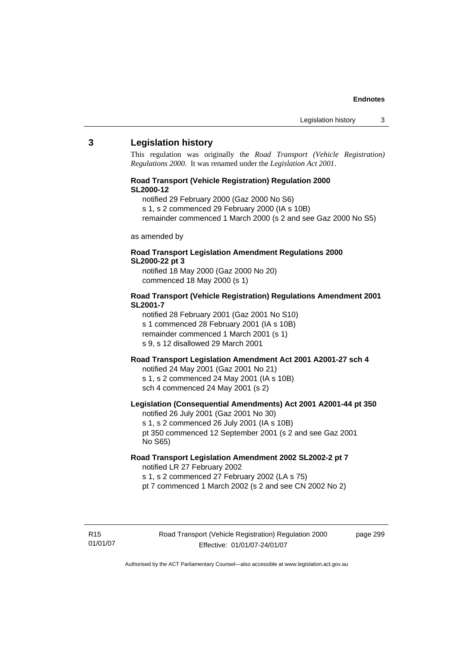#### **3 Legislation history**

This regulation was originally the *Road Transport (Vehicle Registration) Regulations 2000*. It was renamed under the *Legislation Act 2001*.

#### **Road Transport (Vehicle Registration) Regulation 2000 SL2000-12**

- notified 29 February 2000 (Gaz 2000 No S6)
- s 1, s 2 commenced 29 February 2000 (IA s 10B)
- remainder commenced 1 March 2000 (s 2 and see Gaz 2000 No S5)

#### as amended by

#### **Road Transport Legislation Amendment Regulations 2000 SL2000-22 pt 3**

notified 18 May 2000 (Gaz 2000 No 20) commenced 18 May 2000 (s 1)

#### **Road Transport (Vehicle Registration) Regulations Amendment 2001 SL2001-7**

notified 28 February 2001 (Gaz 2001 No S10) s 1 commenced 28 February 2001 (IA s 10B) remainder commenced 1 March 2001 (s 1) s 9, s 12 disallowed 29 March 2001

# **Road Transport Legislation Amendment Act 2001 A2001-27 sch 4**

notified 24 May 2001 (Gaz 2001 No 21) s 1, s 2 commenced 24 May 2001 (IA s 10B) sch 4 commenced 24 May 2001 (s 2)

#### **Legislation (Consequential Amendments) Act 2001 A2001-44 pt 350**  notified 26 July 2001 (Gaz 2001 No 30)

s 1, s 2 commenced 26 July 2001 (IA s 10B) pt 350 commenced 12 September 2001 (s 2 and see Gaz 2001 No S65)

#### **Road Transport Legislation Amendment 2002 SL2002-2 pt 7**

notified LR 27 February 2002 s 1, s 2 commenced 27 February 2002 (LA s 75) pt 7 commenced 1 March 2002 (s 2 and see CN 2002 No 2)

R15 01/01/07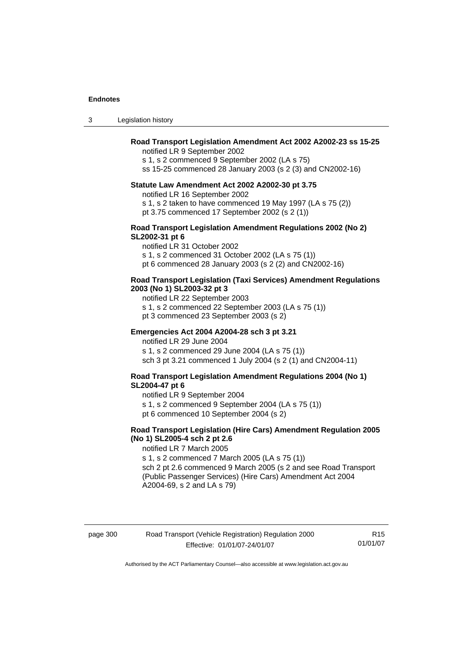3 Legislation history

#### **Road Transport Legislation Amendment Act 2002 A2002-23 ss 15-25**

notified LR 9 September 2002

s 1, s 2 commenced 9 September 2002 (LA s 75)

ss 15-25 commenced 28 January 2003 (s 2 (3) and CN2002-16)

#### **Statute Law Amendment Act 2002 A2002-30 pt 3.75**

notified LR 16 September 2002

- s 1, s 2 taken to have commenced 19 May 1997 (LA s 75 (2))
- pt 3.75 commenced 17 September 2002 (s 2 (1))

#### **Road Transport Legislation Amendment Regulations 2002 (No 2) SL2002-31 pt 6**

notified LR 31 October 2002

s 1, s 2 commenced 31 October 2002 (LA s 75 (1))

pt 6 commenced 28 January 2003 (s 2 (2) and CN2002-16)

#### **Road Transport Legislation (Taxi Services) Amendment Regulations 2003 (No 1) SL2003-32 pt 3**

notified LR 22 September 2003 s 1, s 2 commenced 22 September 2003 (LA s 75 (1)) pt 3 commenced 23 September 2003 (s 2)

#### **Emergencies Act 2004 A2004-28 sch 3 pt 3.21**

notified LR 29 June 2004 s 1, s 2 commenced 29 June 2004 (LA s 75 (1)) sch 3 pt 3.21 commenced 1 July 2004 (s 2 (1) and CN2004-11)

#### **Road Transport Legislation Amendment Regulations 2004 (No 1) SL2004-47 pt 6**

notified LR 9 September 2004

s 1, s 2 commenced 9 September 2004 (LA s 75 (1))

pt 6 commenced 10 September 2004 (s 2)

#### **Road Transport Legislation (Hire Cars) Amendment Regulation 2005 (No 1) SL2005-4 sch 2 pt 2.6**

notified LR 7 March 2005

s 1, s 2 commenced 7 March 2005 (LA s 75 (1)) sch 2 pt 2.6 commenced 9 March 2005 (s 2 and see Road Transport (Public Passenger Services) (Hire Cars) Amendment Act 2004 A2004-69, s 2 and LA s 79)

page 300 Road Transport (Vehicle Registration) Regulation 2000 Effective: 01/01/07-24/01/07

R15 01/01/07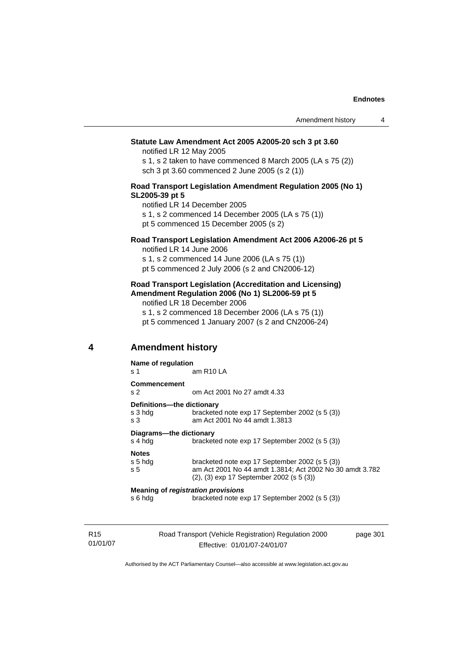#### **Statute Law Amendment Act 2005 A2005-20 sch 3 pt 3.60**

notified LR 12 May 2005

s 1, s 2 taken to have commenced 8 March 2005 (LA s 75 (2)) sch 3 pt 3.60 commenced 2 June 2005 (s 2 (1))

#### **Road Transport Legislation Amendment Regulation 2005 (No 1) SL2005-39 pt 5**

notified LR 14 December 2005

s 1, s 2 commenced 14 December 2005 (LA s 75 (1))

pt 5 commenced 15 December 2005 (s 2)

## **Road Transport Legislation Amendment Act 2006 A2006-26 pt 5**

notified LR 14 June 2006

s 1, s 2 commenced 14 June 2006 (LA s 75 (1)) pt 5 commenced 2 July 2006 (s 2 and CN2006-12)

#### **Road Transport Legislation (Accreditation and Licensing) Amendment Regulation 2006 (No 1) SL2006-59 pt 5**

notified LR 18 December 2006 s 1, s 2 commenced 18 December 2006 (LA s 75 (1)) pt 5 commenced 1 January 2007 (s 2 and CN2006-24)

# **4 Amendment history**

|                                           | Name of regulation                    |                                                                                 |  |
|-------------------------------------------|---------------------------------------|---------------------------------------------------------------------------------|--|
|                                           | s 1                                   | am R <sub>10</sub> LA                                                           |  |
|                                           | <b>Commencement</b><br>s <sub>2</sub> | om Act 2001 No 27 amdt 4.33                                                     |  |
|                                           | Definitions---the dictionary          |                                                                                 |  |
|                                           | s 3 hda<br>s 3                        | bracketed note exp 17 September 2002 (s 5 (3))<br>am Act 2001 No 44 amdt 1,3813 |  |
| Diagrams---the dictionary                 |                                       |                                                                                 |  |
|                                           | s 4 hda                               | bracketed note exp 17 September 2002 (s 5 (3))                                  |  |
|                                           | <b>Notes</b>                          |                                                                                 |  |
|                                           | s 5 hda                               | bracketed note exp 17 September 2002 (s 5 (3))                                  |  |
|                                           | s 5                                   | am Act 2001 No 44 amdt 1.3814; Act 2002 No 30 amdt 3.782                        |  |
|                                           |                                       | $(2)$ , $(3)$ exp 17 September 2002 (s 5 $(3)$ )                                |  |
| <b>Meaning of registration provisions</b> |                                       |                                                                                 |  |
|                                           | s 6 hda                               | bracketed note exp 17 September 2002 (s 5 (3))                                  |  |
|                                           |                                       |                                                                                 |  |

R15 01/01/07 Road Transport (Vehicle Registration) Regulation 2000 Effective: 01/01/07-24/01/07

page 301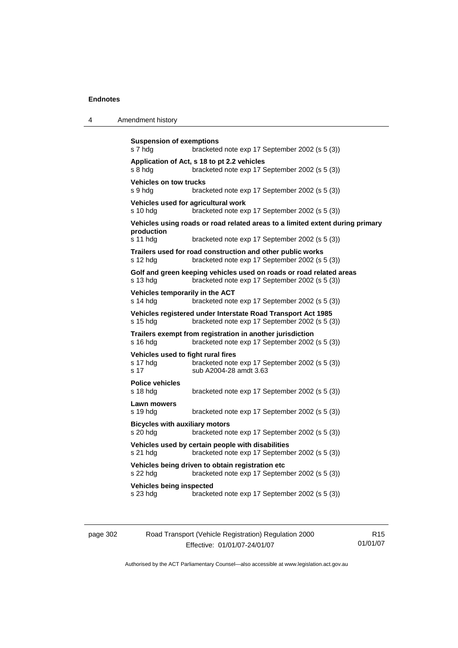| 4 | Amendment history |
|---|-------------------|
|---|-------------------|

```
Suspension of exemptions 
s 7 hdg bracketed note exp 17 September 2002 (s 5 (3)) 
Application of Act, s 18 to pt 2.2 vehicles 
s 8 hdg bracketed note exp 17 September 2002 (s 5 (3)) 
Vehicles on tow trucks 
s 9 hdg bracketed note exp 17 September 2002 (s 5 (3)) 
Vehicles used for agricultural work 
s 10 hdg bracketed note exp 17 September 2002 (s 5 (3)) 
Vehicles using roads or road related areas to a limited extent during primary 
production 
s 11 hdg bracketed note exp 17 September 2002 (s 5 (3)) 
Trailers used for road construction and other public works 
s 12 hdg bracketed note exp 17 September 2002 (s 5 (3)) 
Golf and green keeping vehicles used on roads or road related areas 
s 13 hdg bracketed note exp 17 September 2002 (s 5 (3)) 
Vehicles temporarily in the ACT 
s 14 hdg bracketed note exp 17 September 2002 (s 5 (3)) 
Vehicles registered under Interstate Road Transport Act 1985 
s 15 hdg bracketed note exp 17 September 2002 (s 5 (3)) 
Trailers exempt from registration in another jurisdiction 
s 16 hdg bracketed note exp 17 September 2002 (s 5 (3)) 
Vehicles used to fight rural fires 
s 17 hdg bracketed note exp 17 September 2002 (s 5 (3)) 
s 17 sub A2004-28 amdt 3.63 
Police vehicles 
                 bracketed note exp 17 September 2002 (s 5 (3))
Lawn mowers 
s 19 hdg bracketed note exp 17 September 2002 (s 5 (3)) 
Bicycles with auxiliary motors 
s 20 hdg bracketed note exp 17 September 2002 (s 5 (3)) 
Vehicles used by certain people with disabilities 
s 21 hdg bracketed note exp 17 September 2002 (s 5 (3)) 
Vehicles being driven to obtain registration etc 
s 22 hdg bracketed note exp 17 September 2002 (s 5 (3)) 
Vehicles being inspected 
s 23 hdg bracketed note exp 17 September 2002 (s 5 (3))
```

| page 302 | Road Transport (Vehicle Registration) Regulation 2000 | R <sub>15</sub> |
|----------|-------------------------------------------------------|-----------------|
|          | Effective: 01/01/07-24/01/07                          | 01/01/07        |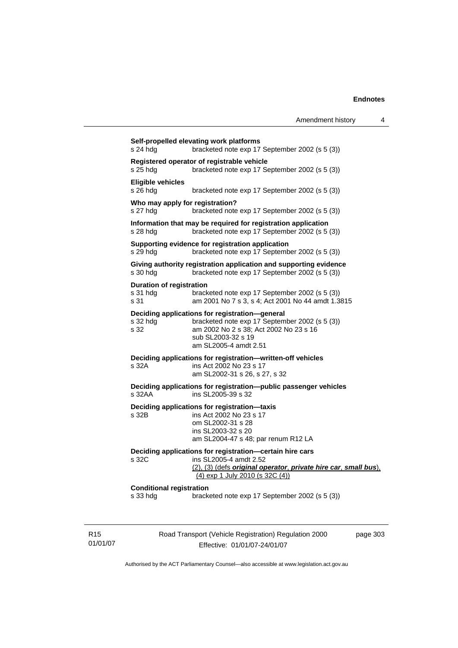|                             | s 24 hdg                                             | Self-propelled elevating work platforms<br>bracketed note exp 17 September 2002 (s 5 (3))                                                                                                 |          |
|-----------------------------|------------------------------------------------------|-------------------------------------------------------------------------------------------------------------------------------------------------------------------------------------------|----------|
|                             | $s25$ hdg                                            | Registered operator of registrable vehicle<br>bracketed note exp 17 September 2002 (s 5 (3))                                                                                              |          |
|                             | <b>Eligible vehicles</b><br>$s$ 26 hdg               | bracketed note exp 17 September 2002 (s 5 (3))                                                                                                                                            |          |
|                             | Who may apply for registration?<br>s 27 hdg          | bracketed note exp 17 September 2002 (s 5 (3))                                                                                                                                            |          |
|                             | $s$ 28 hdg                                           | Information that may be required for registration application<br>bracketed note exp 17 September 2002 (s 5 (3))                                                                           |          |
|                             | s 29 hdg                                             | Supporting evidence for registration application<br>bracketed note exp 17 September 2002 (s 5 (3))                                                                                        |          |
|                             | s 30 hdg                                             | Giving authority registration application and supporting evidence<br>bracketed note exp 17 September 2002 (s 5 (3))                                                                       |          |
|                             | <b>Duration of registration</b><br>$s31$ hdg<br>s 31 | bracketed note exp 17 September 2002 (s 5 (3))<br>am 2001 No 7 s 3, s 4; Act 2001 No 44 amdt 1.3815                                                                                       |          |
|                             | s 32 hdg<br>s 32                                     | Deciding applications for registration-general<br>bracketed note exp 17 September 2002 (s 5 (3))<br>am 2002 No 2 s 38; Act 2002 No 23 s 16<br>sub SL2003-32 s 19<br>am SL2005-4 amdt 2.51 |          |
|                             | s 32A                                                | Deciding applications for registration-written-off vehicles<br>ins Act 2002 No 23 s 17<br>am SL2002-31 s 26, s 27, s 32                                                                   |          |
|                             | s 32AA                                               | Deciding applications for registration-public passenger vehicles<br>ins SL2005-39 s 32                                                                                                    |          |
|                             | s 32B                                                | Deciding applications for registration-taxis<br>ins Act 2002 No 23 s 17<br>om SL2002-31 s 28<br>ins SL2003-32 s 20<br>am SL2004-47 s 48; par renum R12 LA                                 |          |
|                             | s 32C                                                | Deciding applications for registration-certain hire cars<br>ins SL2005-4 amdt 2.52<br>(2), (3) (defs original operator, private hire car, small bus),<br>(4) exp 1 July 2010 (s 32C (4))  |          |
|                             | <b>Conditional registration</b><br>s 33 hdg          | bracketed note exp 17 September 2002 (s 5 (3))                                                                                                                                            |          |
| R <sub>15</sub><br>01/01/07 |                                                      | Road Transport (Vehicle Registration) Regulation 2000<br>Effective: 01/01/07-24/01/07                                                                                                     | page 303 |

Authorised by the ACT Parliamentary Counsel—also accessible at www.legislation.act.gov.au

Effective: 01/01/07-24/01/07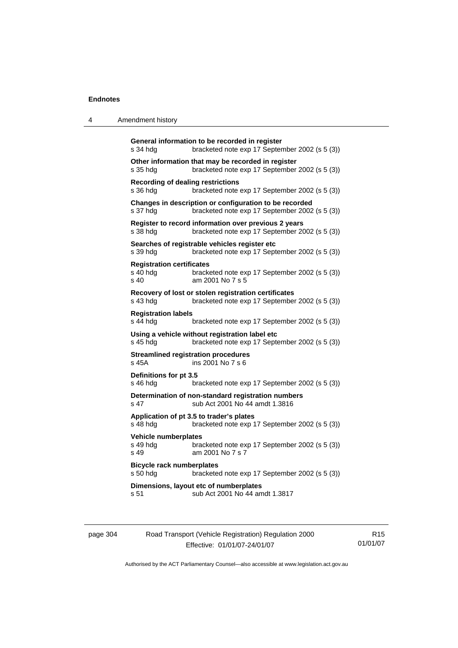| $\Lambda$ | Amendment history |
|-----------|-------------------|
|           |                   |

| s 34 hdg                                             | General information to be recorded in register<br>bracketed note exp 17 September 2002 (s 5 (3))         |
|------------------------------------------------------|----------------------------------------------------------------------------------------------------------|
| s 35 hdg                                             | Other information that may be recorded in register<br>bracketed note exp 17 September 2002 (s 5 (3))     |
| <b>Recording of dealing restrictions</b><br>s 36 hdg | bracketed note exp 17 September 2002 (s 5 (3))                                                           |
| s 37 hdg                                             | Changes in description or configuration to be recorded<br>bracketed note exp 17 September 2002 (s 5 (3)) |
| s 38 hdg                                             | Register to record information over previous 2 years<br>bracketed note exp 17 September 2002 (s 5 (3))   |
| s 39 hdg                                             | Searches of registrable vehicles register etc<br>bracketed note exp 17 September 2002 (s 5 (3))          |
| <b>Registration certificates</b><br>s 40 hdg<br>s 40 | bracketed note exp 17 September 2002 (s 5 (3))<br>am 2001 No 7 s 5                                       |
| s 43 hdg                                             | Recovery of lost or stolen registration certificates<br>bracketed note exp 17 September 2002 (s 5 (3))   |
| <b>Registration labels</b><br>s 44 hdg               | bracketed note exp 17 September 2002 (s 5 (3))                                                           |
| s 45 hdg                                             | Using a vehicle without registration label etc<br>bracketed note exp 17 September 2002 (s 5 (3))         |
| s 45A                                                | <b>Streamlined registration procedures</b><br>ins 2001 No 7 s 6                                          |
| Definitions for pt 3.5<br>s 46 hdg                   | bracketed note exp 17 September 2002 (s 5 (3))                                                           |
| s 47                                                 | Determination of non-standard registration numbers<br>sub Act 2001 No 44 amdt 1.3816                     |
| s 48 hdg                                             | Application of pt 3.5 to trader's plates<br>bracketed note exp 17 September 2002 (s 5 (3))               |
| Vehicle numberplates<br>s 49 hdg<br>s 49             | bracketed note exp 17 September 2002 (s 5 (3))<br>am 2001 No 7 s 7                                       |
| <b>Bicycle rack numberplates</b><br>s 50 hdg         | bracketed note exp 17 September 2002 (s 5 (3))                                                           |
|                                                      | Dimensions, layout etc of numberplates<br>sub Act 2001 No 44 amdt 1.3817                                 |

| page 304 | Road Transport (Vehicle Registration) Regulation 2000 | R <sub>15</sub> |
|----------|-------------------------------------------------------|-----------------|
|          | Effective: 01/01/07-24/01/07                          | 01/01/07        |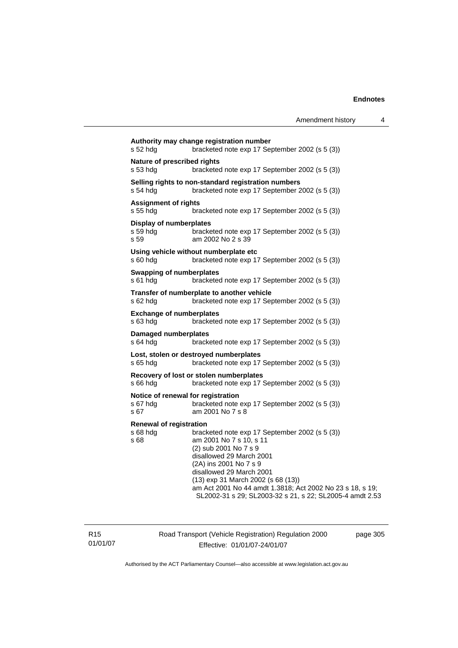| s 52 hdg                                               | Authority may change registration number<br>bracketed note exp 17 September 2002 (s 5 (3))                                                                                                                                                                                                                                                          |
|--------------------------------------------------------|-----------------------------------------------------------------------------------------------------------------------------------------------------------------------------------------------------------------------------------------------------------------------------------------------------------------------------------------------------|
| Nature of prescribed rights<br>s 53 hda                | bracketed note exp 17 September 2002 (s 5 (3))                                                                                                                                                                                                                                                                                                      |
| s 54 hdg                                               | Selling rights to non-standard registration numbers<br>bracketed note exp 17 September 2002 (s 5 (3))                                                                                                                                                                                                                                               |
| <b>Assignment of rights</b><br>s 55 hdg                | bracketed note exp 17 September 2002 (s 5 (3))                                                                                                                                                                                                                                                                                                      |
| <b>Display of numberplates</b><br>s 59 hdg<br>s 59     | bracketed note exp 17 September 2002 (s 5 (3))<br>am 2002 No 2 s 39                                                                                                                                                                                                                                                                                 |
| s 60 hdg                                               | Using vehicle without numberplate etc<br>bracketed note exp 17 September 2002 (s 5 (3))                                                                                                                                                                                                                                                             |
| <b>Swapping of numberplates</b><br>s 61 hdg            | bracketed note exp 17 September 2002 (s 5 (3))                                                                                                                                                                                                                                                                                                      |
| s 62 hdg                                               | Transfer of numberplate to another vehicle<br>bracketed note exp 17 September 2002 (s 5 (3))                                                                                                                                                                                                                                                        |
| <b>Exchange of numberplates</b><br>s 63 hdg            | bracketed note exp 17 September 2002 (s 5 (3))                                                                                                                                                                                                                                                                                                      |
| <b>Damaged numberplates</b><br>s 64 hdg                | bracketed note exp 17 September 2002 (s 5 (3))                                                                                                                                                                                                                                                                                                      |
| s 65 hdg                                               | Lost, stolen or destroyed numberplates<br>bracketed note exp 17 September 2002 (s 5 (3))                                                                                                                                                                                                                                                            |
| s 66 hdg                                               | Recovery of lost or stolen numberplates<br>bracketed note exp 17 September 2002 (s 5 (3))                                                                                                                                                                                                                                                           |
| Notice of renewal for registration<br>s 67 hda<br>s 67 | bracketed note exp 17 September 2002 (s 5 (3))<br>am 2001 No 7 s 8                                                                                                                                                                                                                                                                                  |
| <b>Renewal of registration</b><br>s 68 hdg<br>s 68     | bracketed note exp 17 September 2002 (s 5 (3))<br>am 2001 No 7 s 10, s 11<br>(2) sub 2001 No 7 s 9<br>disallowed 29 March 2001<br>(2A) ins 2001 No 7 s 9<br>disallowed 29 March 2001<br>(13) exp 31 March 2002 (s 68 (13))<br>am Act 2001 No 44 amdt 1.3818; Act 2002 No 23 s 18, s 19;<br>SL2002-31 s 29; SL2003-32 s 21, s 22; SL2005-4 amdt 2.53 |

R15 01/01/07 Road Transport (Vehicle Registration) Regulation 2000 Effective: 01/01/07-24/01/07

page 305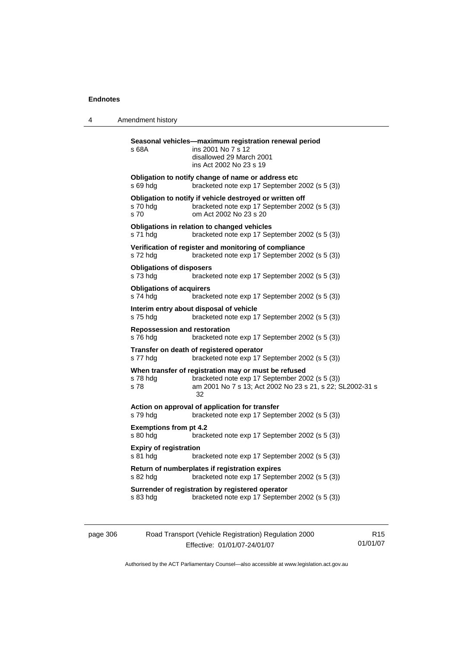4 Amendment history

| s 68A                                           | Seasonal vehicles-maximum registration renewal period<br>ins 2001 No 7 s 12<br>disallowed 29 March 2001<br>ins Act 2002 No 23 s 19                                        |
|-------------------------------------------------|---------------------------------------------------------------------------------------------------------------------------------------------------------------------------|
| s 69 hdg                                        | Obligation to notify change of name or address etc<br>bracketed note exp 17 September 2002 (s 5 (3))                                                                      |
| s 70 hdg<br>s 70                                | Obligation to notify if vehicle destroyed or written off<br>bracketed note exp 17 September 2002 (s 5 (3))<br>om Act 2002 No 23 s 20                                      |
| s 71 hdg                                        | Obligations in relation to changed vehicles<br>bracketed note exp 17 September 2002 (s 5 (3))                                                                             |
| s 72 hdg                                        | Verification of register and monitoring of compliance<br>bracketed note exp 17 September 2002 (s 5 (3))                                                                   |
| <b>Obligations of disposers</b><br>s 73 hdg     | bracketed note exp 17 September 2002 (s 5 (3))                                                                                                                            |
| <b>Obligations of acquirers</b><br>s 74 hdg     | bracketed note exp 17 September 2002 (s 5 (3))                                                                                                                            |
| s 75 hdg                                        | Interim entry about disposal of vehicle<br>bracketed note exp 17 September 2002 (s 5 (3))                                                                                 |
| <b>Repossession and restoration</b><br>s 76 hda | bracketed note exp 17 September 2002 (s 5 (3))                                                                                                                            |
| s 77 hdg                                        | Transfer on death of registered operator<br>bracketed note exp 17 September 2002 (s 5 (3))                                                                                |
| s 78 hda<br>s 78                                | When transfer of registration may or must be refused<br>bracketed note exp 17 September 2002 (s 5 (3))<br>am 2001 No 7 s 13; Act 2002 No 23 s 21, s 22; SL2002-31 s<br>32 |
| s 79 hdg                                        | Action on approval of application for transfer<br>bracketed note exp 17 September 2002 (s 5 (3))                                                                          |
| <b>Exemptions from pt 4.2</b><br>s 80 hdg       | bracketed note exp 17 September 2002 (s 5 (3))                                                                                                                            |
| <b>Expiry of registration</b><br>s 81 hdg       | bracketed note exp 17 September 2002 (s 5 (3))                                                                                                                            |
| s 82 hdg                                        | Return of numberplates if registration expires<br>bracketed note exp 17 September 2002 (s 5 (3))                                                                          |
| s 83 hda                                        | Surrender of registration by registered operator<br>bracketed note exp 17 September 2002 (s 5 (3))                                                                        |

| page 306 | Road Transport (Vehicle Registration) Regulation 2000 | R15      |
|----------|-------------------------------------------------------|----------|
|          | Effective: 01/01/07-24/01/07                          | 01/01/07 |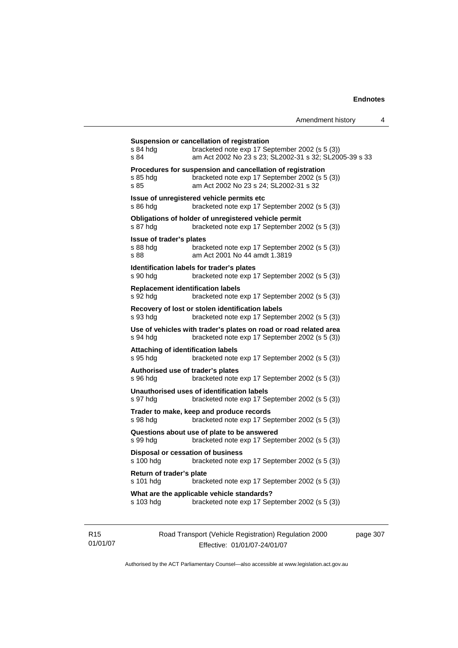| s 84 hdg<br>s 84                                      | Suspension or cancellation of registration<br>bracketed note exp 17 September 2002 (s 5 (3))<br>am Act 2002 No 23 s 23; SL2002-31 s 32; SL2005-39 s 33 |
|-------------------------------------------------------|--------------------------------------------------------------------------------------------------------------------------------------------------------|
| s 85 hdg<br>s 85                                      | Procedures for suspension and cancellation of registration<br>bracketed note exp 17 September 2002 (s 5 (3))<br>am Act 2002 No 23 s 24; SL2002-31 s 32 |
| s 86 hdg                                              | Issue of unregistered vehicle permits etc<br>bracketed note exp 17 September 2002 (s 5 (3))                                                            |
| s 87 hdg                                              | Obligations of holder of unregistered vehicle permit<br>bracketed note exp 17 September 2002 (s 5 (3))                                                 |
| Issue of trader's plates<br>s 88 hdg<br>s 88          | bracketed note exp 17 September 2002 (s 5 (3))<br>am Act 2001 No 44 amdt 1.3819                                                                        |
| s 90 hdg                                              | Identification labels for trader's plates<br>bracketed note exp 17 September 2002 (s 5 (3))                                                            |
| <b>Replacement identification labels</b><br>s 92 hdg  | bracketed note exp 17 September 2002 (s 5 (3))                                                                                                         |
| s 93 hdg                                              | Recovery of lost or stolen identification labels<br>bracketed note exp 17 September 2002 (s 5 (3))                                                     |
| s 94 hdg                                              | Use of vehicles with trader's plates on road or road related area<br>bracketed note exp 17 September 2002 (s 5 (3))                                    |
| <b>Attaching of identification labels</b><br>s 95 hdg | bracketed note exp 17 September 2002 (s 5 (3))                                                                                                         |
| Authorised use of trader's plates<br>s 96 hda         | bracketed note exp 17 September 2002 (s 5 (3))                                                                                                         |
| s 97 hdg                                              | Unauthorised uses of identification labels<br>bracketed note exp 17 September 2002 (s 5 (3))                                                           |
| s 98 hdg                                              | Trader to make, keep and produce records<br>bracketed note exp 17 September 2002 (s 5 (3))                                                             |
| s 99 hdg                                              | Questions about use of plate to be answered<br>bracketed note exp 17 September 2002 (s 5 (3))                                                          |
| Disposal or cessation of business<br>s 100 hdg        | bracketed note exp 17 September 2002 (s 5 (3))                                                                                                         |
| Return of trader's plate<br>s 101 hdg                 | bracketed note exp 17 September 2002 (s 5 (3))                                                                                                         |
| s 103 hdg                                             | What are the applicable vehicle standards?<br>bracketed note exp 17 September 2002 (s 5 (3))                                                           |

R15 01/01/07 Road Transport (Vehicle Registration) Regulation 2000 Effective: 01/01/07-24/01/07

page 307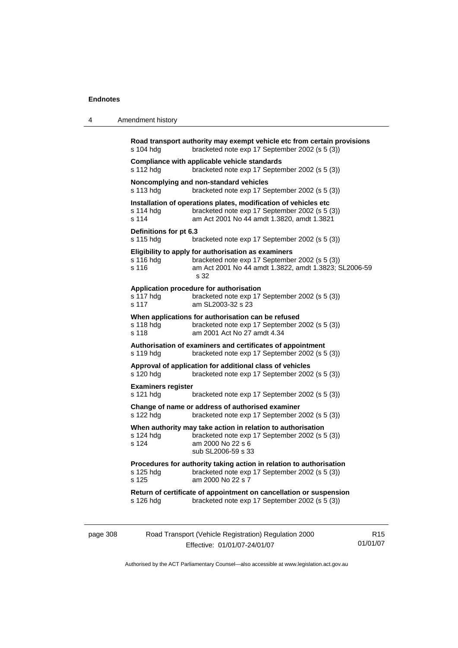| 4 | Amendment history |
|---|-------------------|
|---|-------------------|

|          | s 104 hdg                              | Road transport authority may exempt vehicle etc from certain provisions<br>bracketed note exp 17 September 2002 (s 5 (3))                                              |                 |
|----------|----------------------------------------|------------------------------------------------------------------------------------------------------------------------------------------------------------------------|-----------------|
|          | s 112 hdg                              | Compliance with applicable vehicle standards<br>bracketed note exp 17 September 2002 (s 5 (3))                                                                         |                 |
|          | s 113 hdg                              | Noncomplying and non-standard vehicles<br>bracketed note exp 17 September 2002 (s 5 (3))                                                                               |                 |
|          | s 114 hdg<br>s 114                     | Installation of operations plates, modification of vehicles etc<br>bracketed note exp 17 September 2002 (s 5 (3))<br>am Act 2001 No 44 amdt 1.3820, amdt 1.3821        |                 |
|          | Definitions for pt 6.3<br>s 115 hdg    | bracketed note exp 17 September 2002 (s 5 (3))                                                                                                                         |                 |
|          | s 116 hdg<br>s 116                     | Eligibility to apply for authorisation as examiners<br>bracketed note exp 17 September 2002 (s 5 (3))<br>am Act 2001 No 44 amdt 1.3822, amdt 1.3823; SL2006-59<br>s 32 |                 |
|          | s 117 hdg<br>s 117                     | Application procedure for authorisation<br>bracketed note exp 17 September 2002 (s 5 (3))<br>am SL2003-32 s 23                                                         |                 |
|          | s 118 hdg<br>s 118                     | When applications for authorisation can be refused<br>bracketed note exp 17 September 2002 (s 5 (3))<br>am 2001 Act No 27 amdt 4.34                                    |                 |
|          | s 119 hdg                              | Authorisation of examiners and certificates of appointment<br>bracketed note exp 17 September 2002 (s 5 (3))                                                           |                 |
|          | s 120 hdg                              | Approval of application for additional class of vehicles<br>bracketed note exp 17 September 2002 (s 5 (3))                                                             |                 |
|          | <b>Examiners register</b><br>s 121 hdg | bracketed note exp 17 September 2002 (s 5 (3))                                                                                                                         |                 |
|          | s 122 hdg                              | Change of name or address of authorised examiner<br>bracketed note exp 17 September 2002 (s 5 (3))                                                                     |                 |
|          | s 124 hdg<br>s 124                     | When authority may take action in relation to authorisation<br>bracketed note exp 17 September 2002 (s 5 (3))<br>am 2000 No 22 s 6<br>sub SL2006-59 s 33               |                 |
|          | s 125 hdg<br>s 125                     | Procedures for authority taking action in relation to authorisation<br>bracketed note exp 17 September 2002 (s 5 (3))<br>am 2000 No 22 s 7                             |                 |
|          | s 126 hdg                              | Return of certificate of appointment on cancellation or suspension<br>bracketed note exp 17 September 2002 (s 5 (3))                                                   |                 |
| page 308 |                                        | Road Transport (Vehicle Registration) Regulation 2000                                                                                                                  | R <sub>15</sub> |

Authorised by the ACT Parliamentary Counsel—also accessible at www.legislation.act.gov.au

01/01/07

Effective: 01/01/07-24/01/07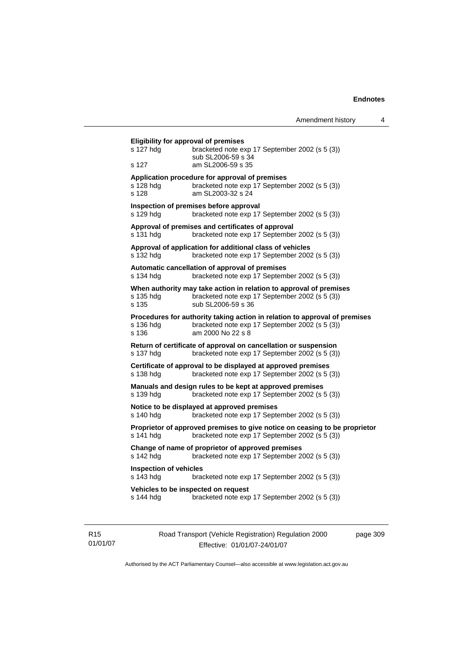| Amendment history                                                                                                                                                                                                                                                                                                                                                                                                                               | 4                                                                                                                                                                                                                                                                                                                                                                                                                                                                                                                                                                                                                                                                                                                                                                                                                                                                                                                                                                                                                                                                                                                                                                                                                                                                                                                                                                              |
|-------------------------------------------------------------------------------------------------------------------------------------------------------------------------------------------------------------------------------------------------------------------------------------------------------------------------------------------------------------------------------------------------------------------------------------------------|--------------------------------------------------------------------------------------------------------------------------------------------------------------------------------------------------------------------------------------------------------------------------------------------------------------------------------------------------------------------------------------------------------------------------------------------------------------------------------------------------------------------------------------------------------------------------------------------------------------------------------------------------------------------------------------------------------------------------------------------------------------------------------------------------------------------------------------------------------------------------------------------------------------------------------------------------------------------------------------------------------------------------------------------------------------------------------------------------------------------------------------------------------------------------------------------------------------------------------------------------------------------------------------------------------------------------------------------------------------------------------|
|                                                                                                                                                                                                                                                                                                                                                                                                                                                 |                                                                                                                                                                                                                                                                                                                                                                                                                                                                                                                                                                                                                                                                                                                                                                                                                                                                                                                                                                                                                                                                                                                                                                                                                                                                                                                                                                                |
|                                                                                                                                                                                                                                                                                                                                                                                                                                                 |                                                                                                                                                                                                                                                                                                                                                                                                                                                                                                                                                                                                                                                                                                                                                                                                                                                                                                                                                                                                                                                                                                                                                                                                                                                                                                                                                                                |
|                                                                                                                                                                                                                                                                                                                                                                                                                                                 |                                                                                                                                                                                                                                                                                                                                                                                                                                                                                                                                                                                                                                                                                                                                                                                                                                                                                                                                                                                                                                                                                                                                                                                                                                                                                                                                                                                |
|                                                                                                                                                                                                                                                                                                                                                                                                                                                 |                                                                                                                                                                                                                                                                                                                                                                                                                                                                                                                                                                                                                                                                                                                                                                                                                                                                                                                                                                                                                                                                                                                                                                                                                                                                                                                                                                                |
|                                                                                                                                                                                                                                                                                                                                                                                                                                                 |                                                                                                                                                                                                                                                                                                                                                                                                                                                                                                                                                                                                                                                                                                                                                                                                                                                                                                                                                                                                                                                                                                                                                                                                                                                                                                                                                                                |
|                                                                                                                                                                                                                                                                                                                                                                                                                                                 |                                                                                                                                                                                                                                                                                                                                                                                                                                                                                                                                                                                                                                                                                                                                                                                                                                                                                                                                                                                                                                                                                                                                                                                                                                                                                                                                                                                |
|                                                                                                                                                                                                                                                                                                                                                                                                                                                 |                                                                                                                                                                                                                                                                                                                                                                                                                                                                                                                                                                                                                                                                                                                                                                                                                                                                                                                                                                                                                                                                                                                                                                                                                                                                                                                                                                                |
|                                                                                                                                                                                                                                                                                                                                                                                                                                                 |                                                                                                                                                                                                                                                                                                                                                                                                                                                                                                                                                                                                                                                                                                                                                                                                                                                                                                                                                                                                                                                                                                                                                                                                                                                                                                                                                                                |
|                                                                                                                                                                                                                                                                                                                                                                                                                                                 |                                                                                                                                                                                                                                                                                                                                                                                                                                                                                                                                                                                                                                                                                                                                                                                                                                                                                                                                                                                                                                                                                                                                                                                                                                                                                                                                                                                |
|                                                                                                                                                                                                                                                                                                                                                                                                                                                 |                                                                                                                                                                                                                                                                                                                                                                                                                                                                                                                                                                                                                                                                                                                                                                                                                                                                                                                                                                                                                                                                                                                                                                                                                                                                                                                                                                                |
|                                                                                                                                                                                                                                                                                                                                                                                                                                                 |                                                                                                                                                                                                                                                                                                                                                                                                                                                                                                                                                                                                                                                                                                                                                                                                                                                                                                                                                                                                                                                                                                                                                                                                                                                                                                                                                                                |
|                                                                                                                                                                                                                                                                                                                                                                                                                                                 |                                                                                                                                                                                                                                                                                                                                                                                                                                                                                                                                                                                                                                                                                                                                                                                                                                                                                                                                                                                                                                                                                                                                                                                                                                                                                                                                                                                |
|                                                                                                                                                                                                                                                                                                                                                                                                                                                 |                                                                                                                                                                                                                                                                                                                                                                                                                                                                                                                                                                                                                                                                                                                                                                                                                                                                                                                                                                                                                                                                                                                                                                                                                                                                                                                                                                                |
|                                                                                                                                                                                                                                                                                                                                                                                                                                                 |                                                                                                                                                                                                                                                                                                                                                                                                                                                                                                                                                                                                                                                                                                                                                                                                                                                                                                                                                                                                                                                                                                                                                                                                                                                                                                                                                                                |
|                                                                                                                                                                                                                                                                                                                                                                                                                                                 |                                                                                                                                                                                                                                                                                                                                                                                                                                                                                                                                                                                                                                                                                                                                                                                                                                                                                                                                                                                                                                                                                                                                                                                                                                                                                                                                                                                |
|                                                                                                                                                                                                                                                                                                                                                                                                                                                 |                                                                                                                                                                                                                                                                                                                                                                                                                                                                                                                                                                                                                                                                                                                                                                                                                                                                                                                                                                                                                                                                                                                                                                                                                                                                                                                                                                                |
| <b>Eligibility for approval of premises</b><br>sub SL2006-59 s 34<br>am SL2006-59 s 35<br>Application procedure for approval of premises<br>am SL2003-32 s 24<br>Inspection of premises before approval<br>Approval of premises and certificates of approval<br>Automatic cancellation of approval of premises<br>sub SL2006-59 s 36<br>am 2000 No 22 s 8<br>Notice to be displayed at approved premises<br>Vehicles to be inspected on request | bracketed note exp 17 September 2002 (s 5 (3))<br>bracketed note exp 17 September 2002 (s 5 (3))<br>bracketed note exp 17 September 2002 (s 5 (3))<br>bracketed note exp 17 September 2002 (s 5 (3))<br>Approval of application for additional class of vehicles<br>bracketed note exp 17 September 2002 (s 5 (3))<br>bracketed note exp 17 September 2002 (s 5 (3))<br>When authority may take action in relation to approval of premises<br>bracketed note exp 17 September 2002 (s 5 (3))<br>Procedures for authority taking action in relation to approval of premises<br>bracketed note exp 17 September 2002 (s 5 (3))<br>Return of certificate of approval on cancellation or suspension<br>bracketed note exp 17 September 2002 (s 5 (3))<br>Certificate of approval to be displayed at approved premises<br>bracketed note exp 17 September 2002 (s 5 (3))<br>Manuals and design rules to be kept at approved premises<br>bracketed note exp 17 September 2002 (s 5 (3))<br>bracketed note exp 17 September 2002 (s 5 (3))<br>Proprietor of approved premises to give notice on ceasing to be proprietor<br>bracketed note exp 17 September 2002 (s 5 (3))<br>Change of name of proprietor of approved premises<br>bracketed note exp 17 September 2002 (s 5 (3))<br>bracketed note exp 17 September 2002 (s 5 (3))<br>bracketed note exp 17 September 2002 (s 5 (3)) |

R15 01/01/07 Road Transport (Vehicle Registration) Regulation 2000 Effective: 01/01/07-24/01/07

page 309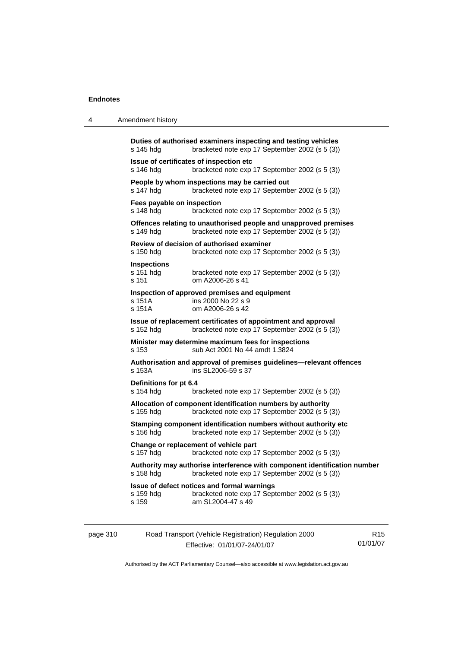4 Amendment history

| page 310 |                                          | Road Transport (Vehicle Registration) Regulation 2000                                                                       | R <sub>15</sub> |
|----------|------------------------------------------|-----------------------------------------------------------------------------------------------------------------------------|-----------------|
|          | s 159 hdg<br>s 159                       | Issue of defect notices and formal warnings<br>bracketed note exp 17 September 2002 (s 5 (3))<br>am SL2004-47 s 49          |                 |
|          | s 158 hdg                                | Authority may authorise interference with component identification number<br>bracketed note exp 17 September 2002 (s 5 (3)) |                 |
|          | s 157 hdg                                | Change or replacement of vehicle part<br>bracketed note exp 17 September 2002 (s 5 (3))                                     |                 |
|          | s 156 hdg                                | Stamping component identification numbers without authority etc<br>bracketed note exp 17 September 2002 (s 5 (3))           |                 |
|          | s 155 hdg                                | Allocation of component identification numbers by authority<br>bracketed note exp 17 September 2002 (s 5 (3))               |                 |
|          | Definitions for pt 6.4<br>s 154 hdg      | bracketed note exp 17 September 2002 (s 5 (3))                                                                              |                 |
|          | s 153A                                   | Authorisation and approval of premises guidelines—relevant offences<br>ins SL2006-59 s 37                                   |                 |
|          | s 153                                    | Minister may determine maximum fees for inspections<br>sub Act 2001 No 44 amdt 1.3824                                       |                 |
|          | s 152 hdg                                | Issue of replacement certificates of appointment and approval<br>bracketed note exp 17 September 2002 (s 5 (3))             |                 |
|          | s 151A<br>s 151A                         | Inspection of approved premises and equipment<br>ins 2000 No 22 s 9<br>om A2006-26 s 42                                     |                 |
|          | <b>Inspections</b><br>s 151 hdg<br>s 151 | bracketed note exp 17 September 2002 (s 5 (3))<br>om A2006-26 s 41                                                          |                 |
|          | s 150 hdg                                | Review of decision of authorised examiner<br>bracketed note exp 17 September 2002 (s 5 (3))                                 |                 |
|          | s 149 hdg                                | Offences relating to unauthorised people and unapproved premises<br>bracketed note exp 17 September 2002 (s 5 (3))          |                 |
|          | Fees payable on inspection<br>s 148 hdg  | bracketed note exp 17 September 2002 (s 5 (3))                                                                              |                 |
|          | s 147 hdg                                | People by whom inspections may be carried out<br>bracketed note exp 17 September 2002 (s 5 (3))                             |                 |
|          | s 146 hdg                                | Issue of certificates of inspection etc<br>bracketed note exp 17 September 2002 (s 5 (3))                                   |                 |
|          | s 145 hdg                                | Duties of authorised examiners inspecting and testing vehicles<br>bracketed note exp 17 September 2002 (s 5 (3))            |                 |
|          |                                          |                                                                                                                             |                 |

Authorised by the ACT Parliamentary Counsel—also accessible at www.legislation.act.gov.au

01/01/07

Effective: 01/01/07-24/01/07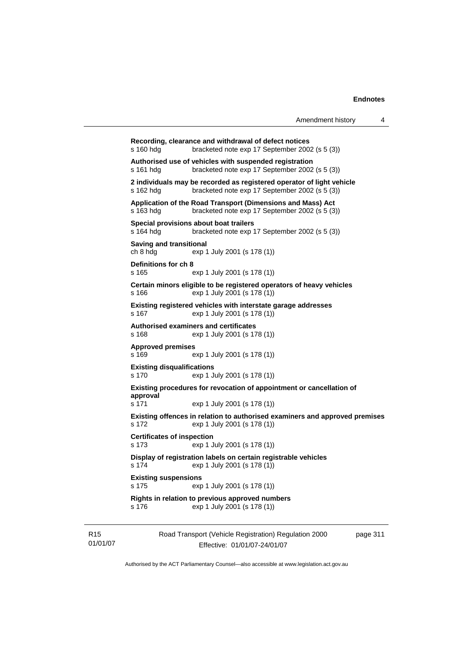| Amendment history |  |  |
|-------------------|--|--|
|-------------------|--|--|

```
Recording, clearance and withdrawal of defect notices 
s 160 hdg bracketed note exp 17 September 2002 (s 5 (3))
Authorised use of vehicles with suspended registration 
s 161 hdg bracketed note exp 17 September 2002 (s 5 (3)) 
2 individuals may be recorded as registered operator of light vehicle 
s 162 hdg bracketed note exp 17 September 2002 (s 5 (3))
Application of the Road Transport (Dimensions and Mass) Act 
s 163 hdg bracketed note exp 17 September 2002 (s 5 (3)) 
Special provisions about boat trailers 
s 164 hdg bracketed note exp 17 September 2002 (s 5 (3)) 
Saving and transitional 
ch 8 hdg exp 1 July 2001 (s 178 (1)) 
Definitions for ch 8 
s 165 exp 1 July 2001 (s 178 (1)) 
Certain minors eligible to be registered operators of heavy vehicles 
s 166 exp 1 July 2001 (s 178 (1)) 
Existing registered vehicles with interstate garage addresses 
s 167 exp 1 July 2001 (s 178 (1)) 
Authorised examiners and certificates 
s 168 exp 1 July 2001 (s 178 (1)) 
Approved premises 
s 169 exp 1 July 2001 (s 178 (1)) 
Existing disqualifications 
s 170 exp 1 July 2001 (s 178 (1)) 
Existing procedures for revocation of appointment or cancellation of 
approval 
s 171 exp 1 July 2001 (s 178 (1)) 
Existing offences in relation to authorised examiners and approved premises 
s 172 exp 1 July 2001 (s 178 (1)) 
Certificates of inspection 
s 173 exp 1 July 2001 (s 178 (1)) 
Display of registration labels on certain registrable vehicles 
s 174 exp 1 July 2001 (s 178 (1)) 
Existing suspensions 
s 175 exp 1 July 2001 (s 178 (1)) 
Rights in relation to previous approved numbers 
s 176 exp 1 July 2001 (s 178 (1))
```
R15 01/01/07 Road Transport (Vehicle Registration) Regulation 2000 Effective: 01/01/07-24/01/07

page 311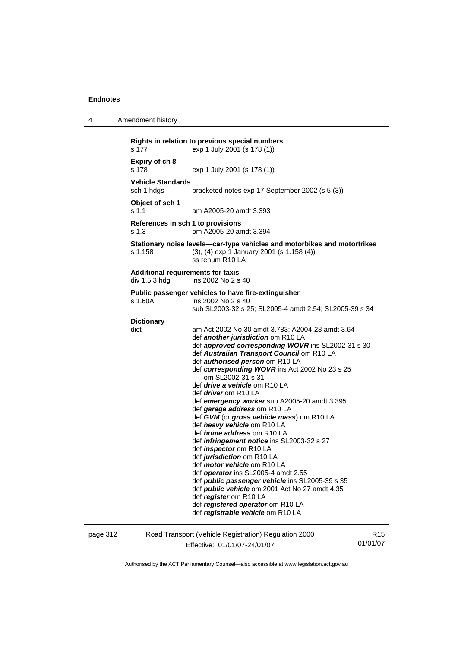4 Amendment history

```
Rights in relation to previous special numbers 
s 177 exp 1 July 2001 (s 178 (1)) 
Expiry of ch 8 
                  exp 1 July 2001 (s 178 (1))
Vehicle Standards 
sch 1 hdgs bracketed notes exp 17 September 2002 (s 5 (3)) 
Object of sch 1 
s 1.1 am A2005-20 amdt 3.393 
References in sch 1 to provisions 
s 1.3 om A2005-20 amdt 3.394 
Stationary noise levels—car-type vehicles and motorbikes and motortrikes 
s 1.158 (3), (4) exp 1 January 2001 (s 1.158 (4)) 
                   ss renum R10 LA 
Additional requirements for taxis 
div 1.5.3 hdg ins 2002 No 2 s 40
Public passenger vehicles to have fire-extinguisher 
s 1.60A ins 2002 No 2 s 40
                   sub SL2003-32 s 25; SL2005-4 amdt 2.54; SL2005-39 s 34 
Dictionary 
dict am Act 2002 No 30 amdt 3.783; A2004-28 amdt 3.64 
                   def another jurisdiction om R10 LA 
                   def approved corresponding WOVR ins SL2002-31 s 30 
                   def Australian Transport Council om R10 LA 
                   def authorised person om R10 LA 
                   def corresponding WOVR ins Act 2002 No 23 s 25 
                      om SL2002-31 s 31 
                   def drive a vehicle om R10 LA 
                   def driver om R10 LA 
                   def emergency worker sub A2005-20 amdt 3.395 
                   def garage address om R10 LA 
                   def GVM (or gross vehicle mass) om R10 LA 
                   def heavy vehicle om R10 LA 
                   def home address om R10 LA 
                   def infringement notice ins SL2003-32 s 27 
                   def inspector om R10 LA 
                   def jurisdiction om R10 LA 
                   def motor vehicle om R10 LA 
                   def operator ins SL2005-4 amdt 2.55 
                   def public passenger vehicle ins SL2005-39 s 35 
                   def public vehicle om 2001 Act No 27 amdt 4.35 
                   def register om R10 LA 
                   def registered operator om R10 LA 
                   def registrable vehicle om R10 LA
```
page 312 Road Transport (Vehicle Registration) Regulation 2000 Effective: 01/01/07-24/01/07

R15 01/01/07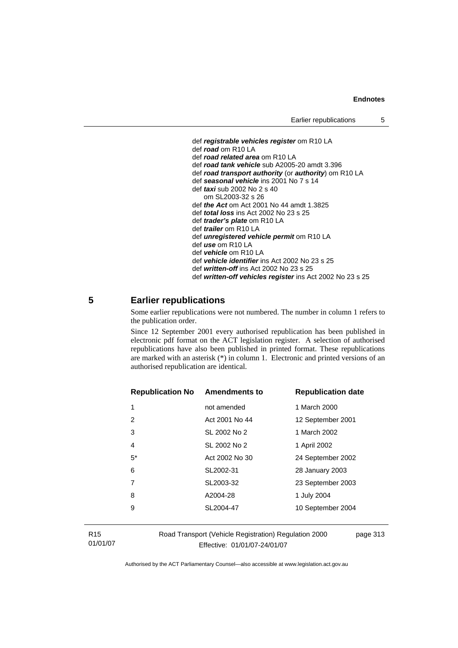```
 def registrable vehicles register om R10 LA 
 def road om R10 LA 
 def road related area om R10 LA 
 def road tank vehicle sub A2005-20 amdt 3.396 
 def road transport authority (or authority) om R10 LA 
 def seasonal vehicle ins 2001 No 7 s 14 
 def taxi sub 2002 No 2 s 40 
    om SL2003-32 s 26 
 def the Act om Act 2001 No 44 amdt 1.3825 
 def total loss ins Act 2002 No 23 s 25 
 def trader's plate om R10 LA 
 def trailer om R10 LA 
 def unregistered vehicle permit om R10 LA 
 def use om R10 LA 
 def vehicle om R10 LA 
 def vehicle identifier ins Act 2002 No 23 s 25 
 def written-off ins Act 2002 No 23 s 25
```
# def *written-off vehicles register* ins Act 2002 No 23 s 25

## **5 Earlier republications**

Some earlier republications were not numbered. The number in column 1 refers to the publication order.

Since 12 September 2001 every authorised republication has been published in electronic pdf format on the ACT legislation register. A selection of authorised republications have also been published in printed format. These republications are marked with an asterisk (\*) in column 1. Electronic and printed versions of an authorised republication are identical.

| <b>Republication No</b> | <b>Amendments to</b> | <b>Republication date</b> |
|-------------------------|----------------------|---------------------------|
| 1                       | not amended          | 1 March 2000              |
| 2                       | Act 2001 No 44       | 12 September 2001         |
| 3                       | SL 2002 No 2         | 1 March 2002              |
| 4                       | SL 2002 No 2         | 1 April 2002              |
| $5*$                    | Act 2002 No 30       | 24 September 2002         |
| 6                       | SL2002-31            | 28 January 2003           |
| 7                       | SL2003-32            | 23 September 2003         |
| 8                       | A2004-28             | 1 July 2004               |
| 9                       | SL2004-47            | 10 September 2004         |
|                         |                      |                           |

R15 01/01/07 Road Transport (Vehicle Registration) Regulation 2000 Effective: 01/01/07-24/01/07

page 313